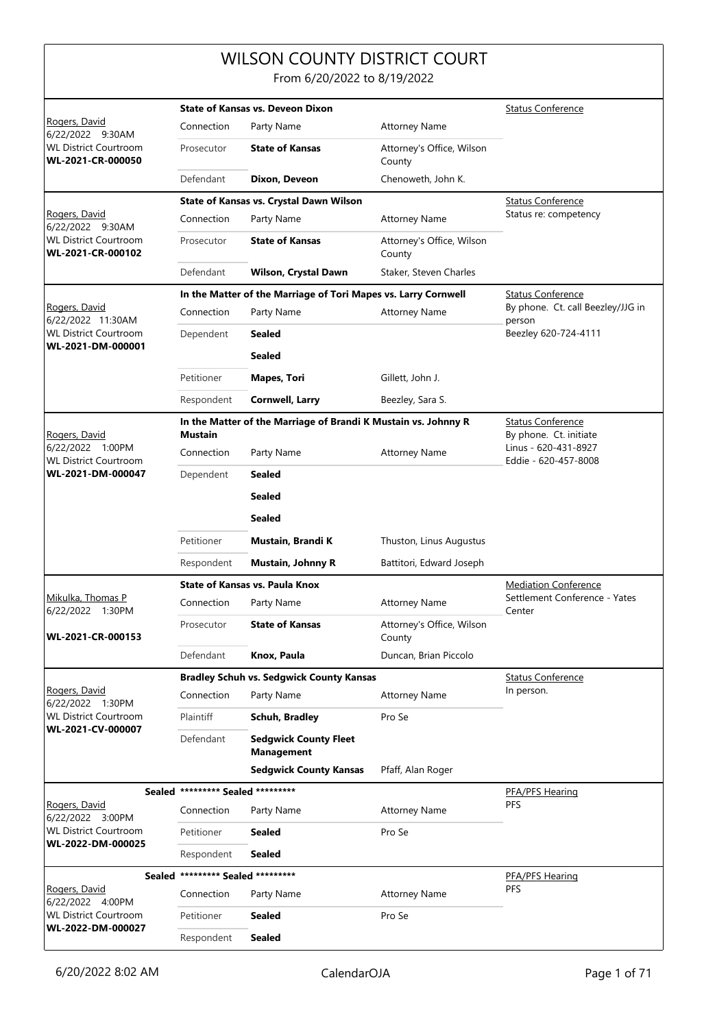## WILSON COUNTY DISTRICT COURT

From 6/20/2022 to 8/19/2022

|                                                                       | <b>State of Kansas vs. Deveon Dixon</b> |                                                                |                                     | <b>Status Conference</b>                       |
|-----------------------------------------------------------------------|-----------------------------------------|----------------------------------------------------------------|-------------------------------------|------------------------------------------------|
| Rogers, David<br>6/22/2022 9:30AM                                     | Connection                              | Party Name                                                     | <b>Attorney Name</b>                |                                                |
| <b>WL District Courtroom</b><br>WL-2021-CR-000050                     | Prosecutor                              | <b>State of Kansas</b>                                         | Attorney's Office, Wilson<br>County |                                                |
|                                                                       | Defendant                               | Dixon, Deveon                                                  | Chenoweth, John K.                  |                                                |
|                                                                       |                                         | State of Kansas vs. Crystal Dawn Wilson                        |                                     | <b>Status Conference</b>                       |
| Rogers, David                                                         | Connection                              | Party Name                                                     | <b>Attorney Name</b>                | Status re: competency                          |
| 6/22/2022 9:30AM<br><b>WL District Courtroom</b><br>WL-2021-CR-000102 | Prosecutor                              | <b>State of Kansas</b>                                         | Attorney's Office, Wilson<br>County |                                                |
|                                                                       | Defendant                               | Wilson, Crystal Dawn                                           | Staker, Steven Charles              |                                                |
|                                                                       |                                         | In the Matter of the Marriage of Tori Mapes vs. Larry Cornwell | <b>Status Conference</b>            |                                                |
| Rogers, David<br>6/22/2022 11:30AM                                    | Connection                              | Party Name                                                     | <b>Attorney Name</b>                | By phone. Ct. call Beezley/JJG in<br>person    |
| <b>WL District Courtroom</b>                                          | Dependent                               | Sealed                                                         |                                     | Beezley 620-724-4111                           |
| WL-2021-DM-000001                                                     |                                         | <b>Sealed</b>                                                  |                                     |                                                |
|                                                                       | Petitioner                              | <b>Mapes, Tori</b>                                             | Gillett, John J.                    |                                                |
|                                                                       | Respondent                              | <b>Cornwell, Larry</b>                                         | Beezley, Sara S.                    |                                                |
|                                                                       |                                         | In the Matter of the Marriage of Brandi K Mustain vs. Johnny R |                                     | <b>Status Conference</b>                       |
| Rogers, David<br>6/22/2022 1:00PM                                     | <b>Mustain</b>                          |                                                                |                                     | By phone. Ct. initiate<br>Linus - 620-431-8927 |
| <b>WL District Courtroom</b>                                          | Connection                              | Party Name                                                     | <b>Attorney Name</b>                | Eddie - 620-457-8008                           |
| WL-2021-DM-000047                                                     | Dependent                               | Sealed                                                         |                                     |                                                |
|                                                                       |                                         | Sealed                                                         |                                     |                                                |
|                                                                       |                                         | <b>Sealed</b>                                                  |                                     |                                                |
|                                                                       | Petitioner                              | Mustain, Brandi K                                              | Thuston, Linus Augustus             |                                                |
|                                                                       | Respondent                              | <b>Mustain, Johnny R</b>                                       | Battitori, Edward Joseph            |                                                |
|                                                                       |                                         | <b>State of Kansas vs. Paula Knox</b>                          |                                     | <b>Mediation Conference</b>                    |
| Mikulka, Thomas P<br>6/22/2022 1:30PM                                 | Connection                              | Party Name                                                     | <b>Attorney Name</b>                | Settlement Conference - Yates<br>Center        |
| WL-2021-CR-000153                                                     | Prosecutor                              | <b>State of Kansas</b>                                         | Attorney's Office, Wilson<br>County |                                                |
|                                                                       | Defendant                               | Knox, Paula                                                    | Duncan, Brian Piccolo               |                                                |
|                                                                       |                                         | <b>Bradley Schuh vs. Sedgwick County Kansas</b>                |                                     | <b>Status Conference</b>                       |
| Rogers, David<br>6/22/2022 1:30PM                                     | Connection                              | Party Name                                                     | <b>Attorney Name</b>                | In person.                                     |
| <b>WL District Courtroom</b>                                          | Plaintiff                               | Schuh, Bradley                                                 | Pro Se                              |                                                |
| WL-2021-CV-000007                                                     | Defendant                               | <b>Sedgwick County Fleet</b><br><b>Management</b>              |                                     |                                                |
|                                                                       |                                         | <b>Sedgwick County Kansas</b>                                  | Pfaff, Alan Roger                   |                                                |
|                                                                       | Sealed ********* Sealed *********       |                                                                |                                     | PFA/PFS Hearing                                |
| Rogers, David<br>6/22/2022 3:00PM                                     | Connection                              | Party Name                                                     | <b>Attorney Name</b>                | PFS                                            |
| <b>WL District Courtroom</b><br>WL-2022-DM-000025                     | Petitioner                              | <b>Sealed</b>                                                  | Pro Se                              |                                                |
|                                                                       | Respondent                              | Sealed                                                         |                                     |                                                |
|                                                                       | Sealed ********* Sealed *********       |                                                                |                                     | PFA/PFS Hearing                                |
| Rogers, David<br>6/22/2022 4:00PM                                     | Connection                              | Party Name                                                     | <b>Attorney Name</b>                | PFS                                            |
| <b>WL District Courtroom</b>                                          | Petitioner                              | Sealed                                                         | Pro Se                              |                                                |
| WL-2022-DM-000027                                                     | Respondent                              | <b>Sealed</b>                                                  |                                     |                                                |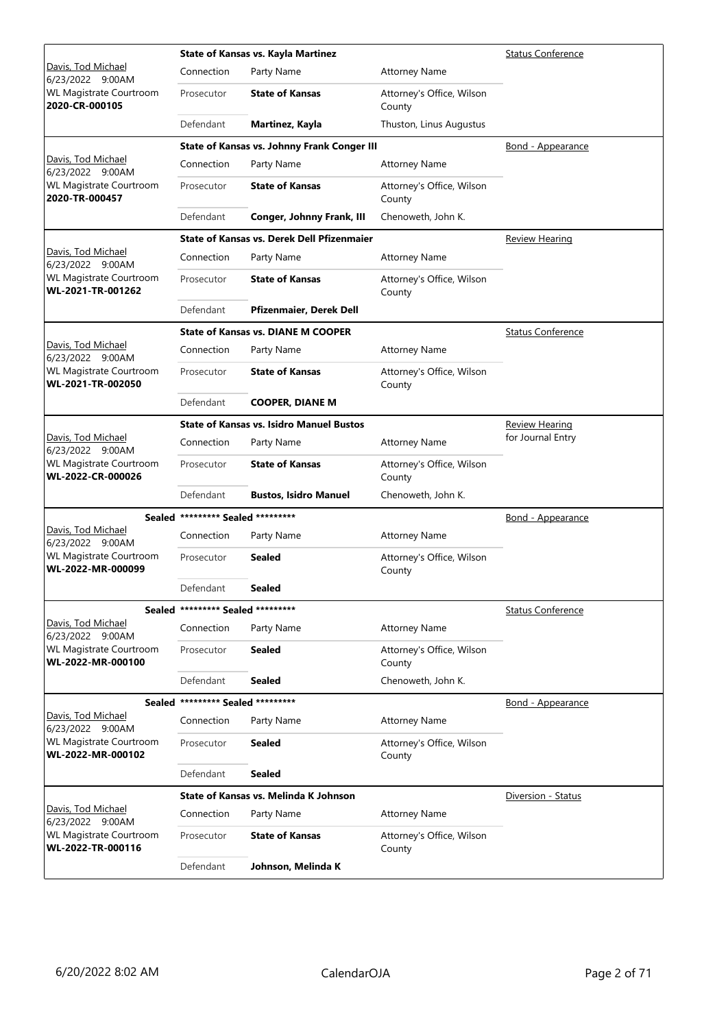|                                                     |                                   | <b>State of Kansas vs. Kayla Martinez</b>          |                                     | <b>Status Conference</b> |
|-----------------------------------------------------|-----------------------------------|----------------------------------------------------|-------------------------------------|--------------------------|
| Davis, Tod Michael<br>6/23/2022 9:00AM              | Connection                        | Party Name                                         | <b>Attorney Name</b>                |                          |
| <b>WL Magistrate Courtroom</b><br>2020-CR-000105    | Prosecutor                        | <b>State of Kansas</b>                             | Attorney's Office, Wilson<br>County |                          |
|                                                     | Defendant                         | Martinez, Kayla                                    | Thuston, Linus Augustus             |                          |
|                                                     |                                   | <b>State of Kansas vs. Johnny Frank Conger III</b> |                                     | <b>Bond - Appearance</b> |
| Davis, Tod Michael<br>6/23/2022 9:00AM              | Connection                        | Party Name                                         | <b>Attorney Name</b>                |                          |
| <b>WL Magistrate Courtroom</b><br>2020-TR-000457    | Prosecutor                        | <b>State of Kansas</b>                             | Attorney's Office, Wilson<br>County |                          |
|                                                     | Defendant                         | Conger, Johnny Frank, III                          | Chenoweth, John K.                  |                          |
|                                                     |                                   | <b>State of Kansas vs. Derek Dell Pfizenmaier</b>  |                                     | <u>Review Hearing</u>    |
| Davis, Tod Michael<br>6/23/2022 9:00AM              | Connection                        | Party Name                                         | <b>Attorney Name</b>                |                          |
| <b>WL Magistrate Courtroom</b><br>WL-2021-TR-001262 | Prosecutor                        | <b>State of Kansas</b>                             | Attorney's Office, Wilson<br>County |                          |
|                                                     | Defendant                         | Pfizenmaier, Derek Dell                            |                                     |                          |
|                                                     |                                   | <b>State of Kansas vs. DIANE M COOPER</b>          |                                     | <b>Status Conference</b> |
| Davis, Tod Michael<br>6/23/2022 9:00AM              | Connection                        | Party Name                                         | <b>Attorney Name</b>                |                          |
| <b>WL Magistrate Courtroom</b><br>WL-2021-TR-002050 | Prosecutor                        | <b>State of Kansas</b>                             | Attorney's Office, Wilson<br>County |                          |
|                                                     | Defendant                         | <b>COOPER, DIANE M</b>                             |                                     |                          |
|                                                     |                                   | <b>State of Kansas vs. Isidro Manuel Bustos</b>    |                                     | <b>Review Hearing</b>    |
| Davis, Tod Michael<br>6/23/2022 9:00AM              | Connection                        | Party Name                                         | <b>Attorney Name</b>                | for Journal Entry        |
| <b>WL Magistrate Courtroom</b><br>WL-2022-CR-000026 | Prosecutor                        | <b>State of Kansas</b>                             | Attorney's Office, Wilson<br>County |                          |
|                                                     | Defendant                         | <b>Bustos, Isidro Manuel</b>                       | Chenoweth, John K.                  |                          |
|                                                     | Sealed ********* Sealed ********* |                                                    |                                     | <b>Bond - Appearance</b> |
| Davis, Tod Michael<br>6/23/2022 9:00AM              | Connection                        | Party Name                                         | <b>Attorney Name</b>                |                          |
| <b>WL Magistrate Courtroom</b><br>WL-2022-MR-000099 | Prosecutor                        | <b>Sealed</b>                                      | Attorney's Office, Wilson<br>County |                          |
|                                                     | Defendant                         | Sealed                                             |                                     |                          |
|                                                     | Sealed ********* Sealed ********* |                                                    |                                     | <b>Status Conference</b> |
| Davis, Tod Michael<br>6/23/2022 9:00AM              | Connection                        | Party Name                                         | <b>Attorney Name</b>                |                          |
| <b>WL Magistrate Courtroom</b><br>WL-2022-MR-000100 | Prosecutor                        | <b>Sealed</b>                                      | Attorney's Office, Wilson<br>County |                          |
|                                                     | Defendant                         | <b>Sealed</b>                                      | Chenoweth, John K.                  |                          |
|                                                     | Sealed ********* Sealed ********* |                                                    |                                     | <u>Bond - Appearance</u> |
| Davis, Tod Michael<br>6/23/2022 9:00AM              | Connection                        | Party Name                                         | <b>Attorney Name</b>                |                          |
| <b>WL Magistrate Courtroom</b><br>WL-2022-MR-000102 | Prosecutor                        | <b>Sealed</b>                                      | Attorney's Office, Wilson<br>County |                          |
|                                                     | Defendant                         | <b>Sealed</b>                                      |                                     |                          |
|                                                     |                                   | State of Kansas vs. Melinda K Johnson              |                                     | Diversion - Status       |
| Davis, Tod Michael<br>6/23/2022 9:00AM              | Connection                        | Party Name                                         | <b>Attorney Name</b>                |                          |
| <b>WL Magistrate Courtroom</b><br>WL-2022-TR-000116 | Prosecutor                        | <b>State of Kansas</b>                             | Attorney's Office, Wilson<br>County |                          |
|                                                     | Defendant                         | Johnson, Melinda K                                 |                                     |                          |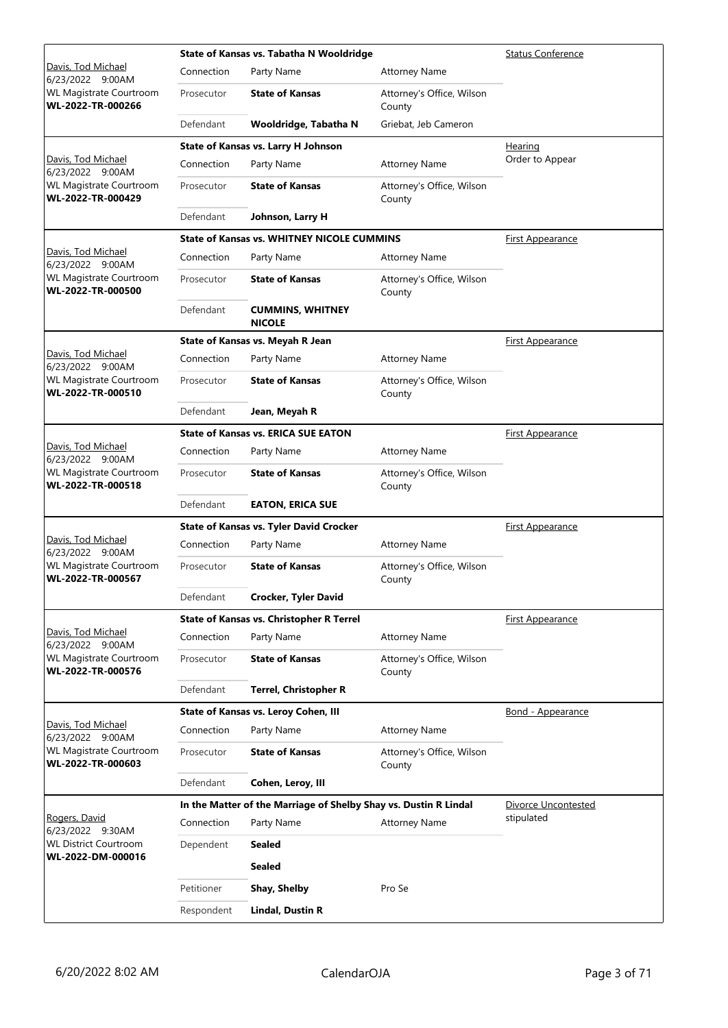|                                                     | State of Kansas vs. Tabatha N Wooldridge |                                                                  |                                     | <b>Status Conference</b> |
|-----------------------------------------------------|------------------------------------------|------------------------------------------------------------------|-------------------------------------|--------------------------|
| Davis, Tod Michael<br>6/23/2022 9:00AM              | Connection                               | Party Name                                                       | <b>Attorney Name</b>                |                          |
| WL Magistrate Courtroom<br>WL-2022-TR-000266        | Prosecutor                               | <b>State of Kansas</b>                                           | Attorney's Office, Wilson<br>County |                          |
|                                                     | Defendant                                | Wooldridge, Tabatha N                                            | Griebat, Jeb Cameron                |                          |
|                                                     |                                          | State of Kansas vs. Larry H Johnson                              |                                     | Hearing                  |
| Davis, Tod Michael<br>6/23/2022 9:00AM              | Connection                               | Party Name                                                       | <b>Attorney Name</b>                | Order to Appear          |
| <b>WL Magistrate Courtroom</b><br>WL-2022-TR-000429 | Prosecutor                               | <b>State of Kansas</b>                                           | Attorney's Office, Wilson<br>County |                          |
|                                                     | Defendant                                | Johnson, Larry H                                                 |                                     |                          |
|                                                     |                                          | <b>State of Kansas vs. WHITNEY NICOLE CUMMINS</b>                |                                     | <b>First Appearance</b>  |
| Davis, Tod Michael<br>6/23/2022 9:00AM              | Connection                               | Party Name                                                       | <b>Attorney Name</b>                |                          |
| WL Magistrate Courtroom<br>WL-2022-TR-000500        | Prosecutor                               | <b>State of Kansas</b>                                           | Attorney's Office, Wilson<br>County |                          |
|                                                     | Defendant                                | <b>CUMMINS, WHITNEY</b><br><b>NICOLE</b>                         |                                     |                          |
|                                                     |                                          | State of Kansas vs. Meyah R Jean                                 |                                     | <b>First Appearance</b>  |
| Davis, Tod Michael<br>6/23/2022 9:00AM              | Connection                               | Party Name                                                       | <b>Attorney Name</b>                |                          |
| <b>WL Magistrate Courtroom</b><br>WL-2022-TR-000510 | Prosecutor                               | <b>State of Kansas</b>                                           | Attorney's Office, Wilson<br>County |                          |
|                                                     | Defendant                                | Jean, Meyah R                                                    |                                     |                          |
|                                                     |                                          | <b>State of Kansas vs. ERICA SUE EATON</b>                       | <b>First Appearance</b>             |                          |
| Davis, Tod Michael<br>6/23/2022 9:00AM              | Connection                               | Party Name                                                       | <b>Attorney Name</b>                |                          |
| <b>WL Magistrate Courtroom</b><br>WL-2022-TR-000518 | Prosecutor                               | <b>State of Kansas</b>                                           | Attorney's Office, Wilson<br>County |                          |
|                                                     | Defendant                                | <b>EATON, ERICA SUE</b>                                          |                                     |                          |
|                                                     |                                          | <b>State of Kansas vs. Tyler David Crocker</b>                   |                                     | <b>First Appearance</b>  |
| Davis, Tod Michael<br>6/23/2022 9:00AM              | Connection                               | Party Name                                                       | <b>Attorney Name</b>                |                          |
| <b>WL Magistrate Courtroom</b><br>WL-2022-TR-000567 | Prosecutor                               | <b>State of Kansas</b>                                           | Attorney's Office, Wilson<br>County |                          |
|                                                     | Defendant                                | <b>Crocker, Tyler David</b>                                      |                                     |                          |
|                                                     |                                          | State of Kansas vs. Christopher R Terrel                         |                                     | <u>First Appearance</u>  |
| Davis, Tod Michael<br>6/23/2022 9:00AM              | Connection                               | Party Name                                                       | <b>Attorney Name</b>                |                          |
| <b>WL Magistrate Courtroom</b><br>WL-2022-TR-000576 | Prosecutor                               | <b>State of Kansas</b>                                           | Attorney's Office, Wilson<br>County |                          |
|                                                     | Defendant                                | <b>Terrel, Christopher R</b>                                     |                                     |                          |
|                                                     |                                          | State of Kansas vs. Leroy Cohen, III                             |                                     | <b>Bond - Appearance</b> |
| Davis, Tod Michael<br>6/23/2022 9:00AM              | Connection                               | Party Name                                                       | <b>Attorney Name</b>                |                          |
| <b>WL Magistrate Courtroom</b><br>WL-2022-TR-000603 | Prosecutor                               | <b>State of Kansas</b>                                           | Attorney's Office, Wilson<br>County |                          |
|                                                     | Defendant                                | Cohen, Leroy, III                                                |                                     |                          |
|                                                     |                                          | In the Matter of the Marriage of Shelby Shay vs. Dustin R Lindal |                                     | Divorce Uncontested      |
| Rogers, David<br>6/23/2022 9:30AM                   | Connection                               | Party Name                                                       | <b>Attorney Name</b>                | stipulated               |
| <b>WL District Courtroom</b>                        | Dependent                                | Sealed                                                           |                                     |                          |
| WL-2022-DM-000016                                   |                                          | Sealed                                                           |                                     |                          |
|                                                     | Petitioner                               | Shay, Shelby                                                     | Pro Se                              |                          |
|                                                     | Respondent                               | <b>Lindal, Dustin R</b>                                          |                                     |                          |
|                                                     |                                          |                                                                  |                                     |                          |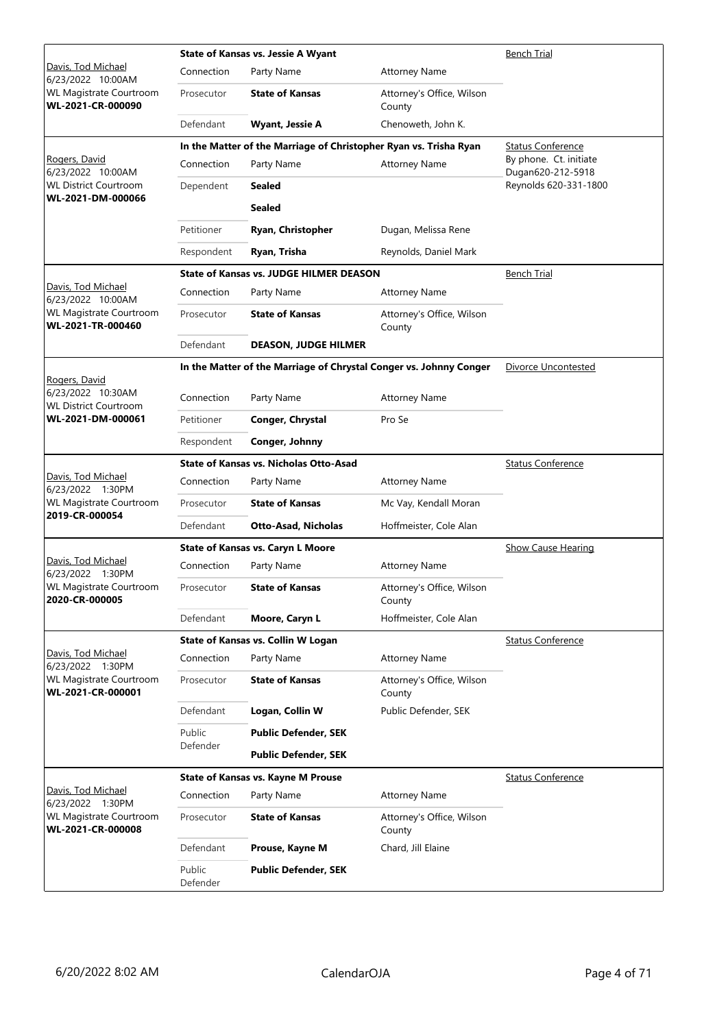|                                                                    |                    | <b>State of Kansas vs. Jessie A Wyant</b>                         | <b>Bench Trial</b>                                                 |                                             |
|--------------------------------------------------------------------|--------------------|-------------------------------------------------------------------|--------------------------------------------------------------------|---------------------------------------------|
| Davis, Tod Michael<br>6/23/2022 10:00AM                            | Connection         | Party Name                                                        | <b>Attorney Name</b>                                               |                                             |
| WL Magistrate Courtroom<br>WL-2021-CR-000090                       | Prosecutor         | <b>State of Kansas</b>                                            | Attorney's Office, Wilson<br>County                                |                                             |
|                                                                    | Defendant          | <b>Wyant, Jessie A</b>                                            | Chenoweth, John K.                                                 |                                             |
|                                                                    |                    | In the Matter of the Marriage of Christopher Ryan vs. Trisha Ryan |                                                                    | <b>Status Conference</b>                    |
| Rogers, David<br>6/23/2022 10:00AM                                 | Connection         | Party Name                                                        | <b>Attorney Name</b>                                               | By phone. Ct. initiate<br>Dugan620-212-5918 |
| <b>WL District Courtroom</b>                                       | Dependent          | <b>Sealed</b>                                                     |                                                                    | Reynolds 620-331-1800                       |
| WL-2021-DM-000066                                                  |                    | <b>Sealed</b>                                                     |                                                                    |                                             |
|                                                                    | Petitioner         | Ryan, Christopher                                                 | Dugan, Melissa Rene                                                |                                             |
|                                                                    | Respondent         | Ryan, Trisha                                                      | Reynolds, Daniel Mark                                              |                                             |
|                                                                    |                    | <b>State of Kansas vs. JUDGE HILMER DEASON</b>                    |                                                                    | Bench Trial                                 |
| Davis, Tod Michael<br>6/23/2022 10:00AM                            | Connection         | Party Name                                                        | <b>Attorney Name</b>                                               |                                             |
| WL Magistrate Courtroom<br>WL-2021-TR-000460                       | Prosecutor         | <b>State of Kansas</b>                                            | Attorney's Office, Wilson<br>County                                |                                             |
|                                                                    | Defendant          | <b>DEASON, JUDGE HILMER</b>                                       |                                                                    |                                             |
|                                                                    |                    |                                                                   | In the Matter of the Marriage of Chrystal Conger vs. Johnny Conger | <b>Divorce Uncontested</b>                  |
| Rogers, David<br>6/23/2022 10:30AM<br><b>WL District Courtroom</b> | Connection         | Party Name                                                        | <b>Attorney Name</b>                                               |                                             |
| WL-2021-DM-000061                                                  | Petitioner         | Conger, Chrystal                                                  | Pro Se                                                             |                                             |
|                                                                    | Respondent         | Conger, Johnny                                                    |                                                                    |                                             |
|                                                                    |                    | <b>State of Kansas vs. Nicholas Otto-Asad</b>                     |                                                                    | <b>Status Conference</b>                    |
| Davis, Tod Michael<br>6/23/2022 1:30PM                             | Connection         | Party Name                                                        | <b>Attorney Name</b>                                               |                                             |
| <b>WL Magistrate Courtroom</b><br>2019-CR-000054                   | Prosecutor         | <b>State of Kansas</b>                                            | Mc Vay, Kendall Moran                                              |                                             |
|                                                                    | Defendant          | <b>Otto-Asad, Nicholas</b>                                        | Hoffmeister, Cole Alan                                             |                                             |
|                                                                    |                    | <b>State of Kansas vs. Caryn L Moore</b>                          |                                                                    | <b>Show Cause Hearing</b>                   |
| Davis, Tod Michael<br>6/23/2022 1:30PM                             | Connection         | Party Name                                                        | <b>Attorney Name</b>                                               |                                             |
| <b>WL Magistrate Courtroom</b><br>2020-CR-000005                   | Prosecutor         | <b>State of Kansas</b>                                            | Attorney's Office, Wilson<br>County                                |                                             |
|                                                                    | Defendant          | Moore, Caryn L                                                    | Hoffmeister, Cole Alan                                             |                                             |
|                                                                    |                    | State of Kansas vs. Collin W Logan                                |                                                                    | <b>Status Conference</b>                    |
| Davis, Tod Michael<br>6/23/2022 1:30PM                             | Connection         | Party Name                                                        | <b>Attorney Name</b>                                               |                                             |
| WL Magistrate Courtroom<br>WL-2021-CR-000001                       | Prosecutor         | <b>State of Kansas</b>                                            | Attorney's Office, Wilson<br>County                                |                                             |
|                                                                    | Defendant          | Logan, Collin W                                                   | Public Defender, SEK                                               |                                             |
|                                                                    | Public             | <b>Public Defender, SEK</b>                                       |                                                                    |                                             |
|                                                                    | Defender           | <b>Public Defender, SEK</b>                                       |                                                                    |                                             |
|                                                                    |                    | <b>State of Kansas vs. Kayne M Prouse</b>                         |                                                                    | <b>Status Conference</b>                    |
| Davis, Tod Michael<br>6/23/2022 1:30PM                             | Connection         | Party Name                                                        | <b>Attorney Name</b>                                               |                                             |
| <b>WL Magistrate Courtroom</b><br>WL-2021-CR-000008                | Prosecutor         | <b>State of Kansas</b>                                            | Attorney's Office, Wilson<br>County                                |                                             |
|                                                                    | Defendant          | Prouse, Kayne M                                                   | Chard, Jill Elaine                                                 |                                             |
|                                                                    | Public<br>Defender | <b>Public Defender, SEK</b>                                       |                                                                    |                                             |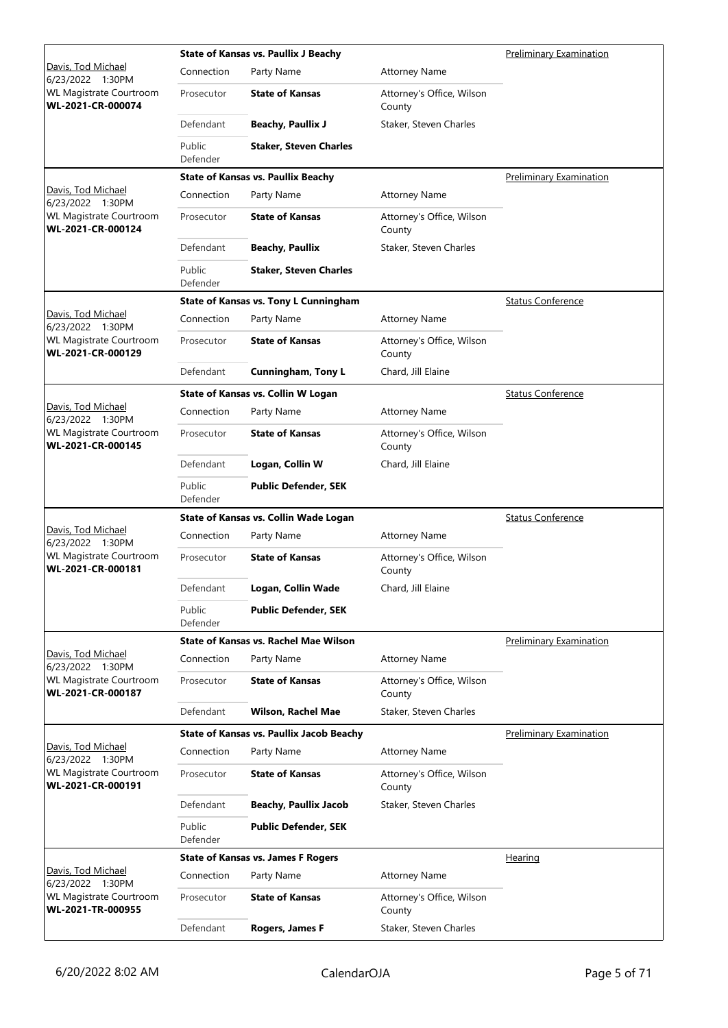|                                                     |                    | <b>State of Kansas vs. Paullix J Beachy</b><br><b>Preliminary Examination</b> |                                     |                                |  |  |
|-----------------------------------------------------|--------------------|-------------------------------------------------------------------------------|-------------------------------------|--------------------------------|--|--|
| Davis, Tod Michael<br>6/23/2022 1:30PM              | Connection         | Party Name                                                                    | <b>Attorney Name</b>                |                                |  |  |
| <b>WL Magistrate Courtroom</b><br>WL-2021-CR-000074 | Prosecutor         | <b>State of Kansas</b>                                                        | Attorney's Office, Wilson<br>County |                                |  |  |
|                                                     | Defendant          | <b>Beachy, Paullix J</b>                                                      | Staker, Steven Charles              |                                |  |  |
|                                                     | Public<br>Defender | <b>Staker, Steven Charles</b>                                                 |                                     |                                |  |  |
|                                                     |                    | <b>State of Kansas vs. Paullix Beachy</b>                                     |                                     | <b>Preliminary Examination</b> |  |  |
| Davis, Tod Michael<br>6/23/2022 1:30PM              | Connection         | Party Name                                                                    | <b>Attorney Name</b>                |                                |  |  |
| <b>WL Magistrate Courtroom</b><br>WL-2021-CR-000124 | Prosecutor         | <b>State of Kansas</b>                                                        | Attorney's Office, Wilson<br>County |                                |  |  |
|                                                     | Defendant          | <b>Beachy, Paullix</b>                                                        | Staker, Steven Charles              |                                |  |  |
|                                                     | Public<br>Defender | <b>Staker, Steven Charles</b>                                                 |                                     |                                |  |  |
|                                                     |                    | <b>State of Kansas vs. Tony L Cunningham</b>                                  |                                     | <b>Status Conference</b>       |  |  |
| Davis, Tod Michael<br>6/23/2022 1:30PM              | Connection         | Party Name                                                                    | <b>Attorney Name</b>                |                                |  |  |
| <b>WL Magistrate Courtroom</b><br>WL-2021-CR-000129 | Prosecutor         | <b>State of Kansas</b>                                                        | Attorney's Office, Wilson<br>County |                                |  |  |
|                                                     | Defendant          | <b>Cunningham, Tony L</b>                                                     | Chard, Jill Elaine                  |                                |  |  |
|                                                     |                    | State of Kansas vs. Collin W Logan                                            |                                     | <b>Status Conference</b>       |  |  |
| Davis, Tod Michael<br>6/23/2022 1:30PM              | Connection         | Party Name                                                                    | <b>Attorney Name</b>                |                                |  |  |
| <b>WL Magistrate Courtroom</b><br>WL-2021-CR-000145 | Prosecutor         | <b>State of Kansas</b>                                                        | Attorney's Office, Wilson<br>County |                                |  |  |
|                                                     | Defendant          | Logan, Collin W                                                               | Chard, Jill Elaine                  |                                |  |  |
|                                                     | Public<br>Defender | <b>Public Defender, SEK</b>                                                   |                                     |                                |  |  |
|                                                     |                    | State of Kansas vs. Collin Wade Logan                                         |                                     | <b>Status Conference</b>       |  |  |
| Davis, Tod Michael<br>6/23/2022 1:30PM              | Connection         | Party Name                                                                    | <b>Attorney Name</b>                |                                |  |  |
| <b>WL Magistrate Courtroom</b><br>WL-2021-CR-000181 | Prosecutor         | <b>State of Kansas</b>                                                        | Attorney's Office, Wilson<br>County |                                |  |  |
|                                                     | Defendant          | Logan, Collin Wade                                                            | Chard, Jill Elaine                  |                                |  |  |
|                                                     | Public<br>Defender | <b>Public Defender, SEK</b>                                                   |                                     |                                |  |  |
|                                                     |                    | State of Kansas vs. Rachel Mae Wilson                                         |                                     | <b>Preliminary Examination</b> |  |  |
| Davis, Tod Michael<br>6/23/2022 1:30PM              | Connection         | Party Name                                                                    | <b>Attorney Name</b>                |                                |  |  |
| <b>WL Magistrate Courtroom</b><br>WL-2021-CR-000187 | Prosecutor         | <b>State of Kansas</b>                                                        | Attorney's Office, Wilson<br>County |                                |  |  |
|                                                     | Defendant          | <b>Wilson, Rachel Mae</b>                                                     | Staker, Steven Charles              |                                |  |  |
|                                                     |                    | <b>State of Kansas vs. Paullix Jacob Beachy</b>                               |                                     | <b>Preliminary Examination</b> |  |  |
| Davis, Tod Michael<br>6/23/2022 1:30PM              | Connection         | Party Name                                                                    | <b>Attorney Name</b>                |                                |  |  |
| <b>WL Magistrate Courtroom</b><br>WL-2021-CR-000191 | Prosecutor         | <b>State of Kansas</b>                                                        | Attorney's Office, Wilson<br>County |                                |  |  |
|                                                     | Defendant          | <b>Beachy, Paullix Jacob</b>                                                  | Staker, Steven Charles              |                                |  |  |
|                                                     | Public<br>Defender | <b>Public Defender, SEK</b>                                                   |                                     |                                |  |  |
|                                                     |                    | <b>State of Kansas vs. James F Rogers</b>                                     |                                     | Hearing                        |  |  |
| Davis, Tod Michael<br>6/23/2022 1:30PM              | Connection         | Party Name                                                                    | <b>Attorney Name</b>                |                                |  |  |
| <b>WL Magistrate Courtroom</b><br>WL-2021-TR-000955 | Prosecutor         | <b>State of Kansas</b>                                                        | Attorney's Office, Wilson<br>County |                                |  |  |
|                                                     | Defendant          | Rogers, James F                                                               | Staker, Steven Charles              |                                |  |  |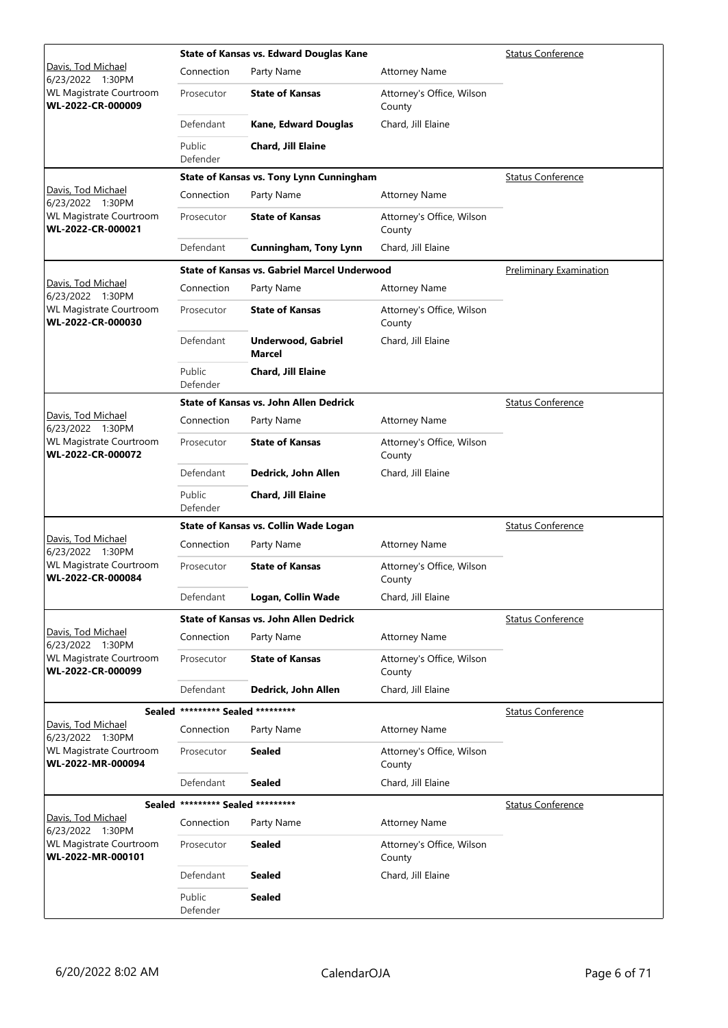|                                                     |                                   | State of Kansas vs. Edward Douglas Kane             |                                     | Status Conference        |
|-----------------------------------------------------|-----------------------------------|-----------------------------------------------------|-------------------------------------|--------------------------|
| Davis, Tod Michael<br>6/23/2022 1:30PM              | Connection                        | Party Name                                          | <b>Attorney Name</b>                |                          |
| <b>WL Magistrate Courtroom</b><br>WL-2022-CR-000009 | Prosecutor                        | <b>State of Kansas</b>                              | Attorney's Office, Wilson<br>County |                          |
|                                                     | Defendant                         | <b>Kane, Edward Douglas</b>                         | Chard, Jill Elaine                  |                          |
|                                                     | Public<br>Defender                | Chard, Jill Elaine                                  |                                     |                          |
|                                                     |                                   | <b>State of Kansas vs. Tony Lynn Cunningham</b>     |                                     | <b>Status Conference</b> |
| Davis, Tod Michael<br>6/23/2022 1:30PM              | Connection                        | Party Name                                          | <b>Attorney Name</b>                |                          |
| <b>WL Magistrate Courtroom</b><br>WL-2022-CR-000021 | Prosecutor                        | <b>State of Kansas</b>                              | Attorney's Office, Wilson<br>County |                          |
|                                                     | Defendant                         | <b>Cunningham, Tony Lynn</b>                        | Chard, Jill Elaine                  |                          |
|                                                     |                                   | <b>State of Kansas vs. Gabriel Marcel Underwood</b> |                                     | Preliminary Examination  |
| Davis, Tod Michael<br>6/23/2022 1:30PM              | Connection                        | Party Name                                          | <b>Attorney Name</b>                |                          |
| <b>WL Magistrate Courtroom</b><br>WL-2022-CR-000030 | Prosecutor                        | <b>State of Kansas</b>                              | Attorney's Office, Wilson<br>County |                          |
|                                                     | Defendant                         | <b>Underwood, Gabriel</b><br>Marcel                 | Chard, Jill Elaine                  |                          |
|                                                     | Public<br>Defender                | <b>Chard, Jill Elaine</b>                           |                                     |                          |
|                                                     |                                   | <b>State of Kansas vs. John Allen Dedrick</b>       |                                     | <b>Status Conference</b> |
| Davis, Tod Michael<br>6/23/2022 1:30PM              | Connection                        | Party Name                                          | <b>Attorney Name</b>                |                          |
| <b>WL Magistrate Courtroom</b><br>WL-2022-CR-000072 | Prosecutor                        | <b>State of Kansas</b>                              | Attorney's Office, Wilson<br>County |                          |
|                                                     | Defendant                         | Dedrick, John Allen                                 | Chard, Jill Elaine                  |                          |
|                                                     | Public<br>Defender                | Chard, Jill Elaine                                  |                                     |                          |
|                                                     |                                   | State of Kansas vs. Collin Wade Logan               |                                     | <b>Status Conference</b> |
| Davis, Tod Michael<br>6/23/2022 1:30PM              | Connection                        | Party Name                                          | <b>Attorney Name</b>                |                          |
| <b>WL Magistrate Courtroom</b><br>WL-2022-CR-000084 | Prosecutor                        | <b>State of Kansas</b>                              | Attorney's Office, Wilson<br>County |                          |
|                                                     | Defendant                         | Logan, Collin Wade                                  | Chard, Jill Elaine                  |                          |
|                                                     |                                   | <b>State of Kansas vs. John Allen Dedrick</b>       |                                     | <b>Status Conference</b> |
| <u>Davis, Tod Michael</u><br>6/23/2022 1:30PM       | Connection                        | Party Name                                          | <b>Attorney Name</b>                |                          |
| <b>WL Magistrate Courtroom</b><br>WL-2022-CR-000099 | Prosecutor                        | <b>State of Kansas</b>                              | Attorney's Office, Wilson<br>County |                          |
|                                                     | Defendant                         | Dedrick, John Allen                                 | Chard, Jill Elaine                  |                          |
|                                                     | Sealed ********* Sealed ********* |                                                     |                                     | <b>Status Conference</b> |
| Davis, Tod Michael<br>6/23/2022 1:30PM              | Connection                        | Party Name                                          | <b>Attorney Name</b>                |                          |
| <b>WL Magistrate Courtroom</b><br>WL-2022-MR-000094 | Prosecutor                        | <b>Sealed</b>                                       | Attorney's Office, Wilson<br>County |                          |
|                                                     | Defendant                         | <b>Sealed</b>                                       | Chard, Jill Elaine                  |                          |
|                                                     | Sealed ********* Sealed ********* |                                                     |                                     | <b>Status Conference</b> |
| Davis, Tod Michael<br>6/23/2022 1:30PM              | Connection                        | Party Name                                          | <b>Attorney Name</b>                |                          |
| <b>WL Magistrate Courtroom</b><br>WL-2022-MR-000101 | Prosecutor                        | <b>Sealed</b>                                       | Attorney's Office, Wilson<br>County |                          |
|                                                     | Defendant                         | Sealed                                              | Chard, Jill Elaine                  |                          |
|                                                     | Public<br>Defender                | <b>Sealed</b>                                       |                                     |                          |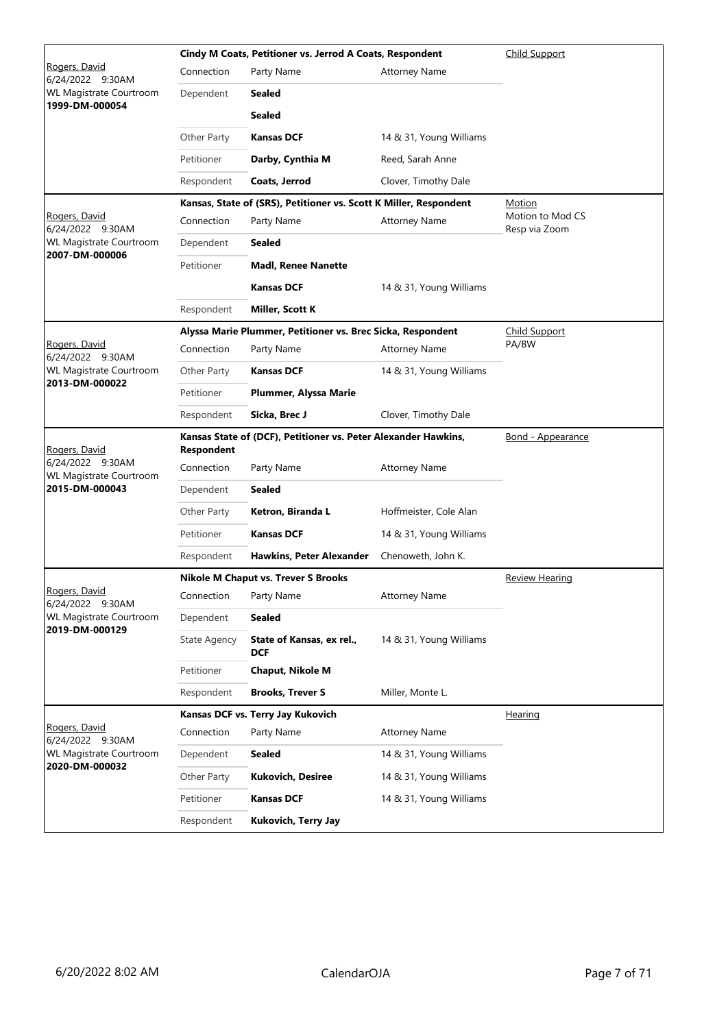|                                                  | Cindy M Coats, Petitioner vs. Jerrod A Coats, Respondent |                                                                   |                          | Child Support                     |
|--------------------------------------------------|----------------------------------------------------------|-------------------------------------------------------------------|--------------------------|-----------------------------------|
| Rogers, David<br>6/24/2022 9:30AM                | Connection                                               | Party Name                                                        | <b>Attorney Name</b>     |                                   |
| <b>WL Magistrate Courtroom</b><br>1999-DM-000054 | Dependent                                                | <b>Sealed</b>                                                     |                          |                                   |
|                                                  |                                                          | <b>Sealed</b>                                                     |                          |                                   |
|                                                  | Other Party                                              | <b>Kansas DCF</b>                                                 | 14 & 31, Young Williams  |                                   |
|                                                  | Petitioner                                               | Darby, Cynthia M                                                  | Reed, Sarah Anne         |                                   |
|                                                  | Respondent                                               | Coats, Jerrod                                                     | Clover, Timothy Dale     |                                   |
|                                                  |                                                          | Kansas, State of (SRS), Petitioner vs. Scott K Miller, Respondent | Motion                   |                                   |
| Rogers, David<br>6/24/2022 9:30AM                | Connection                                               | Party Name                                                        | <b>Attorney Name</b>     | Motion to Mod CS<br>Resp via Zoom |
| <b>WL Magistrate Courtroom</b><br>2007-DM-000006 | Dependent                                                | <b>Sealed</b>                                                     |                          |                                   |
|                                                  | Petitioner                                               | <b>Madl, Renee Nanette</b>                                        |                          |                                   |
|                                                  |                                                          | <b>Kansas DCF</b>                                                 | 14 & 31, Young Williams  |                                   |
|                                                  | Respondent                                               | Miller, Scott K                                                   |                          |                                   |
|                                                  |                                                          | Alyssa Marie Plummer, Petitioner vs. Brec Sicka, Respondent       |                          | Child Support                     |
| Rogers, David<br>6/24/2022 9:30AM                | Connection                                               | Party Name                                                        | <b>Attorney Name</b>     | PA/BW                             |
| <b>WL Magistrate Courtroom</b><br>2013-DM-000022 | Other Party                                              | <b>Kansas DCF</b>                                                 | 14 & 31, Young Williams  |                                   |
|                                                  | Petitioner                                               | Plummer, Alyssa Marie                                             |                          |                                   |
|                                                  | Respondent                                               | Sicka, Brec J                                                     | Clover, Timothy Dale     |                                   |
| Rogers, David                                    | <b>Respondent</b>                                        | Kansas State of (DCF), Petitioner vs. Peter Alexander Hawkins,    | <u>Bond - Appearance</u> |                                   |
| 6/24/2022 9:30AM<br>WL Magistrate Courtroom      | Connection                                               | Party Name                                                        | <b>Attorney Name</b>     |                                   |
| 2015-DM-000043                                   | Dependent                                                | <b>Sealed</b>                                                     |                          |                                   |
|                                                  | Other Party                                              | Ketron, Biranda L                                                 | Hoffmeister, Cole Alan   |                                   |
|                                                  | Petitioner                                               | <b>Kansas DCF</b>                                                 | 14 & 31, Young Williams  |                                   |
|                                                  | Respondent                                               | <b>Hawkins, Peter Alexander</b>                                   | Chenoweth, John K.       |                                   |
|                                                  |                                                          | <b>Nikole M Chaput vs. Trever S Brooks</b>                        |                          | <b>Review Hearing</b>             |
| Rogers, David<br>6/24/2022 9:30AM                | Connection                                               | Party Name                                                        | Attorney Name            |                                   |
| WL Magistrate Courtroom<br>2019-DM-000129        | Dependent                                                | <b>Sealed</b>                                                     |                          |                                   |
|                                                  | State Agency                                             | State of Kansas, ex rel.,<br>DCF                                  | 14 & 31, Young Williams  |                                   |
|                                                  | Petitioner                                               | Chaput, Nikole M                                                  |                          |                                   |
|                                                  | Respondent                                               | <b>Brooks, Trever S</b>                                           | Miller, Monte L.         |                                   |
|                                                  |                                                          | Kansas DCF vs. Terry Jay Kukovich                                 |                          | <u>Hearing</u>                    |
| Rogers, David<br>6/24/2022 9:30AM                | Connection                                               | Party Name                                                        | <b>Attorney Name</b>     |                                   |
| WL Magistrate Courtroom                          | Dependent                                                | <b>Sealed</b>                                                     | 14 & 31, Young Williams  |                                   |
| 2020-DM-000032                                   | Other Party                                              | Kukovich, Desiree                                                 | 14 & 31, Young Williams  |                                   |
|                                                  | Petitioner                                               | <b>Kansas DCF</b>                                                 | 14 & 31, Young Williams  |                                   |
|                                                  | Respondent                                               | Kukovich, Terry Jay                                               |                          |                                   |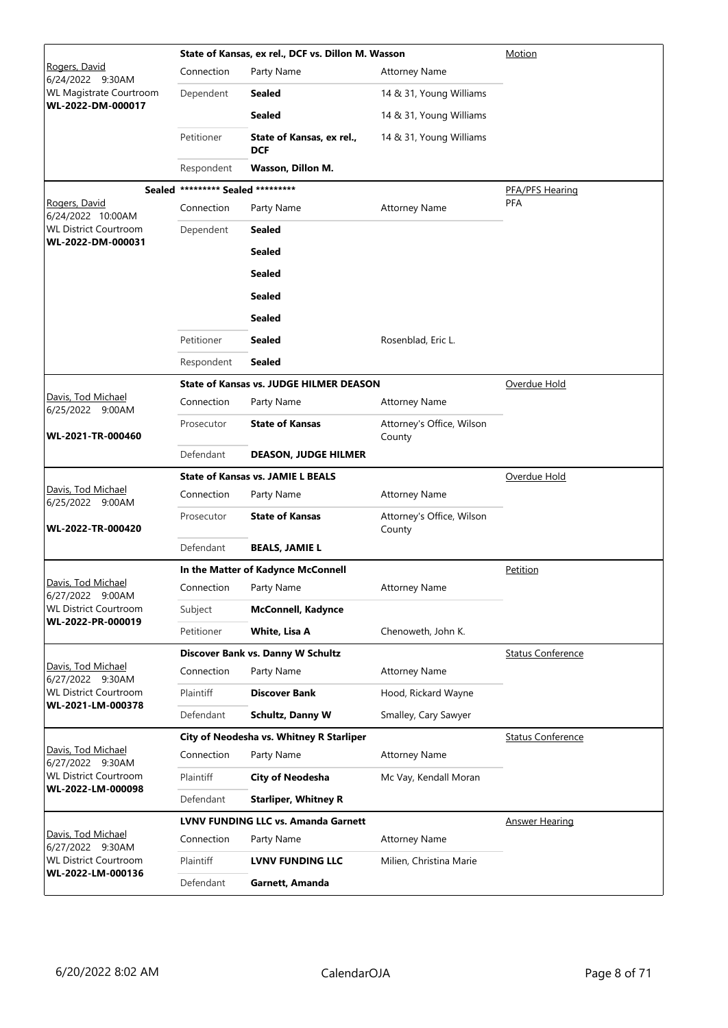|                                                   |                                   | State of Kansas, ex rel., DCF vs. Dillon M. Wasson |                                     | Motion                   |
|---------------------------------------------------|-----------------------------------|----------------------------------------------------|-------------------------------------|--------------------------|
| Rogers, David<br>6/24/2022 9:30AM                 | Connection                        | Party Name                                         | <b>Attorney Name</b>                |                          |
| WL Magistrate Courtroom                           | Dependent                         | <b>Sealed</b>                                      | 14 & 31, Young Williams             |                          |
| WL-2022-DM-000017                                 |                                   | <b>Sealed</b>                                      | 14 & 31, Young Williams             |                          |
|                                                   | Petitioner                        | State of Kansas, ex rel.,<br><b>DCF</b>            | 14 & 31, Young Williams             |                          |
|                                                   | Respondent                        | Wasson, Dillon M.                                  |                                     |                          |
|                                                   | Sealed ********* Sealed ********* |                                                    |                                     | PFA/PFS Hearing          |
| Rogers, David<br>6/24/2022 10:00AM                | Connection                        | Party Name                                         | <b>Attorney Name</b>                | <b>PFA</b>               |
| <b>WL District Courtroom</b><br>WL-2022-DM-000031 | Dependent                         | <b>Sealed</b>                                      |                                     |                          |
|                                                   |                                   | <b>Sealed</b>                                      |                                     |                          |
|                                                   |                                   | <b>Sealed</b>                                      |                                     |                          |
|                                                   |                                   | <b>Sealed</b>                                      |                                     |                          |
|                                                   |                                   | <b>Sealed</b>                                      |                                     |                          |
|                                                   | Petitioner                        | <b>Sealed</b>                                      | Rosenblad, Eric L.                  |                          |
|                                                   | Respondent                        | <b>Sealed</b>                                      |                                     |                          |
|                                                   |                                   | <b>State of Kansas vs. JUDGE HILMER DEASON</b>     |                                     | Overdue Hold             |
| Davis, Tod Michael<br>6/25/2022 9:00AM            | Connection                        | Party Name                                         | <b>Attorney Name</b>                |                          |
| WL-2021-TR-000460                                 | Prosecutor                        | <b>State of Kansas</b>                             | Attorney's Office, Wilson<br>County |                          |
|                                                   | Defendant                         | <b>DEASON, JUDGE HILMER</b>                        |                                     |                          |
|                                                   |                                   | <b>State of Kansas vs. JAMIE L BEALS</b>           |                                     | Overdue Hold             |
| Davis, Tod Michael<br>6/25/2022 9:00AM            | Connection                        | Party Name                                         | <b>Attorney Name</b>                |                          |
| WL-2022-TR-000420                                 | Prosecutor                        | <b>State of Kansas</b>                             | Attorney's Office, Wilson<br>County |                          |
|                                                   | Defendant                         | <b>BEALS, JAMIE L</b>                              |                                     |                          |
|                                                   |                                   | In the Matter of Kadynce McConnell                 |                                     | <b>Petition</b>          |
| Davis, Tod Michael<br>6/27/2022 9:00AM            | Connection                        | Party Name                                         | <b>Attorney Name</b>                |                          |
| <b>WL District Courtroom</b><br>WL-2022-PR-000019 | Subject                           | <b>McConnell, Kadynce</b>                          |                                     |                          |
|                                                   | Petitioner                        | White, Lisa A                                      | Chenoweth, John K.                  |                          |
|                                                   |                                   | Discover Bank vs. Danny W Schultz                  |                                     | <b>Status Conference</b> |
| Davis, Tod Michael<br>6/27/2022 9:30AM            | Connection                        | Party Name                                         | <b>Attorney Name</b>                |                          |
| <b>WL District Courtroom</b><br>WL-2021-LM-000378 | Plaintiff                         | <b>Discover Bank</b>                               | Hood, Rickard Wayne                 |                          |
|                                                   | Defendant                         | Schultz, Danny W                                   | Smalley, Cary Sawyer                |                          |
|                                                   |                                   | City of Neodesha vs. Whitney R Starliper           |                                     | <b>Status Conference</b> |
| Davis, Tod Michael<br>6/27/2022 9:30AM            | Connection                        | Party Name                                         | <b>Attorney Name</b>                |                          |
| <b>WL District Courtroom</b><br>WL-2022-LM-000098 | Plaintiff                         | <b>City of Neodesha</b>                            | Mc Vay, Kendall Moran               |                          |
|                                                   | Defendant                         | <b>Starliper, Whitney R</b>                        |                                     |                          |
| Davis, Tod Michael                                |                                   | <b>LVNV FUNDING LLC vs. Amanda Garnett</b>         |                                     | <b>Answer Hearing</b>    |
| 6/27/2022 9:30AM                                  | Connection                        | Party Name                                         | <b>Attorney Name</b>                |                          |
| <b>WL District Courtroom</b><br>WL-2022-LM-000136 | Plaintiff                         | <b>LVNV FUNDING LLC</b>                            | Milien, Christina Marie             |                          |
|                                                   | Defendant                         | Garnett, Amanda                                    |                                     |                          |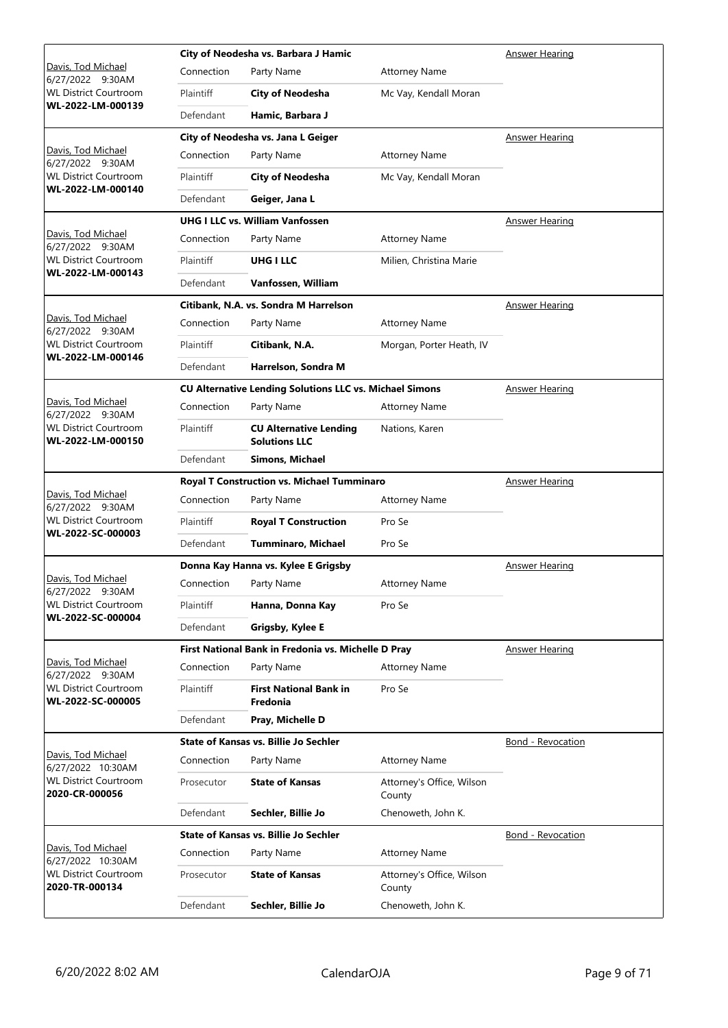|                                                                     |            | City of Neodesha vs. Barbara J Hamic                           |                                     | <b>Answer Hearing</b>    |
|---------------------------------------------------------------------|------------|----------------------------------------------------------------|-------------------------------------|--------------------------|
| <u> Davis, Tod Michael</u><br>6/27/2022 9:30AM                      | Connection | Party Name                                                     | <b>Attorney Name</b>                |                          |
| <b>WL District Courtroom</b>                                        | Plaintiff  | <b>City of Neodesha</b>                                        | Mc Vay, Kendall Moran               |                          |
| WL-2022-LM-000139                                                   | Defendant  | Hamic, Barbara J                                               |                                     |                          |
|                                                                     |            | City of Neodesha vs. Jana L Geiger                             |                                     | Answer Hearing           |
| Davis, Tod Michael<br>6/27/2022 9:30AM                              | Connection | Party Name                                                     | <b>Attorney Name</b>                |                          |
| <b>WL District Courtroom</b>                                        | Plaintiff  | <b>City of Neodesha</b>                                        | Mc Vay, Kendall Moran               |                          |
| WL-2022-LM-000140                                                   | Defendant  | Geiger, Jana L                                                 |                                     |                          |
|                                                                     |            | <b>UHG I LLC vs. William Vanfossen</b>                         |                                     | Answer Hearing           |
| Davis, Tod Michael<br>6/27/2022 9:30AM                              | Connection | Party Name                                                     | <b>Attorney Name</b>                |                          |
| <b>WL District Courtroom</b>                                        | Plaintiff  | <b>UHG I LLC</b>                                               | Milien, Christina Marie             |                          |
| WL-2022-LM-000143                                                   | Defendant  | Vanfossen, William                                             |                                     |                          |
|                                                                     |            | Citibank, N.A. vs. Sondra M Harrelson                          |                                     | <b>Answer Hearing</b>    |
| Davis, Tod Michael<br>6/27/2022 9:30AM                              | Connection | Party Name                                                     | <b>Attorney Name</b>                |                          |
| <b>WL District Courtroom</b>                                        | Plaintiff  | Citibank, N.A.                                                 | Morgan, Porter Heath, IV            |                          |
| WL-2022-LM-000146                                                   | Defendant  | Harrelson, Sondra M                                            |                                     |                          |
|                                                                     |            | <b>CU Alternative Lending Solutions LLC vs. Michael Simons</b> |                                     | <b>Answer Hearing</b>    |
| Davis, Tod Michael<br>6/27/2022 9:30AM                              | Connection | Party Name                                                     | <b>Attorney Name</b>                |                          |
| <b>WL District Courtroom</b><br>WL-2022-LM-000150                   | Plaintiff  | <b>CU Alternative Lending</b><br><b>Solutions LLC</b>          | Nations, Karen                      |                          |
|                                                                     | Defendant  | Simons, Michael                                                |                                     |                          |
|                                                                     |            | Royal T Construction vs. Michael Tumminaro                     | <b>Answer Hearing</b>               |                          |
|                                                                     |            |                                                                |                                     |                          |
| Davis, Tod Michael<br>6/27/2022 9:30AM                              | Connection | Party Name                                                     | <b>Attorney Name</b>                |                          |
| <b>WL District Courtroom</b>                                        | Plaintiff  | <b>Royal T Construction</b>                                    | Pro Se                              |                          |
| WL-2022-SC-000003                                                   | Defendant  | <b>Tumminaro, Michael</b>                                      | Pro Se                              |                          |
|                                                                     |            | Donna Kay Hanna vs. Kylee E Grigsby                            |                                     | <b>Answer Hearing</b>    |
| Davis, Tod Michael                                                  | Connection | Party Name                                                     | <b>Attorney Name</b>                |                          |
| 6/27/2022 9:30AM<br><b>WL District Courtroom</b>                    | Plaintiff  | Hanna, Donna Kay                                               | Pro Se                              |                          |
| WL-2022-SC-000004                                                   | Defendant  | Grigsby, Kylee E                                               |                                     |                          |
|                                                                     |            | First National Bank in Fredonia vs. Michelle D Pray            |                                     | Answer Hearing           |
| Davis, Tod Michael<br>6/27/2022 9:30AM                              | Connection | Party Name                                                     | <b>Attorney Name</b>                |                          |
| <b>WL District Courtroom</b><br>WL-2022-SC-000005                   | Plaintiff  | <b>First National Bank in</b><br>Fredonia                      | Pro Se                              |                          |
|                                                                     | Defendant  | Pray, Michelle D                                               |                                     |                          |
|                                                                     |            | State of Kansas vs. Billie Jo Sechler                          |                                     | <b>Bond - Revocation</b> |
| Davis, Tod Michael                                                  | Connection | Party Name                                                     | <b>Attorney Name</b>                |                          |
| 6/27/2022 10:30AM<br><b>WL District Courtroom</b><br>2020-CR-000056 | Prosecutor | <b>State of Kansas</b>                                         | Attorney's Office, Wilson<br>County |                          |
|                                                                     | Defendant  | Sechler, Billie Jo                                             | Chenoweth, John K.                  |                          |
|                                                                     |            | <b>State of Kansas vs. Billie Jo Sechler</b>                   |                                     | <b>Bond - Revocation</b> |
| Davis, Tod Michael                                                  | Connection | Party Name                                                     | <b>Attorney Name</b>                |                          |
| 6/27/2022 10:30AM<br><b>WL District Courtroom</b><br>2020-TR-000134 | Prosecutor | <b>State of Kansas</b>                                         | Attorney's Office, Wilson<br>County |                          |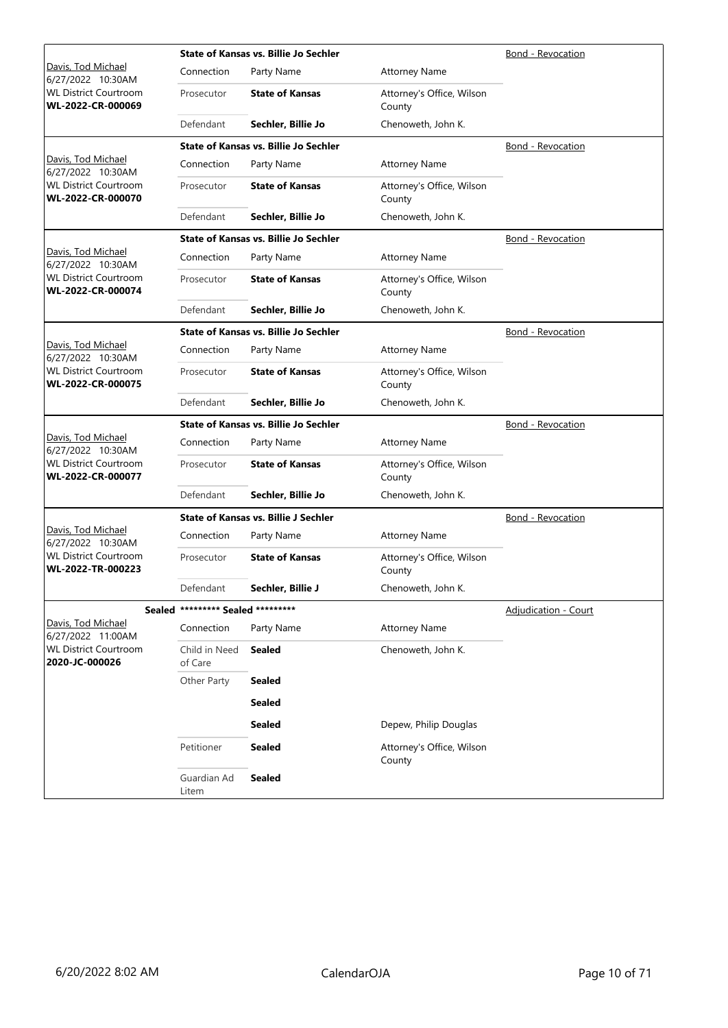|                                                   |                                   | <b>State of Kansas vs. Billie Jo Sechler</b><br>Bond - Revocation |                                     |                          |  |
|---------------------------------------------------|-----------------------------------|-------------------------------------------------------------------|-------------------------------------|--------------------------|--|
| Davis, Tod Michael<br>6/27/2022 10:30AM           | Connection                        | Party Name                                                        | <b>Attorney Name</b>                |                          |  |
| <b>WL District Courtroom</b><br>WL-2022-CR-000069 | Prosecutor                        | <b>State of Kansas</b>                                            | Attorney's Office, Wilson<br>County |                          |  |
|                                                   | Defendant                         | Sechler, Billie Jo                                                | Chenoweth, John K.                  |                          |  |
|                                                   |                                   | <b>State of Kansas vs. Billie Jo Sechler</b>                      |                                     | Bond - Revocation        |  |
| Davis, Tod Michael<br>6/27/2022 10:30AM           | Connection                        | Party Name                                                        | <b>Attorney Name</b>                |                          |  |
| <b>WL District Courtroom</b><br>WL-2022-CR-000070 | Prosecutor                        | <b>State of Kansas</b>                                            | Attorney's Office, Wilson<br>County |                          |  |
|                                                   | Defendant                         | Sechler, Billie Jo                                                | Chenoweth, John K.                  |                          |  |
|                                                   |                                   | <b>State of Kansas vs. Billie Jo Sechler</b>                      |                                     | Bond - Revocation        |  |
| Davis, Tod Michael<br>6/27/2022 10:30AM           | Connection                        | Party Name                                                        | <b>Attorney Name</b>                |                          |  |
| <b>WL District Courtroom</b><br>WL-2022-CR-000074 | Prosecutor                        | <b>State of Kansas</b>                                            | Attorney's Office, Wilson<br>County |                          |  |
|                                                   | Defendant                         | Sechler, Billie Jo                                                | Chenoweth, John K.                  |                          |  |
|                                                   |                                   | <b>State of Kansas vs. Billie Jo Sechler</b>                      |                                     | Bond - Revocation        |  |
| Davis, Tod Michael<br>6/27/2022 10:30AM           | Connection                        | Party Name                                                        | <b>Attorney Name</b>                |                          |  |
| <b>WL District Courtroom</b><br>WL-2022-CR-000075 | Prosecutor                        | <b>State of Kansas</b>                                            | Attorney's Office, Wilson<br>County |                          |  |
|                                                   | Defendant                         | Sechler, Billie Jo                                                | Chenoweth, John K.                  |                          |  |
|                                                   |                                   | <b>State of Kansas vs. Billie Jo Sechler</b>                      |                                     | <b>Bond - Revocation</b> |  |
| Davis, Tod Michael<br>6/27/2022 10:30AM           | Connection                        | Party Name                                                        | <b>Attorney Name</b>                |                          |  |
| <b>WL District Courtroom</b><br>WL-2022-CR-000077 | Prosecutor                        | <b>State of Kansas</b>                                            | Attorney's Office, Wilson<br>County |                          |  |
|                                                   | Defendant                         | Sechler, Billie Jo                                                | Chenoweth, John K.                  |                          |  |
|                                                   |                                   | <b>State of Kansas vs. Billie J Sechler</b>                       |                                     | Bond - Revocation        |  |
| Davis, Tod Michael<br>6/27/2022 10:30AM           | Connection                        | Party Name                                                        | <b>Attorney Name</b>                |                          |  |
| <b>WL District Courtroom</b><br>WL-2022-TR-000223 | Prosecutor                        | <b>State of Kansas</b>                                            | Attorney's Office, Wilson<br>County |                          |  |
|                                                   | Defendant                         | Sechler, Billie J                                                 | Chenoweth, John K.                  |                          |  |
|                                                   | Sealed ********* Sealed ********* |                                                                   |                                     | Adjudication - Court     |  |
| Davis, Tod Michael<br>6/27/2022 11:00AM           | Connection                        | Party Name                                                        | <b>Attorney Name</b>                |                          |  |
| <b>WL District Courtroom</b><br>2020-JC-000026    | Child in Need<br>of Care          | <b>Sealed</b>                                                     | Chenoweth, John K.                  |                          |  |
|                                                   | Other Party                       | <b>Sealed</b>                                                     |                                     |                          |  |
|                                                   |                                   | <b>Sealed</b>                                                     |                                     |                          |  |
|                                                   |                                   | <b>Sealed</b>                                                     | Depew, Philip Douglas               |                          |  |
|                                                   | Petitioner                        | <b>Sealed</b>                                                     | Attorney's Office, Wilson<br>County |                          |  |
|                                                   | Guardian Ad<br>Litem              | <b>Sealed</b>                                                     |                                     |                          |  |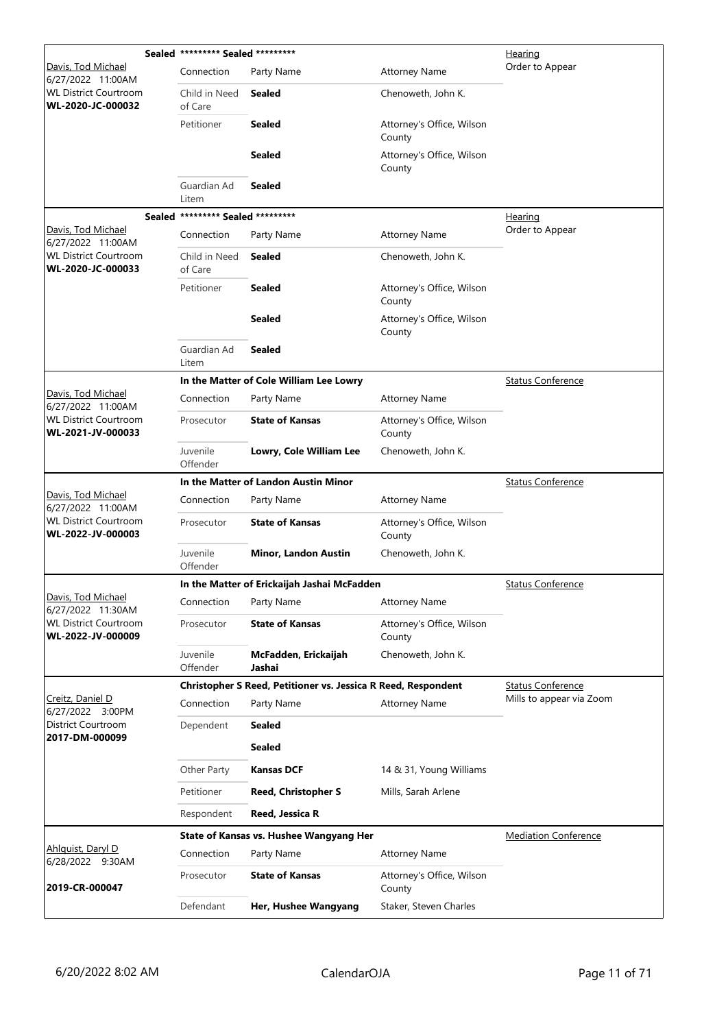|                                                   | Sealed ********* Sealed ********* |                                                               |                                     | Hearing                     |  |
|---------------------------------------------------|-----------------------------------|---------------------------------------------------------------|-------------------------------------|-----------------------------|--|
| Davis, Tod Michael<br>6/27/2022 11:00AM           | Connection                        | Party Name                                                    | <b>Attorney Name</b>                | Order to Appear             |  |
| <b>WL District Courtroom</b><br>WL-2020-JC-000032 | Child in Need<br>of Care          | <b>Sealed</b>                                                 | Chenoweth, John K.                  |                             |  |
|                                                   | Petitioner                        | <b>Sealed</b>                                                 | Attorney's Office, Wilson<br>County |                             |  |
|                                                   |                                   | <b>Sealed</b>                                                 | Attorney's Office, Wilson<br>County |                             |  |
|                                                   | Guardian Ad<br>Litem              | <b>Sealed</b>                                                 |                                     |                             |  |
| Sealed                                            | ********* Sealed *********        |                                                               |                                     | <b>Hearing</b>              |  |
| Davis, Tod Michael<br>6/27/2022 11:00AM           | Connection                        | Party Name                                                    | <b>Attorney Name</b>                | Order to Appear             |  |
| <b>WL District Courtroom</b><br>WL-2020-JC-000033 | Child in Need<br>of Care          | <b>Sealed</b>                                                 | Chenoweth, John K.                  |                             |  |
|                                                   | Petitioner                        | <b>Sealed</b>                                                 | Attorney's Office, Wilson<br>County |                             |  |
|                                                   |                                   | <b>Sealed</b>                                                 | Attorney's Office, Wilson<br>County |                             |  |
|                                                   | Guardian Ad<br>Litem              | Sealed                                                        |                                     |                             |  |
|                                                   |                                   | In the Matter of Cole William Lee Lowry                       |                                     | <b>Status Conference</b>    |  |
| Davis, Tod Michael<br>6/27/2022 11:00AM           | Connection                        | Party Name                                                    | <b>Attorney Name</b>                |                             |  |
| <b>WL District Courtroom</b><br>WL-2021-JV-000033 | Prosecutor                        | <b>State of Kansas</b>                                        | Attorney's Office, Wilson<br>County |                             |  |
|                                                   | Juvenile<br>Offender              | Lowry, Cole William Lee                                       | Chenoweth, John K.                  |                             |  |
|                                                   |                                   | In the Matter of Landon Austin Minor                          |                                     | <b>Status Conference</b>    |  |
| Davis, Tod Michael<br>6/27/2022 11:00AM           | Connection                        | Party Name                                                    | <b>Attorney Name</b>                |                             |  |
| <b>WL District Courtroom</b><br>WL-2022-JV-000003 | Prosecutor                        | <b>State of Kansas</b>                                        | Attorney's Office, Wilson<br>County |                             |  |
|                                                   | Juvenile<br>Offender              | <b>Minor, Landon Austin</b>                                   | Chenoweth, John K.                  |                             |  |
|                                                   |                                   | In the Matter of Erickaijah Jashai McFadden                   | <b>Status Conference</b>            |                             |  |
| Davis, Tod Michael<br>6/27/2022 11:30AM           | Connection                        | Party Name                                                    | <b>Attorney Name</b>                |                             |  |
| <b>WL District Courtroom</b><br>WL-2022-JV-000009 | Prosecutor                        | <b>State of Kansas</b>                                        | Attorney's Office, Wilson<br>County |                             |  |
|                                                   | Juvenile<br>Offender              | McFadden, Erickaijah<br>Jashai                                | Chenoweth, John K.                  |                             |  |
|                                                   |                                   | Christopher S Reed, Petitioner vs. Jessica R Reed, Respondent |                                     | <b>Status Conference</b>    |  |
| Creitz, Daniel D<br>6/27/2022 3:00PM              | Connection                        | Party Name                                                    | <b>Attorney Name</b>                | Mills to appear via Zoom    |  |
| <b>District Courtroom</b><br>2017-DM-000099       | Dependent                         | <b>Sealed</b>                                                 |                                     |                             |  |
|                                                   |                                   | <b>Sealed</b>                                                 |                                     |                             |  |
|                                                   | Other Party                       | <b>Kansas DCF</b>                                             | 14 & 31, Young Williams             |                             |  |
|                                                   | Petitioner                        | <b>Reed, Christopher S</b>                                    | Mills, Sarah Arlene                 |                             |  |
|                                                   | Respondent                        | Reed, Jessica R                                               |                                     |                             |  |
|                                                   |                                   | State of Kansas vs. Hushee Wangyang Her                       |                                     | <b>Mediation Conference</b> |  |
| Ahlquist, Daryl D<br>6/28/2022 9:30AM             | Connection                        | Party Name                                                    | <b>Attorney Name</b>                |                             |  |
| 2019-CR-000047                                    | Prosecutor                        | <b>State of Kansas</b>                                        | Attorney's Office, Wilson<br>County |                             |  |
|                                                   | Defendant                         | Her, Hushee Wangyang                                          | Staker, Steven Charles              |                             |  |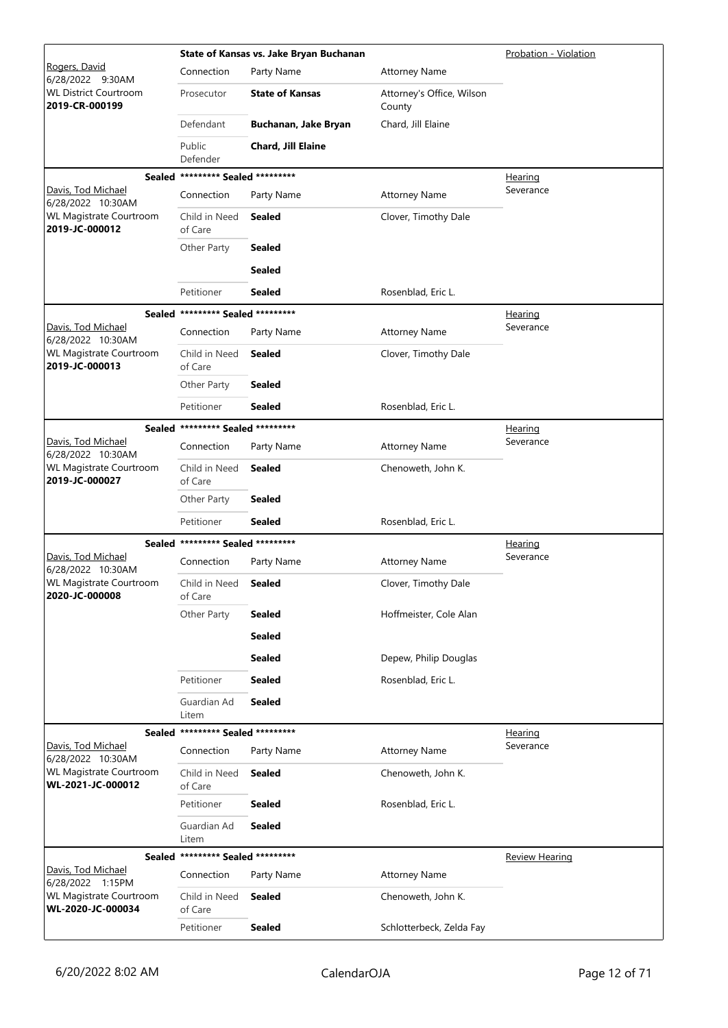|                                                     |                                   | State of Kansas vs. Jake Bryan Buchanan |                                     | Probation - Violation |
|-----------------------------------------------------|-----------------------------------|-----------------------------------------|-------------------------------------|-----------------------|
| Rogers, David<br>6/28/2022 9:30AM                   | Connection                        | Party Name                              | <b>Attorney Name</b>                |                       |
| <b>WL District Courtroom</b><br>2019-CR-000199      | Prosecutor                        | <b>State of Kansas</b>                  | Attorney's Office, Wilson<br>County |                       |
|                                                     | Defendant                         | Buchanan, Jake Bryan                    | Chard, Jill Elaine                  |                       |
|                                                     | Public<br>Defender                | Chard, Jill Elaine                      |                                     |                       |
|                                                     | Sealed ********* Sealed ********* |                                         |                                     | <b>Hearing</b>        |
| Davis, Tod Michael<br>6/28/2022 10:30AM             | Connection                        | Party Name                              | <b>Attorney Name</b>                | Severance             |
| WL Magistrate Courtroom<br>2019-JC-000012           | Child in Need<br>of Care          | <b>Sealed</b>                           | Clover, Timothy Dale                |                       |
|                                                     | Other Party                       | <b>Sealed</b>                           |                                     |                       |
|                                                     |                                   | <b>Sealed</b>                           |                                     |                       |
|                                                     | Petitioner                        | <b>Sealed</b>                           | Rosenblad, Eric L.                  |                       |
|                                                     | Sealed ********* Sealed ********* |                                         |                                     | <u>Hearing</u>        |
| Davis, Tod Michael<br>6/28/2022 10:30AM             | Connection                        | Party Name                              | <b>Attorney Name</b>                | Severance             |
| WL Magistrate Courtroom<br>2019-JC-000013           | Child in Need<br>of Care          | <b>Sealed</b>                           | Clover, Timothy Dale                |                       |
|                                                     | Other Party                       | <b>Sealed</b>                           |                                     |                       |
|                                                     | Petitioner                        | <b>Sealed</b>                           | Rosenblad, Eric L.                  |                       |
|                                                     | Sealed ********* Sealed ********* |                                         |                                     | <u>Hearing</u>        |
| Davis, Tod Michael<br>6/28/2022 10:30AM             | Connection                        | Party Name                              | <b>Attorney Name</b>                | Severance             |
| WL Magistrate Courtroom<br>2019-JC-000027           | Child in Need<br>of Care          | <b>Sealed</b>                           | Chenoweth, John K.                  |                       |
|                                                     | Other Party                       | <b>Sealed</b>                           |                                     |                       |
|                                                     | Petitioner                        | <b>Sealed</b>                           | Rosenblad, Eric L.                  |                       |
|                                                     | Sealed ********* Sealed ********* |                                         |                                     | <u>Hearing</u>        |
| Davis, Tod Michael<br>6/28/2022 10:30AM             | Connection                        | Party Name                              | <b>Attorney Name</b>                | Severance             |
| <b>WL Magistrate Courtroom</b><br>2020-JC-000008    | Child in Need<br>of Care          | <b>Sealed</b>                           | Clover, Timothy Dale                |                       |
|                                                     | Other Party                       | <b>Sealed</b>                           | Hoffmeister, Cole Alan              |                       |
|                                                     |                                   | <b>Sealed</b>                           |                                     |                       |
|                                                     |                                   | <b>Sealed</b>                           | Depew, Philip Douglas               |                       |
|                                                     | Petitioner                        | <b>Sealed</b>                           | Rosenblad, Eric L.                  |                       |
|                                                     | Guardian Ad<br>Litem              | <b>Sealed</b>                           |                                     |                       |
|                                                     | Sealed ********* Sealed ********* |                                         |                                     | Hearing               |
| Davis, Tod Michael<br>6/28/2022 10:30AM             | Connection                        | Party Name                              | <b>Attorney Name</b>                | Severance             |
| <b>WL Magistrate Courtroom</b><br>WL-2021-JC-000012 | Child in Need<br>of Care          | <b>Sealed</b>                           | Chenoweth, John K.                  |                       |
|                                                     | Petitioner                        | <b>Sealed</b>                           | Rosenblad, Eric L.                  |                       |
|                                                     | Guardian Ad<br>Litem              | <b>Sealed</b>                           |                                     |                       |
|                                                     | Sealed ********* Sealed ********* |                                         |                                     | <b>Review Hearing</b> |
| Davis, Tod Michael<br>6/28/2022 1:15PM              | Connection                        | Party Name                              | <b>Attorney Name</b>                |                       |
| <b>WL Magistrate Courtroom</b><br>WL-2020-JC-000034 | Child in Need<br>of Care          | <b>Sealed</b>                           | Chenoweth, John K.                  |                       |
|                                                     | Petitioner                        | <b>Sealed</b>                           | Schlotterbeck, Zelda Fay            |                       |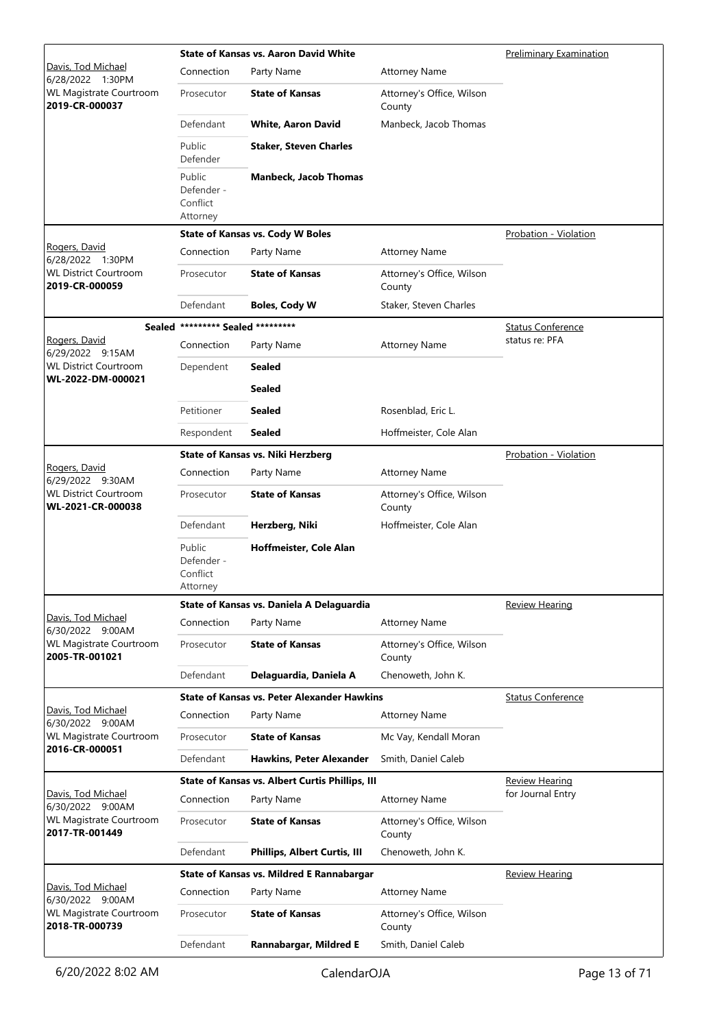|                                                   |                                              | <b>State of Kansas vs. Aaron David White</b>       | <b>Preliminary Examination</b>      |                              |
|---------------------------------------------------|----------------------------------------------|----------------------------------------------------|-------------------------------------|------------------------------|
| Davis, Tod Michael<br>6/28/2022 1:30PM            | Connection                                   | Party Name                                         | <b>Attorney Name</b>                |                              |
| WL Magistrate Courtroom<br>2019-CR-000037         | Prosecutor                                   | <b>State of Kansas</b>                             | Attorney's Office, Wilson<br>County |                              |
|                                                   | Defendant                                    | <b>White, Aaron David</b>                          | Manbeck, Jacob Thomas               |                              |
|                                                   | Public<br>Defender                           | <b>Staker, Steven Charles</b>                      |                                     |                              |
|                                                   | Public<br>Defender -<br>Conflict<br>Attorney | <b>Manbeck, Jacob Thomas</b>                       |                                     |                              |
|                                                   |                                              | <b>State of Kansas vs. Cody W Boles</b>            |                                     | <b>Probation - Violation</b> |
| Rogers, David<br>6/28/2022 1:30PM                 | Connection                                   | Party Name                                         | <b>Attorney Name</b>                |                              |
| <b>WL District Courtroom</b><br>2019-CR-000059    | Prosecutor                                   | <b>State of Kansas</b>                             | Attorney's Office, Wilson<br>County |                              |
|                                                   | Defendant                                    | <b>Boles, Cody W</b>                               | Staker, Steven Charles              |                              |
|                                                   | Sealed ********* Sealed *********            |                                                    |                                     | <b>Status Conference</b>     |
| Rogers, David<br>6/29/2022 9:15AM                 | Connection                                   | Party Name                                         | <b>Attorney Name</b>                | status re: PFA               |
| <b>WL District Courtroom</b><br>WL-2022-DM-000021 | Dependent                                    | <b>Sealed</b>                                      |                                     |                              |
|                                                   |                                              | <b>Sealed</b>                                      |                                     |                              |
|                                                   | Petitioner                                   | <b>Sealed</b>                                      | Rosenblad, Eric L.                  |                              |
|                                                   | Respondent                                   | <b>Sealed</b>                                      | Hoffmeister, Cole Alan              |                              |
|                                                   |                                              | <b>State of Kansas vs. Niki Herzberg</b>           |                                     | Probation - Violation        |
| Rogers, David<br>6/29/2022 9:30AM                 | Connection                                   | Party Name                                         | <b>Attorney Name</b>                |                              |
| <b>WL District Courtroom</b><br>WL-2021-CR-000038 | Prosecutor                                   | <b>State of Kansas</b>                             | Attorney's Office, Wilson<br>County |                              |
|                                                   | Defendant                                    | Herzberg, Niki                                     | Hoffmeister, Cole Alan              |                              |
|                                                   | Public<br>Defender -<br>Conflict<br>Attorney | Hoffmeister, Cole Alan                             |                                     |                              |
|                                                   |                                              | State of Kansas vs. Daniela A Delaguardia          |                                     | Review Hearing               |
| Davis, Tod Michael<br>6/30/2022 9:00AM            | Connection                                   | Party Name                                         | <b>Attorney Name</b>                |                              |
| WL Magistrate Courtroom<br>2005-TR-001021         | Prosecutor                                   | <b>State of Kansas</b>                             | Attorney's Office, Wilson<br>County |                              |
|                                                   | Defendant                                    | Delaguardia, Daniela A                             | Chenoweth, John K.                  |                              |
|                                                   |                                              | <b>State of Kansas vs. Peter Alexander Hawkins</b> |                                     | <b>Status Conference</b>     |
| Davis, Tod Michael<br>6/30/2022 9:00AM            | Connection                                   | Party Name                                         | <b>Attorney Name</b>                |                              |
| WL Magistrate Courtroom<br>2016-CR-000051         | Prosecutor                                   | <b>State of Kansas</b>                             | Mc Vay, Kendall Moran               |                              |
|                                                   | Defendant                                    | <b>Hawkins, Peter Alexander</b>                    | Smith, Daniel Caleb                 |                              |
|                                                   |                                              | State of Kansas vs. Albert Curtis Phillips, III    |                                     | <b>Review Hearing</b>        |
| Davis, Tod Michael<br>6/30/2022 9:00AM            | Connection                                   | Party Name                                         | <b>Attorney Name</b>                | for Journal Entry            |
| <b>WL Magistrate Courtroom</b><br>2017-TR-001449  | Prosecutor                                   | <b>State of Kansas</b>                             | Attorney's Office, Wilson<br>County |                              |
|                                                   | Defendant                                    | <b>Phillips, Albert Curtis, III</b>                | Chenoweth, John K.                  |                              |
|                                                   |                                              | State of Kansas vs. Mildred E Rannabargar          |                                     | <b>Review Hearing</b>        |
| Davis, Tod Michael<br>6/30/2022 9:00AM            | Connection                                   | Party Name                                         | <b>Attorney Name</b>                |                              |
| WL Magistrate Courtroom<br>2018-TR-000739         | Prosecutor                                   | <b>State of Kansas</b>                             | Attorney's Office, Wilson<br>County |                              |
|                                                   | Defendant                                    | Rannabargar, Mildred E                             | Smith, Daniel Caleb                 |                              |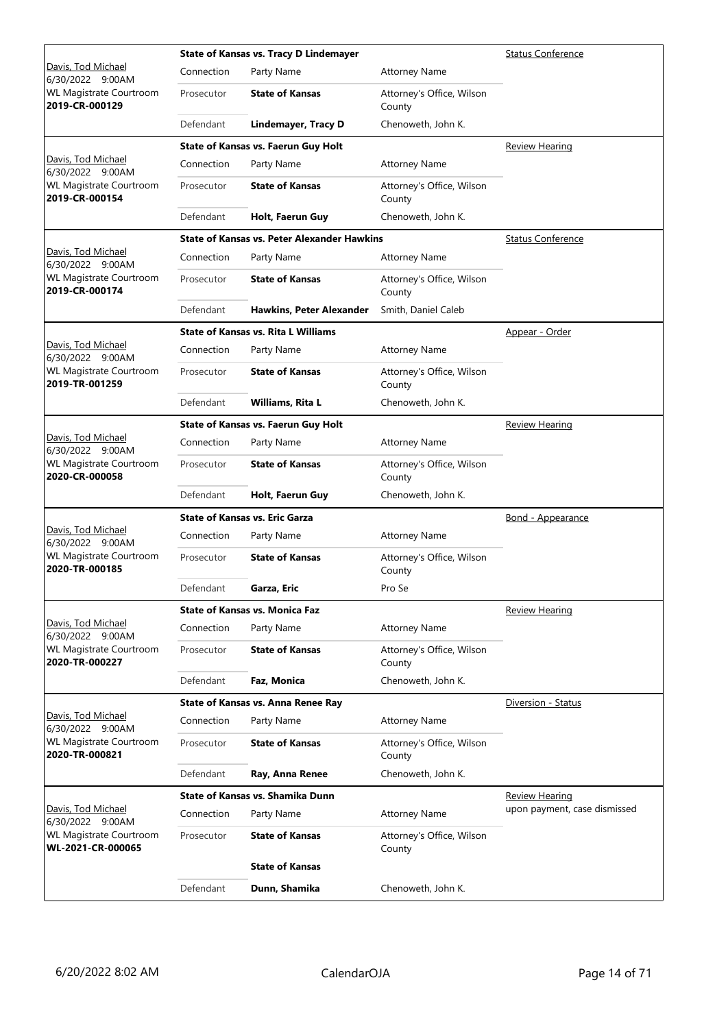|                                                     |            | <b>State of Kansas vs. Tracy D Lindemayer</b>      | <b>Status Conference</b>            |                              |
|-----------------------------------------------------|------------|----------------------------------------------------|-------------------------------------|------------------------------|
| Davis, Tod Michael<br>6/30/2022 9:00AM              | Connection | Party Name                                         | <b>Attorney Name</b>                |                              |
| <b>WL Magistrate Courtroom</b><br>2019-CR-000129    | Prosecutor | <b>State of Kansas</b>                             | Attorney's Office, Wilson<br>County |                              |
|                                                     | Defendant  | <b>Lindemayer, Tracy D</b>                         | Chenoweth, John K.                  |                              |
|                                                     |            | State of Kansas vs. Faerun Guy Holt                |                                     | <b>Review Hearing</b>        |
| Davis, Tod Michael<br>6/30/2022 9:00AM              | Connection | Party Name                                         | <b>Attorney Name</b>                |                              |
| <b>WL Magistrate Courtroom</b><br>2019-CR-000154    | Prosecutor | <b>State of Kansas</b>                             | Attorney's Office, Wilson<br>County |                              |
|                                                     | Defendant  | Holt, Faerun Guy                                   | Chenoweth, John K.                  |                              |
|                                                     |            | <b>State of Kansas vs. Peter Alexander Hawkins</b> |                                     | <b>Status Conference</b>     |
| Davis, Tod Michael<br>6/30/2022 9:00AM              | Connection | Party Name                                         | <b>Attorney Name</b>                |                              |
| <b>WL Magistrate Courtroom</b><br>2019-CR-000174    | Prosecutor | <b>State of Kansas</b>                             | Attorney's Office, Wilson<br>County |                              |
|                                                     | Defendant  | <b>Hawkins, Peter Alexander</b>                    | Smith, Daniel Caleb                 |                              |
|                                                     |            | <b>State of Kansas vs. Rita L Williams</b>         |                                     | Appear - Order               |
| Davis, Tod Michael<br>6/30/2022 9:00AM              | Connection | Party Name                                         | <b>Attorney Name</b>                |                              |
| <b>WL Magistrate Courtroom</b><br>2019-TR-001259    | Prosecutor | <b>State of Kansas</b>                             | Attorney's Office, Wilson<br>County |                              |
|                                                     | Defendant  | Williams, Rita L                                   | Chenoweth, John K.                  |                              |
|                                                     |            | State of Kansas vs. Faerun Guy Holt                |                                     | <b>Review Hearing</b>        |
| Davis, Tod Michael<br>6/30/2022 9:00AM              | Connection | Party Name                                         | <b>Attorney Name</b>                |                              |
| <b>WL Magistrate Courtroom</b><br>2020-CR-000058    | Prosecutor | <b>State of Kansas</b>                             | Attorney's Office, Wilson<br>County |                              |
|                                                     | Defendant  | Holt, Faerun Guy                                   | Chenoweth, John K.                  |                              |
|                                                     |            | <b>State of Kansas vs. Eric Garza</b>              |                                     | Bond - Appearance            |
| Davis, Tod Michael<br>6/30/2022 9:00AM              | Connection | Party Name                                         | <b>Attorney Name</b>                |                              |
| <b>WL Magistrate Courtroom</b><br>2020-TR-000185    | Prosecutor | <b>State of Kansas</b>                             | Attorney's Office, Wilson<br>County |                              |
|                                                     | Defendant  | Garza, Eric                                        | Pro Se                              |                              |
|                                                     |            | <b>State of Kansas vs. Monica Faz</b>              |                                     | Review Hearing               |
| Davis, Tod Michael<br>6/30/2022 9:00AM              | Connection | Party Name                                         | <b>Attorney Name</b>                |                              |
| <b>WL Magistrate Courtroom</b><br>2020-TR-000227    | Prosecutor | <b>State of Kansas</b>                             | Attorney's Office, Wilson<br>County |                              |
|                                                     | Defendant  | Faz, Monica                                        | Chenoweth, John K.                  |                              |
|                                                     |            | <b>State of Kansas vs. Anna Renee Ray</b>          |                                     | Diversion - Status           |
| Davis, Tod Michael<br>6/30/2022 9:00AM              | Connection | Party Name                                         | <b>Attorney Name</b>                |                              |
| <b>WL Magistrate Courtroom</b><br>2020-TR-000821    | Prosecutor | <b>State of Kansas</b>                             | Attorney's Office, Wilson<br>County |                              |
|                                                     | Defendant  | Ray, Anna Renee                                    | Chenoweth, John K.                  |                              |
|                                                     |            | State of Kansas vs. Shamika Dunn                   |                                     | <u>Review Hearing</u>        |
| Davis, Tod Michael<br>6/30/2022 9:00AM              | Connection | Party Name                                         | <b>Attorney Name</b>                | upon payment, case dismissed |
| <b>WL Magistrate Courtroom</b><br>WL-2021-CR-000065 | Prosecutor | <b>State of Kansas</b>                             | Attorney's Office, Wilson<br>County |                              |
|                                                     |            | <b>State of Kansas</b>                             |                                     |                              |
|                                                     | Defendant  | Dunn, Shamika                                      | Chenoweth, John K.                  |                              |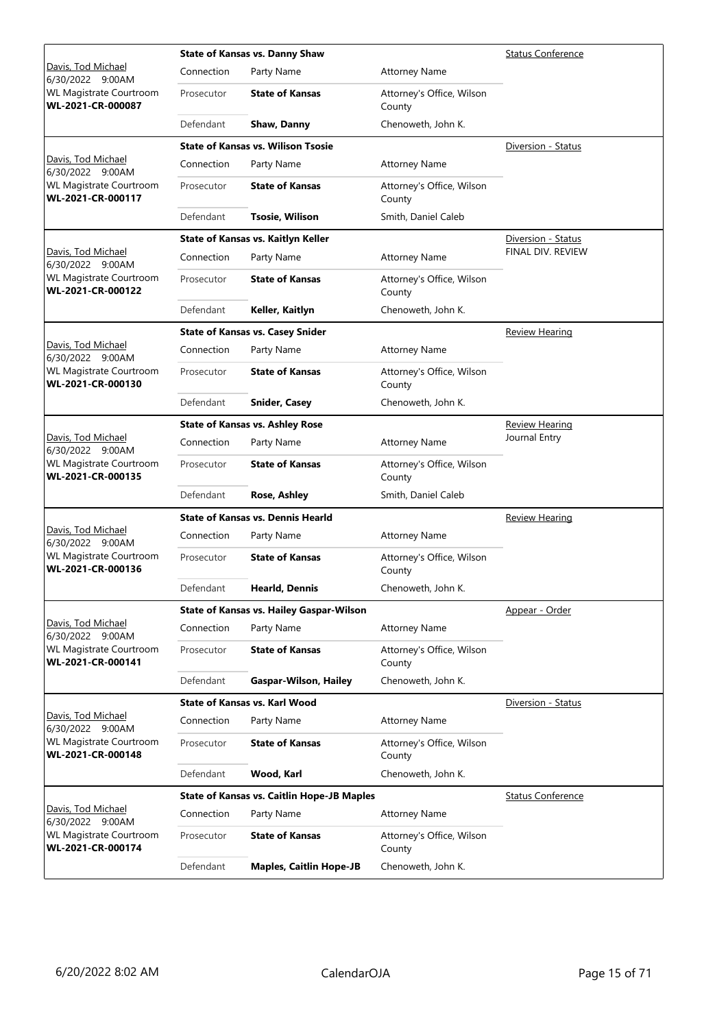|                                                     |            | <b>State of Kansas vs. Danny Shaw</b><br><b>Status Conference</b> |                                     |                          |  |
|-----------------------------------------------------|------------|-------------------------------------------------------------------|-------------------------------------|--------------------------|--|
| Davis, Tod Michael<br>6/30/2022 9:00AM              | Connection | Party Name                                                        | <b>Attorney Name</b>                |                          |  |
| <b>WL Magistrate Courtroom</b><br>WL-2021-CR-000087 | Prosecutor | <b>State of Kansas</b>                                            | Attorney's Office, Wilson<br>County |                          |  |
|                                                     | Defendant  | Shaw, Danny                                                       | Chenoweth, John K.                  |                          |  |
|                                                     |            | <b>State of Kansas vs. Wilison Tsosie</b>                         |                                     | Diversion - Status       |  |
| Davis, Tod Michael<br>6/30/2022 9:00AM              | Connection | Party Name                                                        | <b>Attorney Name</b>                |                          |  |
| <b>WL Magistrate Courtroom</b><br>WL-2021-CR-000117 | Prosecutor | <b>State of Kansas</b>                                            | Attorney's Office, Wilson<br>County |                          |  |
|                                                     | Defendant  | <b>Tsosie, Wilison</b>                                            | Smith, Daniel Caleb                 |                          |  |
|                                                     |            | State of Kansas vs. Kaitlyn Keller                                |                                     | Diversion - Status       |  |
| Davis, Tod Michael<br>6/30/2022 9:00AM              | Connection | Party Name                                                        | <b>Attorney Name</b>                | FINAL DIV. REVIEW        |  |
| <b>WL Magistrate Courtroom</b><br>WL-2021-CR-000122 | Prosecutor | <b>State of Kansas</b>                                            | Attorney's Office, Wilson<br>County |                          |  |
|                                                     | Defendant  | Keller, Kaitlyn                                                   | Chenoweth, John K.                  |                          |  |
|                                                     |            | <b>State of Kansas vs. Casey Snider</b>                           |                                     | Review Hearing           |  |
| Davis, Tod Michael<br>6/30/2022 9:00AM              | Connection | Party Name                                                        | <b>Attorney Name</b>                |                          |  |
| <b>WL Magistrate Courtroom</b><br>WL-2021-CR-000130 | Prosecutor | <b>State of Kansas</b>                                            | Attorney's Office, Wilson<br>County |                          |  |
|                                                     | Defendant  | <b>Snider, Casey</b>                                              | Chenoweth, John K.                  |                          |  |
|                                                     |            | <b>State of Kansas vs. Ashley Rose</b>                            |                                     | <b>Review Hearing</b>    |  |
| Davis, Tod Michael<br>6/30/2022 9:00AM              | Connection | Party Name                                                        | <b>Attorney Name</b>                | Journal Entry            |  |
| WL Magistrate Courtroom<br>WL-2021-CR-000135        | Prosecutor | <b>State of Kansas</b>                                            | Attorney's Office, Wilson<br>County |                          |  |
|                                                     | Defendant  | Rose, Ashley                                                      | Smith, Daniel Caleb                 |                          |  |
|                                                     |            | <b>State of Kansas vs. Dennis Hearld</b>                          |                                     | Review Hearing           |  |
| Davis, Tod Michael<br>6/30/2022 9:00AM              | Connection | Party Name                                                        | <b>Attorney Name</b>                |                          |  |
| <b>WL Magistrate Courtroom</b><br>WL-2021-CR-000136 | Prosecutor | <b>State of Kansas</b>                                            | Attorney's Office, Wilson<br>County |                          |  |
|                                                     | Defendant  | Hearld, Dennis                                                    | Chenoweth, John K.                  |                          |  |
|                                                     |            | State of Kansas vs. Hailey Gaspar-Wilson                          |                                     | Appear - Order           |  |
| Davis, Tod Michael<br>6/30/2022 9:00AM              | Connection | Party Name                                                        | <b>Attorney Name</b>                |                          |  |
| <b>WL Magistrate Courtroom</b><br>WL-2021-CR-000141 | Prosecutor | <b>State of Kansas</b>                                            | Attorney's Office, Wilson<br>County |                          |  |
|                                                     | Defendant  | <b>Gaspar-Wilson, Hailey</b>                                      | Chenoweth, John K.                  |                          |  |
|                                                     |            | <b>State of Kansas vs. Karl Wood</b>                              |                                     | Diversion - Status       |  |
| Davis, Tod Michael<br>6/30/2022 9:00AM              | Connection | Party Name                                                        | <b>Attorney Name</b>                |                          |  |
| WL Magistrate Courtroom<br>WL-2021-CR-000148        | Prosecutor | <b>State of Kansas</b>                                            | Attorney's Office, Wilson<br>County |                          |  |
|                                                     | Defendant  | Wood, Karl                                                        | Chenoweth, John K.                  |                          |  |
|                                                     |            | <b>State of Kansas vs. Caitlin Hope-JB Maples</b>                 |                                     | <b>Status Conference</b> |  |
| Davis, Tod Michael<br>6/30/2022 9:00AM              | Connection | Party Name                                                        | <b>Attorney Name</b>                |                          |  |
| <b>WL Magistrate Courtroom</b><br>WL-2021-CR-000174 | Prosecutor | <b>State of Kansas</b>                                            | Attorney's Office, Wilson<br>County |                          |  |
|                                                     | Defendant  | <b>Maples, Caitlin Hope-JB</b>                                    | Chenoweth, John K.                  |                          |  |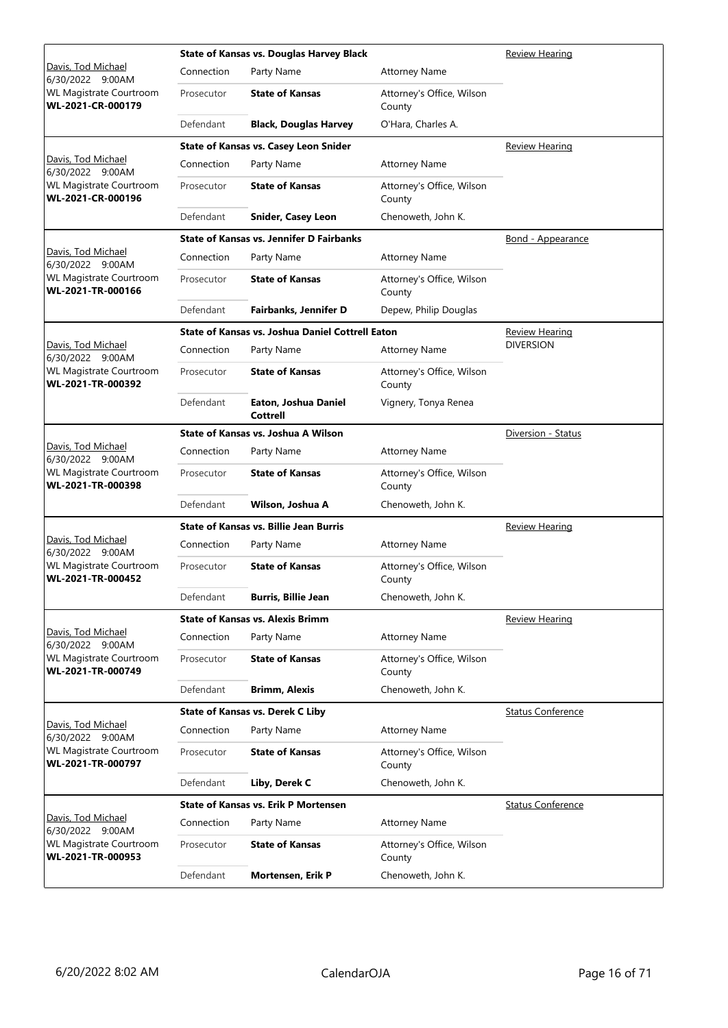|                                                     |            | <b>State of Kansas vs. Douglas Harvey Black</b><br>Review Hearing |                                     |                          |
|-----------------------------------------------------|------------|-------------------------------------------------------------------|-------------------------------------|--------------------------|
| Davis, Tod Michael<br>6/30/2022 9:00AM              | Connection | Party Name                                                        | <b>Attorney Name</b>                |                          |
| <b>WL Magistrate Courtroom</b><br>WL-2021-CR-000179 | Prosecutor | <b>State of Kansas</b>                                            | Attorney's Office, Wilson<br>County |                          |
|                                                     | Defendant  | <b>Black, Douglas Harvey</b>                                      | O'Hara, Charles A.                  |                          |
|                                                     |            | State of Kansas vs. Casey Leon Snider                             |                                     | <b>Review Hearing</b>    |
| Davis, Tod Michael<br>6/30/2022 9:00AM              | Connection | Party Name                                                        | <b>Attorney Name</b>                |                          |
| <b>WL Magistrate Courtroom</b><br>WL-2021-CR-000196 | Prosecutor | <b>State of Kansas</b>                                            | Attorney's Office, Wilson<br>County |                          |
|                                                     | Defendant  | <b>Snider, Casey Leon</b>                                         | Chenoweth, John K.                  |                          |
|                                                     |            | <b>State of Kansas vs. Jennifer D Fairbanks</b>                   |                                     | <b>Bond - Appearance</b> |
| Davis, Tod Michael<br>6/30/2022 9:00AM              | Connection | Party Name                                                        | <b>Attorney Name</b>                |                          |
| <b>WL Magistrate Courtroom</b><br>WL-2021-TR-000166 | Prosecutor | <b>State of Kansas</b>                                            | Attorney's Office, Wilson<br>County |                          |
|                                                     | Defendant  | Fairbanks, Jennifer D                                             | Depew, Philip Douglas               |                          |
|                                                     |            | State of Kansas vs. Joshua Daniel Cottrell Eaton                  |                                     | Review Hearing           |
| Davis, Tod Michael<br>6/30/2022 9:00AM              | Connection | Party Name                                                        | <b>Attorney Name</b>                | <b>DIVERSION</b>         |
| <b>WL Magistrate Courtroom</b><br>WL-2021-TR-000392 | Prosecutor | <b>State of Kansas</b>                                            | Attorney's Office, Wilson<br>County |                          |
|                                                     | Defendant  | Eaton, Joshua Daniel<br><b>Cottrell</b>                           | Vignery, Tonya Renea                |                          |
|                                                     |            | State of Kansas vs. Joshua A Wilson                               |                                     | Diversion - Status       |
| Davis, Tod Michael<br>6/30/2022 9:00AM              | Connection | Party Name                                                        | <b>Attorney Name</b>                |                          |
| <b>WL Magistrate Courtroom</b><br>WL-2021-TR-000398 | Prosecutor | <b>State of Kansas</b>                                            | Attorney's Office, Wilson<br>County |                          |
|                                                     | Defendant  | Wilson, Joshua A                                                  | Chenoweth, John K.                  |                          |
|                                                     |            | <b>State of Kansas vs. Billie Jean Burris</b>                     | <b>Review Hearing</b>               |                          |
| Davis, Tod Michael<br>6/30/2022 9:00AM              | Connection | Party Name                                                        | <b>Attorney Name</b>                |                          |
| <b>WL Magistrate Courtroom</b><br>WL-2021-TR-000452 | Prosecutor | <b>State of Kansas</b>                                            | Attorney's Office, Wilson<br>County |                          |
|                                                     | Defendant  | <b>Burris, Billie Jean</b>                                        | Chenoweth, John K.                  |                          |
|                                                     |            | <b>State of Kansas vs. Alexis Brimm</b>                           |                                     | <b>Review Hearing</b>    |
| Davis, Tod Michael<br>6/30/2022 9:00AM              | Connection | Party Name                                                        | <b>Attorney Name</b>                |                          |
| <b>WL Magistrate Courtroom</b><br>WL-2021-TR-000749 | Prosecutor | <b>State of Kansas</b>                                            | Attorney's Office, Wilson<br>County |                          |
|                                                     | Defendant  | <b>Brimm, Alexis</b>                                              | Chenoweth, John K.                  |                          |
|                                                     |            | <b>State of Kansas vs. Derek C Liby</b>                           |                                     | <b>Status Conference</b> |
| Davis, Tod Michael<br>6/30/2022 9:00AM              | Connection | Party Name                                                        | <b>Attorney Name</b>                |                          |
| <b>WL Magistrate Courtroom</b><br>WL-2021-TR-000797 | Prosecutor | <b>State of Kansas</b>                                            | Attorney's Office, Wilson<br>County |                          |
|                                                     | Defendant  | Liby, Derek C                                                     | Chenoweth, John K.                  |                          |
|                                                     |            | <b>State of Kansas vs. Erik P Mortensen</b>                       |                                     | <b>Status Conference</b> |
| Davis, Tod Michael<br>6/30/2022 9:00AM              | Connection | Party Name                                                        | <b>Attorney Name</b>                |                          |
| WL Magistrate Courtroom<br>WL-2021-TR-000953        | Prosecutor | <b>State of Kansas</b>                                            | Attorney's Office, Wilson<br>County |                          |
|                                                     | Defendant  | Mortensen, Erik P                                                 | Chenoweth, John K.                  |                          |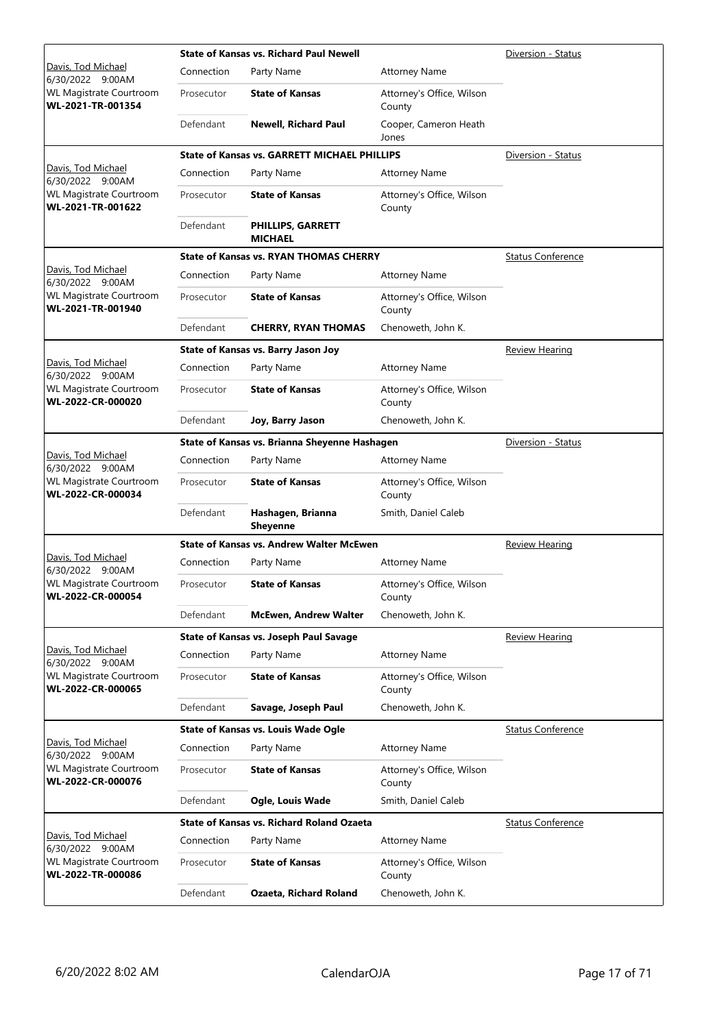|                                                                         | <b>State of Kansas vs. Richard Paul Newell</b> | Diversion - Status                                  |                                     |                          |
|-------------------------------------------------------------------------|------------------------------------------------|-----------------------------------------------------|-------------------------------------|--------------------------|
| Davis, Tod Michael<br>6/30/2022 9:00AM                                  | Connection                                     | Party Name                                          | <b>Attorney Name</b>                |                          |
| <b>WL Magistrate Courtroom</b><br>WL-2021-TR-001354                     | Prosecutor                                     | <b>State of Kansas</b>                              | Attorney's Office, Wilson<br>County |                          |
|                                                                         | Defendant                                      | <b>Newell, Richard Paul</b>                         | Cooper, Cameron Heath<br>Jones      |                          |
|                                                                         |                                                | <b>State of Kansas vs. GARRETT MICHAEL PHILLIPS</b> |                                     | Diversion - Status       |
| Davis, Tod Michael<br>6/30/2022 9:00AM                                  | Connection                                     | Party Name                                          | <b>Attorney Name</b>                |                          |
| <b>WL Magistrate Courtroom</b><br>WL-2021-TR-001622                     | Prosecutor                                     | <b>State of Kansas</b>                              | Attorney's Office, Wilson<br>County |                          |
|                                                                         | Defendant                                      | <b>PHILLIPS, GARRETT</b><br><b>MICHAEL</b>          |                                     |                          |
|                                                                         |                                                | <b>State of Kansas vs. RYAN THOMAS CHERRY</b>       |                                     | <b>Status Conference</b> |
| Davis, Tod Michael<br>6/30/2022 9:00AM                                  | Connection                                     | Party Name                                          | <b>Attorney Name</b>                |                          |
| <b>WL Magistrate Courtroom</b><br>WL-2021-TR-001940                     | Prosecutor                                     | <b>State of Kansas</b>                              | Attorney's Office, Wilson<br>County |                          |
|                                                                         | Defendant                                      | <b>CHERRY, RYAN THOMAS</b>                          | Chenoweth, John K.                  |                          |
|                                                                         |                                                | State of Kansas vs. Barry Jason Joy                 |                                     | <b>Review Hearing</b>    |
| Davis, Tod Michael<br>6/30/2022 9:00AM                                  | Connection                                     | Party Name                                          | <b>Attorney Name</b>                |                          |
| <b>WL Magistrate Courtroom</b><br>WL-2022-CR-000020                     | Prosecutor                                     | <b>State of Kansas</b>                              | Attorney's Office, Wilson<br>County |                          |
|                                                                         | Defendant                                      | Joy, Barry Jason                                    | Chenoweth, John K.                  |                          |
|                                                                         |                                                | State of Kansas vs. Brianna Sheyenne Hashagen       |                                     | Diversion - Status       |
| Davis, Tod Michael                                                      | Connection                                     | Party Name                                          | <b>Attorney Name</b>                |                          |
| 6/30/2022 9:00AM<br><b>WL Magistrate Courtroom</b><br>WL-2022-CR-000034 | Prosecutor                                     | <b>State of Kansas</b>                              | Attorney's Office, Wilson<br>County |                          |
|                                                                         | Defendant                                      | Hashagen, Brianna<br><b>Sheyenne</b>                | Smith, Daniel Caleb                 |                          |
|                                                                         |                                                | <b>State of Kansas vs. Andrew Walter McEwen</b>     |                                     | <b>Review Hearing</b>    |
| Davis, Tod Michael<br>6/30/2022 9:00AM                                  | Connection                                     | Party Name                                          | <b>Attorney Name</b>                |                          |
| <b>WL Magistrate Courtroom</b><br>WL-2022-CR-000054                     | Prosecutor                                     | <b>State of Kansas</b>                              | Attorney's Office, Wilson<br>County |                          |
|                                                                         | Defendant                                      | <b>McEwen, Andrew Walter</b>                        | Chenoweth, John K.                  |                          |
|                                                                         |                                                | <b>State of Kansas vs. Joseph Paul Savage</b>       |                                     | <b>Review Hearing</b>    |
| Davis, Tod Michael<br>6/30/2022 9:00AM                                  | Connection                                     | Party Name                                          | <b>Attorney Name</b>                |                          |
| <b>WL Magistrate Courtroom</b><br>WL-2022-CR-000065                     | Prosecutor                                     | <b>State of Kansas</b>                              | Attorney's Office, Wilson<br>County |                          |
|                                                                         | Defendant                                      | Savage, Joseph Paul                                 | Chenoweth, John K.                  |                          |
|                                                                         |                                                | <b>State of Kansas vs. Louis Wade Ogle</b>          |                                     | <b>Status Conference</b> |
| Davis, Tod Michael<br>6/30/2022 9:00AM                                  | Connection                                     | Party Name                                          | <b>Attorney Name</b>                |                          |
| <b>WL Magistrate Courtroom</b><br>WL-2022-CR-000076                     | Prosecutor                                     | <b>State of Kansas</b>                              | Attorney's Office, Wilson<br>County |                          |
|                                                                         | Defendant                                      | Ogle, Louis Wade                                    | Smith, Daniel Caleb                 |                          |
|                                                                         |                                                | <b>State of Kansas vs. Richard Roland Ozaeta</b>    |                                     | <b>Status Conference</b> |
| Davis, Tod Michael<br>6/30/2022 9:00AM                                  | Connection                                     | Party Name                                          | <b>Attorney Name</b>                |                          |
| <b>WL Magistrate Courtroom</b><br>WL-2022-TR-000086                     | Prosecutor                                     | <b>State of Kansas</b>                              | Attorney's Office, Wilson<br>County |                          |
|                                                                         | Defendant                                      | Ozaeta, Richard Roland                              | Chenoweth, John K.                  |                          |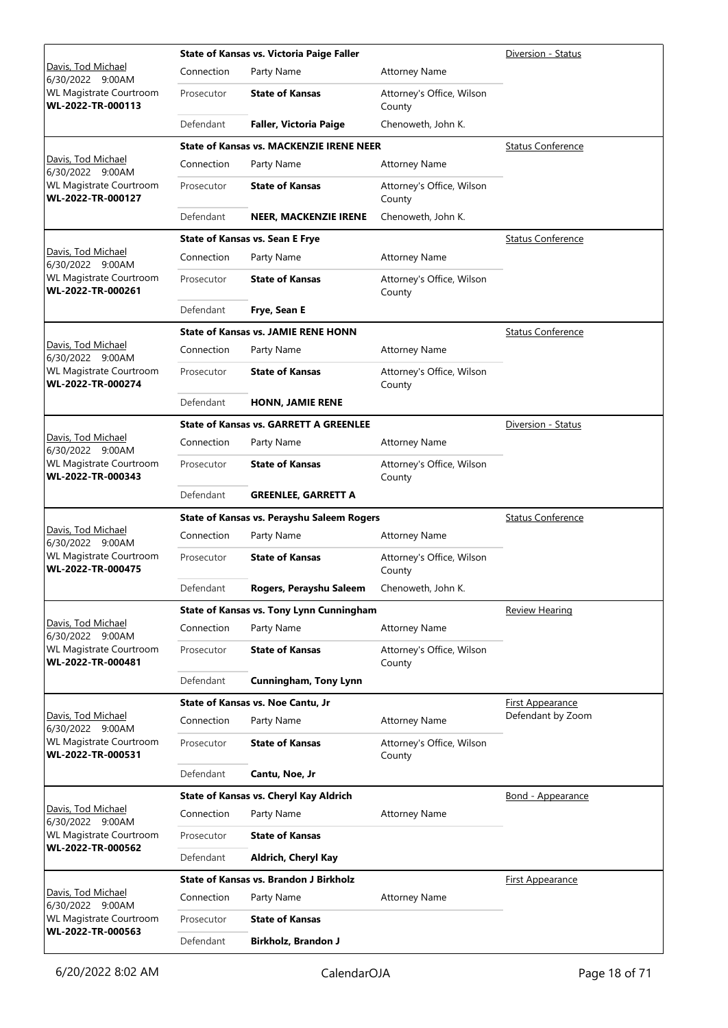|                                                                  |            | State of Kansas vs. Victoria Paige Faller       |                                     | Diversion - Status       |
|------------------------------------------------------------------|------------|-------------------------------------------------|-------------------------------------|--------------------------|
| Davis, Tod Michael<br>6/30/2022 9:00AM                           | Connection | Party Name                                      | <b>Attorney Name</b>                |                          |
| <b>WL Magistrate Courtroom</b><br>WL-2022-TR-000113              | Prosecutor | <b>State of Kansas</b>                          | Attorney's Office, Wilson<br>County |                          |
|                                                                  | Defendant  | <b>Faller, Victoria Paige</b>                   | Chenoweth, John K.                  |                          |
|                                                                  |            | <b>State of Kansas vs. MACKENZIE IRENE NEER</b> |                                     | <b>Status Conference</b> |
| Davis, Tod Michael<br>6/30/2022 9:00AM                           | Connection | Party Name                                      | <b>Attorney Name</b>                |                          |
| <b>WL Magistrate Courtroom</b><br>WL-2022-TR-000127              | Prosecutor | <b>State of Kansas</b>                          | Attorney's Office, Wilson<br>County |                          |
|                                                                  | Defendant  | <b>NEER, MACKENZIE IRENE</b>                    | Chenoweth, John K.                  |                          |
|                                                                  |            | <b>State of Kansas vs. Sean E Frye</b>          |                                     | <b>Status Conference</b> |
| Davis, Tod Michael<br>6/30/2022 9:00AM                           | Connection | Party Name                                      | <b>Attorney Name</b>                |                          |
| <b>WL Magistrate Courtroom</b><br>WL-2022-TR-000261              | Prosecutor | <b>State of Kansas</b>                          | Attorney's Office, Wilson<br>County |                          |
|                                                                  | Defendant  | Frye, Sean E                                    |                                     |                          |
|                                                                  |            | <b>State of Kansas vs. JAMIE RENE HONN</b>      |                                     | <b>Status Conference</b> |
| Davis, Tod Michael<br>6/30/2022 9:00AM                           | Connection | Party Name                                      | <b>Attorney Name</b>                |                          |
| <b>WL Magistrate Courtroom</b><br>WL-2022-TR-000274              | Prosecutor | <b>State of Kansas</b>                          | Attorney's Office, Wilson<br>County |                          |
|                                                                  | Defendant  | <b>HONN, JAMIE RENE</b>                         |                                     |                          |
|                                                                  |            | <b>State of Kansas vs. GARRETT A GREENLEE</b>   |                                     | Diversion - Status       |
| Davis, Tod Michael<br>6/30/2022 9:00AM                           | Connection | Party Name                                      | <b>Attorney Name</b>                |                          |
| <b>WL Magistrate Courtroom</b><br>WL-2022-TR-000343              | Prosecutor | <b>State of Kansas</b>                          | Attorney's Office, Wilson<br>County |                          |
|                                                                  | Defendant  | <b>GREENLEE, GARRETT A</b>                      |                                     |                          |
|                                                                  |            | State of Kansas vs. Perayshu Saleem Rogers      | <b>Status Conference</b>            |                          |
| Davis, Tod Michael<br>6/30/2022 9:00AM                           | Connection | Party Name                                      | <b>Attorney Name</b>                |                          |
| WL Magistrate Courtroom<br>WL-2022-TR-000475                     | Prosecutor | <b>State of Kansas</b>                          | Attorney's Office, Wilson<br>County |                          |
|                                                                  | Defendant  | Rogers, Perayshu Saleem                         | Chenoweth, John K.                  |                          |
|                                                                  |            | <b>State of Kansas vs. Tony Lynn Cunningham</b> |                                     | <b>Review Hearing</b>    |
| Davis, Tod Michael<br>6/30/2022 9:00AM                           | Connection | Party Name                                      | <b>Attorney Name</b>                |                          |
| WL Magistrate Courtroom<br>WL-2022-TR-000481                     | Prosecutor | <b>State of Kansas</b>                          | Attorney's Office, Wilson<br>County |                          |
|                                                                  | Defendant  | <b>Cunningham, Tony Lynn</b>                    |                                     |                          |
|                                                                  |            | <b>State of Kansas vs. Noe Cantu, Jr</b>        |                                     | <b>First Appearance</b>  |
| Davis, Tod Michael<br>6/30/2022 9:00AM                           | Connection | Party Name                                      | <b>Attorney Name</b>                | Defendant by Zoom        |
| <b>WL Magistrate Courtroom</b><br>WL-2022-TR-000531              | Prosecutor | <b>State of Kansas</b>                          | Attorney's Office, Wilson<br>County |                          |
|                                                                  | Defendant  | Cantu, Noe, Jr                                  |                                     |                          |
|                                                                  |            | State of Kansas vs. Cheryl Kay Aldrich          |                                     | Bond - Appearance        |
| Davis, Tod Michael<br>6/30/2022 9:00AM                           | Connection | Party Name                                      | <b>Attorney Name</b>                |                          |
| <b>WL Magistrate Courtroom</b>                                   | Prosecutor | <b>State of Kansas</b>                          |                                     |                          |
| WL-2022-TR-000562                                                | Defendant  | Aldrich, Cheryl Kay                             |                                     |                          |
|                                                                  |            | <b>State of Kansas vs. Brandon J Birkholz</b>   |                                     | <b>First Appearance</b>  |
| Davis, Tod Michael                                               | Connection | Party Name                                      | <b>Attorney Name</b>                |                          |
| 6/30/2022 9:00AM<br>WL Magistrate Courtroom<br>WL-2022-TR-000563 | Prosecutor | <b>State of Kansas</b>                          |                                     |                          |
|                                                                  | Defendant  | <b>Birkholz, Brandon J</b>                      |                                     |                          |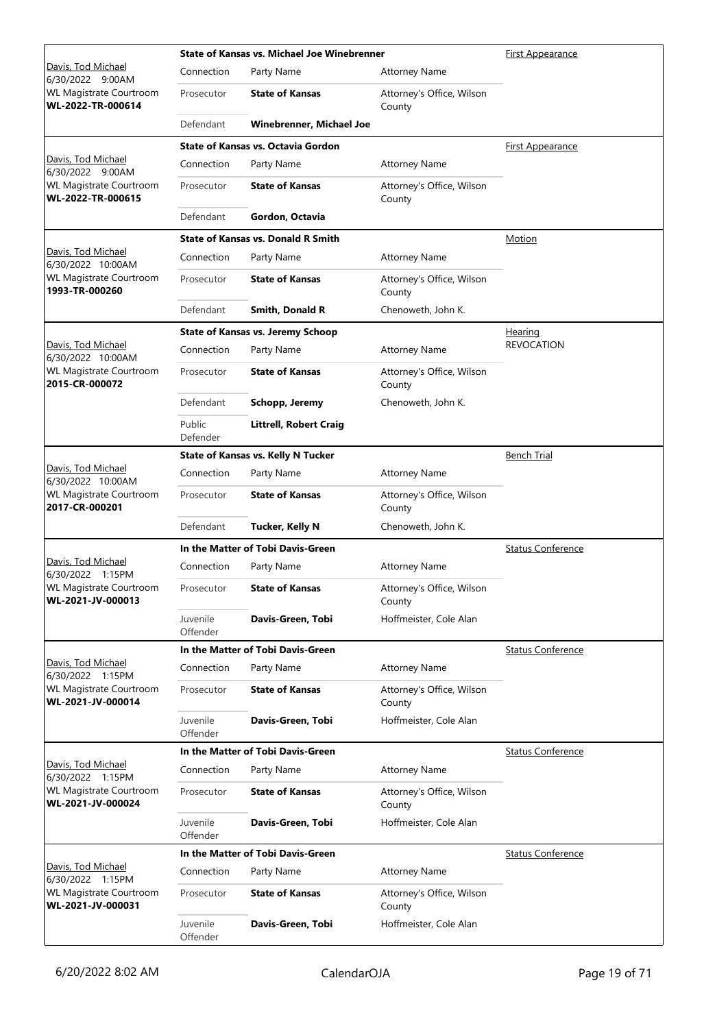|                                                     | <b>State of Kansas vs. Michael Joe Winebrenner</b> |                                           | <u>First Appearance</u>             |                          |
|-----------------------------------------------------|----------------------------------------------------|-------------------------------------------|-------------------------------------|--------------------------|
| Davis, Tod Michael<br>6/30/2022 9:00AM              | Connection                                         | Party Name                                | <b>Attorney Name</b>                |                          |
| WL Magistrate Courtroom<br>WL-2022-TR-000614        | Prosecutor                                         | <b>State of Kansas</b>                    | Attorney's Office, Wilson<br>County |                          |
|                                                     | Defendant                                          | <b>Winebrenner, Michael Joe</b>           |                                     |                          |
|                                                     |                                                    | <b>State of Kansas vs. Octavia Gordon</b> |                                     | <b>First Appearance</b>  |
| Davis, Tod Michael<br>6/30/2022 9:00AM              | Connection                                         | Party Name                                | <b>Attorney Name</b>                |                          |
| WL Magistrate Courtroom<br>WL-2022-TR-000615        | Prosecutor                                         | <b>State of Kansas</b>                    | Attorney's Office, Wilson<br>County |                          |
|                                                     | Defendant                                          | Gordon, Octavia                           |                                     |                          |
|                                                     |                                                    | <b>State of Kansas vs. Donald R Smith</b> |                                     | <b>Motion</b>            |
| Davis, Tod Michael<br>6/30/2022 10:00AM             | Connection                                         | Party Name                                | Attorney Name                       |                          |
| WL Magistrate Courtroom<br>1993-TR-000260           | Prosecutor                                         | <b>State of Kansas</b>                    | Attorney's Office, Wilson<br>County |                          |
|                                                     | Defendant                                          | Smith, Donald R                           | Chenoweth, John K.                  |                          |
|                                                     |                                                    | <b>State of Kansas vs. Jeremy Schoop</b>  |                                     | <u>Hearing</u>           |
| Davis, Tod Michael<br>6/30/2022 10:00AM             | Connection                                         | Party Name                                | <b>Attorney Name</b>                | <b>REVOCATION</b>        |
| WL Magistrate Courtroom<br>2015-CR-000072           | Prosecutor                                         | <b>State of Kansas</b>                    | Attorney's Office, Wilson<br>County |                          |
|                                                     | Defendant                                          | Schopp, Jeremy                            | Chenoweth, John K.                  |                          |
|                                                     | Public<br>Defender                                 | <b>Littrell, Robert Craig</b>             |                                     |                          |
|                                                     |                                                    | <b>State of Kansas vs. Kelly N Tucker</b> |                                     | <b>Bench Trial</b>       |
| Davis, Tod Michael<br>6/30/2022 10:00AM             | Connection                                         | Party Name                                | <b>Attorney Name</b>                |                          |
| WL Magistrate Courtroom<br>2017-CR-000201           | Prosecutor                                         | <b>State of Kansas</b>                    | Attorney's Office, Wilson<br>County |                          |
|                                                     | Defendant                                          | <b>Tucker, Kelly N</b>                    | Chenoweth, John K.                  |                          |
|                                                     |                                                    | In the Matter of Tobi Davis-Green         |                                     | <b>Status Conference</b> |
| Davis, Tod Michael<br>6/30/2022 1:15PM              | Connection                                         | Party Name                                | Attorney Name                       |                          |
| <b>WL Magistrate Courtroom</b><br>WL-2021-JV-000013 | Prosecutor                                         | <b>State of Kansas</b>                    | Attorney's Office, Wilson<br>County |                          |
|                                                     | Juvenile<br>Offender                               | Davis-Green, Tobi                         | Hoffmeister, Cole Alan              |                          |
|                                                     |                                                    | In the Matter of Tobi Davis-Green         |                                     | <b>Status Conference</b> |
| Davis, Tod Michael<br>6/30/2022 1:15PM              | Connection                                         | Party Name                                | <b>Attorney Name</b>                |                          |
| WL Magistrate Courtroom<br>WL-2021-JV-000014        | Prosecutor                                         | <b>State of Kansas</b>                    | Attorney's Office, Wilson<br>County |                          |
|                                                     | Juvenile<br>Offender                               | Davis-Green, Tobi                         | Hoffmeister, Cole Alan              |                          |
|                                                     |                                                    | In the Matter of Tobi Davis-Green         |                                     | <b>Status Conference</b> |
| Davis, Tod Michael<br>6/30/2022 1:15PM              | Connection                                         | Party Name                                | <b>Attorney Name</b>                |                          |
| WL Magistrate Courtroom<br>WL-2021-JV-000024        | Prosecutor                                         | <b>State of Kansas</b>                    | Attorney's Office, Wilson<br>County |                          |
|                                                     | Juvenile<br>Offender                               | Davis-Green, Tobi                         | Hoffmeister, Cole Alan              |                          |
|                                                     |                                                    | In the Matter of Tobi Davis-Green         |                                     | <b>Status Conference</b> |
| Davis, Tod Michael<br>6/30/2022 1:15PM              | Connection                                         | Party Name                                | <b>Attorney Name</b>                |                          |
| WL Magistrate Courtroom<br>WL-2021-JV-000031        | Prosecutor                                         | <b>State of Kansas</b>                    | Attorney's Office, Wilson<br>County |                          |
|                                                     | Juvenile<br>Offender                               | Davis-Green, Tobi                         | Hoffmeister, Cole Alan              |                          |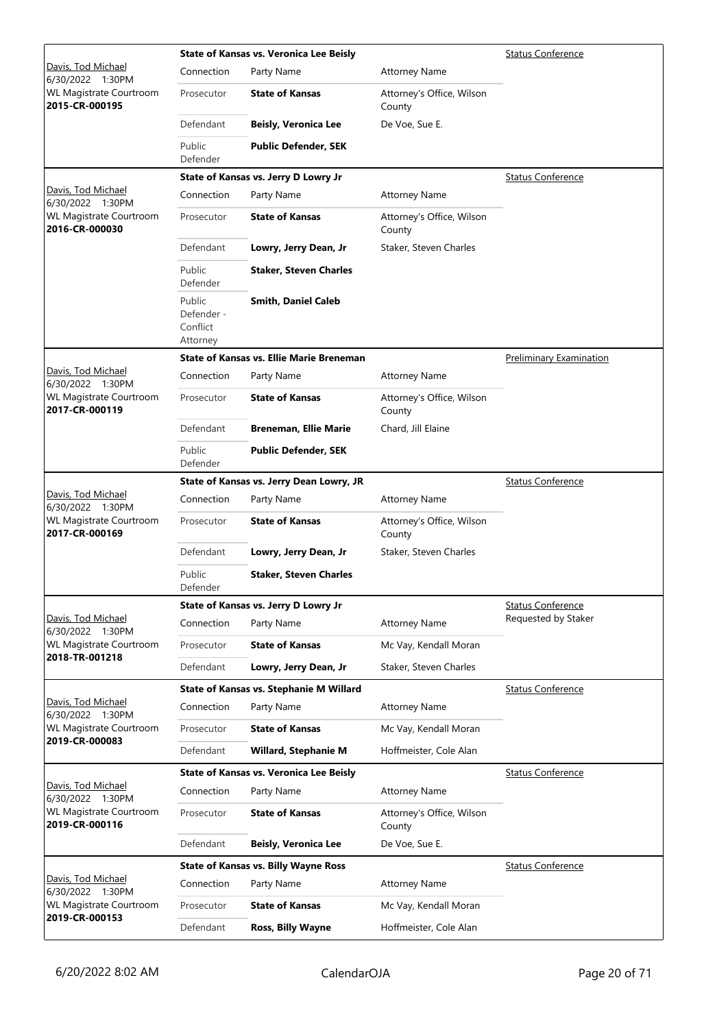|                                                  |                                              | State of Kansas vs. Veronica Lee Beisly         | <b>Status Conference</b>            |                                |
|--------------------------------------------------|----------------------------------------------|-------------------------------------------------|-------------------------------------|--------------------------------|
| Davis, Tod Michael<br>6/30/2022 1:30PM           | Connection                                   | Party Name                                      | <b>Attorney Name</b>                |                                |
| WL Magistrate Courtroom<br>2015-CR-000195        | Prosecutor                                   | <b>State of Kansas</b>                          | Attorney's Office, Wilson<br>County |                                |
|                                                  | Defendant                                    | <b>Beisly, Veronica Lee</b>                     | De Voe, Sue E.                      |                                |
|                                                  | Public<br>Defender                           | <b>Public Defender, SEK</b>                     |                                     |                                |
|                                                  |                                              | State of Kansas vs. Jerry D Lowry Jr            |                                     | <b>Status Conference</b>       |
| Davis, Tod Michael<br>6/30/2022 1:30PM           | Connection                                   | Party Name                                      | <b>Attorney Name</b>                |                                |
| <b>WL Magistrate Courtroom</b><br>2016-CR-000030 | Prosecutor                                   | <b>State of Kansas</b>                          | Attorney's Office, Wilson<br>County |                                |
|                                                  | Defendant                                    | Lowry, Jerry Dean, Jr                           | Staker, Steven Charles              |                                |
|                                                  | Public<br>Defender                           | <b>Staker, Steven Charles</b>                   |                                     |                                |
|                                                  | Public<br>Defender -<br>Conflict<br>Attorney | <b>Smith, Daniel Caleb</b>                      |                                     |                                |
|                                                  |                                              | <b>State of Kansas vs. Ellie Marie Breneman</b> |                                     | <b>Preliminary Examination</b> |
| Davis, Tod Michael<br>6/30/2022 1:30PM           | Connection                                   | Party Name                                      | <b>Attorney Name</b>                |                                |
| WL Magistrate Courtroom<br>2017-CR-000119        | Prosecutor                                   | <b>State of Kansas</b>                          | Attorney's Office, Wilson<br>County |                                |
|                                                  | Defendant                                    | <b>Breneman, Ellie Marie</b>                    | Chard, Jill Elaine                  |                                |
|                                                  | Public<br>Defender                           | <b>Public Defender, SEK</b>                     |                                     |                                |
|                                                  |                                              | State of Kansas vs. Jerry Dean Lowry, JR        |                                     | <b>Status Conference</b>       |
| Davis, Tod Michael<br>6/30/2022 1:30PM           | Connection                                   | Party Name                                      | <b>Attorney Name</b>                |                                |
| WL Magistrate Courtroom<br>2017-CR-000169        | Prosecutor                                   | <b>State of Kansas</b>                          | Attorney's Office, Wilson<br>County |                                |
|                                                  | Defendant                                    | Lowry, Jerry Dean, Jr                           | Staker, Steven Charles              |                                |
|                                                  | Public<br>Defender                           | <b>Staker, Steven Charles</b>                   |                                     |                                |
|                                                  |                                              | State of Kansas vs. Jerry D Lowry Jr            |                                     | <b>Status Conference</b>       |
| Davis, Tod Michael<br>6/30/2022 1:30PM           | Connection                                   | Party Name                                      | <b>Attorney Name</b>                | Requested by Staker            |
| WL Magistrate Courtroom<br>2018-TR-001218        | Prosecutor                                   | <b>State of Kansas</b>                          | Mc Vay, Kendall Moran               |                                |
|                                                  | Defendant                                    | Lowry, Jerry Dean, Jr                           | Staker, Steven Charles              |                                |
|                                                  |                                              | State of Kansas vs. Stephanie M Willard         |                                     | <b>Status Conference</b>       |
| Davis, Tod Michael<br>6/30/2022 1:30PM           | Connection                                   | Party Name                                      | <b>Attorney Name</b>                |                                |
| <b>WL Magistrate Courtroom</b>                   | Prosecutor                                   | <b>State of Kansas</b>                          | Mc Vay, Kendall Moran               |                                |
| 2019-CR-000083                                   | Defendant                                    | <b>Willard, Stephanie M</b>                     | Hoffmeister, Cole Alan              |                                |
|                                                  |                                              | <b>State of Kansas vs. Veronica Lee Beisly</b>  |                                     | <b>Status Conference</b>       |
| Davis, Tod Michael<br>6/30/2022 1:30PM           | Connection                                   | Party Name                                      | <b>Attorney Name</b>                |                                |
| <b>WL Magistrate Courtroom</b><br>2019-CR-000116 | Prosecutor                                   | <b>State of Kansas</b>                          | Attorney's Office, Wilson<br>County |                                |
|                                                  | Defendant                                    | <b>Beisly, Veronica Lee</b>                     | De Voe, Sue E.                      |                                |
|                                                  |                                              | <b>State of Kansas vs. Billy Wayne Ross</b>     |                                     | <b>Status Conference</b>       |
| Davis, Tod Michael<br>6/30/2022 1:30PM           | Connection                                   | Party Name                                      | <b>Attorney Name</b>                |                                |
| WL Magistrate Courtroom                          | Prosecutor                                   | <b>State of Kansas</b>                          | Mc Vay, Kendall Moran               |                                |
| 2019-CR-000153                                   | Defendant                                    | Ross, Billy Wayne                               | Hoffmeister, Cole Alan              |                                |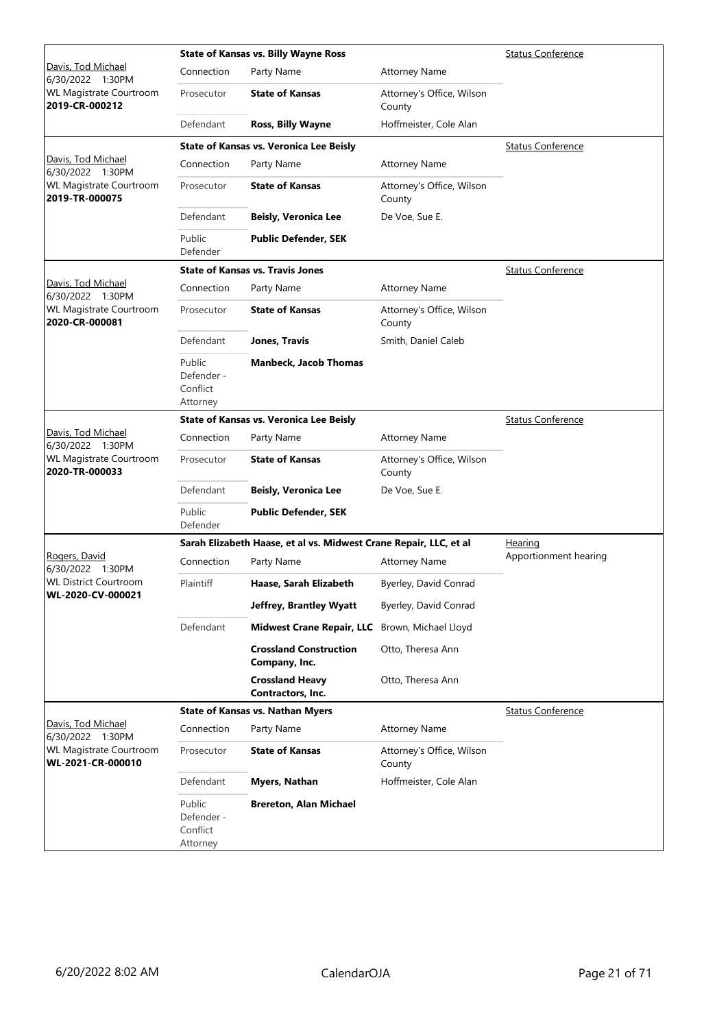|                                              |                                              | <b>State of Kansas vs. Billy Wayne Ross</b>                       |                                     | <b>Status Conference</b> |
|----------------------------------------------|----------------------------------------------|-------------------------------------------------------------------|-------------------------------------|--------------------------|
| Davis, Tod Michael<br>6/30/2022 1:30PM       | Connection                                   | Party Name                                                        | <b>Attorney Name</b>                |                          |
| WL Magistrate Courtroom<br>2019-CR-000212    | Prosecutor                                   | <b>State of Kansas</b>                                            | Attorney's Office, Wilson<br>County |                          |
|                                              | Defendant                                    | <b>Ross, Billy Wayne</b>                                          | Hoffmeister, Cole Alan              |                          |
|                                              |                                              | <b>State of Kansas vs. Veronica Lee Beisly</b>                    |                                     | <b>Status Conference</b> |
| Davis, Tod Michael<br>6/30/2022 1:30PM       | Connection                                   | Party Name                                                        | <b>Attorney Name</b>                |                          |
| WL Magistrate Courtroom<br>2019-TR-000075    | Prosecutor                                   | <b>State of Kansas</b>                                            | Attorney's Office, Wilson<br>County |                          |
|                                              | Defendant                                    | <b>Beisly, Veronica Lee</b>                                       | De Voe, Sue E.                      |                          |
|                                              | Public<br>Defender                           | <b>Public Defender, SEK</b>                                       |                                     |                          |
|                                              |                                              | <b>State of Kansas vs. Travis Jones</b>                           |                                     | <b>Status Conference</b> |
| Davis, Tod Michael<br>6/30/2022 1:30PM       | Connection                                   | Party Name                                                        | <b>Attorney Name</b>                |                          |
| WL Magistrate Courtroom<br>2020-CR-000081    | Prosecutor                                   | <b>State of Kansas</b>                                            | Attorney's Office, Wilson<br>County |                          |
|                                              | Defendant                                    | Jones, Travis                                                     | Smith, Daniel Caleb                 |                          |
|                                              | Public<br>Defender -<br>Conflict<br>Attorney | <b>Manbeck, Jacob Thomas</b>                                      |                                     |                          |
|                                              |                                              | <b>State of Kansas vs. Veronica Lee Beisly</b>                    |                                     | <b>Status Conference</b> |
| Davis, Tod Michael<br>6/30/2022 1:30PM       | Connection                                   | Party Name                                                        | <b>Attorney Name</b>                |                          |
| WL Magistrate Courtroom<br>2020-TR-000033    | Prosecutor                                   | <b>State of Kansas</b>                                            | Attorney's Office, Wilson<br>County |                          |
|                                              | Defendant                                    | <b>Beisly, Veronica Lee</b>                                       | De Voe, Sue E.                      |                          |
|                                              | Public<br>Defender                           | <b>Public Defender, SEK</b>                                       |                                     |                          |
|                                              |                                              | Sarah Elizabeth Haase, et al vs. Midwest Crane Repair, LLC, et al |                                     | Hearing                  |
| Rogers, David<br>6/30/2022 1:30PM            | Connection                                   | Party Name                                                        | <b>Attorney Name</b>                | Apportionment hearing    |
| <b>WL District Courtroom</b>                 | Plaintiff                                    | Haase, Sarah Elizabeth                                            | Byerley, David Conrad               |                          |
| WL-2020-CV-000021                            |                                              | Jeffrey, Brantley Wyatt                                           | Byerley, David Conrad               |                          |
|                                              | Defendant                                    | <b>Midwest Crane Repair, LLC</b>                                  | Brown, Michael Lloyd                |                          |
|                                              |                                              | <b>Crossland Construction</b><br>Company, Inc.                    | Otto, Theresa Ann                   |                          |
|                                              |                                              | <b>Crossland Heavy</b><br>Contractors, Inc.                       | Otto, Theresa Ann                   |                          |
|                                              |                                              | <b>State of Kansas vs. Nathan Myers</b>                           |                                     | <b>Status Conference</b> |
| Davis, Tod Michael<br>6/30/2022 1:30PM       | Connection                                   | Party Name                                                        | <b>Attorney Name</b>                |                          |
| WL Magistrate Courtroom<br>WL-2021-CR-000010 | Prosecutor                                   | <b>State of Kansas</b>                                            | Attorney's Office, Wilson<br>County |                          |
|                                              | Defendant                                    | Myers, Nathan                                                     | Hoffmeister, Cole Alan              |                          |
|                                              | Public<br>Defender -<br>Conflict<br>Attorney | <b>Brereton, Alan Michael</b>                                     |                                     |                          |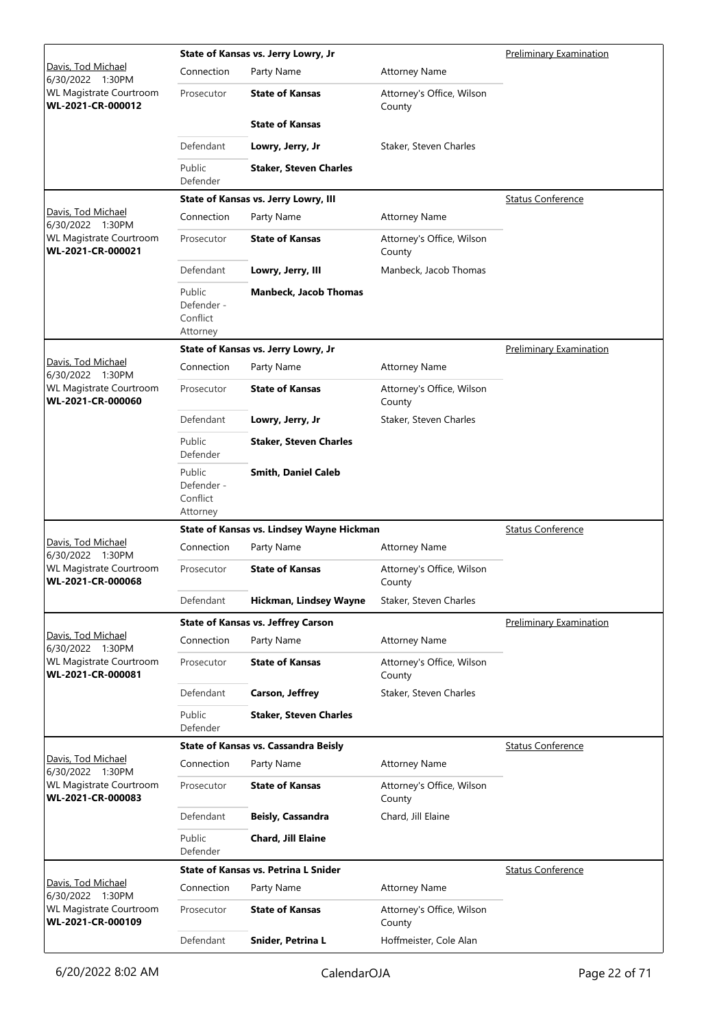|                                                                  |                                              | State of Kansas vs. Jerry Lowry, Jr       | Preliminary Examination                   |                                |  |  |  |
|------------------------------------------------------------------|----------------------------------------------|-------------------------------------------|-------------------------------------------|--------------------------------|--|--|--|
| Davis, Tod Michael<br>6/30/2022 1:30PM                           | Connection                                   | Party Name                                | <b>Attorney Name</b>                      |                                |  |  |  |
| WL Magistrate Courtroom<br>WL-2021-CR-000012                     | Prosecutor                                   | <b>State of Kansas</b>                    | Attorney's Office, Wilson<br>County       |                                |  |  |  |
|                                                                  |                                              | <b>State of Kansas</b>                    |                                           |                                |  |  |  |
|                                                                  | Defendant                                    | Lowry, Jerry, Jr                          | Staker, Steven Charles                    |                                |  |  |  |
|                                                                  | Public<br>Defender                           | <b>Staker, Steven Charles</b>             |                                           |                                |  |  |  |
|                                                                  |                                              | State of Kansas vs. Jerry Lowry, III      |                                           | <b>Status Conference</b>       |  |  |  |
| Davis, Tod Michael<br>6/30/2022 1:30PM                           | Connection                                   | Party Name                                | <b>Attorney Name</b>                      |                                |  |  |  |
| WL Magistrate Courtroom<br>WL-2021-CR-000021                     | Prosecutor                                   | <b>State of Kansas</b>                    | Attorney's Office, Wilson<br>County       |                                |  |  |  |
|                                                                  | Defendant                                    | Lowry, Jerry, III                         | Manbeck, Jacob Thomas                     |                                |  |  |  |
|                                                                  | Public<br>Defender -<br>Conflict<br>Attorney | <b>Manbeck, Jacob Thomas</b>              |                                           |                                |  |  |  |
|                                                                  |                                              | State of Kansas vs. Jerry Lowry, Jr       |                                           | <b>Preliminary Examination</b> |  |  |  |
| Davis, Tod Michael<br>6/30/2022 1:30PM                           | Connection                                   | Party Name                                | <b>Attorney Name</b>                      |                                |  |  |  |
| <b>WL Magistrate Courtroom</b><br>WL-2021-CR-000060              | Prosecutor                                   | <b>State of Kansas</b>                    | Attorney's Office, Wilson<br>County       |                                |  |  |  |
|                                                                  | Defendant                                    | Lowry, Jerry, Jr                          | Staker, Steven Charles                    |                                |  |  |  |
|                                                                  | Public<br>Defender                           | <b>Staker, Steven Charles</b>             |                                           |                                |  |  |  |
|                                                                  | Public<br>Defender -<br>Conflict<br>Attorney | <b>Smith, Daniel Caleb</b>                |                                           |                                |  |  |  |
|                                                                  |                                              |                                           | State of Kansas vs. Lindsey Wayne Hickman |                                |  |  |  |
|                                                                  |                                              |                                           |                                           | <b>Status Conference</b>       |  |  |  |
| Davis, Tod Michael<br>6/30/2022 1:30PM                           | Connection                                   | Party Name                                | <b>Attorney Name</b>                      |                                |  |  |  |
| <b>WL Magistrate Courtroom</b><br>WL-2021-CR-000068              | Prosecutor                                   | <b>State of Kansas</b>                    | Attorney's Office, Wilson<br>County       |                                |  |  |  |
|                                                                  | Defendant                                    | Hickman, Lindsey Wayne                    | Staker, Steven Charles                    |                                |  |  |  |
|                                                                  |                                              | <b>State of Kansas vs. Jeffrey Carson</b> |                                           | <b>Preliminary Examination</b> |  |  |  |
| Davis, Tod Michael                                               | Connection                                   | Party Name                                | <b>Attorney Name</b>                      |                                |  |  |  |
| 6/30/2022 1:30PM<br>WL Magistrate Courtroom<br>WL-2021-CR-000081 | Prosecutor                                   | <b>State of Kansas</b>                    | Attorney's Office, Wilson<br>County       |                                |  |  |  |
|                                                                  | Defendant                                    | Carson, Jeffrey                           | Staker, Steven Charles                    |                                |  |  |  |
|                                                                  | Public<br>Defender                           | <b>Staker, Steven Charles</b>             |                                           |                                |  |  |  |
|                                                                  |                                              | State of Kansas vs. Cassandra Beisly      |                                           | <b>Status Conference</b>       |  |  |  |
| Davis, Tod Michael                                               | Connection                                   | Party Name                                | <b>Attorney Name</b>                      |                                |  |  |  |
| 6/30/2022 1:30PM<br>WL Magistrate Courtroom<br>WL-2021-CR-000083 | Prosecutor                                   | <b>State of Kansas</b>                    | Attorney's Office, Wilson<br>County       |                                |  |  |  |
|                                                                  | Defendant                                    | <b>Beisly, Cassandra</b>                  | Chard, Jill Elaine                        |                                |  |  |  |
|                                                                  | Public<br>Defender                           | Chard, Jill Elaine                        |                                           |                                |  |  |  |
|                                                                  |                                              | State of Kansas vs. Petrina L Snider      |                                           | <b>Status Conference</b>       |  |  |  |
| Davis, Tod Michael<br>6/30/2022 1:30PM                           | Connection                                   | Party Name                                | <b>Attorney Name</b>                      |                                |  |  |  |
| WL Magistrate Courtroom<br>WL-2021-CR-000109                     | Prosecutor                                   | <b>State of Kansas</b>                    | Attorney's Office, Wilson<br>County       |                                |  |  |  |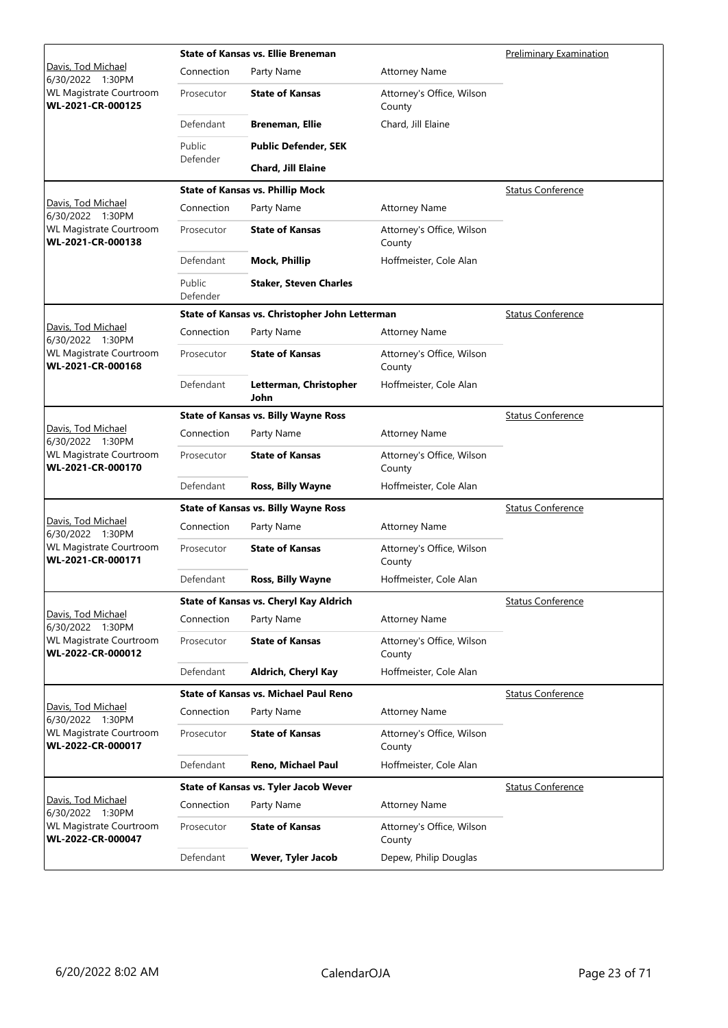|                                                     |                    | <b>State of Kansas vs. Ellie Breneman</b>      | <b>Preliminary Examination</b>      |                          |
|-----------------------------------------------------|--------------------|------------------------------------------------|-------------------------------------|--------------------------|
| Davis, Tod Michael<br>6/30/2022 1:30PM              | Connection         | Party Name                                     | <b>Attorney Name</b>                |                          |
| WL Magistrate Courtroom<br>WL-2021-CR-000125        | Prosecutor         | <b>State of Kansas</b>                         | Attorney's Office, Wilson<br>County |                          |
|                                                     | Defendant          | <b>Breneman, Ellie</b>                         | Chard, Jill Elaine                  |                          |
|                                                     | Public             | <b>Public Defender, SEK</b>                    |                                     |                          |
|                                                     | Defender           | Chard, Jill Elaine                             |                                     |                          |
|                                                     |                    | <b>State of Kansas vs. Phillip Mock</b>        |                                     | <b>Status Conference</b> |
| Davis, Tod Michael<br>6/30/2022 1:30PM              | Connection         | Party Name                                     | <b>Attorney Name</b>                |                          |
| WL Magistrate Courtroom<br>WL-2021-CR-000138        | Prosecutor         | <b>State of Kansas</b>                         | Attorney's Office, Wilson<br>County |                          |
|                                                     | Defendant          | <b>Mock, Phillip</b>                           | Hoffmeister, Cole Alan              |                          |
|                                                     | Public<br>Defender | <b>Staker, Steven Charles</b>                  |                                     |                          |
|                                                     |                    | State of Kansas vs. Christopher John Letterman |                                     | <b>Status Conference</b> |
| Davis, Tod Michael<br>6/30/2022 1:30PM              | Connection         | Party Name                                     | <b>Attorney Name</b>                |                          |
| <b>WL Magistrate Courtroom</b><br>WL-2021-CR-000168 | Prosecutor         | <b>State of Kansas</b>                         | Attorney's Office, Wilson<br>County |                          |
|                                                     | Defendant          | Letterman, Christopher<br>John                 | Hoffmeister, Cole Alan              |                          |
|                                                     |                    | <b>State of Kansas vs. Billy Wayne Ross</b>    |                                     | <b>Status Conference</b> |
| Davis, Tod Michael<br>6/30/2022 1:30PM              | Connection         | Party Name                                     | <b>Attorney Name</b>                |                          |
| <b>WL Magistrate Courtroom</b><br>WL-2021-CR-000170 | Prosecutor         | <b>State of Kansas</b>                         | Attorney's Office, Wilson<br>County |                          |
|                                                     | Defendant          | <b>Ross, Billy Wayne</b>                       | Hoffmeister, Cole Alan              |                          |
|                                                     |                    | <b>State of Kansas vs. Billy Wayne Ross</b>    |                                     | <b>Status Conference</b> |
| Davis, Tod Michael<br>6/30/2022 1:30PM              | Connection         | Party Name                                     | <b>Attorney Name</b>                |                          |
| <b>WL Magistrate Courtroom</b><br>WL-2021-CR-000171 | Prosecutor         | <b>State of Kansas</b>                         | Attorney's Office, Wilson<br>County |                          |
|                                                     | Defendant          | Ross, Billy Wayne                              | Hoffmeister, Cole Alan              |                          |
|                                                     |                    | State of Kansas vs. Cheryl Kay Aldrich         |                                     | <b>Status Conference</b> |
| Davis, Tod Michael<br>6/30/2022 1:30PM              | Connection         | Party Name                                     | <b>Attorney Name</b>                |                          |
| WL Magistrate Courtroom<br>WL-2022-CR-000012        | Prosecutor         | <b>State of Kansas</b>                         | Attorney's Office, Wilson<br>County |                          |
|                                                     | Defendant          | Aldrich, Cheryl Kay                            | Hoffmeister, Cole Alan              |                          |
|                                                     |                    | <b>State of Kansas vs. Michael Paul Reno</b>   |                                     | <b>Status Conference</b> |
| <u>Davis, Tod Michael</u><br>6/30/2022 1:30PM       | Connection         | Party Name                                     | <b>Attorney Name</b>                |                          |
| WL Magistrate Courtroom<br>WL-2022-CR-000017        | Prosecutor         | <b>State of Kansas</b>                         | Attorney's Office, Wilson<br>County |                          |
|                                                     | Defendant          | Reno, Michael Paul                             | Hoffmeister, Cole Alan              |                          |
|                                                     |                    | State of Kansas vs. Tyler Jacob Wever          |                                     | <b>Status Conference</b> |
| Davis, Tod Michael<br>6/30/2022 1:30PM              | Connection         | Party Name                                     | <b>Attorney Name</b>                |                          |
| <b>WL Magistrate Courtroom</b><br>WL-2022-CR-000047 | Prosecutor         | <b>State of Kansas</b>                         | Attorney's Office, Wilson<br>County |                          |
|                                                     | Defendant          | Wever, Tyler Jacob                             | Depew, Philip Douglas               |                          |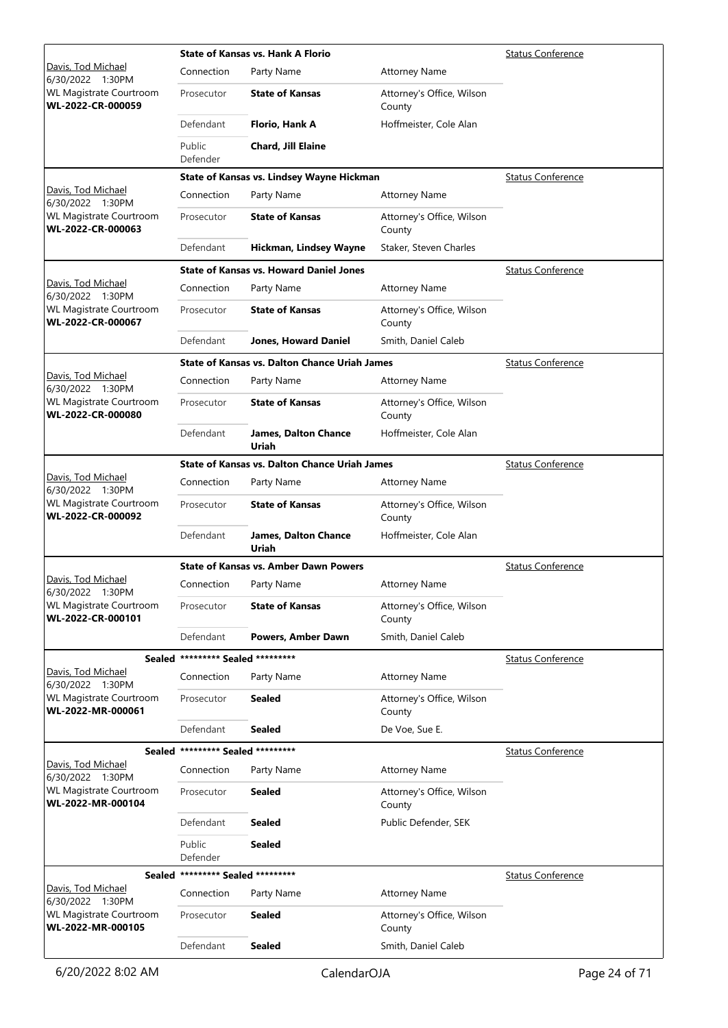|                                                     |                                   | <b>State of Kansas vs. Hank A Florio</b>             | <b>Status Conference</b>            |                          |
|-----------------------------------------------------|-----------------------------------|------------------------------------------------------|-------------------------------------|--------------------------|
| Davis, Tod Michael<br>6/30/2022 1:30PM              | Connection                        | Party Name                                           | <b>Attorney Name</b>                |                          |
| WL Magistrate Courtroom<br>WL-2022-CR-000059        | Prosecutor                        | <b>State of Kansas</b>                               | Attorney's Office, Wilson<br>County |                          |
|                                                     | Defendant                         | Florio, Hank A                                       | Hoffmeister, Cole Alan              |                          |
|                                                     | Public<br>Defender                | Chard, Jill Elaine                                   |                                     |                          |
|                                                     |                                   | State of Kansas vs. Lindsey Wayne Hickman            |                                     | <b>Status Conference</b> |
| Davis, Tod Michael<br>6/30/2022 1:30PM              | Connection                        | Party Name                                           | <b>Attorney Name</b>                |                          |
| <b>WL Magistrate Courtroom</b><br>WL-2022-CR-000063 | Prosecutor                        | <b>State of Kansas</b>                               | Attorney's Office, Wilson<br>County |                          |
|                                                     | Defendant                         | Hickman, Lindsey Wayne                               | Staker, Steven Charles              |                          |
|                                                     |                                   | <b>State of Kansas vs. Howard Daniel Jones</b>       |                                     | <b>Status Conference</b> |
| Davis, Tod Michael<br>6/30/2022 1:30PM              | Connection                        | Party Name                                           | <b>Attorney Name</b>                |                          |
| WL Magistrate Courtroom<br>WL-2022-CR-000067        | Prosecutor                        | <b>State of Kansas</b>                               | Attorney's Office, Wilson<br>County |                          |
|                                                     | Defendant                         | <b>Jones, Howard Daniel</b>                          | Smith, Daniel Caleb                 |                          |
|                                                     |                                   | <b>State of Kansas vs. Dalton Chance Uriah James</b> |                                     | <b>Status Conference</b> |
| <u>Davis, Tod Michael</u><br>6/30/2022 1:30PM       | Connection                        | Party Name                                           | <b>Attorney Name</b>                |                          |
| WL Magistrate Courtroom<br>WL-2022-CR-000080        | Prosecutor                        | <b>State of Kansas</b>                               | Attorney's Office, Wilson<br>County |                          |
|                                                     | Defendant                         | <b>James, Dalton Chance</b><br>Uriah                 | Hoffmeister, Cole Alan              |                          |
|                                                     |                                   | <b>State of Kansas vs. Dalton Chance Uriah James</b> |                                     | <b>Status Conference</b> |
| Davis, Tod Michael<br>6/30/2022 1:30PM              | Connection                        | Party Name                                           | <b>Attorney Name</b>                |                          |
| WL Magistrate Courtroom<br>WL-2022-CR-000092        | Prosecutor                        | <b>State of Kansas</b>                               | Attorney's Office, Wilson<br>County |                          |
|                                                     | Defendant                         | <b>James, Dalton Chance</b><br>Uriah                 | Hoffmeister, Cole Alan              |                          |
|                                                     |                                   | <b>State of Kansas vs. Amber Dawn Powers</b>         |                                     | <b>Status Conference</b> |
| Davis, Tod Michael<br>6/30/2022 1:30PM              | Connection                        | Party Name                                           | <b>Attorney Name</b>                |                          |
| WL Magistrate Courtroom<br>WL-2022-CR-000101        | Prosecutor                        | <b>State of Kansas</b>                               | Attorney's Office, Wilson<br>County |                          |
|                                                     | Defendant                         | Powers, Amber Dawn                                   | Smith, Daniel Caleb                 |                          |
|                                                     | Sealed ********* Sealed ********* |                                                      |                                     | <b>Status Conference</b> |
| Davis, Tod Michael<br>6/30/2022 1:30PM              | Connection                        | Party Name                                           | <b>Attorney Name</b>                |                          |
| <b>WL Magistrate Courtroom</b><br>WL-2022-MR-000061 | Prosecutor                        | <b>Sealed</b>                                        | Attorney's Office, Wilson<br>County |                          |
|                                                     | Defendant                         | <b>Sealed</b>                                        | De Voe, Sue E.                      |                          |
| Sealed                                              | ********* Sealed *********        |                                                      |                                     | <b>Status Conference</b> |
| Davis, Tod Michael<br>6/30/2022 1:30PM              | Connection                        | Party Name                                           | <b>Attorney Name</b>                |                          |
| WL Magistrate Courtroom<br>WL-2022-MR-000104        | Prosecutor                        | <b>Sealed</b>                                        | Attorney's Office, Wilson<br>County |                          |
|                                                     | Defendant                         | <b>Sealed</b>                                        | Public Defender, SEK                |                          |
|                                                     | Public<br>Defender                | <b>Sealed</b>                                        |                                     |                          |
| Sealed                                              | ********* Sealed *********        |                                                      |                                     | <b>Status Conference</b> |
| Davis, Tod Michael<br>6/30/2022 1:30PM              | Connection                        | Party Name                                           | <b>Attorney Name</b>                |                          |
| <b>WL Magistrate Courtroom</b><br>WL-2022-MR-000105 | Prosecutor                        | Sealed                                               | Attorney's Office, Wilson<br>County |                          |
|                                                     | Defendant                         | <b>Sealed</b>                                        | Smith, Daniel Caleb                 |                          |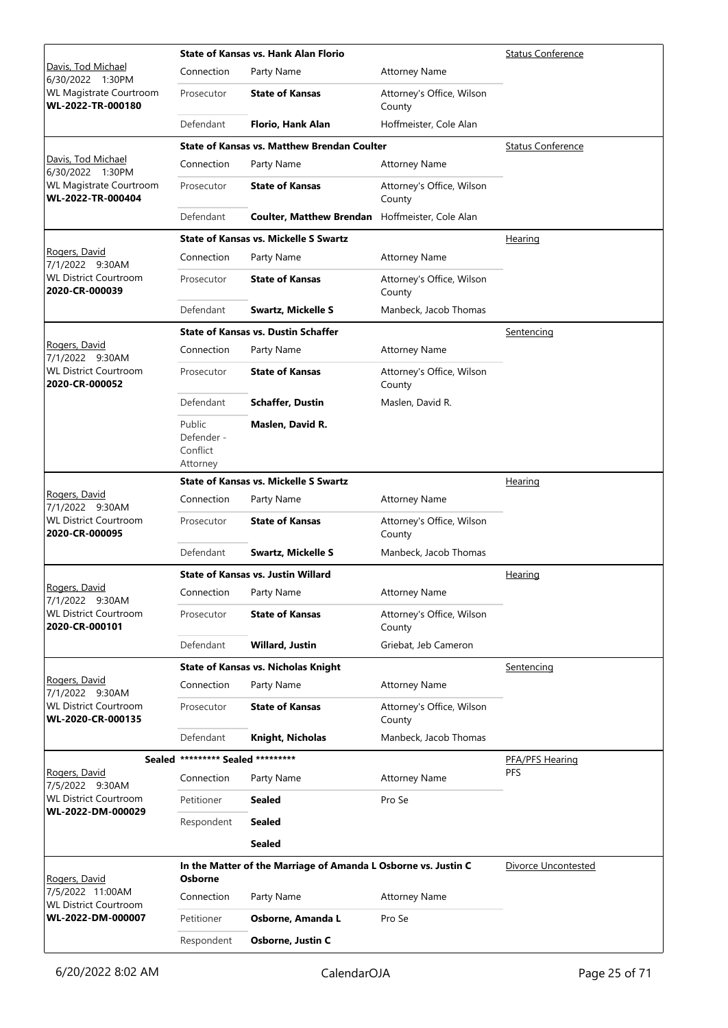|                                                     |                                              | <b>State of Kansas vs. Hank Alan Florio</b>                    | Status Conference                   |                          |
|-----------------------------------------------------|----------------------------------------------|----------------------------------------------------------------|-------------------------------------|--------------------------|
| Davis, Tod Michael<br>6/30/2022 1:30PM              | Connection                                   | Party Name                                                     | <b>Attorney Name</b>                |                          |
| WL Magistrate Courtroom<br>WL-2022-TR-000180        | Prosecutor                                   | <b>State of Kansas</b>                                         | Attorney's Office, Wilson<br>County |                          |
|                                                     | Defendant                                    | Florio, Hank Alan                                              | Hoffmeister, Cole Alan              |                          |
|                                                     |                                              | <b>State of Kansas vs. Matthew Brendan Coulter</b>             |                                     | <b>Status Conference</b> |
| Davis, Tod Michael<br>6/30/2022 1:30PM              | Connection                                   | Party Name                                                     | <b>Attorney Name</b>                |                          |
| <b>WL Magistrate Courtroom</b><br>WL-2022-TR-000404 | Prosecutor                                   | <b>State of Kansas</b>                                         | Attorney's Office, Wilson<br>County |                          |
|                                                     | Defendant                                    | <b>Coulter, Matthew Brendan</b>                                | Hoffmeister, Cole Alan              |                          |
|                                                     |                                              | <b>State of Kansas vs. Mickelle S Swartz</b>                   |                                     | <u>Hearing</u>           |
| Rogers, David<br>7/1/2022 9:30AM                    | Connection                                   | Party Name                                                     | <b>Attorney Name</b>                |                          |
| <b>WL District Courtroom</b><br>2020-CR-000039      | Prosecutor                                   | <b>State of Kansas</b>                                         | Attorney's Office, Wilson<br>County |                          |
|                                                     | Defendant                                    | <b>Swartz, Mickelle S</b>                                      | Manbeck, Jacob Thomas               |                          |
|                                                     |                                              | <b>State of Kansas vs. Dustin Schaffer</b>                     |                                     | Sentencing               |
| Rogers, David<br>7/1/2022 9:30AM                    | Connection                                   | Party Name                                                     | <b>Attorney Name</b>                |                          |
| <b>WL District Courtroom</b><br>2020-CR-000052      | Prosecutor                                   | <b>State of Kansas</b>                                         | Attorney's Office, Wilson<br>County |                          |
|                                                     | Defendant                                    | <b>Schaffer, Dustin</b>                                        | Maslen, David R.                    |                          |
|                                                     | Public<br>Defender -<br>Conflict<br>Attorney | Maslen, David R.                                               |                                     |                          |
|                                                     |                                              | <b>State of Kansas vs. Mickelle S Swartz</b>                   |                                     | Hearing                  |
| Rogers, David<br>7/1/2022 9:30AM                    | Connection                                   | Party Name                                                     | <b>Attorney Name</b>                |                          |
| <b>WL District Courtroom</b><br>2020-CR-000095      | Prosecutor                                   | <b>State of Kansas</b>                                         | Attorney's Office, Wilson<br>County |                          |
|                                                     | Defendant                                    | <b>Swartz, Mickelle S</b>                                      | Manbeck, Jacob Thomas               |                          |
|                                                     |                                              | <b>State of Kansas vs. Justin Willard</b>                      |                                     | <u>Hearing</u>           |
| Rogers, David<br>7/1/2022 9:30AM                    | Connection Party Name                        |                                                                | <b>Attorney Name</b>                |                          |
| <b>WL District Courtroom</b><br>2020-CR-000101      | Prosecutor                                   | <b>State of Kansas</b>                                         | Attorney's Office, Wilson<br>County |                          |
|                                                     | Defendant                                    | Willard, Justin                                                | Griebat, Jeb Cameron                |                          |
|                                                     |                                              | <b>State of Kansas vs. Nicholas Knight</b>                     |                                     | Sentencing               |
| Rogers, David<br>7/1/2022 9:30AM                    | Connection                                   | Party Name                                                     | <b>Attorney Name</b>                |                          |
| <b>WL District Courtroom</b><br>WL-2020-CR-000135   | Prosecutor                                   | <b>State of Kansas</b>                                         | Attorney's Office, Wilson<br>County |                          |
|                                                     | Defendant                                    | Knight, Nicholas                                               | Manbeck, Jacob Thomas               |                          |
|                                                     | Sealed ********* Sealed *********            |                                                                |                                     | PFA/PFS Hearing          |
| Rogers, David<br>7/5/2022 9:30AM                    | Connection                                   | Party Name                                                     | <b>Attorney Name</b>                | PFS                      |
| <b>WL District Courtroom</b>                        | Petitioner                                   | <b>Sealed</b>                                                  | Pro Se                              |                          |
| WL-2022-DM-000029                                   | Respondent                                   | <b>Sealed</b>                                                  |                                     |                          |
|                                                     |                                              | <b>Sealed</b>                                                  |                                     |                          |
| Rogers, David                                       | Osborne                                      | In the Matter of the Marriage of Amanda L Osborne vs. Justin C |                                     | Divorce Uncontested      |
| 7/5/2022 11:00AM                                    | Connection                                   | Party Name                                                     | <b>Attorney Name</b>                |                          |
| <b>WL District Courtroom</b><br>WL-2022-DM-000007   | Petitioner                                   | Osborne, Amanda L                                              | Pro Se                              |                          |
|                                                     | Respondent                                   | Osborne, Justin C                                              |                                     |                          |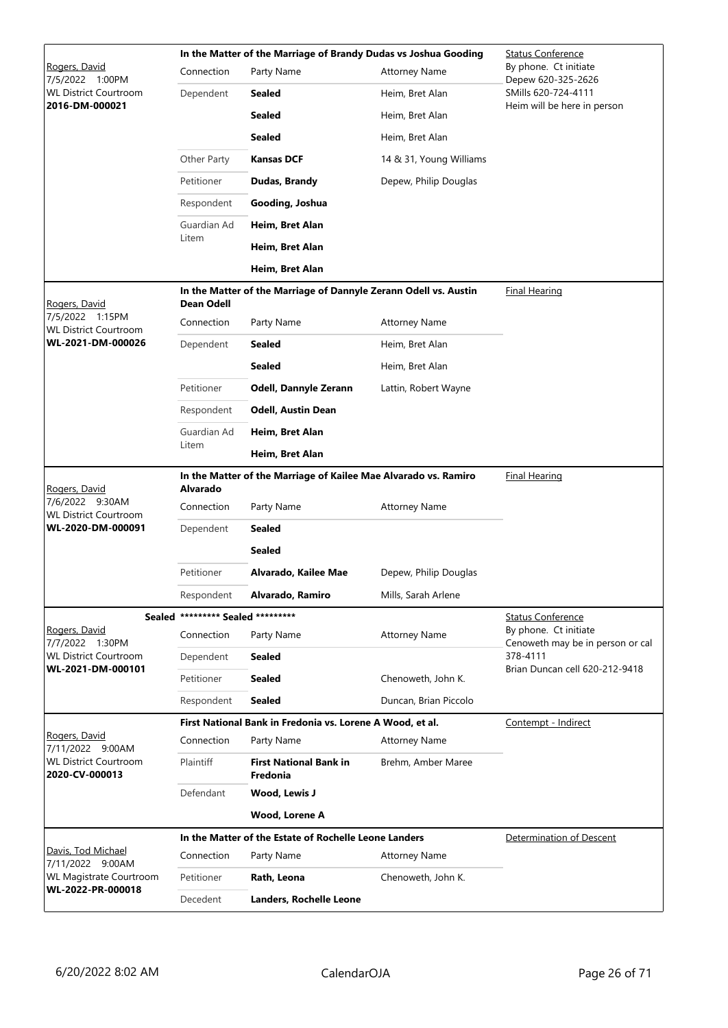|                                                   |                                   | In the Matter of the Marriage of Brandy Dudas vs Joshua Gooding  | <b>Status Conference</b> |                                                           |
|---------------------------------------------------|-----------------------------------|------------------------------------------------------------------|--------------------------|-----------------------------------------------------------|
| Rogers, David<br>7/5/2022 1:00PM                  | Connection                        | Party Name                                                       | <b>Attorney Name</b>     | By phone. Ct initiate<br>Depew 620-325-2626               |
| <b>WL District Courtroom</b>                      | Dependent                         | <b>Sealed</b>                                                    | Heim, Bret Alan          | SMills 620-724-4111                                       |
| 2016-DM-000021                                    |                                   | <b>Sealed</b>                                                    | Heim, Bret Alan          | Heim will be here in person                               |
|                                                   |                                   | <b>Sealed</b>                                                    | Heim, Bret Alan          |                                                           |
|                                                   | Other Party                       | <b>Kansas DCF</b>                                                | 14 & 31, Young Williams  |                                                           |
|                                                   | Petitioner                        | Dudas, Brandy                                                    | Depew, Philip Douglas    |                                                           |
|                                                   | Respondent                        | Gooding, Joshua                                                  |                          |                                                           |
|                                                   | Guardian Ad                       | Heim, Bret Alan                                                  |                          |                                                           |
|                                                   | Litem                             | Heim, Bret Alan                                                  |                          |                                                           |
|                                                   |                                   | Heim, Bret Alan                                                  |                          |                                                           |
| Rogers, David                                     | Dean Odell                        | In the Matter of the Marriage of Dannyle Zerann Odell vs. Austin |                          | <b>Final Hearing</b>                                      |
| 7/5/2022 1:15PM<br><b>WL District Courtroom</b>   | Connection                        | Party Name                                                       | <b>Attorney Name</b>     |                                                           |
| WL-2021-DM-000026                                 | Dependent                         | <b>Sealed</b>                                                    | Heim, Bret Alan          |                                                           |
|                                                   |                                   | <b>Sealed</b>                                                    | Heim, Bret Alan          |                                                           |
|                                                   | Petitioner                        | Odell, Dannyle Zerann                                            | Lattin, Robert Wayne     |                                                           |
|                                                   | Respondent                        | <b>Odell, Austin Dean</b>                                        |                          |                                                           |
|                                                   | Guardian Ad                       | Heim, Bret Alan                                                  |                          |                                                           |
|                                                   | Litem                             | Heim, Bret Alan                                                  |                          |                                                           |
| Rogers, David                                     | <b>Alvarado</b>                   | In the Matter of the Marriage of Kailee Mae Alvarado vs. Ramiro  |                          | <b>Final Hearing</b>                                      |
| 7/6/2022 9:30AM<br><b>WL District Courtroom</b>   | Connection                        | Party Name                                                       | <b>Attorney Name</b>     |                                                           |
| WL-2020-DM-000091                                 | Dependent                         | <b>Sealed</b>                                                    |                          |                                                           |
|                                                   |                                   | <b>Sealed</b>                                                    |                          |                                                           |
|                                                   | Petitioner                        | Alvarado, Kailee Mae                                             | Depew, Philip Douglas    |                                                           |
|                                                   | Respondent                        | Alvarado, Ramiro                                                 | Mills, Sarah Arlene      |                                                           |
|                                                   | Sealed ********* Sealed ********* |                                                                  |                          | <b>Status Conference</b>                                  |
| Rogers, David<br>7/7/2022 1:30PM                  | Connection                        | Party Name                                                       | <b>Attorney Name</b>     | By phone. Ct initiate<br>Cenoweth may be in person or cal |
| <b>WL District Courtroom</b><br>WL-2021-DM-000101 | Dependent                         | <b>Sealed</b>                                                    |                          | 378-4111<br>Brian Duncan cell 620-212-9418                |
|                                                   | Petitioner                        | <b>Sealed</b>                                                    | Chenoweth, John K.       |                                                           |
|                                                   | Respondent                        | <b>Sealed</b>                                                    | Duncan, Brian Piccolo    |                                                           |
| Rogers, David                                     |                                   | First National Bank in Fredonia vs. Lorene A Wood, et al.        |                          | Contempt - Indirect                                       |
| 7/11/2022 9:00AM                                  | Connection                        | Party Name                                                       | <b>Attorney Name</b>     |                                                           |
| <b>WL District Courtroom</b><br>2020-CV-000013    | <b>Plaintiff</b>                  | <b>First National Bank in</b><br>Fredonia                        | Brehm, Amber Maree       |                                                           |
|                                                   | Defendant                         | Wood, Lewis J                                                    |                          |                                                           |
|                                                   |                                   | Wood, Lorene A                                                   |                          |                                                           |
|                                                   |                                   | In the Matter of the Estate of Rochelle Leone Landers            |                          | Determination of Descent                                  |
| Davis, Tod Michael<br>7/11/2022 9:00AM            | Connection                        | Party Name                                                       | <b>Attorney Name</b>     |                                                           |
| WL Magistrate Courtroom<br>WL-2022-PR-000018      | Petitioner                        | Rath, Leona                                                      | Chenoweth, John K.       |                                                           |
|                                                   | Decedent                          | Landers, Rochelle Leone                                          |                          |                                                           |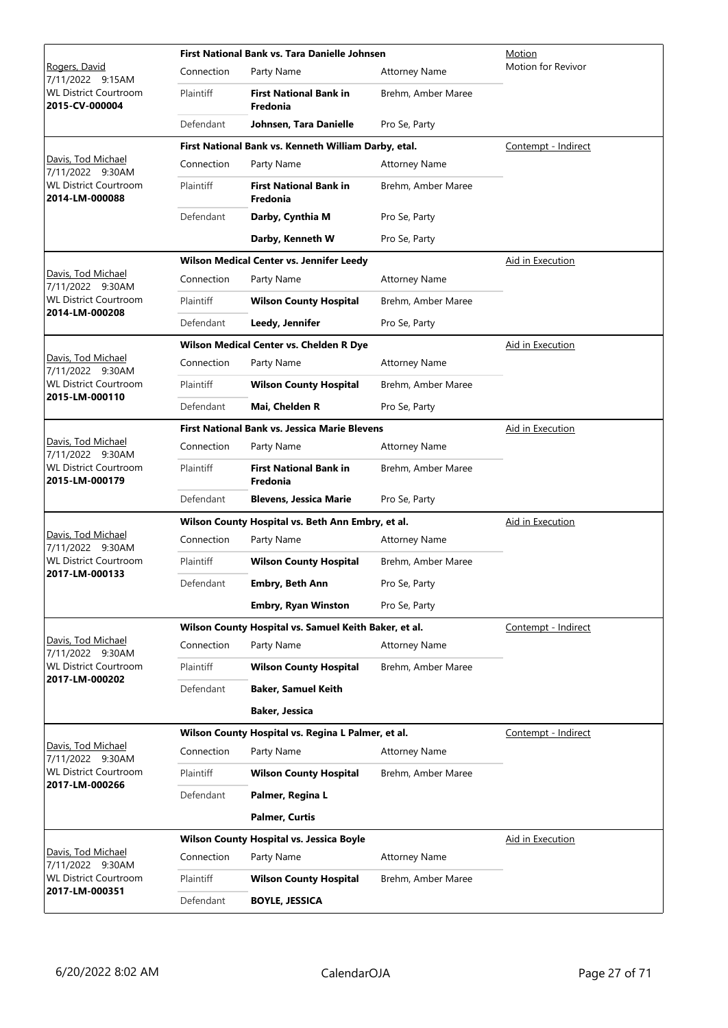|                                                                                          |                  | First National Bank vs. Tara Danielle Johnsen         | Motion               |                     |  |
|------------------------------------------------------------------------------------------|------------------|-------------------------------------------------------|----------------------|---------------------|--|
| <u>Rogers, David</u><br>7/11/2022 9:15AM                                                 | Connection       | Party Name                                            | <b>Attorney Name</b> | Motion for Revivor  |  |
| <b>WL District Courtroom</b><br>2015-CV-000004                                           | Plaintiff        | <b>First National Bank in</b><br>Fredonia             | Brehm, Amber Maree   |                     |  |
|                                                                                          | Defendant        | Johnsen, Tara Danielle                                | Pro Se, Party        |                     |  |
|                                                                                          |                  | First National Bank vs. Kenneth William Darby, etal.  |                      | Contempt - Indirect |  |
| Davis, Tod Michael<br>7/11/2022 9:30AM                                                   | Connection       | Party Name                                            | <b>Attorney Name</b> |                     |  |
| <b>WL District Courtroom</b><br>2014-LM-000088                                           | Plaintiff        | <b>First National Bank in</b><br>Fredonia             | Brehm, Amber Maree   |                     |  |
|                                                                                          | Defendant        | Darby, Cynthia M                                      | Pro Se, Party        |                     |  |
|                                                                                          |                  | Darby, Kenneth W                                      | Pro Se, Party        |                     |  |
|                                                                                          |                  | Wilson Medical Center vs. Jennifer Leedy              |                      | Aid in Execution    |  |
| Davis, Tod Michael<br>7/11/2022 9:30AM                                                   | Connection       | Party Name                                            | <b>Attorney Name</b> |                     |  |
| <b>WL District Courtroom</b>                                                             | <b>Plaintiff</b> | <b>Wilson County Hospital</b>                         | Brehm, Amber Maree   |                     |  |
| 2014-LM-000208                                                                           | Defendant        | Leedy, Jennifer                                       | Pro Se, Party        |                     |  |
|                                                                                          |                  | Wilson Medical Center vs. Chelden R Dye               |                      | Aid in Execution    |  |
| Davis, Tod Michael<br>7/11/2022 9:30AM                                                   | Connection       | Party Name                                            | <b>Attorney Name</b> |                     |  |
| <b>WL District Courtroom</b><br>2015-LM-000110                                           | Plaintiff        | <b>Wilson County Hospital</b>                         | Brehm, Amber Maree   |                     |  |
|                                                                                          | Defendant        | Mai, Chelden R                                        | Pro Se, Party        |                     |  |
|                                                                                          |                  | <b>First National Bank vs. Jessica Marie Blevens</b>  | Aid in Execution     |                     |  |
| Davis, Tod Michael<br>7/11/2022 9:30AM<br><b>WL District Courtroom</b><br>2015-LM-000179 | Connection       | Party Name                                            | <b>Attorney Name</b> |                     |  |
|                                                                                          | Plaintiff        | <b>First National Bank in</b><br>Fredonia             | Brehm, Amber Maree   |                     |  |
|                                                                                          | Defendant        | <b>Blevens, Jessica Marie</b>                         | Pro Se, Party        |                     |  |
|                                                                                          |                  | Wilson County Hospital vs. Beth Ann Embry, et al.     |                      | Aid in Execution    |  |
| Davis, Tod Michael<br>7/11/2022 9:30AM                                                   | Connection       | Party Name                                            | <b>Attorney Name</b> |                     |  |
| <b>WL District Courtroom</b>                                                             | Plaintiff        | <b>Wilson County Hospital</b>                         | Brehm, Amber Maree   |                     |  |
| 2017-LM-000133                                                                           | Defendant        | <b>Embry, Beth Ann</b>                                | Pro Se, Party        |                     |  |
|                                                                                          |                  | <b>Embry, Ryan Winston</b>                            | Pro Se, Party        |                     |  |
|                                                                                          |                  | Wilson County Hospital vs. Samuel Keith Baker, et al. |                      | Contempt - Indirect |  |
| Davis, Tod Michael<br>7/11/2022 9:30AM                                                   | Connection       | Party Name                                            | <b>Attorney Name</b> |                     |  |
| <b>WL District Courtroom</b>                                                             | Plaintiff        | <b>Wilson County Hospital</b>                         | Brehm, Amber Maree   |                     |  |
| 2017-LM-000202                                                                           | Defendant        | <b>Baker, Samuel Keith</b>                            |                      |                     |  |
|                                                                                          |                  | Baker, Jessica                                        |                      |                     |  |
|                                                                                          |                  | Wilson County Hospital vs. Regina L Palmer, et al.    |                      | Contempt - Indirect |  |
| Davis, Tod Michael<br>7/11/2022 9:30AM                                                   | Connection       | Party Name                                            | <b>Attorney Name</b> |                     |  |
| <b>WL District Courtroom</b>                                                             | Plaintiff        | <b>Wilson County Hospital</b>                         | Brehm, Amber Maree   |                     |  |
| 2017-LM-000266                                                                           | Defendant        | Palmer, Regina L                                      |                      |                     |  |
|                                                                                          |                  | <b>Palmer, Curtis</b>                                 |                      |                     |  |
|                                                                                          |                  | <b>Wilson County Hospital vs. Jessica Boyle</b>       |                      | Aid in Execution    |  |
| Davis, Tod Michael<br>7/11/2022 9:30AM                                                   | Connection       | Party Name                                            | <b>Attorney Name</b> |                     |  |
| <b>WL District Courtroom</b>                                                             | Plaintiff        | <b>Wilson County Hospital</b>                         | Brehm, Amber Maree   |                     |  |
| 2017-LM-000351                                                                           | Defendant        | <b>BOYLE, JESSICA</b>                                 |                      |                     |  |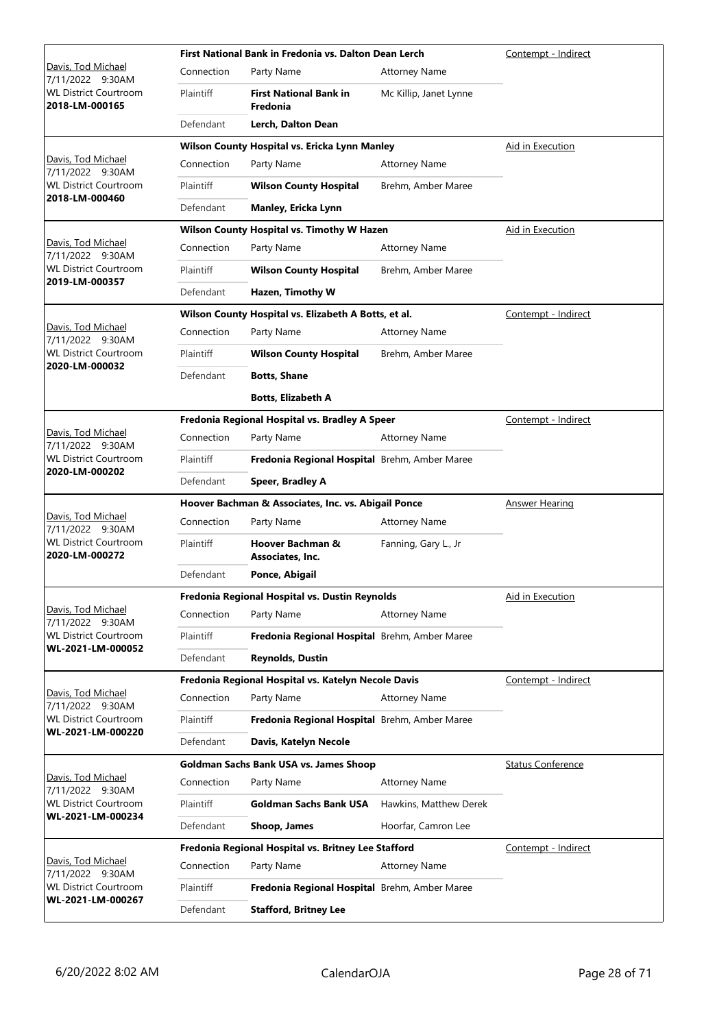|                                                                                          |                                                | First National Bank in Fredonia vs. Dalton Dean Lerch | Contempt - Indirect    |                          |
|------------------------------------------------------------------------------------------|------------------------------------------------|-------------------------------------------------------|------------------------|--------------------------|
| Davis, Tod Michael<br>7/11/2022 9:30AM                                                   | Connection                                     | Party Name                                            | <b>Attorney Name</b>   |                          |
| <b>WL District Courtroom</b><br>2018-LM-000165                                           | Plaintiff                                      | <b>First National Bank in</b><br>Fredonia             | Mc Killip, Janet Lynne |                          |
|                                                                                          | Defendant                                      | Lerch, Dalton Dean                                    |                        |                          |
|                                                                                          |                                                | Wilson County Hospital vs. Ericka Lynn Manley         |                        | Aid in Execution         |
| Davis, Tod Michael<br>7/11/2022 9:30AM                                                   | Connection                                     | Party Name                                            | <b>Attorney Name</b>   |                          |
| <b>WL District Courtroom</b>                                                             | <b>Plaintiff</b>                               | <b>Wilson County Hospital</b>                         | Brehm, Amber Maree     |                          |
| 2018-LM-000460                                                                           | Defendant                                      | Manley, Ericka Lynn                                   |                        |                          |
|                                                                                          |                                                | Wilson County Hospital vs. Timothy W Hazen            |                        | Aid in Execution         |
| Davis, Tod Michael<br>7/11/2022 9:30AM                                                   | Connection                                     | Party Name                                            | <b>Attorney Name</b>   |                          |
| <b>WL District Courtroom</b>                                                             | Plaintiff                                      | <b>Wilson County Hospital</b>                         | Brehm, Amber Maree     |                          |
| 2019-LM-000357                                                                           | Defendant                                      | Hazen, Timothy W                                      |                        |                          |
|                                                                                          |                                                | Wilson County Hospital vs. Elizabeth A Botts, et al.  |                        | Contempt - Indirect      |
| Davis, Tod Michael<br>7/11/2022 9:30AM                                                   | Connection                                     | Party Name                                            | <b>Attorney Name</b>   |                          |
| <b>WL District Courtroom</b>                                                             | <b>Plaintiff</b>                               | <b>Wilson County Hospital</b>                         | Brehm, Amber Maree     |                          |
| 2020-LM-000032                                                                           | Defendant                                      | <b>Botts, Shane</b>                                   |                        |                          |
|                                                                                          |                                                | <b>Botts, Elizabeth A</b>                             |                        |                          |
|                                                                                          |                                                | Fredonia Regional Hospital vs. Bradley A Speer        |                        | Contempt - Indirect      |
| Davis, Tod Michael<br>7/11/2022 9:30AM<br><b>WL District Courtroom</b><br>2020-LM-000202 | Connection                                     | Party Name                                            | <b>Attorney Name</b>   |                          |
|                                                                                          | <b>Plaintiff</b>                               | Fredonia Regional Hospital Brehm, Amber Maree         |                        |                          |
|                                                                                          | Defendant                                      | Speer, Bradley A                                      |                        |                          |
|                                                                                          |                                                | Hoover Bachman & Associates, Inc. vs. Abigail Ponce   | <b>Answer Hearing</b>  |                          |
| Davis, Tod Michael<br>7/11/2022 9:30AM                                                   | Connection                                     | Party Name                                            | <b>Attorney Name</b>   |                          |
| <b>WL District Courtroom</b><br>2020-LM-000272                                           | Plaintiff                                      | Hoover Bachman &<br><b>Associates, Inc.</b>           | Fanning, Gary L., Jr   |                          |
|                                                                                          | Defendant                                      | Ponce, Abigail                                        |                        |                          |
|                                                                                          | Fredonia Regional Hospital vs. Dustin Reynolds |                                                       |                        | Aid in Execution         |
| Davis, Tod Michael<br>7/11/2022 9:30AM                                                   | Connection                                     | Party Name                                            | <b>Attorney Name</b>   |                          |
| <b>WL District Courtroom</b>                                                             | Plaintiff                                      | Fredonia Regional Hospital Brehm, Amber Maree         |                        |                          |
| WL-2021-LM-000052                                                                        | Defendant                                      | <b>Reynolds, Dustin</b>                               |                        |                          |
|                                                                                          |                                                | Fredonia Regional Hospital vs. Katelyn Necole Davis   |                        | Contempt - Indirect      |
| Davis, Tod Michael<br>7/11/2022 9:30AM                                                   | Connection                                     | Party Name                                            | Attorney Name          |                          |
| <b>WL District Courtroom</b><br>WL-2021-LM-000220                                        | <b>Plaintiff</b>                               | Fredonia Regional Hospital Brehm, Amber Maree         |                        |                          |
|                                                                                          | Defendant                                      | Davis, Katelyn Necole                                 |                        |                          |
|                                                                                          |                                                | Goldman Sachs Bank USA vs. James Shoop                |                        | <b>Status Conference</b> |
| Davis, Tod Michael<br>7/11/2022 9:30AM                                                   | Connection                                     | Party Name                                            | <b>Attorney Name</b>   |                          |
| <b>WL District Courtroom</b><br>WL-2021-LM-000234                                        | Plaintiff                                      | <b>Goldman Sachs Bank USA</b>                         | Hawkins, Matthew Derek |                          |
|                                                                                          | Defendant                                      | Shoop, James                                          | Hoorfar, Camron Lee    |                          |
|                                                                                          |                                                | Fredonia Regional Hospital vs. Britney Lee Stafford   |                        | Contempt - Indirect      |
| Davis, Tod Michael<br>7/11/2022 9:30AM                                                   | Connection                                     | Party Name                                            | <b>Attorney Name</b>   |                          |
| <b>WL District Courtroom</b><br>WL-2021-LM-000267                                        | Plaintiff                                      | Fredonia Regional Hospital Brehm, Amber Maree         |                        |                          |
|                                                                                          | Defendant                                      | <b>Stafford, Britney Lee</b>                          |                        |                          |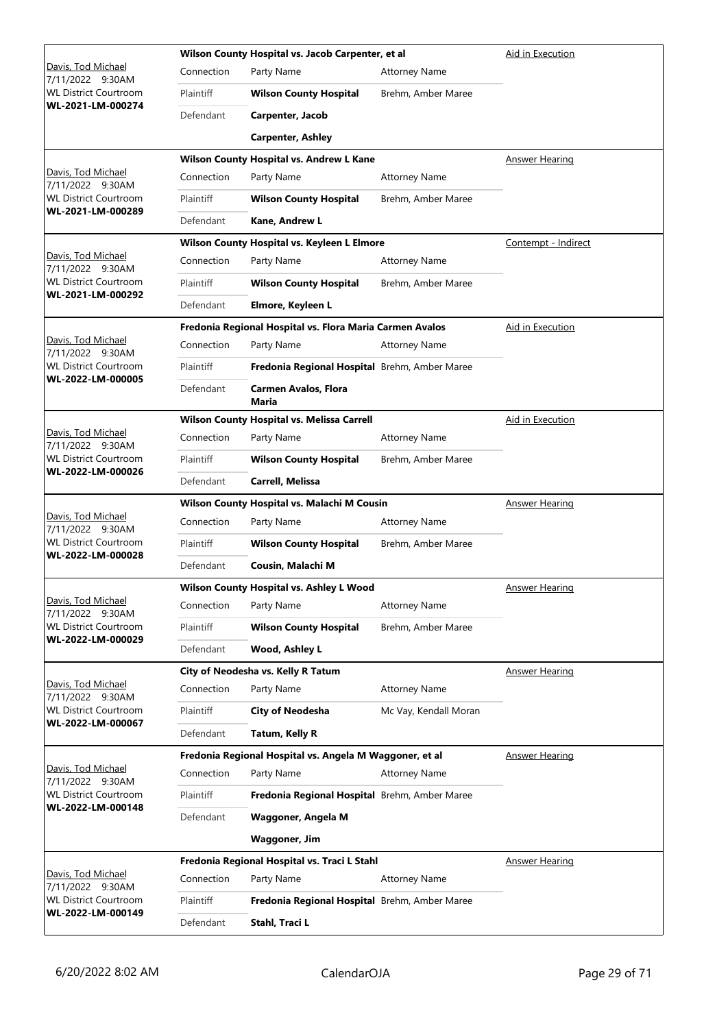|                                                   |            | Wilson County Hospital vs. Jacob Carpenter, et al        |                       | Aid in Execution      |
|---------------------------------------------------|------------|----------------------------------------------------------|-----------------------|-----------------------|
| <u> Davis, Tod Michael</u><br>7/11/2022 9:30AM    | Connection | Party Name                                               | <b>Attorney Name</b>  |                       |
| <b>WL District Courtroom</b>                      | Plaintiff  | <b>Wilson County Hospital</b>                            | Brehm, Amber Maree    |                       |
| WL-2021-LM-000274                                 | Defendant  | Carpenter, Jacob                                         |                       |                       |
|                                                   |            | <b>Carpenter, Ashley</b>                                 |                       |                       |
|                                                   |            | Wilson County Hospital vs. Andrew L Kane                 |                       | <b>Answer Hearing</b> |
| <u> Davis, Tod Michael</u><br>7/11/2022 9:30AM    | Connection | Party Name                                               | <b>Attorney Name</b>  |                       |
| <b>WL District Courtroom</b><br>WL-2021-LM-000289 | Plaintiff  | <b>Wilson County Hospital</b>                            | Brehm, Amber Maree    |                       |
|                                                   | Defendant  | Kane, Andrew L                                           |                       |                       |
|                                                   |            | Wilson County Hospital vs. Keyleen L Elmore              |                       | Contempt - Indirect   |
| Davis, Tod Michael<br>7/11/2022 9:30AM            | Connection | Party Name                                               | <b>Attorney Name</b>  |                       |
| <b>WL District Courtroom</b><br>WL-2021-LM-000292 | Plaintiff  | <b>Wilson County Hospital</b>                            | Brehm, Amber Maree    |                       |
|                                                   | Defendant  | Elmore, Keyleen L                                        |                       |                       |
|                                                   |            | Fredonia Regional Hospital vs. Flora Maria Carmen Avalos |                       | Aid in Execution      |
| Davis, Tod Michael<br>7/11/2022 9:30AM            | Connection | Party Name                                               | <b>Attorney Name</b>  |                       |
| <b>WL District Courtroom</b><br>WL-2022-LM-000005 | Plaintiff  | Fredonia Regional Hospital Brehm, Amber Maree            |                       |                       |
|                                                   | Defendant  | <b>Carmen Avalos, Flora</b><br>Maria                     |                       |                       |
|                                                   |            | Wilson County Hospital vs. Melissa Carrell               |                       | Aid in Execution      |
| <u> Davis, Tod Michael</u><br>7/11/2022 9:30AM    | Connection | Party Name                                               | <b>Attorney Name</b>  |                       |
| <b>WL District Courtroom</b><br>WL-2022-LM-000026 | Plaintiff  | <b>Wilson County Hospital</b>                            | Brehm, Amber Maree    |                       |
|                                                   | Defendant  | Carrell, Melissa                                         |                       |                       |
|                                                   |            | Wilson County Hospital vs. Malachi M Cousin              | <b>Answer Hearing</b> |                       |
| Davis, Tod Michael<br>7/11/2022 9:30AM            | Connection | Party Name                                               | <b>Attorney Name</b>  |                       |
| <b>WL District Courtroom</b><br>WL-2022-LM-000028 | Plaintiff  | <b>Wilson County Hospital</b>                            | Brehm, Amber Maree    |                       |
|                                                   | Defendant  | Cousin, Malachi M                                        |                       |                       |
|                                                   |            | Wilson County Hospital vs. Ashley L Wood                 | <b>Answer Hearing</b> |                       |
| Davis, Tod Michael<br>7/11/2022 9:30AM            | Connection | Party Name                                               | <b>Attorney Name</b>  |                       |
| <b>WL District Courtroom</b><br>WL-2022-LM-000029 | Plaintiff  | <b>Wilson County Hospital</b>                            | Brehm, Amber Maree    |                       |
|                                                   | Defendant  | Wood, Ashley L                                           |                       |                       |
|                                                   |            | City of Neodesha vs. Kelly R Tatum                       |                       | <b>Answer Hearing</b> |
| Davis, Tod Michael<br>7/11/2022 9:30AM            | Connection | Party Name                                               | <b>Attorney Name</b>  |                       |
| <b>WL District Courtroom</b><br>WL-2022-LM-000067 | Plaintiff  | <b>City of Neodesha</b>                                  | Mc Vay, Kendall Moran |                       |
|                                                   | Defendant  | Tatum, Kelly R                                           |                       |                       |
| Davis, Tod Michael                                |            | Fredonia Regional Hospital vs. Angela M Waggoner, et al  |                       | <b>Answer Hearing</b> |
| 7/11/2022 9:30AM                                  | Connection | Party Name                                               | <b>Attorney Name</b>  |                       |
| WL District Courtroom<br>WL-2022-LM-000148        | Plaintiff  | Fredonia Regional Hospital Brehm, Amber Maree            |                       |                       |
|                                                   | Defendant  | Waggoner, Angela M                                       |                       |                       |
|                                                   |            | <b>Waggoner, Jim</b>                                     |                       |                       |
|                                                   |            | Fredonia Regional Hospital vs. Traci L Stahl             |                       | <b>Answer Hearing</b> |
| Davis, Tod Michael<br>7/11/2022 9:30AM            | Connection | Party Name                                               | <b>Attorney Name</b>  |                       |
| <b>WL District Courtroom</b><br>WL-2022-LM-000149 | Plaintiff  | Fredonia Regional Hospital Brehm, Amber Maree            |                       |                       |
|                                                   | Defendant  | Stahl, Traci L                                           |                       |                       |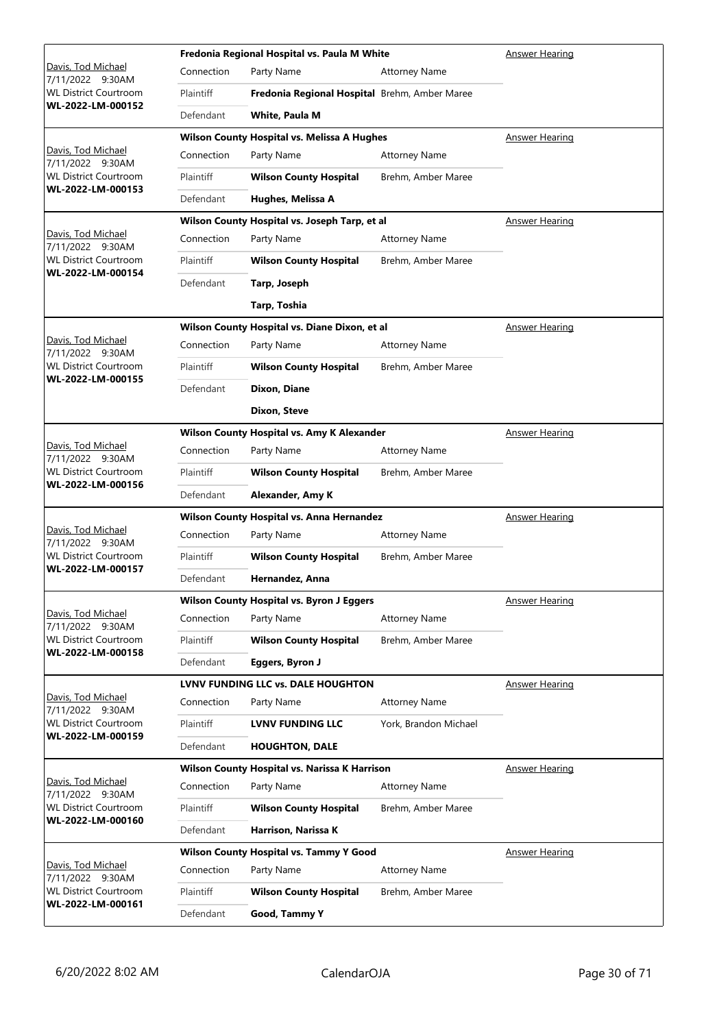|                                                                        |                                            | Fredonia Regional Hospital vs. Paula M White       |                       | Answer Hearing        |
|------------------------------------------------------------------------|--------------------------------------------|----------------------------------------------------|-----------------------|-----------------------|
| Davis, Tod Michael<br>7/11/2022 9:30AM                                 | Connection                                 | Party Name                                         | <b>Attorney Name</b>  |                       |
| <b>WL District Courtroom</b>                                           | Plaintiff                                  | Fredonia Regional Hospital Brehm, Amber Maree      |                       |                       |
| WL-2022-LM-000152                                                      | Defendant                                  | White, Paula M                                     |                       |                       |
|                                                                        |                                            | <b>Wilson County Hospital vs. Melissa A Hughes</b> |                       | Answer Hearing        |
| Davis, Tod Michael<br>7/11/2022 9:30AM                                 | Connection                                 | Party Name                                         | <b>Attorney Name</b>  |                       |
| <b>WL District Courtroom</b><br>WL-2022-LM-000153                      | Plaintiff                                  | <b>Wilson County Hospital</b>                      | Brehm, Amber Maree    |                       |
|                                                                        | Defendant                                  | Hughes, Melissa A                                  |                       |                       |
|                                                                        |                                            | Wilson County Hospital vs. Joseph Tarp, et al      |                       | <b>Answer Hearing</b> |
| Davis, Tod Michael<br>7/11/2022 9:30AM                                 | Connection                                 | Party Name                                         | <b>Attorney Name</b>  |                       |
| <b>WL District Courtroom</b><br>WL-2022-LM-000154                      | Plaintiff                                  | <b>Wilson County Hospital</b>                      | Brehm, Amber Maree    |                       |
|                                                                        | Defendant                                  | Tarp, Joseph                                       |                       |                       |
|                                                                        |                                            | Tarp, Toshia                                       |                       |                       |
|                                                                        |                                            | Wilson County Hospital vs. Diane Dixon, et al      |                       | <b>Answer Hearing</b> |
| Davis, Tod Michael<br>7/11/2022 9:30AM                                 | Connection                                 | Party Name                                         | <b>Attorney Name</b>  |                       |
| <b>WL District Courtroom</b><br>WL-2022-LM-000155                      | Plaintiff                                  | <b>Wilson County Hospital</b>                      | Brehm, Amber Maree    |                       |
|                                                                        | Defendant                                  | Dixon, Diane                                       |                       |                       |
|                                                                        |                                            | Dixon, Steve                                       |                       |                       |
|                                                                        | Wilson County Hospital vs. Amy K Alexander |                                                    |                       | <b>Answer Hearing</b> |
| Davis, Tod Michael<br>7/11/2022 9:30AM<br><b>WL District Courtroom</b> | Connection                                 | Party Name                                         | <b>Attorney Name</b>  |                       |
|                                                                        | Plaintiff                                  | <b>Wilson County Hospital</b>                      | Brehm, Amber Maree    |                       |
| WL-2022-LM-000156                                                      | Defendant                                  | Alexander, Amy K                                   |                       |                       |
|                                                                        | Wilson County Hospital vs. Anna Hernandez  |                                                    |                       | Answer Hearing        |
| Davis, Tod Michael<br>7/11/2022 9:30AM                                 | Connection                                 | Party Name                                         | <b>Attorney Name</b>  |                       |
| <b>WL District Courtroom</b><br>WL-2022-LM-000157                      | Plaintiff                                  | <b>Wilson County Hospital</b>                      | Brehm, Amber Maree    |                       |
|                                                                        | Defendant                                  | Hernandez, Anna                                    |                       |                       |
|                                                                        |                                            | <b>Wilson County Hospital vs. Byron J Eggers</b>   | <b>Answer Hearing</b> |                       |
| Davis, Tod Michael<br>7/11/2022 9:30AM                                 | Connection                                 | Party Name                                         | <b>Attorney Name</b>  |                       |
| <b>WL District Courtroom</b><br>WL-2022-LM-000158                      | Plaintiff                                  | <b>Wilson County Hospital</b>                      | Brehm, Amber Maree    |                       |
|                                                                        | Defendant                                  | Eggers, Byron J                                    |                       |                       |
|                                                                        |                                            |                                                    |                       |                       |
|                                                                        |                                            | <b>LVNV FUNDING LLC vs. DALE HOUGHTON</b>          |                       | <b>Answer Hearing</b> |
| Davis, Tod Michael<br>7/11/2022 9:30AM                                 | Connection                                 | Party Name                                         | <b>Attorney Name</b>  |                       |
| <b>WL District Courtroom</b>                                           | Plaintiff                                  | <b>LVNV FUNDING LLC</b>                            | York, Brandon Michael |                       |
| WL-2022-LM-000159                                                      | Defendant                                  | <b>HOUGHTON, DALE</b>                              |                       |                       |
|                                                                        |                                            | Wilson County Hospital vs. Narissa K Harrison      |                       | <b>Answer Hearing</b> |
| Davis, Tod Michael<br>7/11/2022 9:30AM                                 | Connection                                 | Party Name                                         | <b>Attorney Name</b>  |                       |
| <b>WL District Courtroom</b>                                           | Plaintiff                                  | <b>Wilson County Hospital</b>                      | Brehm, Amber Maree    |                       |
| WL-2022-LM-000160                                                      | Defendant                                  | Harrison, Narissa K                                |                       |                       |
|                                                                        |                                            | <b>Wilson County Hospital vs. Tammy Y Good</b>     |                       | <b>Answer Hearing</b> |
| Davis, Tod Michael<br>7/11/2022 9:30AM                                 | Connection                                 | Party Name                                         | <b>Attorney Name</b>  |                       |
| <b>WL District Courtroom</b><br>WL-2022-LM-000161                      | <b>Plaintiff</b>                           | <b>Wilson County Hospital</b>                      | Brehm, Amber Maree    |                       |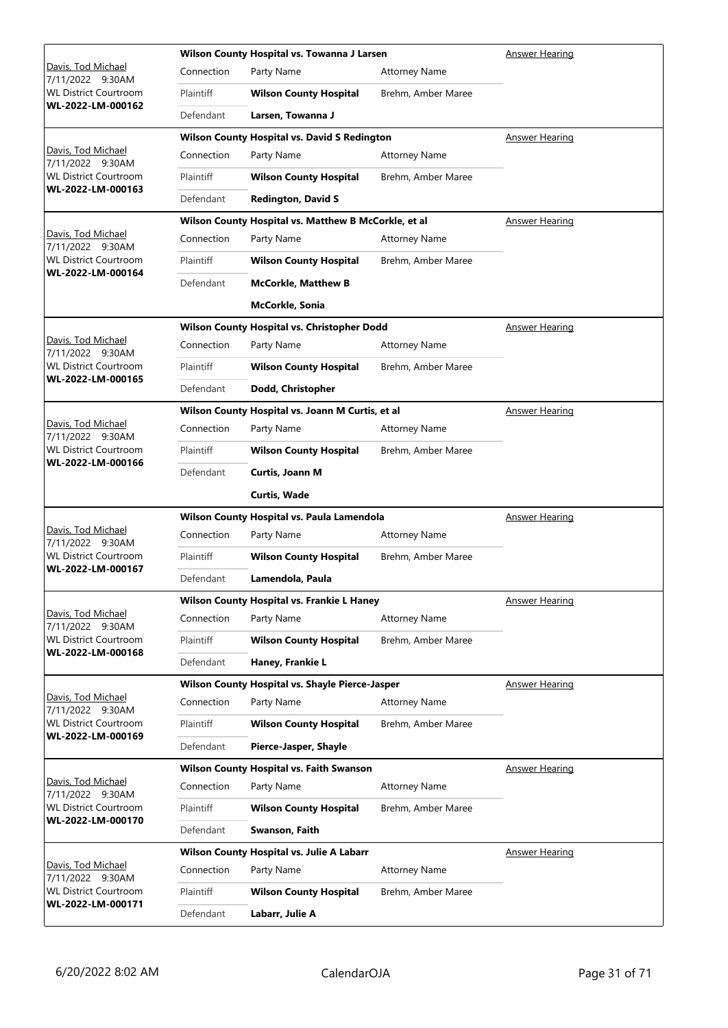|                                                   |            | Wilson County Hospital vs. Towanna J Larsen          | Answer Hearing        |                       |
|---------------------------------------------------|------------|------------------------------------------------------|-----------------------|-----------------------|
| Davis, Tod Michael<br>7/11/2022 9:30AM            | Connection | Party Name                                           | <b>Attorney Name</b>  |                       |
| <b>WL District Courtroom</b>                      | Plaintiff  | <b>Wilson County Hospital</b>                        | Brehm, Amber Maree    |                       |
| WL-2022-LM-000162                                 | Defendant  | Larsen, Towanna J                                    |                       |                       |
|                                                   |            | <b>Wilson County Hospital vs. David S Redington</b>  |                       | Answer Hearing        |
| Davis, Tod Michael<br>7/11/2022 9:30AM            | Connection | Party Name                                           | <b>Attorney Name</b>  |                       |
| <b>WL District Courtroom</b><br>WL-2022-LM-000163 | Plaintiff  | <b>Wilson County Hospital</b>                        | Brehm, Amber Maree    |                       |
|                                                   | Defendant  | <b>Redington, David S</b>                            |                       |                       |
|                                                   |            | Wilson County Hospital vs. Matthew B McCorkle, et al | <b>Answer Hearing</b> |                       |
| Davis, Tod Michael<br>7/11/2022 9:30AM            | Connection | Party Name                                           | <b>Attorney Name</b>  |                       |
| <b>WL District Courtroom</b>                      | Plaintiff  | <b>Wilson County Hospital</b>                        | Brehm, Amber Maree    |                       |
| WL-2022-LM-000164                                 | Defendant  | <b>McCorkle, Matthew B</b>                           |                       |                       |
|                                                   |            | <b>McCorkle, Sonia</b>                               |                       |                       |
|                                                   |            | Wilson County Hospital vs. Christopher Dodd          |                       | <b>Answer Hearing</b> |
| Davis, Tod Michael<br>7/11/2022 9:30AM            | Connection | Party Name                                           | <b>Attorney Name</b>  |                       |
| <b>WL District Courtroom</b>                      | Plaintiff  | <b>Wilson County Hospital</b>                        | Brehm, Amber Maree    |                       |
| WL-2022-LM-000165                                 | Defendant  | Dodd, Christopher                                    |                       |                       |
|                                                   |            | Wilson County Hospital vs. Joann M Curtis, et al     |                       | <b>Answer Hearing</b> |
| Davis, Tod Michael<br>7/11/2022 9:30AM            | Connection | Party Name                                           | <b>Attorney Name</b>  |                       |
| <b>WL District Courtroom</b><br>WL-2022-LM-000166 | Plaintiff  | <b>Wilson County Hospital</b>                        | Brehm, Amber Maree    |                       |
|                                                   | Defendant  | <b>Curtis, Joann M</b>                               |                       |                       |
|                                                   |            | <b>Curtis, Wade</b>                                  |                       |                       |
|                                                   |            | Wilson County Hospital vs. Paula Lamendola           | <b>Answer Hearing</b> |                       |
| Davis, Tod Michael<br>7/11/2022 9:30AM            | Connection | Party Name                                           | <b>Attorney Name</b>  |                       |
| <b>WL District Courtroom</b>                      | Plaintiff  | <b>Wilson County Hospital</b>                        | Brehm, Amber Maree    |                       |
| WL-2022-LM-000167                                 | Defendant  | Lamendola, Paula                                     |                       |                       |
|                                                   |            | Wilson County Hospital vs. Frankie L Haney           | <b>Answer Hearing</b> |                       |
| Davis, Tod Michael<br>7/11/2022 9:30AM            | Connection | Party Name                                           | <b>Attorney Name</b>  |                       |
| <b>WL District Courtroom</b>                      | Plaintiff  | <b>Wilson County Hospital</b>                        | Brehm, Amber Maree    |                       |
| WL-2022-LM-000168                                 | Defendant  | Haney, Frankie L                                     |                       |                       |
|                                                   |            | Wilson County Hospital vs. Shayle Pierce-Jasper      |                       | <b>Answer Hearing</b> |
| Davis, Tod Michael<br>7/11/2022 9:30AM            | Connection | Party Name                                           | <b>Attorney Name</b>  |                       |
| <b>WL District Courtroom</b><br>WL-2022-LM-000169 | Plaintiff  | <b>Wilson County Hospital</b>                        | Brehm, Amber Maree    |                       |
|                                                   | Defendant  | Pierce-Jasper, Shayle                                |                       |                       |
|                                                   |            |                                                      |                       |                       |
|                                                   |            | <b>Wilson County Hospital vs. Faith Swanson</b>      |                       | <b>Answer Hearing</b> |
| Davis, Tod Michael<br>7/11/2022 9:30AM            | Connection | Party Name                                           | <b>Attorney Name</b>  |                       |
| <b>WL District Courtroom</b>                      | Plaintiff  | <b>Wilson County Hospital</b>                        | Brehm, Amber Maree    |                       |
| WL-2022-LM-000170                                 | Defendant  | Swanson, Faith                                       |                       |                       |
|                                                   |            | Wilson County Hospital vs. Julie A Labarr            |                       | <b>Answer Hearing</b> |
| Davis, Tod Michael<br>7/11/2022 9:30AM            | Connection | Party Name                                           | <b>Attorney Name</b>  |                       |
| <b>WL District Courtroom</b><br>WL-2022-LM-000171 | Plaintiff  | <b>Wilson County Hospital</b>                        | Brehm, Amber Maree    |                       |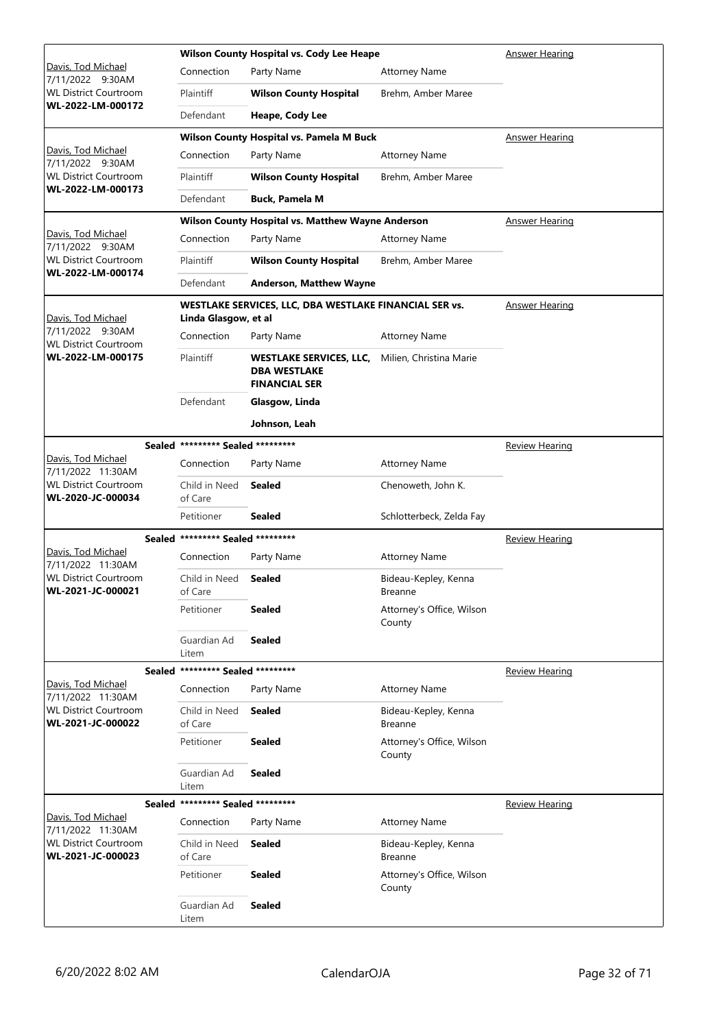|                                                   |                                   | <b>Wilson County Hospital vs. Cody Lee Heape</b>                              | Answer Hearing                         |                       |
|---------------------------------------------------|-----------------------------------|-------------------------------------------------------------------------------|----------------------------------------|-----------------------|
| <u> Davis, Tod Michael</u><br>7/11/2022 9:30AM    | Connection                        | Party Name                                                                    | <b>Attorney Name</b>                   |                       |
| WL District Courtroom                             | Plaintiff                         | <b>Wilson County Hospital</b>                                                 | Brehm, Amber Maree                     |                       |
| WL-2022-LM-000172                                 | Defendant                         | Heape, Cody Lee                                                               |                                        |                       |
|                                                   |                                   | Wilson County Hospital vs. Pamela M Buck                                      |                                        | Answer Hearing        |
| <u> Davis, Tod Michael</u><br>7/11/2022 9:30AM    | Connection                        | Party Name                                                                    | <b>Attorney Name</b>                   |                       |
| <b>WL District Courtroom</b>                      | Plaintiff                         | <b>Wilson County Hospital</b>                                                 | Brehm, Amber Maree                     |                       |
| WL-2022-LM-000173                                 | Defendant                         | <b>Buck, Pamela M</b>                                                         |                                        |                       |
|                                                   |                                   | Wilson County Hospital vs. Matthew Wayne Anderson                             |                                        | <b>Answer Hearing</b> |
| Davis, Tod Michael<br>7/11/2022 9:30AM            | Connection                        | Party Name                                                                    | <b>Attorney Name</b>                   |                       |
| WL District Courtroom                             | Plaintiff                         | <b>Wilson County Hospital</b>                                                 | Brehm, Amber Maree                     |                       |
| WL-2022-LM-000174                                 | Defendant                         | <b>Anderson, Matthew Wayne</b>                                                |                                        |                       |
| Davis, Tod Michael                                | Linda Glasgow, et al              | WESTLAKE SERVICES, LLC, DBA WESTLAKE FINANCIAL SER vs.                        |                                        | <b>Answer Hearing</b> |
| 7/11/2022 9:30AM<br><b>WL District Courtroom</b>  | Connection                        | Party Name                                                                    | <b>Attorney Name</b>                   |                       |
| WL-2022-LM-000175                                 | Plaintiff                         | <b>WESTLAKE SERVICES, LLC,</b><br><b>DBA WESTLAKE</b><br><b>FINANCIAL SER</b> | Milien, Christina Marie                |                       |
|                                                   | Defendant                         | Glasgow, Linda                                                                |                                        |                       |
|                                                   |                                   | Johnson, Leah                                                                 |                                        |                       |
|                                                   | Sealed ********* Sealed ********* |                                                                               |                                        | Review Hearing        |
| Davis, Tod Michael<br>7/11/2022 11:30AM           | Connection                        | Party Name                                                                    | <b>Attorney Name</b>                   |                       |
| WL District Courtroom<br>WL-2020-JC-000034        | Child in Need<br>of Care          | <b>Sealed</b>                                                                 | Chenoweth, John K.                     |                       |
|                                                   | Petitioner                        | <b>Sealed</b>                                                                 | Schlotterbeck, Zelda Fay               |                       |
|                                                   | Sealed ********* Sealed ********* |                                                                               |                                        | <u>Review Hearing</u> |
| Davis, Tod Michael<br>7/11/2022 11:30AM           | Connection                        | Party Name                                                                    | <b>Attorney Name</b>                   |                       |
| <b>WL District Courtroom</b><br>WL-2021-JC-000021 | Child in Need<br>of Care          | <b>Sealed</b>                                                                 | Bideau-Kepley, Kenna<br>Breanne        |                       |
|                                                   | Petitioner                        | Sealed                                                                        | Attorney's Office, Wilson<br>County    |                       |
|                                                   | Guardian Ad<br>Litem              | <b>Sealed</b>                                                                 |                                        |                       |
|                                                   | Sealed ********* Sealed ********* |                                                                               |                                        | <b>Review Hearing</b> |
| Davis, Tod Michael<br>7/11/2022 11:30AM           | Connection                        | Party Name                                                                    | <b>Attorney Name</b>                   |                       |
| WL District Courtroom<br>WL-2021-JC-000022        | Child in Need<br>of Care          | <b>Sealed</b>                                                                 | Bideau-Kepley, Kenna<br>Breanne        |                       |
|                                                   | Petitioner                        | <b>Sealed</b>                                                                 | Attorney's Office, Wilson<br>County    |                       |
|                                                   | Guardian Ad<br>Litem              | <b>Sealed</b>                                                                 |                                        |                       |
|                                                   | Sealed ********* Sealed ********* |                                                                               |                                        | <b>Review Hearing</b> |
| Davis, Tod Michael<br>7/11/2022 11:30AM           | Connection                        | Party Name                                                                    | <b>Attorney Name</b>                   |                       |
| <b>WL District Courtroom</b><br>WL-2021-JC-000023 | Child in Need<br>of Care          | <b>Sealed</b>                                                                 | Bideau-Kepley, Kenna<br><b>Breanne</b> |                       |
|                                                   | Petitioner                        | Sealed                                                                        | Attorney's Office, Wilson<br>County    |                       |
|                                                   | Guardian Ad<br>Litem              | <b>Sealed</b>                                                                 |                                        |                       |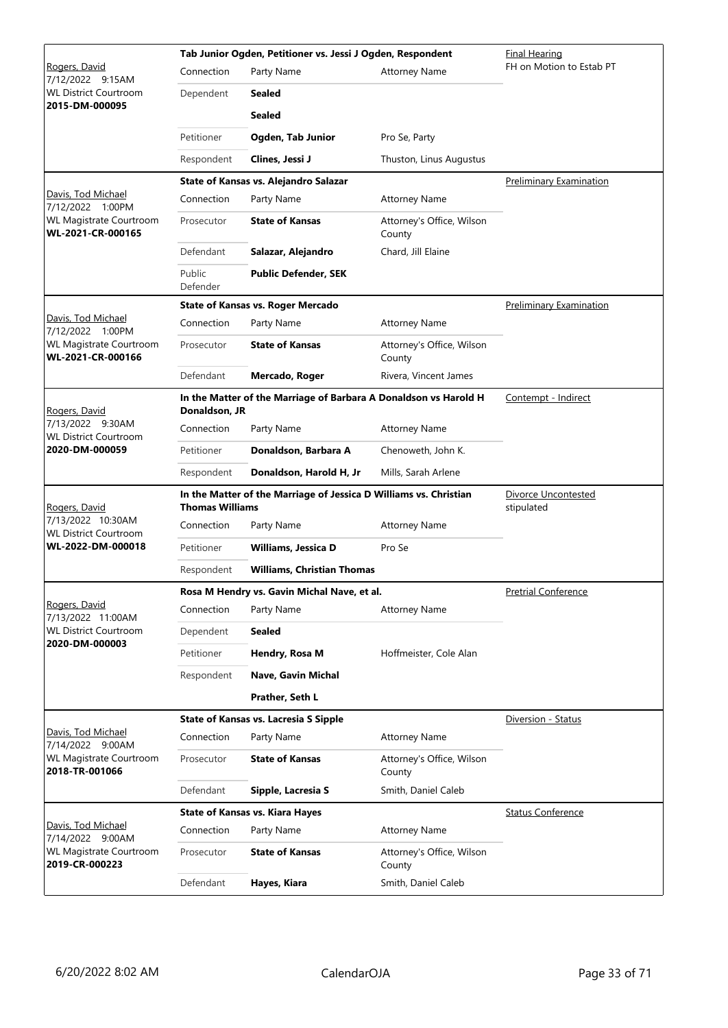|                                                                    |                        | Tab Junior Ogden, Petitioner vs. Jessi J Ogden, Respondent        | Final Hearing                       |                                |
|--------------------------------------------------------------------|------------------------|-------------------------------------------------------------------|-------------------------------------|--------------------------------|
| Rogers, David<br>7/12/2022 9:15AM                                  | Connection             | Party Name                                                        | <b>Attorney Name</b>                | FH on Motion to Estab PT       |
| <b>WL District Courtroom</b>                                       | Dependent              | <b>Sealed</b>                                                     |                                     |                                |
| 2015-DM-000095                                                     |                        | <b>Sealed</b>                                                     |                                     |                                |
|                                                                    | Petitioner             | Ogden, Tab Junior                                                 | Pro Se, Party                       |                                |
|                                                                    | Respondent             | Clines, Jessi J                                                   | Thuston, Linus Augustus             |                                |
|                                                                    |                        | State of Kansas vs. Alejandro Salazar                             |                                     | Preliminary Examination        |
| Davis, Tod Michael<br>7/12/2022 1:00PM                             | Connection             | Party Name                                                        | <b>Attorney Name</b>                |                                |
| WL Magistrate Courtroom<br>WL-2021-CR-000165                       | Prosecutor             | <b>State of Kansas</b>                                            | Attorney's Office, Wilson<br>County |                                |
|                                                                    | Defendant              | Salazar, Alejandro                                                | Chard, Jill Elaine                  |                                |
|                                                                    | Public<br>Defender     | <b>Public Defender, SEK</b>                                       |                                     |                                |
|                                                                    |                        | <b>State of Kansas vs. Roger Mercado</b>                          |                                     | <b>Preliminary Examination</b> |
| Davis, Tod Michael<br>7/12/2022 1:00PM                             | Connection             | Party Name                                                        | <b>Attorney Name</b>                |                                |
| <b>WL Magistrate Courtroom</b><br>WL-2021-CR-000166                | Prosecutor             | <b>State of Kansas</b>                                            | Attorney's Office, Wilson<br>County |                                |
|                                                                    | Defendant              | Mercado, Roger                                                    | Rivera, Vincent James               |                                |
| Rogers, David                                                      | Donaldson, JR          | In the Matter of the Marriage of Barbara A Donaldson vs Harold H  | Contempt - Indirect                 |                                |
| 7/13/2022 9:30AM<br><b>WL District Courtroom</b><br>2020-DM-000059 | Connection             | Party Name                                                        | <b>Attorney Name</b>                |                                |
|                                                                    | Petitioner             | Donaldson, Barbara A                                              | Chenoweth, John K.                  |                                |
|                                                                    | Respondent             | Donaldson, Harold H, Jr                                           | Mills, Sarah Arlene                 |                                |
| Rogers, David                                                      | <b>Thomas Williams</b> | In the Matter of the Marriage of Jessica D Williams vs. Christian | Divorce Uncontested<br>stipulated   |                                |
| 7/13/2022 10:30AM<br><b>WL District Courtroom</b>                  | Connection             | Party Name                                                        | <b>Attorney Name</b>                |                                |
| WL-2022-DM-000018                                                  | Petitioner             | Williams, Jessica D                                               | Pro Se                              |                                |
|                                                                    | Respondent             | <b>Williams, Christian Thomas</b>                                 |                                     |                                |
|                                                                    |                        | Rosa M Hendry vs. Gavin Michal Nave, et al.                       |                                     | <b>Pretrial Conference</b>     |
| Rogers, David<br>7/13/2022 11:00AM                                 | Connection             | Party Name                                                        | <b>Attorney Name</b>                |                                |
| <b>WL District Courtroom</b>                                       | Dependent              | <b>Sealed</b>                                                     |                                     |                                |
| 2020-DM-000003                                                     | Petitioner             | Hendry, Rosa M                                                    | Hoffmeister, Cole Alan              |                                |
|                                                                    | Respondent             | Nave, Gavin Michal                                                |                                     |                                |
|                                                                    |                        | Prather, Seth L                                                   |                                     |                                |
|                                                                    |                        | <b>State of Kansas vs. Lacresia S Sipple</b>                      |                                     | Diversion - Status             |
| Davis, Tod Michael<br>7/14/2022 9:00AM                             | Connection             | Party Name                                                        | <b>Attorney Name</b>                |                                |
| WL Magistrate Courtroom<br>2018-TR-001066                          | Prosecutor             | <b>State of Kansas</b>                                            | Attorney's Office, Wilson<br>County |                                |
|                                                                    | Defendant              | Sipple, Lacresia S                                                | Smith, Daniel Caleb                 |                                |
|                                                                    |                        | <b>State of Kansas vs. Kiara Hayes</b>                            |                                     | <b>Status Conference</b>       |
| Davis, Tod Michael<br>7/14/2022 9:00AM                             | Connection             | Party Name                                                        | <b>Attorney Name</b>                |                                |
| WL Magistrate Courtroom<br>2019-CR-000223                          | Prosecutor             | <b>State of Kansas</b>                                            | Attorney's Office, Wilson<br>County |                                |
|                                                                    | Defendant              | Hayes, Kiara                                                      | Smith, Daniel Caleb                 |                                |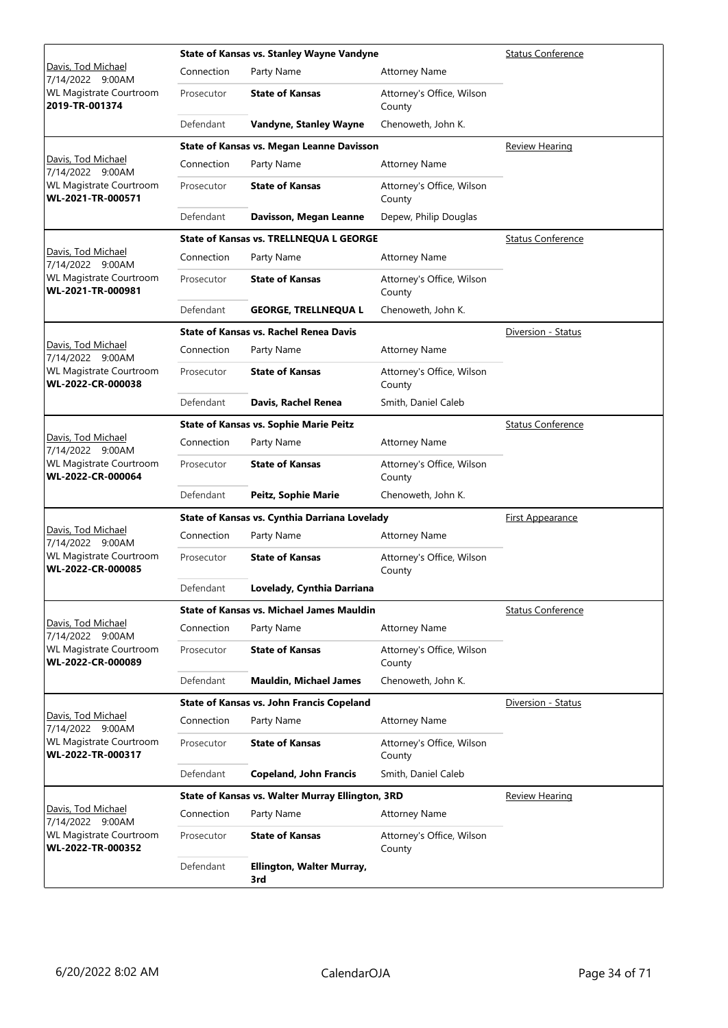|                                                     |            | <b>State of Kansas vs. Stanley Wayne Vandyne</b> | <b>Status Conference</b>            |                          |
|-----------------------------------------------------|------------|--------------------------------------------------|-------------------------------------|--------------------------|
| Davis, Tod Michael<br>7/14/2022 9:00AM              | Connection | Party Name                                       | <b>Attorney Name</b>                |                          |
| <b>WL Magistrate Courtroom</b><br>2019-TR-001374    | Prosecutor | <b>State of Kansas</b>                           | Attorney's Office, Wilson<br>County |                          |
|                                                     | Defendant  | Vandyne, Stanley Wayne                           | Chenoweth, John K.                  |                          |
|                                                     |            | <b>State of Kansas vs. Megan Leanne Davisson</b> |                                     | <b>Review Hearing</b>    |
| Davis, Tod Michael<br>7/14/2022 9:00AM              | Connection | Party Name                                       | <b>Attorney Name</b>                |                          |
| <b>WL Magistrate Courtroom</b><br>WL-2021-TR-000571 | Prosecutor | <b>State of Kansas</b>                           | Attorney's Office, Wilson<br>County |                          |
|                                                     | Defendant  | Davisson, Megan Leanne                           | Depew, Philip Douglas               |                          |
|                                                     |            | <b>State of Kansas vs. TRELLNEQUA L GEORGE</b>   |                                     | <b>Status Conference</b> |
| Davis, Tod Michael<br>7/14/2022 9:00AM              | Connection | Party Name                                       | <b>Attorney Name</b>                |                          |
| <b>WL Magistrate Courtroom</b><br>WL-2021-TR-000981 | Prosecutor | <b>State of Kansas</b>                           | Attorney's Office, Wilson<br>County |                          |
|                                                     | Defendant  | <b>GEORGE, TRELLNEQUAL</b>                       | Chenoweth, John K.                  |                          |
|                                                     |            | <b>State of Kansas vs. Rachel Renea Davis</b>    |                                     | Diversion - Status       |
| Davis, Tod Michael<br>7/14/2022 9:00AM              | Connection | Party Name                                       | <b>Attorney Name</b>                |                          |
| <b>WL Magistrate Courtroom</b><br>WL-2022-CR-000038 | Prosecutor | <b>State of Kansas</b>                           | Attorney's Office, Wilson<br>County |                          |
|                                                     | Defendant  | Davis, Rachel Renea                              | Smith, Daniel Caleb                 |                          |
|                                                     |            | <b>State of Kansas vs. Sophie Marie Peitz</b>    |                                     | <b>Status Conference</b> |
| Davis, Tod Michael<br>7/14/2022 9:00AM              | Connection | Party Name                                       | <b>Attorney Name</b>                |                          |
| <b>WL Magistrate Courtroom</b><br>WL-2022-CR-000064 | Prosecutor | <b>State of Kansas</b>                           | Attorney's Office, Wilson<br>County |                          |
|                                                     | Defendant  | Peitz, Sophie Marie                              | Chenoweth, John K.                  |                          |
|                                                     |            | State of Kansas vs. Cynthia Darriana Lovelady    | First Appearance                    |                          |
| Davis, Tod Michael<br>7/14/2022 9:00AM              | Connection | Party Name                                       | <b>Attorney Name</b>                |                          |
| <b>WL Magistrate Courtroom</b><br>WL-2022-CR-000085 | Prosecutor | <b>State of Kansas</b>                           | Attorney's Office, Wilson<br>County |                          |
|                                                     | Defendant  | Lovelady, Cynthia Darriana                       |                                     |                          |
|                                                     |            | <b>State of Kansas vs. Michael James Mauldin</b> |                                     | <b>Status Conference</b> |
| Davis, Tod Michael<br>7/14/2022 9:00AM              | Connection | Party Name                                       | <b>Attorney Name</b>                |                          |
| <b>WL Magistrate Courtroom</b><br>WL-2022-CR-000089 | Prosecutor | <b>State of Kansas</b>                           | Attorney's Office, Wilson<br>County |                          |
|                                                     | Defendant  | <b>Mauldin, Michael James</b>                    | Chenoweth, John K.                  |                          |
|                                                     |            | <b>State of Kansas vs. John Francis Copeland</b> |                                     | Diversion - Status       |
| Davis, Tod Michael<br>7/14/2022 9:00AM              | Connection | Party Name                                       | <b>Attorney Name</b>                |                          |
| <b>WL Magistrate Courtroom</b><br>WL-2022-TR-000317 | Prosecutor | <b>State of Kansas</b>                           | Attorney's Office, Wilson<br>County |                          |
|                                                     | Defendant  | <b>Copeland, John Francis</b>                    | Smith, Daniel Caleb                 |                          |
|                                                     |            | State of Kansas vs. Walter Murray Ellington, 3RD |                                     | <u>Review Hearing</u>    |
| <u> Davis, Tod Michael</u><br>7/14/2022 9:00AM      | Connection | Party Name                                       | <b>Attorney Name</b>                |                          |
| <b>WL Magistrate Courtroom</b><br>WL-2022-TR-000352 | Prosecutor | <b>State of Kansas</b>                           | Attorney's Office, Wilson<br>County |                          |
|                                                     | Defendant  | Ellington, Walter Murray,<br>3rd                 |                                     |                          |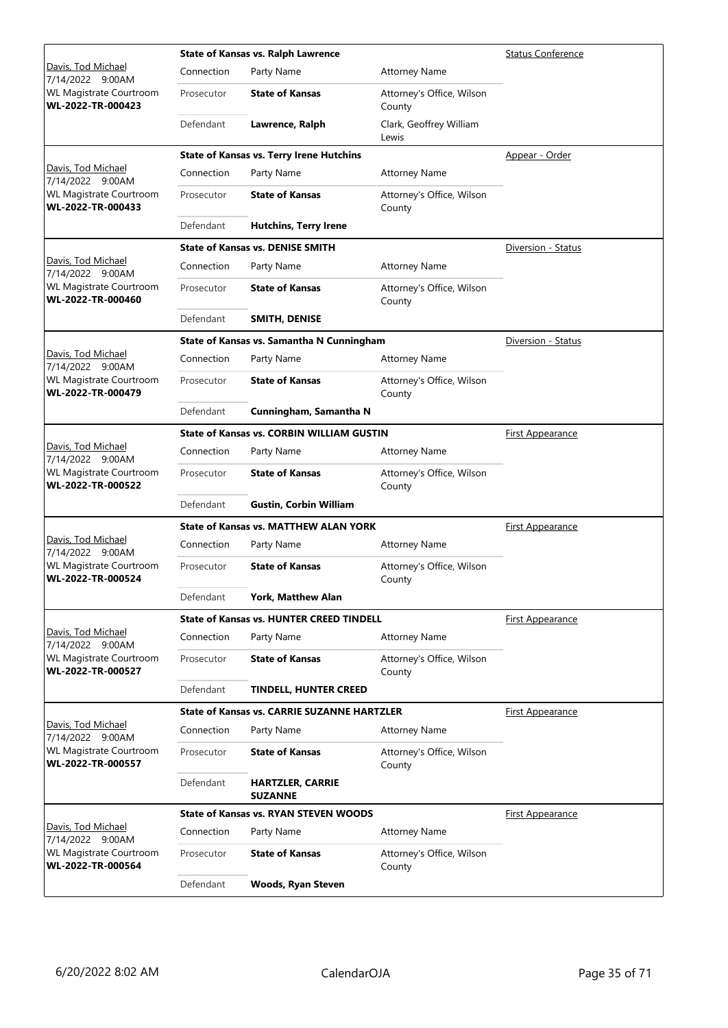|                                                     | State of Kansas vs. Ralph Lawrence | <b>Status Conference</b>                           |                                     |                         |
|-----------------------------------------------------|------------------------------------|----------------------------------------------------|-------------------------------------|-------------------------|
| Davis, Tod Michael<br>7/14/2022 9:00AM              | Connection                         | Party Name                                         | <b>Attorney Name</b>                |                         |
| WL Magistrate Courtroom<br>WL-2022-TR-000423        | Prosecutor                         | <b>State of Kansas</b>                             | Attorney's Office, Wilson<br>County |                         |
|                                                     | Defendant                          | Lawrence, Ralph                                    | Clark, Geoffrey William<br>Lewis    |                         |
|                                                     |                                    | <b>State of Kansas vs. Terry Irene Hutchins</b>    |                                     | Appear - Order          |
| Davis, Tod Michael<br>7/14/2022 9:00AM              | Connection                         | Party Name                                         | <b>Attorney Name</b>                |                         |
| WL Magistrate Courtroom<br>WL-2022-TR-000433        | Prosecutor                         | <b>State of Kansas</b>                             | Attorney's Office, Wilson<br>County |                         |
|                                                     | Defendant                          | <b>Hutchins, Terry Irene</b>                       |                                     |                         |
|                                                     |                                    | <b>State of Kansas vs. DENISE SMITH</b>            |                                     | Diversion - Status      |
| Davis, Tod Michael<br>7/14/2022 9:00AM              | Connection                         | Party Name                                         | <b>Attorney Name</b>                |                         |
| WL Magistrate Courtroom<br>WL-2022-TR-000460        | Prosecutor                         | <b>State of Kansas</b>                             | Attorney's Office, Wilson<br>County |                         |
|                                                     | Defendant                          | SMITH, DENISE                                      |                                     |                         |
|                                                     |                                    | State of Kansas vs. Samantha N Cunningham          |                                     | Diversion - Status      |
| Davis, Tod Michael<br>7/14/2022 9:00AM              | Connection                         | Party Name                                         | <b>Attorney Name</b>                |                         |
| WL Magistrate Courtroom<br>WL-2022-TR-000479        | Prosecutor                         | <b>State of Kansas</b>                             | Attorney's Office, Wilson<br>County |                         |
|                                                     | Defendant                          | Cunningham, Samantha N                             |                                     |                         |
|                                                     |                                    | <b>State of Kansas vs. CORBIN WILLIAM GUSTIN</b>   |                                     | <b>First Appearance</b> |
| Davis, Tod Michael<br>7/14/2022 9:00AM              | Connection                         | Party Name                                         | <b>Attorney Name</b>                |                         |
| <b>WL Magistrate Courtroom</b><br>WL-2022-TR-000522 | Prosecutor                         | <b>State of Kansas</b>                             | Attorney's Office, Wilson<br>County |                         |
|                                                     | Defendant                          | <b>Gustin, Corbin William</b>                      |                                     |                         |
|                                                     |                                    | <b>State of Kansas vs. MATTHEW ALAN YORK</b>       |                                     | <b>First Appearance</b> |
| Davis, Tod Michael<br>7/14/2022 9:00AM              | Connection                         | Party Name                                         | <b>Attorney Name</b>                |                         |
| <b>WL Magistrate Courtroom</b><br>WL-2022-TR-000524 | Prosecutor                         | <b>State of Kansas</b>                             | Attorney's Office, Wilson<br>County |                         |
|                                                     | Defendant                          | York, Matthew Alan                                 |                                     |                         |
|                                                     |                                    | <b>State of Kansas vs. HUNTER CREED TINDELL</b>    |                                     | First Appearance        |
| <u>Davis, Tod Michael</u><br>7/14/2022 9:00AM       | Connection                         | Party Name                                         | <b>Attorney Name</b>                |                         |
| <b>WL Magistrate Courtroom</b><br>WL-2022-TR-000527 | Prosecutor                         | <b>State of Kansas</b>                             | Attorney's Office, Wilson<br>County |                         |
|                                                     | Defendant                          | <b>TINDELL, HUNTER CREED</b>                       |                                     |                         |
|                                                     |                                    | <b>State of Kansas vs. CARRIE SUZANNE HARTZLER</b> |                                     | <b>First Appearance</b> |
| Davis, Tod Michael<br>7/14/2022 9:00AM              | Connection                         | Party Name                                         | <b>Attorney Name</b>                |                         |
| WL Magistrate Courtroom<br>WL-2022-TR-000557        | Prosecutor                         | <b>State of Kansas</b>                             | Attorney's Office, Wilson<br>County |                         |
|                                                     | Defendant                          | <b>HARTZLER, CARRIE</b><br><b>SUZANNE</b>          |                                     |                         |
|                                                     |                                    | <b>State of Kansas vs. RYAN STEVEN WOODS</b>       |                                     | First Appearance        |
| Davis, Tod Michael<br>7/14/2022 9:00AM              | Connection                         | Party Name                                         | <b>Attorney Name</b>                |                         |
| <b>WL Magistrate Courtroom</b><br>WL-2022-TR-000564 | Prosecutor                         | <b>State of Kansas</b>                             | Attorney's Office, Wilson<br>County |                         |
|                                                     | Defendant                          | <b>Woods, Ryan Steven</b>                          |                                     |                         |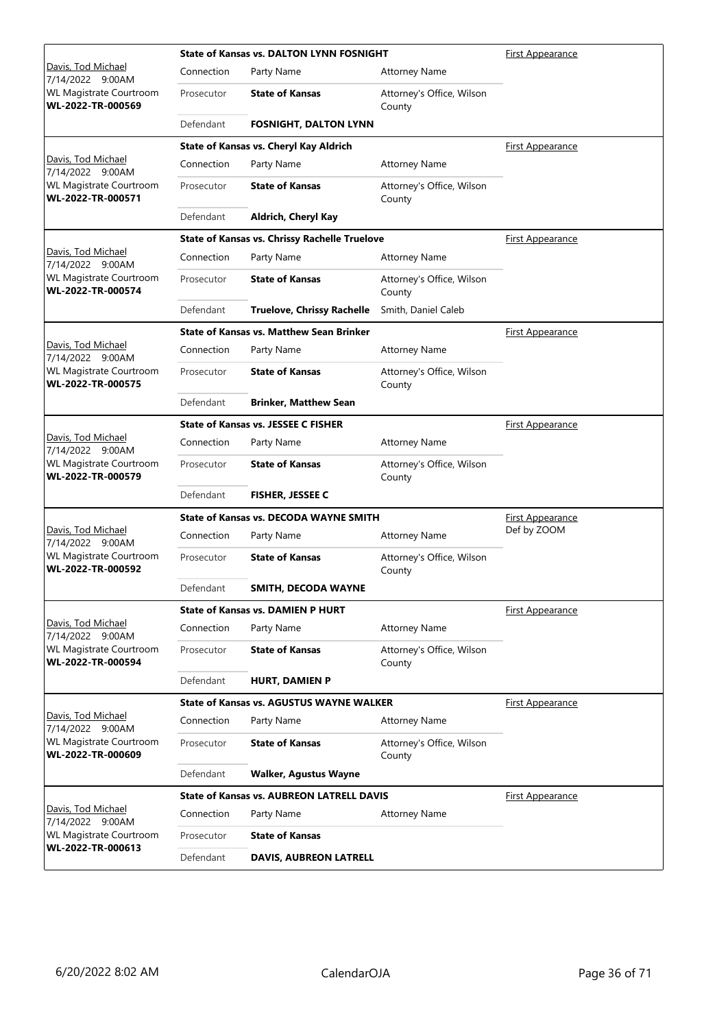|                                                     |                                               | <b>State of Kansas vs. DALTON LYNN FOSNIGHT</b>      |                                     | <b>First Appearance</b> |
|-----------------------------------------------------|-----------------------------------------------|------------------------------------------------------|-------------------------------------|-------------------------|
| Davis, Tod Michael<br>7/14/2022 9:00AM              | Connection                                    | Party Name                                           | <b>Attorney Name</b>                |                         |
| WL Magistrate Courtroom<br>WL-2022-TR-000569        | Prosecutor                                    | <b>State of Kansas</b>                               | Attorney's Office, Wilson<br>County |                         |
|                                                     | Defendant                                     | <b>FOSNIGHT, DALTON LYNN</b>                         |                                     |                         |
|                                                     |                                               | State of Kansas vs. Cheryl Kay Aldrich               |                                     | <b>First Appearance</b> |
| Davis, Tod Michael<br>7/14/2022 9:00AM              | Connection                                    | Party Name                                           | <b>Attorney Name</b>                |                         |
| <b>WL Magistrate Courtroom</b><br>WL-2022-TR-000571 | Prosecutor                                    | <b>State of Kansas</b>                               | Attorney's Office, Wilson<br>County |                         |
|                                                     | Defendant                                     | Aldrich, Cheryl Kay                                  |                                     |                         |
|                                                     |                                               | <b>State of Kansas vs. Chrissy Rachelle Truelove</b> |                                     | <u>First Appearance</u> |
| Davis, Tod Michael<br>7/14/2022 9:00AM              | Connection                                    | Party Name                                           | Attorney Name                       |                         |
| WL Magistrate Courtroom<br>WL-2022-TR-000574        | Prosecutor                                    | <b>State of Kansas</b>                               | Attorney's Office, Wilson<br>County |                         |
|                                                     | Defendant                                     | <b>Truelove, Chrissy Rachelle</b>                    | Smith, Daniel Caleb                 |                         |
|                                                     |                                               | <b>State of Kansas vs. Matthew Sean Brinker</b>      |                                     | First Appearance        |
| Davis, Tod Michael<br>7/14/2022 9:00AM              | Connection                                    | Party Name                                           | <b>Attorney Name</b>                |                         |
| <b>WL Magistrate Courtroom</b><br>WL-2022-TR-000575 | Prosecutor                                    | <b>State of Kansas</b>                               | Attorney's Office, Wilson<br>County |                         |
|                                                     | Defendant                                     | <b>Brinker, Matthew Sean</b>                         |                                     |                         |
|                                                     |                                               | <b>State of Kansas vs. JESSEE C FISHER</b>           |                                     | <b>First Appearance</b> |
| Davis, Tod Michael<br>7/14/2022 9:00AM              | Connection                                    | Party Name                                           | <b>Attorney Name</b>                |                         |
| <b>WL Magistrate Courtroom</b><br>WL-2022-TR-000579 | Prosecutor                                    | <b>State of Kansas</b>                               | Attorney's Office, Wilson<br>County |                         |
|                                                     | Defendant                                     | <b>FISHER, JESSEE C</b>                              |                                     |                         |
|                                                     | <b>State of Kansas vs. DECODA WAYNE SMITH</b> |                                                      |                                     | <b>First Appearance</b> |
| Davis, Tod Michael<br>7/14/2022 9:00AM              | Connection                                    | Party Name                                           | <b>Attorney Name</b>                | Def by ZOOM             |
| WL Magistrate Courtroom<br>WL-2022-TR-000592        | Prosecutor                                    | <b>State of Kansas</b>                               | Attorney's Office, Wilson<br>County |                         |
|                                                     | Defendant                                     | SMITH, DECODA WAYNE                                  |                                     |                         |
|                                                     |                                               | <b>State of Kansas vs. DAMIEN P HURT</b>             |                                     | First Appearance        |
| Davis, Tod Michael<br>7/14/2022 9:00AM              | Connection                                    | Party Name                                           | <b>Attorney Name</b>                |                         |
| WL Magistrate Courtroom<br>WL-2022-TR-000594        | Prosecutor                                    | <b>State of Kansas</b>                               | Attorney's Office, Wilson<br>County |                         |
|                                                     | Defendant                                     | <b>HURT, DAMIEN P</b>                                |                                     |                         |
|                                                     |                                               | <b>State of Kansas vs. AGUSTUS WAYNE WALKER</b>      |                                     | <b>First Appearance</b> |
| Davis, Tod Michael<br>7/14/2022 9:00AM              | Connection                                    | Party Name                                           | <b>Attorney Name</b>                |                         |
| WL Magistrate Courtroom<br>WL-2022-TR-000609        | Prosecutor                                    | <b>State of Kansas</b>                               | Attorney's Office, Wilson<br>County |                         |
|                                                     | Defendant                                     | <b>Walker, Agustus Wayne</b>                         |                                     |                         |
|                                                     |                                               | <b>State of Kansas vs. AUBREON LATRELL DAVIS</b>     |                                     | <u>First Appearance</u> |
| Davis, Tod Michael<br>7/14/2022 9:00AM              | Connection                                    | Party Name                                           | <b>Attorney Name</b>                |                         |
| WL Magistrate Courtroom                             | Prosecutor                                    | <b>State of Kansas</b>                               |                                     |                         |
| WL-2022-TR-000613                                   | Defendant                                     | <b>DAVIS, AUBREON LATRELL</b>                        |                                     |                         |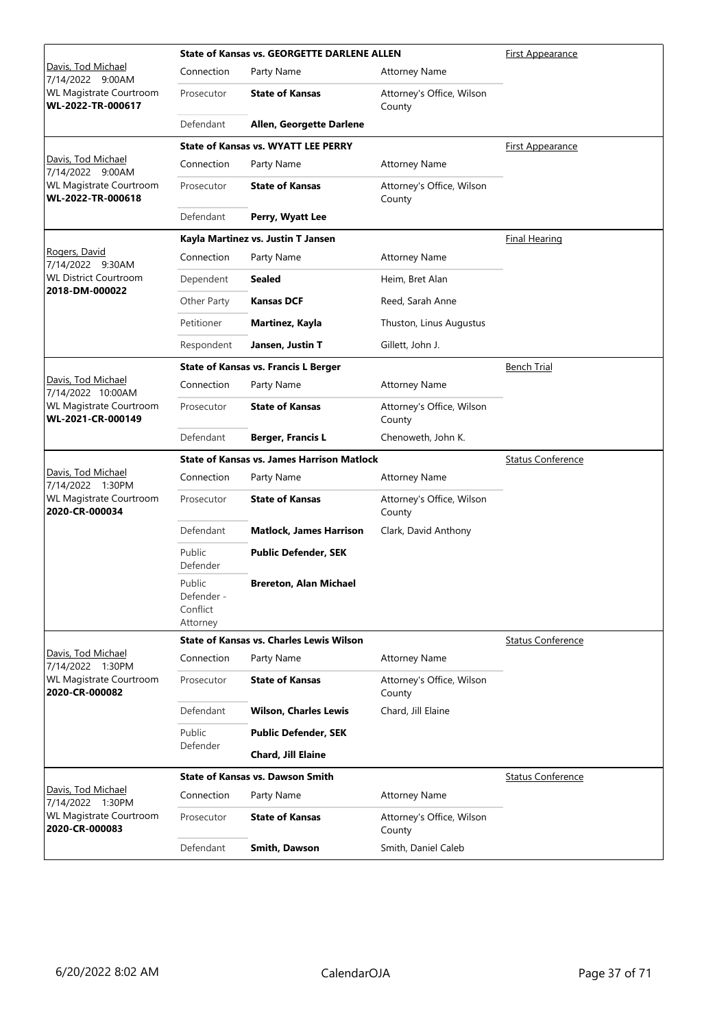|                                                                   |                                              | <b>State of Kansas vs. GEORGETTE DARLENE ALLEN</b><br><b>First Appearance</b> |                                     |                          |
|-------------------------------------------------------------------|----------------------------------------------|-------------------------------------------------------------------------------|-------------------------------------|--------------------------|
| Davis, Tod Michael<br>7/14/2022 9:00AM                            | Connection                                   | Party Name                                                                    | <b>Attorney Name</b>                |                          |
| WL Magistrate Courtroom<br>WL-2022-TR-000617                      | Prosecutor                                   | <b>State of Kansas</b>                                                        | Attorney's Office, Wilson<br>County |                          |
|                                                                   | Defendant                                    | Allen, Georgette Darlene                                                      |                                     |                          |
|                                                                   |                                              | <b>State of Kansas vs. WYATT LEE PERRY</b>                                    |                                     | <b>First Appearance</b>  |
| Davis, Tod Michael<br>7/14/2022 9:00AM                            | Connection                                   | Party Name                                                                    | <b>Attorney Name</b>                |                          |
| WL Magistrate Courtroom<br>WL-2022-TR-000618                      | Prosecutor                                   | <b>State of Kansas</b>                                                        | Attorney's Office, Wilson<br>County |                          |
|                                                                   | Defendant                                    | Perry, Wyatt Lee                                                              |                                     |                          |
|                                                                   |                                              | Kayla Martinez vs. Justin T Jansen                                            |                                     | <b>Final Hearing</b>     |
| Rogers, David<br>7/14/2022 9:30AM                                 | Connection                                   | Party Name                                                                    | <b>Attorney Name</b>                |                          |
| <b>WL District Courtroom</b>                                      | Dependent                                    | <b>Sealed</b>                                                                 | Heim, Bret Alan                     |                          |
| 2018-DM-000022                                                    | Other Party                                  | <b>Kansas DCF</b>                                                             | Reed, Sarah Anne                    |                          |
|                                                                   | Petitioner                                   | Martinez, Kayla                                                               | Thuston, Linus Augustus             |                          |
|                                                                   | Respondent                                   | Jansen, Justin T                                                              | Gillett, John J.                    |                          |
|                                                                   |                                              | <b>State of Kansas vs. Francis L Berger</b>                                   |                                     | <b>Bench Trial</b>       |
| Davis, Tod Michael                                                | Connection                                   | Party Name                                                                    | <b>Attorney Name</b>                |                          |
| 7/14/2022 10:00AM<br>WL Magistrate Courtroom<br>WL-2021-CR-000149 | Prosecutor                                   | <b>State of Kansas</b>                                                        | Attorney's Office, Wilson<br>County |                          |
|                                                                   | Defendant                                    | <b>Berger, Francis L</b>                                                      | Chenoweth, John K.                  |                          |
|                                                                   |                                              | <b>State of Kansas vs. James Harrison Matlock</b>                             |                                     | <b>Status Conference</b> |
|                                                                   |                                              |                                                                               |                                     |                          |
| Davis, Tod Michael<br>7/14/2022 1:30PM                            | Connection                                   | Party Name                                                                    | <b>Attorney Name</b>                |                          |
| WL Magistrate Courtroom<br>2020-CR-000034                         | Prosecutor                                   | <b>State of Kansas</b>                                                        | Attorney's Office, Wilson<br>County |                          |
|                                                                   | Defendant                                    | <b>Matlock, James Harrison</b>                                                | Clark, David Anthony                |                          |
|                                                                   | Public<br>Defender                           | <b>Public Defender, SEK</b>                                                   |                                     |                          |
|                                                                   | Public<br>Defender -<br>Conflict<br>Attorney | <b>Brereton, Alan Michael</b>                                                 |                                     |                          |
|                                                                   |                                              | State of Kansas vs. Charles Lewis Wilson                                      |                                     | <b>Status Conference</b> |
| Davis, Tod Michael<br>7/14/2022 1:30PM                            | Connection                                   | Party Name                                                                    | <b>Attorney Name</b>                |                          |
| WL Magistrate Courtroom<br>2020-CR-000082                         | Prosecutor                                   | <b>State of Kansas</b>                                                        | Attorney's Office, Wilson<br>County |                          |
|                                                                   | Defendant                                    | <b>Wilson, Charles Lewis</b>                                                  | Chard, Jill Elaine                  |                          |
|                                                                   | Public                                       | <b>Public Defender, SEK</b>                                                   |                                     |                          |
|                                                                   | Defender                                     | Chard, Jill Elaine                                                            |                                     |                          |
|                                                                   |                                              | <b>State of Kansas vs. Dawson Smith</b>                                       |                                     | <b>Status Conference</b> |
| Davis, Tod Michael                                                | Connection                                   | Party Name                                                                    | <b>Attorney Name</b>                |                          |
| 7/14/2022 1:30PM<br>WL Magistrate Courtroom<br>2020-CR-000083     | Prosecutor                                   | <b>State of Kansas</b>                                                        | Attorney's Office, Wilson<br>County |                          |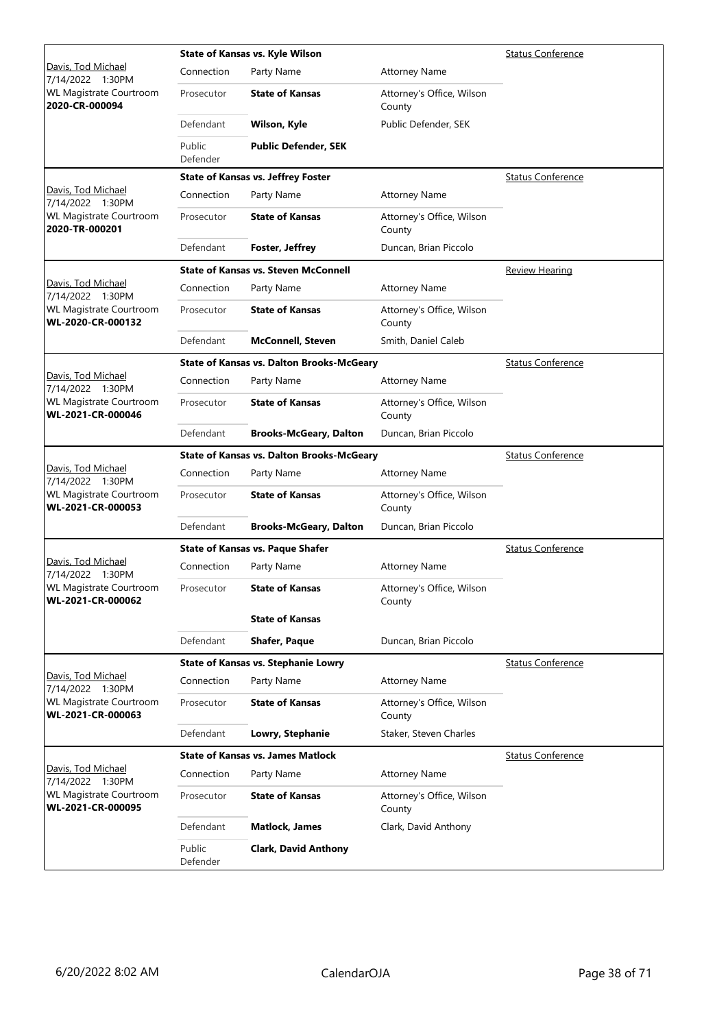|                                                     |                    | State of Kansas vs. Kyle Wilson                  | <b>Status Conference</b>            |                          |
|-----------------------------------------------------|--------------------|--------------------------------------------------|-------------------------------------|--------------------------|
| Davis, Tod Michael<br>7/14/2022 1:30PM              | Connection         | Party Name                                       | <b>Attorney Name</b>                |                          |
| WL Magistrate Courtroom<br>2020-CR-000094           | Prosecutor         | <b>State of Kansas</b>                           | Attorney's Office, Wilson<br>County |                          |
|                                                     | Defendant          | Wilson, Kyle                                     | Public Defender, SEK                |                          |
|                                                     | Public<br>Defender | <b>Public Defender, SEK</b>                      |                                     |                          |
|                                                     |                    | <b>State of Kansas vs. Jeffrey Foster</b>        |                                     | <b>Status Conference</b> |
| Davis, Tod Michael<br>7/14/2022 1:30PM              | Connection         | Party Name                                       | Attorney Name                       |                          |
| WL Magistrate Courtroom<br>2020-TR-000201           | Prosecutor         | <b>State of Kansas</b>                           | Attorney's Office, Wilson<br>County |                          |
|                                                     | Defendant          | <b>Foster, Jeffrey</b>                           | Duncan, Brian Piccolo               |                          |
|                                                     |                    | <b>State of Kansas vs. Steven McConnell</b>      |                                     | Review Hearing           |
| Davis, Tod Michael<br>7/14/2022 1:30PM              | Connection         | Party Name                                       | <b>Attorney Name</b>                |                          |
| WL Magistrate Courtroom<br>WL-2020-CR-000132        | Prosecutor         | <b>State of Kansas</b>                           | Attorney's Office, Wilson<br>County |                          |
|                                                     | Defendant          | <b>McConnell, Steven</b>                         | Smith, Daniel Caleb                 |                          |
|                                                     |                    | <b>State of Kansas vs. Dalton Brooks-McGeary</b> |                                     | <b>Status Conference</b> |
| Davis, Tod Michael<br>7/14/2022 1:30PM              | Connection         | Party Name                                       | <b>Attorney Name</b>                |                          |
| <b>WL Magistrate Courtroom</b><br>WL-2021-CR-000046 | Prosecutor         | <b>State of Kansas</b>                           | Attorney's Office, Wilson<br>County |                          |
|                                                     | Defendant          | <b>Brooks-McGeary, Dalton</b>                    | Duncan, Brian Piccolo               |                          |
|                                                     |                    | <b>State of Kansas vs. Dalton Brooks-McGeary</b> |                                     | <b>Status Conference</b> |
| Davis, Tod Michael<br>7/14/2022 1:30PM              | Connection         | Party Name                                       | <b>Attorney Name</b>                |                          |
| WL Magistrate Courtroom<br>WL-2021-CR-000053        | Prosecutor         | <b>State of Kansas</b>                           | Attorney's Office, Wilson<br>County |                          |
|                                                     | Defendant          | <b>Brooks-McGeary, Dalton</b>                    | Duncan, Brian Piccolo               |                          |
|                                                     |                    | <b>State of Kansas vs. Paque Shafer</b>          |                                     | <b>Status Conference</b> |
| Davis, Tod Michael<br>7/14/2022 1:30PM              | Connection         | Party Name                                       | <b>Attorney Name</b>                |                          |
| WL Magistrate Courtroom<br>WL-2021-CR-000062        | Prosecutor         | <b>State of Kansas</b>                           | Attorney's Office, Wilson<br>County |                          |
|                                                     |                    | <b>State of Kansas</b>                           |                                     |                          |
|                                                     | Defendant          | <b>Shafer, Paque</b>                             | Duncan, Brian Piccolo               |                          |
|                                                     |                    | <b>State of Kansas vs. Stephanie Lowry</b>       |                                     | <b>Status Conference</b> |
| Davis, Tod Michael<br>7/14/2022 1:30PM              | Connection         | Party Name                                       | <b>Attorney Name</b>                |                          |
| WL Magistrate Courtroom<br>WL-2021-CR-000063        | Prosecutor         | <b>State of Kansas</b>                           | Attorney's Office, Wilson<br>County |                          |
|                                                     | Defendant          | Lowry, Stephanie                                 | Staker, Steven Charles              |                          |
|                                                     |                    | <b>State of Kansas vs. James Matlock</b>         |                                     | <b>Status Conference</b> |
| Davis, Tod Michael<br>7/14/2022 1:30PM              | Connection         | Party Name                                       | <b>Attorney Name</b>                |                          |
| WL Magistrate Courtroom<br>WL-2021-CR-000095        | Prosecutor         | <b>State of Kansas</b>                           | Attorney's Office, Wilson<br>County |                          |
|                                                     | Defendant          | <b>Matlock, James</b>                            | Clark, David Anthony                |                          |
|                                                     | Public<br>Defender | <b>Clark, David Anthony</b>                      |                                     |                          |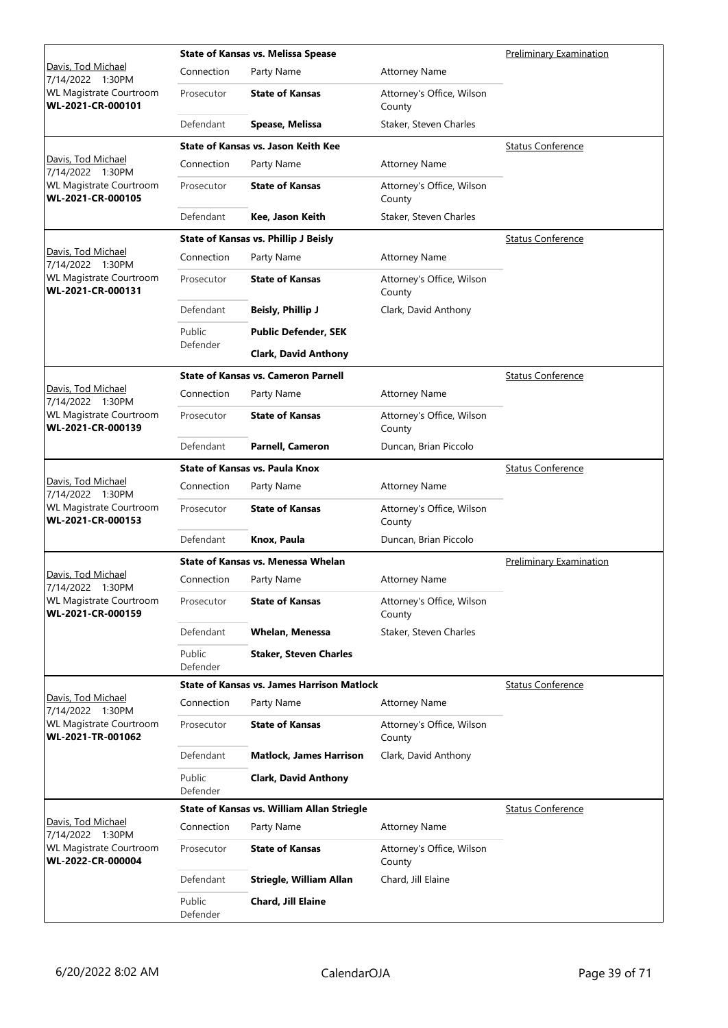|                                                                         |                    | <b>State of Kansas vs. Melissa Spease</b>         | <b>Preliminary Examination</b>      |                                |
|-------------------------------------------------------------------------|--------------------|---------------------------------------------------|-------------------------------------|--------------------------------|
| Davis, Tod Michael<br>7/14/2022 1:30PM                                  | Connection         | Party Name                                        | <b>Attorney Name</b>                |                                |
| <b>WL Magistrate Courtroom</b><br>WL-2021-CR-000101                     | Prosecutor         | <b>State of Kansas</b>                            | Attorney's Office, Wilson<br>County |                                |
|                                                                         | Defendant          | Spease, Melissa                                   | Staker, Steven Charles              |                                |
|                                                                         |                    | State of Kansas vs. Jason Keith Kee               |                                     | <b>Status Conference</b>       |
| Davis, Tod Michael<br>7/14/2022 1:30PM                                  | Connection         | Party Name                                        | <b>Attorney Name</b>                |                                |
| <b>WL Magistrate Courtroom</b><br>WL-2021-CR-000105                     | Prosecutor         | <b>State of Kansas</b>                            | Attorney's Office, Wilson<br>County |                                |
|                                                                         | Defendant          | Kee, Jason Keith                                  | Staker, Steven Charles              |                                |
|                                                                         |                    | <b>State of Kansas vs. Phillip J Beisly</b>       |                                     | <b>Status Conference</b>       |
| Davis, Tod Michael<br>7/14/2022 1:30PM                                  | Connection         | Party Name                                        | <b>Attorney Name</b>                |                                |
| <b>WL Magistrate Courtroom</b><br>WL-2021-CR-000131                     | Prosecutor         | <b>State of Kansas</b>                            | Attorney's Office, Wilson<br>County |                                |
|                                                                         | Defendant          | <b>Beisly, Phillip J</b>                          | Clark, David Anthony                |                                |
|                                                                         | Public             | <b>Public Defender, SEK</b>                       |                                     |                                |
|                                                                         | Defender           | <b>Clark, David Anthony</b>                       |                                     |                                |
|                                                                         |                    | <b>State of Kansas vs. Cameron Parnell</b>        |                                     | <b>Status Conference</b>       |
| Davis, Tod Michael                                                      | Connection         | Party Name                                        | <b>Attorney Name</b>                |                                |
| 7/14/2022 1:30PM<br><b>WL Magistrate Courtroom</b><br>WL-2021-CR-000139 | Prosecutor         | <b>State of Kansas</b>                            | Attorney's Office, Wilson<br>County |                                |
|                                                                         | Defendant          | Parnell, Cameron                                  | Duncan, Brian Piccolo               |                                |
|                                                                         |                    | <b>State of Kansas vs. Paula Knox</b>             |                                     | <b>Status Conference</b>       |
| Davis, Tod Michael<br>7/14/2022 1:30PM                                  | Connection         | Party Name                                        | <b>Attorney Name</b>                |                                |
| <b>WL Magistrate Courtroom</b><br>WL-2021-CR-000153                     | Prosecutor         | <b>State of Kansas</b>                            | Attorney's Office, Wilson<br>County |                                |
|                                                                         | Defendant          | Knox, Paula                                       | Duncan, Brian Piccolo               |                                |
|                                                                         |                    | State of Kansas vs. Menessa Whelan                |                                     | <b>Preliminary Examination</b> |
| Davis, Tod Michael<br>7/14/2022 1:30PM                                  | Connection         | Party Name                                        | <b>Attorney Name</b>                |                                |
| WL Magistrate Courtroom<br>WL-2021-CR-000159                            | Prosecutor         | <b>State of Kansas</b>                            | Attorney's Office, Wilson<br>County |                                |
|                                                                         | Defendant          | <b>Whelan, Menessa</b>                            | Staker, Steven Charles              |                                |
|                                                                         | Public<br>Defender | Staker, Steven Charles                            |                                     |                                |
|                                                                         |                    | <b>State of Kansas vs. James Harrison Matlock</b> |                                     | <b>Status Conference</b>       |
| Davis, Tod Michael<br>7/14/2022 1:30PM                                  | Connection         | Party Name                                        | <b>Attorney Name</b>                |                                |
| <b>WL Magistrate Courtroom</b><br>WL-2021-TR-001062                     | Prosecutor         | <b>State of Kansas</b>                            | Attorney's Office, Wilson<br>County |                                |
|                                                                         | Defendant          | <b>Matlock, James Harrison</b>                    | Clark, David Anthony                |                                |
|                                                                         | Public<br>Defender | <b>Clark, David Anthony</b>                       |                                     |                                |
|                                                                         |                    | State of Kansas vs. William Allan Striegle        |                                     | <b>Status Conference</b>       |
| Davis, Tod Michael<br>7/14/2022 1:30PM                                  | Connection         | Party Name                                        | <b>Attorney Name</b>                |                                |
| <b>WL Magistrate Courtroom</b><br>WL-2022-CR-000004                     | Prosecutor         | <b>State of Kansas</b>                            | Attorney's Office, Wilson<br>County |                                |
|                                                                         | Defendant          | Striegle, William Allan                           | Chard, Jill Elaine                  |                                |
|                                                                         | Public<br>Defender | Chard, Jill Elaine                                |                                     |                                |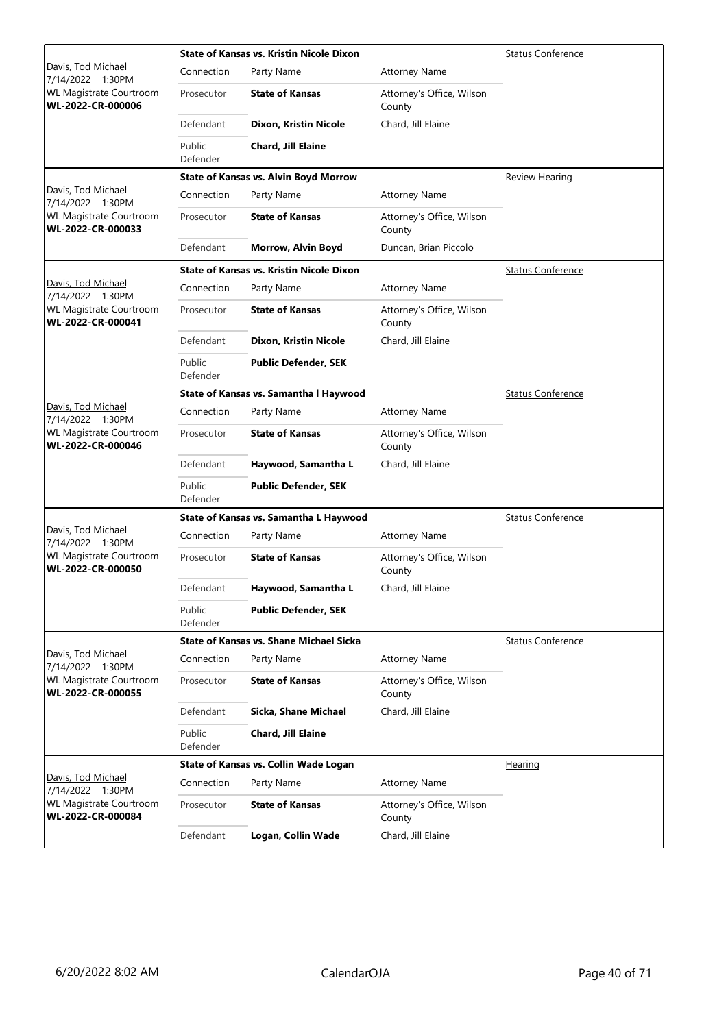|                                                     |                    | <b>State of Kansas vs. Kristin Nicole Dixon</b> |                                     | <b>Status Conference</b> |
|-----------------------------------------------------|--------------------|-------------------------------------------------|-------------------------------------|--------------------------|
| Davis, Tod Michael<br>7/14/2022 1:30PM              | Connection         | Party Name                                      | <b>Attorney Name</b>                |                          |
| WL Magistrate Courtroom<br>WL-2022-CR-000006        | Prosecutor         | <b>State of Kansas</b>                          | Attorney's Office, Wilson<br>County |                          |
|                                                     | Defendant          | Dixon, Kristin Nicole                           | Chard, Jill Elaine                  |                          |
|                                                     | Public<br>Defender | <b>Chard, Jill Elaine</b>                       |                                     |                          |
|                                                     |                    | <b>State of Kansas vs. Alvin Boyd Morrow</b>    |                                     | <b>Review Hearing</b>    |
| Davis, Tod Michael<br>7/14/2022 1:30PM              | Connection         | Party Name                                      | <b>Attorney Name</b>                |                          |
| <b>WL Magistrate Courtroom</b><br>WL-2022-CR-000033 | Prosecutor         | <b>State of Kansas</b>                          | Attorney's Office, Wilson<br>County |                          |
|                                                     | Defendant          | Morrow, Alvin Boyd                              | Duncan, Brian Piccolo               |                          |
|                                                     |                    | <b>State of Kansas vs. Kristin Nicole Dixon</b> |                                     | <b>Status Conference</b> |
| Davis, Tod Michael<br>7/14/2022 1:30PM              | Connection         | Party Name                                      | <b>Attorney Name</b>                |                          |
| <b>WL Magistrate Courtroom</b><br>WL-2022-CR-000041 | Prosecutor         | <b>State of Kansas</b>                          | Attorney's Office, Wilson<br>County |                          |
|                                                     | Defendant          | Dixon, Kristin Nicole                           | Chard, Jill Elaine                  |                          |
|                                                     | Public<br>Defender | <b>Public Defender, SEK</b>                     |                                     |                          |
|                                                     |                    | State of Kansas vs. Samantha I Haywood          |                                     | <b>Status Conference</b> |
| Davis, Tod Michael<br>7/14/2022 1:30PM              | Connection         | Party Name                                      | <b>Attorney Name</b>                |                          |
| <b>WL Magistrate Courtroom</b><br>WL-2022-CR-000046 | Prosecutor         | <b>State of Kansas</b>                          | Attorney's Office, Wilson<br>County |                          |
|                                                     | Defendant          | Haywood, Samantha L                             | Chard, Jill Elaine                  |                          |
|                                                     | Public<br>Defender | <b>Public Defender, SEK</b>                     |                                     |                          |
|                                                     |                    | State of Kansas vs. Samantha L Haywood          |                                     | <b>Status Conference</b> |
| Davis, Tod Michael<br>7/14/2022 1:30PM              | Connection         | Party Name                                      | <b>Attorney Name</b>                |                          |
| <b>WL Magistrate Courtroom</b><br>WL-2022-CR-000050 | Prosecutor         | <b>State of Kansas</b>                          | Attorney's Office, Wilson<br>County |                          |
|                                                     | Defendant          | Haywood, Samantha L                             | Chard, Jill Elaine                  |                          |
|                                                     | Public<br>Defender | <b>Public Defender, SEK</b>                     |                                     |                          |
|                                                     |                    | <b>State of Kansas vs. Shane Michael Sicka</b>  |                                     | <b>Status Conference</b> |
| Davis, Tod Michael<br>7/14/2022 1:30PM              | Connection         | Party Name                                      | <b>Attorney Name</b>                |                          |
| WL Magistrate Courtroom<br>WL-2022-CR-000055        | Prosecutor         | <b>State of Kansas</b>                          | Attorney's Office, Wilson<br>County |                          |
|                                                     | Defendant          | Sicka, Shane Michael                            | Chard, Jill Elaine                  |                          |
|                                                     | Public<br>Defender | <b>Chard, Jill Elaine</b>                       |                                     |                          |
|                                                     |                    | State of Kansas vs. Collin Wade Logan           |                                     | <b>Hearing</b>           |
| Davis, Tod Michael<br>7/14/2022 1:30PM              | Connection         | Party Name                                      | <b>Attorney Name</b>                |                          |
| WL Magistrate Courtroom<br>WL-2022-CR-000084        | Prosecutor         | <b>State of Kansas</b>                          | Attorney's Office, Wilson<br>County |                          |
|                                                     | Defendant          | Logan, Collin Wade                              | Chard, Jill Elaine                  |                          |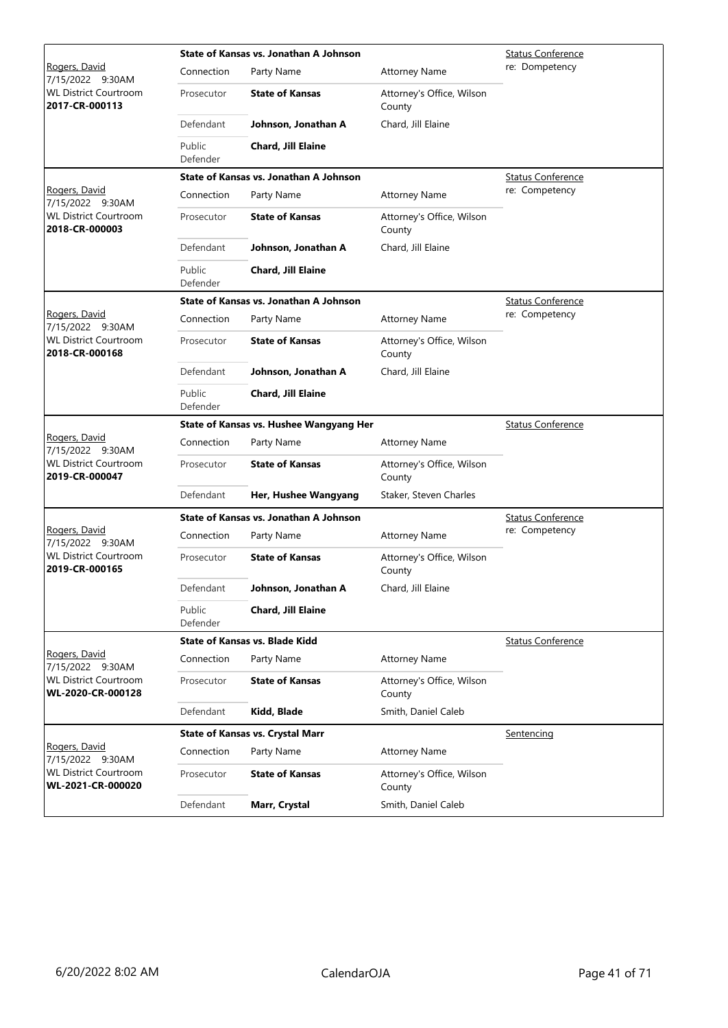|                                                   | State of Kansas vs. Jonathan A Johnson | <b>Status Conference</b>                |                                     |                          |
|---------------------------------------------------|----------------------------------------|-----------------------------------------|-------------------------------------|--------------------------|
| <u>Rogers, David</u><br>7/15/2022 9:30AM          | Connection                             | Party Name                              | <b>Attorney Name</b>                | re: Dompetency           |
| <b>WL District Courtroom</b><br>2017-CR-000113    | Prosecutor                             | <b>State of Kansas</b>                  | Attorney's Office, Wilson<br>County |                          |
|                                                   | Defendant                              | Johnson, Jonathan A                     | Chard, Jill Elaine                  |                          |
|                                                   | Public<br>Defender                     | Chard, Jill Elaine                      |                                     |                          |
|                                                   |                                        | State of Kansas vs. Jonathan A Johnson  |                                     | Status Conference        |
| Rogers, David<br>7/15/2022 9:30AM                 | Connection                             | Party Name                              | <b>Attorney Name</b>                | re: Competency           |
| <b>WL District Courtroom</b><br>2018-CR-000003    | Prosecutor                             | <b>State of Kansas</b>                  | Attorney's Office, Wilson<br>County |                          |
|                                                   | Defendant                              | Johnson, Jonathan A                     | Chard, Jill Elaine                  |                          |
|                                                   | Public<br>Defender                     | Chard, Jill Elaine                      |                                     |                          |
|                                                   |                                        | State of Kansas vs. Jonathan A Johnson  |                                     | <b>Status Conference</b> |
| Rogers, David<br>7/15/2022 9:30AM                 | Connection                             | Party Name                              | <b>Attorney Name</b>                | re: Competency           |
| <b>WL District Courtroom</b><br>2018-CR-000168    | Prosecutor                             | <b>State of Kansas</b>                  | Attorney's Office, Wilson<br>County |                          |
|                                                   | Defendant                              | Johnson, Jonathan A                     | Chard, Jill Elaine                  |                          |
|                                                   | Public<br>Defender                     | Chard, Jill Elaine                      |                                     |                          |
|                                                   |                                        | State of Kansas vs. Hushee Wangyang Her |                                     | <b>Status Conference</b> |
| Rogers, David<br>7/15/2022 9:30AM                 | Connection                             | Party Name                              | <b>Attorney Name</b>                |                          |
| <b>WL District Courtroom</b><br>2019-CR-000047    | Prosecutor                             | <b>State of Kansas</b>                  | Attorney's Office, Wilson<br>County |                          |
|                                                   | Defendant                              | Her, Hushee Wangyang                    | Staker, Steven Charles              |                          |
|                                                   |                                        | State of Kansas vs. Jonathan A Johnson  | <b>Status Conference</b>            |                          |
| Rogers, David<br>7/15/2022 9:30AM                 | Connection                             | Party Name                              | <b>Attorney Name</b>                | re: Competency           |
| <b>WL District Courtroom</b><br>2019-CR-000165    | Prosecutor                             | <b>State of Kansas</b>                  | Attorney's Office, Wilson<br>County |                          |
|                                                   | Defendant                              | Johnson, Jonathan A                     | Chard, Jill Elaine                  |                          |
|                                                   | Public<br>Defender                     | Chard, Jill Elaine                      |                                     |                          |
|                                                   |                                        | <b>State of Kansas vs. Blade Kidd</b>   |                                     | <b>Status Conference</b> |
| Rogers, David<br>7/15/2022 9:30AM                 | Connection                             | Party Name                              | <b>Attorney Name</b>                |                          |
| <b>WL District Courtroom</b><br>WL-2020-CR-000128 | Prosecutor                             | <b>State of Kansas</b>                  | Attorney's Office, Wilson<br>County |                          |
|                                                   | Defendant                              | Kidd, Blade                             | Smith, Daniel Caleb                 |                          |
|                                                   |                                        | <b>State of Kansas vs. Crystal Marr</b> |                                     | Sentencing               |
| Rogers, David<br>7/15/2022 9:30AM                 | Connection                             | Party Name                              | <b>Attorney Name</b>                |                          |
| <b>WL District Courtroom</b><br>WL-2021-CR-000020 | Prosecutor                             | <b>State of Kansas</b>                  | Attorney's Office, Wilson<br>County |                          |
|                                                   | Defendant                              | Marr, Crystal                           | Smith, Daniel Caleb                 |                          |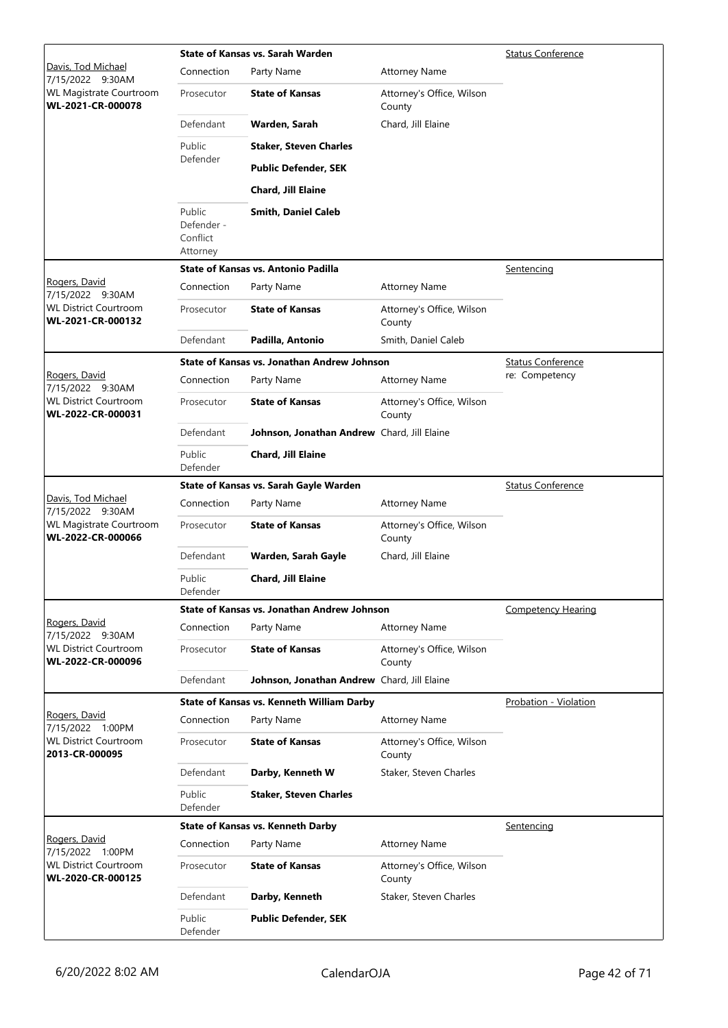|                                                   |                                              | State of Kansas vs. Sarah Warden            |                                     | <b>Status Conference</b>  |
|---------------------------------------------------|----------------------------------------------|---------------------------------------------|-------------------------------------|---------------------------|
| Davis, Tod Michael<br>7/15/2022 9:30AM            | Connection                                   | Party Name                                  | <b>Attorney Name</b>                |                           |
| WL Magistrate Courtroom<br>WL-2021-CR-000078      | Prosecutor                                   | <b>State of Kansas</b>                      | Attorney's Office, Wilson<br>County |                           |
|                                                   | Defendant                                    | Warden, Sarah                               | Chard, Jill Elaine                  |                           |
|                                                   | Public                                       | <b>Staker, Steven Charles</b>               |                                     |                           |
|                                                   | Defender                                     | <b>Public Defender, SEK</b>                 |                                     |                           |
|                                                   |                                              | Chard, Jill Elaine                          |                                     |                           |
|                                                   | Public<br>Defender -<br>Conflict<br>Attorney | <b>Smith, Daniel Caleb</b>                  |                                     |                           |
|                                                   |                                              | <b>State of Kansas vs. Antonio Padilla</b>  |                                     | Sentencing                |
| Rogers, David<br>7/15/2022 9:30AM                 | Connection                                   | Party Name                                  | <b>Attorney Name</b>                |                           |
| <b>WL District Courtroom</b><br>WL-2021-CR-000132 | Prosecutor                                   | <b>State of Kansas</b>                      | Attorney's Office, Wilson<br>County |                           |
|                                                   | Defendant                                    | Padilla, Antonio                            | Smith, Daniel Caleb                 |                           |
|                                                   |                                              | State of Kansas vs. Jonathan Andrew Johnson |                                     | <b>Status Conference</b>  |
| <u>Rogers, David</u><br>7/15/2022 9:30AM          | Connection                                   | Party Name                                  | <b>Attorney Name</b>                | re: Competency            |
| <b>WL District Courtroom</b><br>WL-2022-CR-000031 | Prosecutor                                   | <b>State of Kansas</b>                      | Attorney's Office, Wilson<br>County |                           |
|                                                   | Defendant                                    | Johnson, Jonathan Andrew Chard, Jill Elaine |                                     |                           |
|                                                   | Public<br>Defender                           | Chard, Jill Elaine                          |                                     |                           |
|                                                   |                                              | State of Kansas vs. Sarah Gayle Warden      |                                     | <b>Status Conference</b>  |
| Davis, Tod Michael<br>7/15/2022 9:30AM            | Connection                                   | Party Name                                  | <b>Attorney Name</b>                |                           |
| WL Magistrate Courtroom<br>WL-2022-CR-000066      | Prosecutor                                   | <b>State of Kansas</b>                      | Attorney's Office, Wilson<br>County |                           |
|                                                   | Defendant                                    | Warden, Sarah Gayle                         | Chard, Jill Elaine                  |                           |
|                                                   | Public<br>Defender                           | Chard, Jill Elaine                          |                                     |                           |
|                                                   |                                              | State of Kansas vs. Jonathan Andrew Johnson |                                     | <b>Competency Hearing</b> |
| Rogers, David<br>7/15/2022 9:30AM                 | Connection                                   | Party Name                                  | <b>Attorney Name</b>                |                           |
| <b>WL District Courtroom</b><br>WL-2022-CR-000096 | Prosecutor                                   | <b>State of Kansas</b>                      | Attorney's Office, Wilson<br>County |                           |
|                                                   | Defendant                                    | Johnson, Jonathan Andrew Chard, Jill Elaine |                                     |                           |
|                                                   |                                              | State of Kansas vs. Kenneth William Darby   |                                     | Probation - Violation     |
| Rogers, David<br>7/15/2022 1:00PM                 | Connection                                   | Party Name                                  | <b>Attorney Name</b>                |                           |
| <b>WL District Courtroom</b><br>2013-CR-000095    | Prosecutor                                   | <b>State of Kansas</b>                      | Attorney's Office, Wilson<br>County |                           |
|                                                   | Defendant                                    | Darby, Kenneth W                            | Staker, Steven Charles              |                           |
|                                                   | Public<br>Defender                           | <b>Staker, Steven Charles</b>               |                                     |                           |
|                                                   |                                              | <b>State of Kansas vs. Kenneth Darby</b>    |                                     | Sentencing                |
| Rogers, David<br>7/15/2022 1:00PM                 | Connection                                   | Party Name                                  | <b>Attorney Name</b>                |                           |
| <b>WL District Courtroom</b><br>WL-2020-CR-000125 | Prosecutor                                   | <b>State of Kansas</b>                      | Attorney's Office, Wilson<br>County |                           |
|                                                   | Defendant                                    | Darby, Kenneth                              | Staker, Steven Charles              |                           |
|                                                   | Public<br>Defender                           | <b>Public Defender, SEK</b>                 |                                     |                           |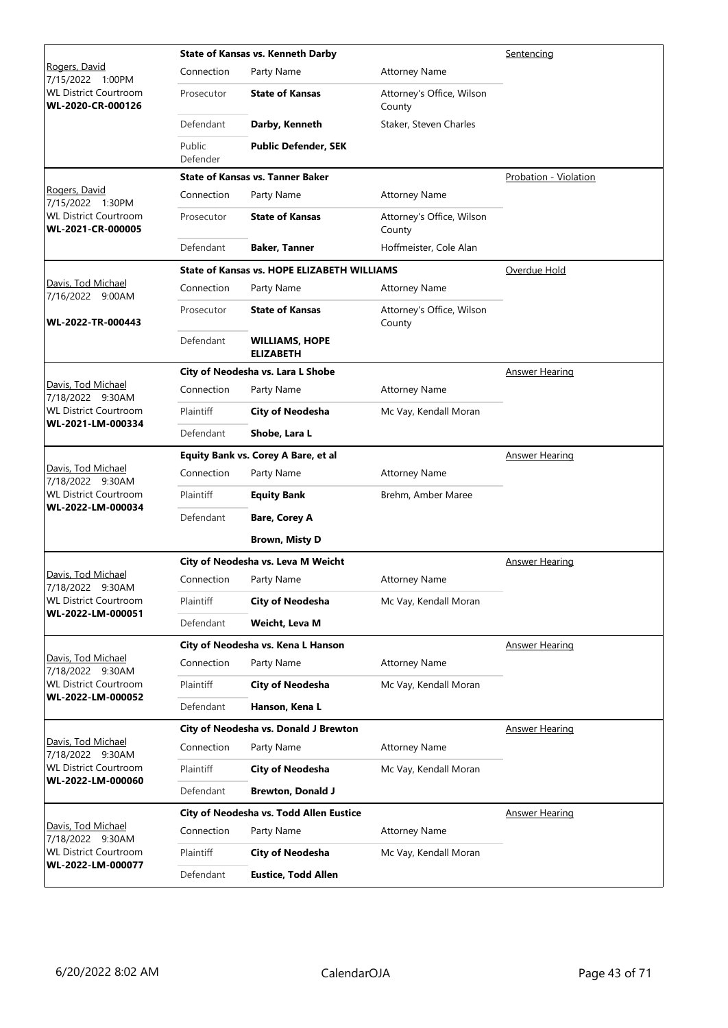|                                                   |                    | <b>State of Kansas vs. Kenneth Darby</b>           | Sentencing                          |                       |
|---------------------------------------------------|--------------------|----------------------------------------------------|-------------------------------------|-----------------------|
| <u>Rogers, David</u><br>1:00PM<br>7/15/2022       | Connection         | Party Name                                         | <b>Attorney Name</b>                |                       |
| <b>WL District Courtroom</b><br>WL-2020-CR-000126 | Prosecutor         | <b>State of Kansas</b>                             | Attorney's Office, Wilson<br>County |                       |
|                                                   | Defendant          | Darby, Kenneth                                     | Staker, Steven Charles              |                       |
|                                                   | Public<br>Defender | <b>Public Defender, SEK</b>                        |                                     |                       |
|                                                   |                    | <b>State of Kansas vs. Tanner Baker</b>            |                                     | Probation - Violation |
| Rogers, David<br>7/15/2022 1:30PM                 | Connection         | Party Name                                         | <b>Attorney Name</b>                |                       |
| <b>WL District Courtroom</b><br>WL-2021-CR-000005 | Prosecutor         | <b>State of Kansas</b>                             | Attorney's Office, Wilson<br>County |                       |
|                                                   | Defendant          | <b>Baker, Tanner</b>                               | Hoffmeister, Cole Alan              |                       |
|                                                   |                    | <b>State of Kansas vs. HOPE ELIZABETH WILLIAMS</b> |                                     | Overdue Hold          |
| Davis, Tod Michael<br>7/16/2022 9:00AM            | Connection         | Party Name                                         | <b>Attorney Name</b>                |                       |
| WL-2022-TR-000443                                 | Prosecutor         | <b>State of Kansas</b>                             | Attorney's Office, Wilson<br>County |                       |
|                                                   | Defendant          | <b>WILLIAMS, HOPE</b><br><b>ELIZABETH</b>          |                                     |                       |
|                                                   |                    | City of Neodesha vs. Lara L Shobe                  |                                     | Answer Hearing        |
| Davis, Tod Michael<br>7/18/2022 9:30AM            | Connection         | Party Name                                         | <b>Attorney Name</b>                |                       |
| <b>WL District Courtroom</b>                      | Plaintiff          | City of Neodesha                                   | Mc Vay, Kendall Moran               |                       |
| WL-2021-LM-000334                                 | Defendant          | Shobe, Lara L                                      |                                     |                       |
|                                                   |                    | Equity Bank vs. Corey A Bare, et al                |                                     | <b>Answer Hearing</b> |
| Davis, Tod Michael<br>7/18/2022 9:30AM            | Connection         | Party Name                                         | <b>Attorney Name</b>                |                       |
| <b>WL District Courtroom</b><br>WL-2022-LM-000034 | Plaintiff          | <b>Equity Bank</b>                                 | Brehm, Amber Maree                  |                       |
|                                                   | Defendant          | <b>Bare, Corey A</b>                               |                                     |                       |
|                                                   |                    | <b>Brown, Misty D</b>                              |                                     |                       |
|                                                   |                    | City of Neodesha vs. Leva M Weicht                 |                                     | <b>Answer Hearing</b> |
| Davis, Tod Michael<br>7/18/2022 9:30AM            | Connection         | Party Name                                         | <b>Attorney Name</b>                |                       |
| <b>WL District Courtroom</b>                      | Plaintiff          | <b>City of Neodesha</b>                            | Mc Vay, Kendall Moran               |                       |
| WL-2022-LM-000051                                 | Defendant          | Weicht, Leva M                                     |                                     |                       |
|                                                   |                    | City of Neodesha vs. Kena L Hanson                 |                                     | <b>Answer Hearing</b> |
| Davis, Tod Michael<br>7/18/2022 9:30AM            | Connection         | Party Name                                         | <b>Attorney Name</b>                |                       |
| <b>WL District Courtroom</b><br>WL-2022-LM-000052 | Plaintiff          | <b>City of Neodesha</b>                            | Mc Vay, Kendall Moran               |                       |
|                                                   | Defendant          | Hanson, Kena L                                     |                                     |                       |
|                                                   |                    | City of Neodesha vs. Donald J Brewton              |                                     | <b>Answer Hearing</b> |
| Davis, Tod Michael<br>7/18/2022 9:30AM            | Connection         | Party Name                                         | <b>Attorney Name</b>                |                       |
| <b>WL District Courtroom</b><br>WL-2022-LM-000060 | Plaintiff          | <b>City of Neodesha</b>                            | Mc Vay, Kendall Moran               |                       |
|                                                   | Defendant          | <b>Brewton, Donald J</b>                           |                                     |                       |
|                                                   |                    | City of Neodesha vs. Todd Allen Eustice            |                                     | <b>Answer Hearing</b> |
| Davis, Tod Michael<br>7/18/2022 9:30AM            | Connection         | Party Name                                         | <b>Attorney Name</b>                |                       |
| <b>WL District Courtroom</b>                      | Plaintiff          | <b>City of Neodesha</b>                            | Mc Vay, Kendall Moran               |                       |
| WL-2022-LM-000077                                 | Defendant          | <b>Eustice, Todd Allen</b>                         |                                     |                       |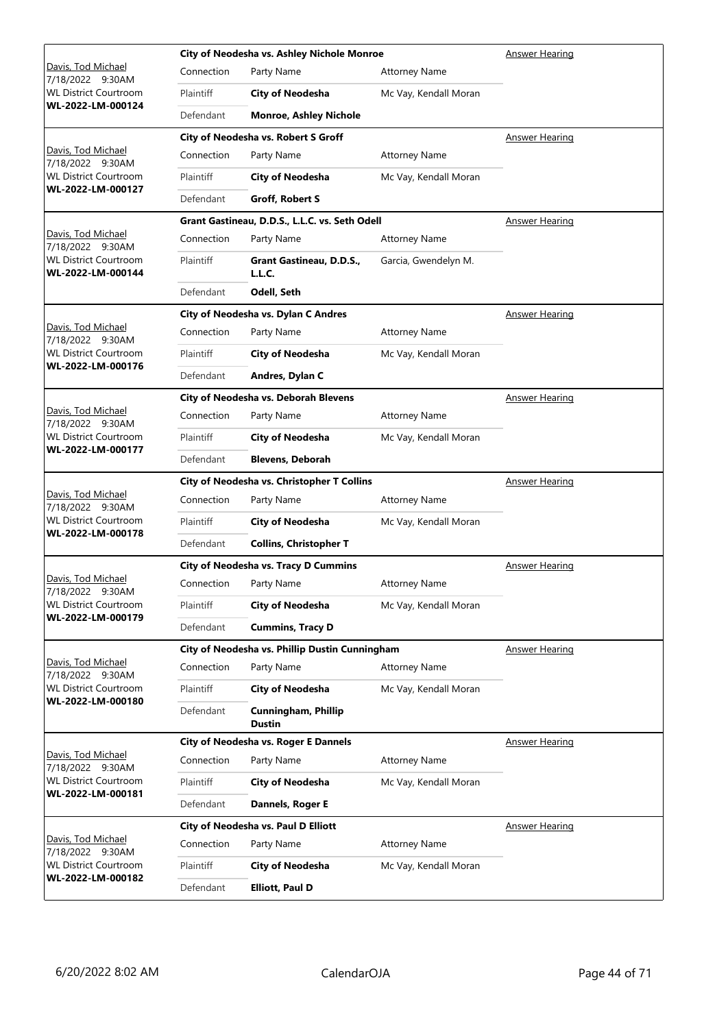|                                                   |                                            | City of Neodesha vs. Ashley Nichole Monroe     | <b>Answer Hearing</b> |                       |
|---------------------------------------------------|--------------------------------------------|------------------------------------------------|-----------------------|-----------------------|
| <u> Davis, Tod Michael</u><br>7/18/2022 9:30AM    | Connection                                 | Party Name                                     | <b>Attorney Name</b>  |                       |
| <b>WL District Courtroom</b>                      | Plaintiff                                  | <b>City of Neodesha</b>                        | Mc Vay, Kendall Moran |                       |
| WL-2022-LM-000124                                 | Defendant                                  | <b>Monroe, Ashley Nichole</b>                  |                       |                       |
|                                                   |                                            | City of Neodesha vs. Robert S Groff            |                       | Answer Hearing        |
| <u> Davis, Tod Michael</u><br>7/18/2022 9:30AM    | Connection                                 | Party Name                                     | <b>Attorney Name</b>  |                       |
| WL District Courtroom                             | Plaintiff                                  | <b>City of Neodesha</b>                        | Mc Vay, Kendall Moran |                       |
| WL-2022-LM-000127                                 | Defendant                                  | Groff, Robert S                                |                       |                       |
|                                                   |                                            | Grant Gastineau, D.D.S., L.L.C. vs. Seth Odell |                       | <b>Answer Hearing</b> |
| Davis, Tod Michael<br>7/18/2022 9:30AM            | Connection                                 | Party Name                                     | <b>Attorney Name</b>  |                       |
| <b>WL District Courtroom</b><br>WL-2022-LM-000144 | Plaintiff                                  | Grant Gastineau, D.D.S.,<br>L.L.C.             | Garcia, Gwendelyn M.  |                       |
|                                                   | Defendant                                  | Odell, Seth                                    |                       |                       |
|                                                   |                                            | City of Neodesha vs. Dylan C Andres            |                       | <b>Answer Hearing</b> |
| Davis, Tod Michael<br>7/18/2022 9:30AM            | Connection                                 | Party Name                                     | <b>Attorney Name</b>  |                       |
| <b>WL District Courtroom</b>                      | Plaintiff                                  | City of Neodesha                               | Mc Vay, Kendall Moran |                       |
| WL-2022-LM-000176                                 | Defendant                                  | Andres, Dylan C                                |                       |                       |
|                                                   |                                            | City of Neodesha vs. Deborah Blevens           |                       | <b>Answer Hearing</b> |
| <u> Davis, Tod Michael</u><br>7/18/2022 9:30AM    | Connection                                 | Party Name                                     | <b>Attorney Name</b>  |                       |
| <b>WL District Courtroom</b>                      | Plaintiff                                  | <b>City of Neodesha</b>                        | Mc Vay, Kendall Moran |                       |
| WL-2022-LM-000177                                 | Defendant                                  | <b>Blevens, Deborah</b>                        |                       |                       |
|                                                   | City of Neodesha vs. Christopher T Collins |                                                |                       |                       |
|                                                   |                                            |                                                |                       | <b>Answer Hearing</b> |
| Davis, Tod Michael<br>7/18/2022 9:30AM            | Connection                                 | Party Name                                     | <b>Attorney Name</b>  |                       |
| <b>WL District Courtroom</b>                      | Plaintiff                                  | <b>City of Neodesha</b>                        | Mc Vay, Kendall Moran |                       |
| WL-2022-LM-000178                                 | Defendant                                  | <b>Collins, Christopher T</b>                  |                       |                       |
|                                                   |                                            | <b>City of Neodesha vs. Tracy D Cummins</b>    |                       | <b>Answer Hearing</b> |
| Davis, Tod Michael                                | Connection                                 | Party Name                                     | <b>Attorney Name</b>  |                       |
| 7/18/2022 9:30AM<br><b>WL District Courtroom</b>  | Plaintiff                                  | <b>City of Neodesha</b>                        | Mc Vay, Kendall Moran |                       |
| WL-2022-LM-000179                                 | Defendant                                  | <b>Cummins, Tracy D</b>                        |                       |                       |
|                                                   |                                            | City of Neodesha vs. Phillip Dustin Cunningham |                       | <b>Answer Hearing</b> |
| Davis, Tod Michael<br>7/18/2022 9:30AM            | Connection                                 | Party Name                                     | <b>Attorney Name</b>  |                       |
| <b>WL District Courtroom</b>                      | Plaintiff                                  | <b>City of Neodesha</b>                        | Mc Vay, Kendall Moran |                       |
| WL-2022-LM-000180                                 | Defendant                                  | <b>Cunningham, Phillip</b><br><b>Dustin</b>    |                       |                       |
|                                                   |                                            | City of Neodesha vs. Roger E Dannels           |                       | <b>Answer Hearing</b> |
| Davis, Tod Michael<br>7/18/2022 9:30AM            | Connection                                 | Party Name                                     | <b>Attorney Name</b>  |                       |
| <b>WL District Courtroom</b>                      | Plaintiff                                  | <b>City of Neodesha</b>                        | Mc Vay, Kendall Moran |                       |
| WL-2022-LM-000181                                 | Defendant                                  | Dannels, Roger E                               |                       |                       |
|                                                   |                                            | City of Neodesha vs. Paul D Elliott            |                       | <b>Answer Hearing</b> |
| Davis, Tod Michael<br>7/18/2022 9:30AM            | Connection                                 | Party Name                                     | <b>Attorney Name</b>  |                       |
| <b>WL District Courtroom</b><br>WL-2022-LM-000182 | Plaintiff                                  | <b>City of Neodesha</b>                        | Mc Vay, Kendall Moran |                       |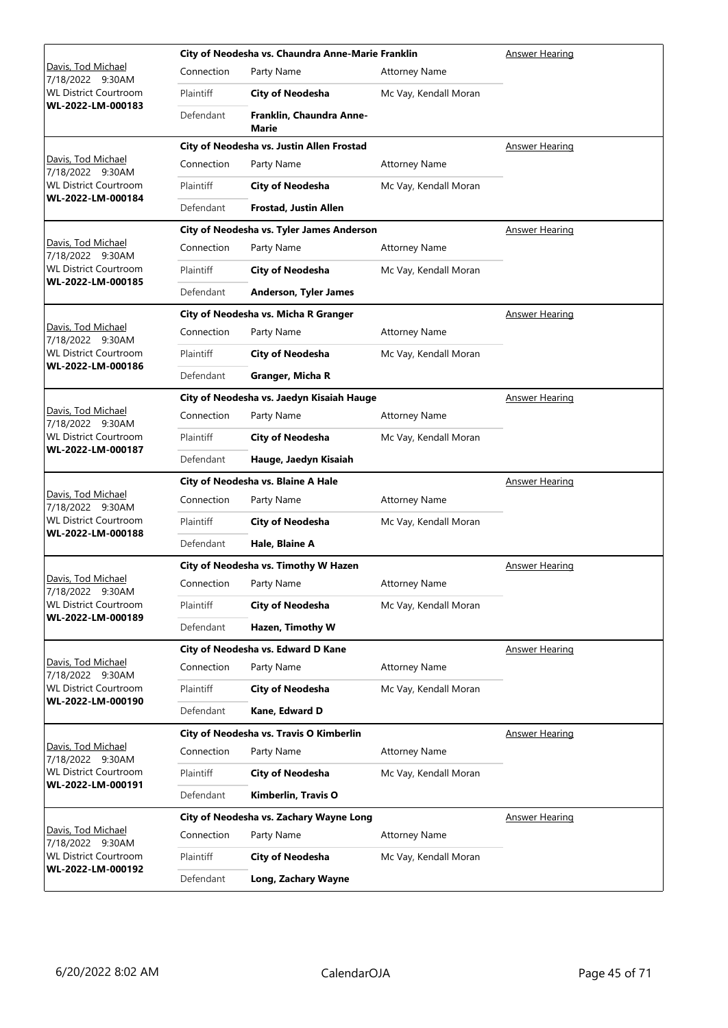|                                                   | City of Neodesha vs. Chaundra Anne-Marie Franklin |                                           |                       | <b>Answer Hearing</b> |
|---------------------------------------------------|---------------------------------------------------|-------------------------------------------|-----------------------|-----------------------|
| <u> Davis, Tod Michael</u><br>7/18/2022 9:30AM    | Connection                                        | Party Name                                | <b>Attorney Name</b>  |                       |
| <b>WL District Courtroom</b>                      | Plaintiff                                         | <b>City of Neodesha</b>                   | Mc Vay, Kendall Moran |                       |
| WL-2022-LM-000183                                 | Defendant                                         | Franklin, Chaundra Anne-<br>Marie         |                       |                       |
|                                                   |                                                   | City of Neodesha vs. Justin Allen Frostad |                       | <b>Answer Hearing</b> |
| Davis, Tod Michael<br>7/18/2022 9:30AM            | Connection                                        | Party Name                                | <b>Attorney Name</b>  |                       |
| WL District Courtroom<br>WL-2022-LM-000184        | Plaintiff                                         | <b>City of Neodesha</b>                   | Mc Vay, Kendall Moran |                       |
|                                                   | Defendant                                         | <b>Frostad, Justin Allen</b>              |                       |                       |
|                                                   |                                                   | City of Neodesha vs. Tyler James Anderson |                       | <b>Answer Hearing</b> |
| Davis, Tod Michael<br>7/18/2022 9:30AM            | Connection                                        | Party Name                                | <b>Attorney Name</b>  |                       |
| <b>WL District Courtroom</b>                      | Plaintiff                                         | <b>City of Neodesha</b>                   | Mc Vay, Kendall Moran |                       |
| WL-2022-LM-000185                                 | Defendant                                         | <b>Anderson, Tyler James</b>              |                       |                       |
|                                                   |                                                   | City of Neodesha vs. Micha R Granger      |                       | <b>Answer Hearing</b> |
| Davis, Tod Michael<br>7/18/2022 9:30AM            | Connection                                        | Party Name                                | <b>Attorney Name</b>  |                       |
| <b>WL District Courtroom</b>                      | Plaintiff                                         | City of Neodesha                          | Mc Vay, Kendall Moran |                       |
| WL-2022-LM-000186                                 | Defendant                                         | Granger, Micha R                          |                       |                       |
|                                                   |                                                   | City of Neodesha vs. Jaedyn Kisaiah Hauge |                       | <b>Answer Hearing</b> |
| <u> Davis, Tod Michael</u><br>7/18/2022 9:30AM    | Connection                                        | Party Name                                | <b>Attorney Name</b>  |                       |
| <b>WL District Courtroom</b>                      | Plaintiff                                         | <b>City of Neodesha</b>                   | Mc Vay, Kendall Moran |                       |
| WL-2022-LM-000187                                 | Defendant                                         | Hauge, Jaedyn Kisaiah                     |                       |                       |
|                                                   |                                                   | City of Neodesha vs. Blaine A Hale        |                       | <b>Answer Hearing</b> |
| Davis, Tod Michael<br>7/18/2022 9:30AM            | Connection                                        | Party Name                                | <b>Attorney Name</b>  |                       |
| <b>WL District Courtroom</b><br>WL-2022-LM-000188 | Plaintiff                                         | <b>City of Neodesha</b>                   | Mc Vay, Kendall Moran |                       |
|                                                   | Defendant                                         | Hale, Blaine A                            |                       |                       |
|                                                   |                                                   | City of Neodesha vs. Timothy W Hazen      |                       | <b>Answer Hearing</b> |
| Davis, Tod Michael<br>7/18/2022 9:30AM            | Connection                                        | Party Name                                | <b>Attorney Name</b>  |                       |
| <b>WL District Courtroom</b><br>WL-2022-LM-000189 | Plaintiff                                         | <b>City of Neodesha</b>                   | Mc Vay, Kendall Moran |                       |
|                                                   | Defendant                                         | Hazen, Timothy W                          |                       |                       |
|                                                   |                                                   | City of Neodesha vs. Edward D Kane        |                       | <b>Answer Hearing</b> |
| Davis, Tod Michael<br>7/18/2022 9:30AM            | Connection                                        | Party Name                                | <b>Attorney Name</b>  |                       |
| <b>WL District Courtroom</b><br>WL-2022-LM-000190 | Plaintiff                                         | <b>City of Neodesha</b>                   | Mc Vay, Kendall Moran |                       |
|                                                   | Defendant                                         | Kane, Edward D                            |                       |                       |
|                                                   |                                                   | City of Neodesha vs. Travis O Kimberlin   |                       | Answer Hearing        |
| Davis, Tod Michael<br>7/18/2022 9:30AM            | Connection                                        | Party Name                                | <b>Attorney Name</b>  |                       |
| <b>WL District Courtroom</b><br>WL-2022-LM-000191 | Plaintiff                                         | <b>City of Neodesha</b>                   | Mc Vay, Kendall Moran |                       |
|                                                   | Defendant                                         | Kimberlin, Travis O                       |                       |                       |
|                                                   |                                                   | City of Neodesha vs. Zachary Wayne Long   |                       | <b>Answer Hearing</b> |
| Davis, Tod Michael<br>7/18/2022 9:30AM            | Connection                                        | Party Name                                | <b>Attorney Name</b>  |                       |
| <b>WL District Courtroom</b>                      | Plaintiff                                         | <b>City of Neodesha</b>                   | Mc Vay, Kendall Moran |                       |
| WL-2022-LM-000192                                 | Defendant                                         | Long, Zachary Wayne                       |                       |                       |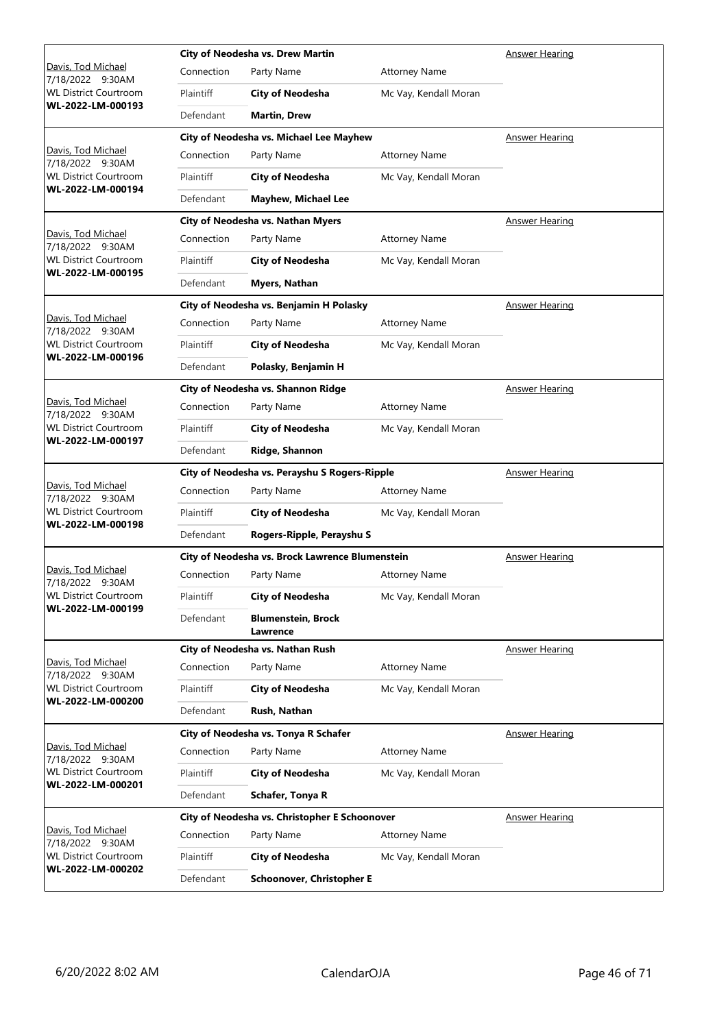|                                                   |            | City of Neodesha vs. Drew Martin                |                       | Answer Hearing        |
|---------------------------------------------------|------------|-------------------------------------------------|-----------------------|-----------------------|
| Davis, Tod Michael<br>7/18/2022<br>9:30AM         | Connection | Party Name                                      | <b>Attorney Name</b>  |                       |
| <b>WL District Courtroom</b>                      | Plaintiff  | <b>City of Neodesha</b>                         | Mc Vay, Kendall Moran |                       |
| WL-2022-LM-000193                                 | Defendant  | <b>Martin, Drew</b>                             |                       |                       |
|                                                   |            | City of Neodesha vs. Michael Lee Mayhew         |                       | Answer Hearing        |
| Davis, Tod Michael<br>7/18/2022 9:30AM            | Connection | Party Name                                      | <b>Attorney Name</b>  |                       |
| <b>WL District Courtroom</b>                      | Plaintiff  | <b>City of Neodesha</b>                         | Mc Vay, Kendall Moran |                       |
| WL-2022-LM-000194                                 | Defendant  | <b>Mayhew, Michael Lee</b>                      |                       |                       |
|                                                   |            | City of Neodesha vs. Nathan Myers               |                       | Answer Hearing        |
| Davis, Tod Michael<br>7/18/2022 9:30AM            | Connection | Party Name                                      | <b>Attorney Name</b>  |                       |
| <b>WL District Courtroom</b>                      | Plaintiff  | <b>City of Neodesha</b>                         | Mc Vay, Kendall Moran |                       |
| WL-2022-LM-000195                                 | Defendant  | Myers, Nathan                                   |                       |                       |
|                                                   |            | City of Neodesha vs. Benjamin H Polasky         |                       | <b>Answer Hearing</b> |
| Davis, Tod Michael<br>7/18/2022 9:30AM            | Connection | Party Name                                      | <b>Attorney Name</b>  |                       |
| <b>WL District Courtroom</b><br>WL-2022-LM-000196 | Plaintiff  | <b>City of Neodesha</b>                         | Mc Vay, Kendall Moran |                       |
|                                                   | Defendant  | Polasky, Benjamin H                             |                       |                       |
|                                                   |            | City of Neodesha vs. Shannon Ridge              |                       | <b>Answer Hearing</b> |
| Davis, Tod Michael<br>7/18/2022 9:30AM            | Connection | Party Name                                      | <b>Attorney Name</b>  |                       |
| <b>WL District Courtroom</b><br>WL-2022-LM-000197 | Plaintiff  | <b>City of Neodesha</b>                         | Mc Vay, Kendall Moran |                       |
|                                                   | Defendant  | Ridge, Shannon                                  |                       |                       |
|                                                   |            | City of Neodesha vs. Perayshu S Rogers-Ripple   |                       | <b>Answer Hearing</b> |
| Davis, Tod Michael<br>7/18/2022 9:30AM            | Connection | Party Name                                      | <b>Attorney Name</b>  |                       |
| <b>WL District Courtroom</b>                      | Plaintiff  | <b>City of Neodesha</b>                         | Mc Vay, Kendall Moran |                       |
|                                                   |            |                                                 |                       |                       |
| WL-2022-LM-000198                                 | Defendant  | Rogers-Ripple, Perayshu S                       |                       |                       |
|                                                   |            | City of Neodesha vs. Brock Lawrence Blumenstein |                       | <b>Answer Hearing</b> |
| Davis, Tod Michael<br>7/18/2022 9:30AM            | Connection | Party Name                                      | <b>Attorney Name</b>  |                       |
| <b>WL District Courtroom</b>                      | Plaintiff  | <b>City of Neodesha</b>                         | Mc Vay, Kendall Moran |                       |
| WL-2022-LM-000199                                 | Defendant  | <b>Blumenstein, Brock</b>                       |                       |                       |
|                                                   |            | Lawrence<br>City of Neodesha vs. Nathan Rush    |                       | <b>Answer Hearing</b> |
| Davis, Tod Michael                                | Connection | Party Name                                      | <b>Attorney Name</b>  |                       |
| 7/18/2022 9:30AM<br><b>WL District Courtroom</b>  | Plaintiff  | <b>City of Neodesha</b>                         | Mc Vay, Kendall Moran |                       |
| WL-2022-LM-000200                                 | Defendant  | Rush, Nathan                                    |                       |                       |
|                                                   |            | City of Neodesha vs. Tonya R Schafer            |                       | <b>Answer Hearing</b> |
| Davis, Tod Michael<br>7/18/2022 9:30AM            | Connection | Party Name                                      | <b>Attorney Name</b>  |                       |
| <b>WL District Courtroom</b>                      | Plaintiff  | <b>City of Neodesha</b>                         | Mc Vay, Kendall Moran |                       |
| WL-2022-LM-000201                                 | Defendant  | Schafer, Tonya R                                |                       |                       |
|                                                   |            | City of Neodesha vs. Christopher E Schoonover   |                       | <b>Answer Hearing</b> |
| Davis, Tod Michael<br>7/18/2022 9:30AM            | Connection | Party Name                                      | <b>Attorney Name</b>  |                       |
| WL District Courtroom<br>WL-2022-LM-000202        | Plaintiff  | <b>City of Neodesha</b>                         | Mc Vay, Kendall Moran |                       |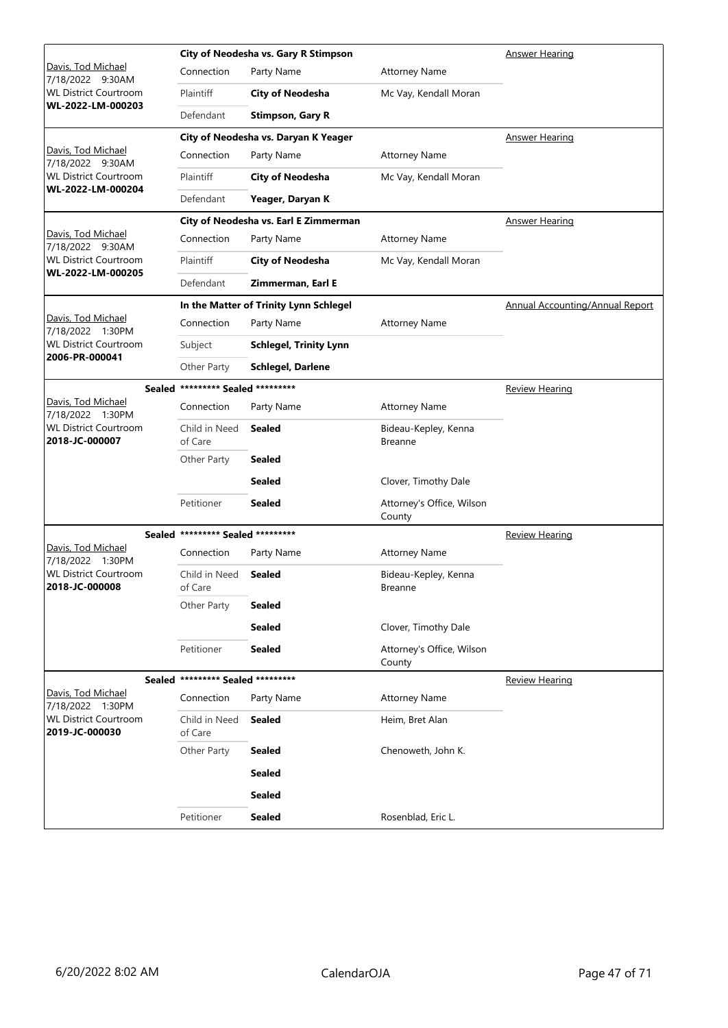|                                                   |                                   | City of Neodesha vs. Gary R Stimpson   |                                        | <b>Answer Hearing</b>                  |
|---------------------------------------------------|-----------------------------------|----------------------------------------|----------------------------------------|----------------------------------------|
| <u> Davis, Tod Michael</u><br>7/18/2022 9:30AM    | Connection                        | Party Name                             | <b>Attorney Name</b>                   |                                        |
| <b>WL District Courtroom</b>                      | Plaintiff                         | <b>City of Neodesha</b>                | Mc Vay, Kendall Moran                  |                                        |
| WL-2022-LM-000203                                 | Defendant                         | <b>Stimpson, Gary R</b>                |                                        |                                        |
|                                                   |                                   | City of Neodesha vs. Daryan K Yeager   |                                        | Answer Hearing                         |
| Davis, Tod Michael<br>7/18/2022 9:30AM            | Connection                        | Party Name                             | <b>Attorney Name</b>                   |                                        |
| <b>WL District Courtroom</b><br>WL-2022-LM-000204 | Plaintiff                         | <b>City of Neodesha</b>                | Mc Vay, Kendall Moran                  |                                        |
|                                                   | Defendant                         | Yeager, Daryan K                       |                                        |                                        |
|                                                   |                                   | City of Neodesha vs. Earl E Zimmerman  |                                        | <b>Answer Hearing</b>                  |
| Davis, Tod Michael<br>7/18/2022 9:30AM            | Connection                        | Party Name                             | <b>Attorney Name</b>                   |                                        |
| <b>WL District Courtroom</b><br>WL-2022-LM-000205 | Plaintiff                         | <b>City of Neodesha</b>                | Mc Vay, Kendall Moran                  |                                        |
|                                                   | Defendant                         | Zimmerman, Earl E                      |                                        |                                        |
|                                                   |                                   | In the Matter of Trinity Lynn Schlegel |                                        | <b>Annual Accounting/Annual Report</b> |
| Davis, Tod Michael<br>7/18/2022 1:30PM            | Connection                        | Party Name                             | <b>Attorney Name</b>                   |                                        |
| <b>WL District Courtroom</b><br>2006-PR-000041    | Subject                           | <b>Schlegel, Trinity Lynn</b>          |                                        |                                        |
|                                                   | Other Party                       | Schlegel, Darlene                      |                                        |                                        |
| <b>Sealed</b>                                     | ********* Sealed *********        |                                        |                                        | <b>Review Hearing</b>                  |
| Davis, Tod Michael<br>7/18/2022 1:30PM            | Connection                        | Party Name                             | <b>Attorney Name</b>                   |                                        |
| <b>WL District Courtroom</b><br>2018-JC-000007    | Child in Need<br>of Care          | <b>Sealed</b>                          | Bideau-Kepley, Kenna<br><b>Breanne</b> |                                        |
|                                                   | Other Party                       | <b>Sealed</b>                          |                                        |                                        |
|                                                   |                                   | <b>Sealed</b>                          | Clover, Timothy Dale                   |                                        |
|                                                   | Petitioner                        | Sealed                                 | Attorney's Office, Wilson<br>County    |                                        |
|                                                   | Sealed ********* Sealed ********* |                                        |                                        | <b>Review Hearing</b>                  |
| Davis, Tod Michael<br>7/18/2022 1:30PM            | Connection                        | Party Name                             | <b>Attorney Name</b>                   |                                        |
| <b>WL District Courtroom</b><br>2018-JC-000008    | Child in Need<br>of Care          | <b>Sealed</b>                          | Bideau-Kepley, Kenna<br>Breanne        |                                        |
|                                                   | Other Party                       | <b>Sealed</b>                          |                                        |                                        |
|                                                   |                                   | <b>Sealed</b>                          | Clover, Timothy Dale                   |                                        |
|                                                   | Petitioner                        | <b>Sealed</b>                          | Attorney's Office, Wilson<br>County    |                                        |
|                                                   | Sealed ********* Sealed ********* |                                        |                                        | <b>Review Hearing</b>                  |
| Davis, Tod Michael<br>7/18/2022 1:30PM            | Connection                        | Party Name                             | <b>Attorney Name</b>                   |                                        |
| <b>WL District Courtroom</b><br>2019-JC-000030    | Child in Need<br>of Care          | <b>Sealed</b>                          | Heim, Bret Alan                        |                                        |
|                                                   | Other Party                       | <b>Sealed</b>                          | Chenoweth, John K.                     |                                        |
|                                                   |                                   | <b>Sealed</b>                          |                                        |                                        |
|                                                   |                                   | <b>Sealed</b>                          |                                        |                                        |
|                                                   | Petitioner                        | <b>Sealed</b>                          | Rosenblad, Eric L.                     |                                        |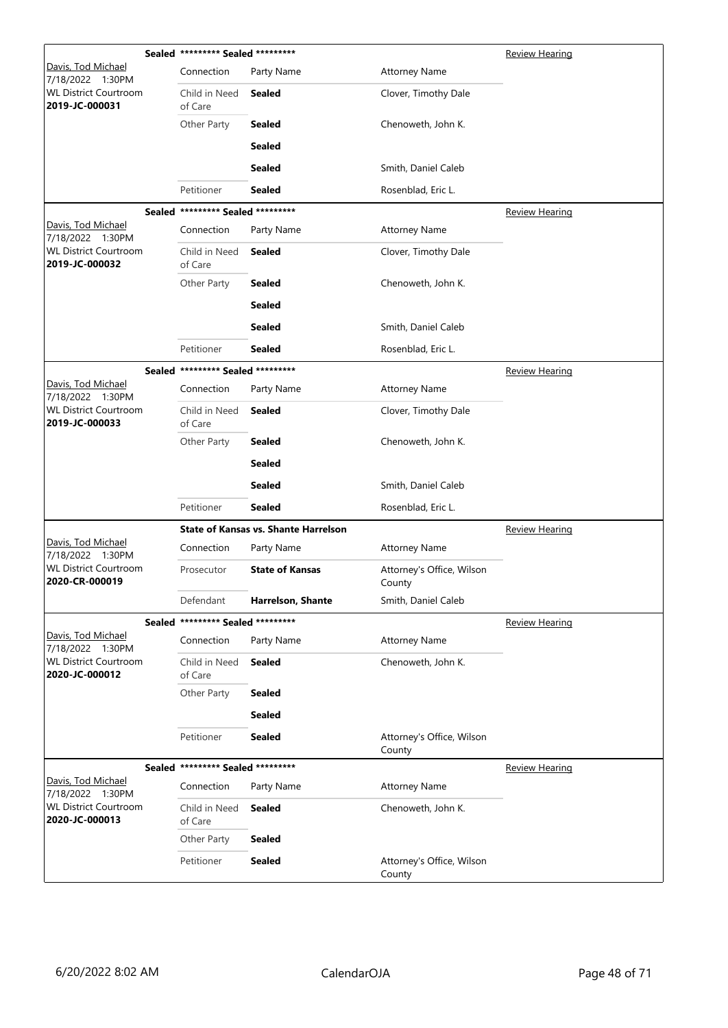|                                                | Sealed ********* Sealed ********* |                                             |                                     | <b>Review Hearing</b> |
|------------------------------------------------|-----------------------------------|---------------------------------------------|-------------------------------------|-----------------------|
| Davis, Tod Michael<br>7/18/2022 1:30PM         | Connection                        | Party Name                                  | <b>Attorney Name</b>                |                       |
| <b>WL District Courtroom</b><br>2019-JC-000031 | Child in Need<br>of Care          | <b>Sealed</b>                               | Clover, Timothy Dale                |                       |
|                                                | Other Party                       | <b>Sealed</b>                               | Chenoweth, John K.                  |                       |
|                                                |                                   | <b>Sealed</b>                               |                                     |                       |
|                                                |                                   | Sealed                                      | Smith, Daniel Caleb                 |                       |
|                                                | Petitioner                        | Sealed                                      | Rosenblad, Eric L.                  |                       |
|                                                | Sealed ********* Sealed ********* |                                             |                                     | <b>Review Hearing</b> |
| Davis, Tod Michael<br>7/18/2022 1:30PM         | Connection                        | Party Name                                  | <b>Attorney Name</b>                |                       |
| <b>WL District Courtroom</b><br>2019-JC-000032 | Child in Need<br>of Care          | <b>Sealed</b>                               | Clover, Timothy Dale                |                       |
|                                                | Other Party                       | <b>Sealed</b>                               | Chenoweth, John K.                  |                       |
|                                                |                                   | <b>Sealed</b>                               |                                     |                       |
|                                                |                                   | <b>Sealed</b>                               | Smith, Daniel Caleb                 |                       |
|                                                | Petitioner                        | Sealed                                      | Rosenblad, Eric L.                  |                       |
|                                                | Sealed ********* Sealed ********* |                                             |                                     | <b>Review Hearing</b> |
| Davis, Tod Michael<br>7/18/2022 1:30PM         | Connection                        | Party Name                                  | <b>Attorney Name</b>                |                       |
| <b>WL District Courtroom</b><br>2019-JC-000033 | Child in Need<br>of Care          | <b>Sealed</b>                               | Clover, Timothy Dale                |                       |
|                                                | Other Party                       | Sealed                                      | Chenoweth, John K.                  |                       |
|                                                |                                   | <b>Sealed</b>                               |                                     |                       |
|                                                |                                   | <b>Sealed</b>                               | Smith, Daniel Caleb                 |                       |
|                                                | Petitioner                        | <b>Sealed</b>                               | Rosenblad, Eric L.                  |                       |
|                                                |                                   | <b>State of Kansas vs. Shante Harrelson</b> |                                     | <b>Review Hearing</b> |
| Davis, Tod Michael<br>7/18/2022 1:30PM         | Connection                        | Party Name                                  | <b>Attorney Name</b>                |                       |
| <b>WL District Courtroom</b><br>2020-CR-000019 | Prosecutor                        | <b>State of Kansas</b>                      | Attorney's Office, Wilson<br>County |                       |
|                                                | Defendant                         | <b>Harrelson, Shante</b>                    | Smith, Daniel Caleb                 |                       |
|                                                | Sealed ********* Sealed ********* |                                             |                                     | <b>Review Hearing</b> |
| Davis, Tod Michael<br>7/18/2022 1:30PM         | Connection                        | Party Name                                  | <b>Attorney Name</b>                |                       |
| <b>WL District Courtroom</b><br>2020-JC-000012 | Child in Need<br>of Care          | <b>Sealed</b>                               | Chenoweth, John K.                  |                       |
|                                                | Other Party                       | <b>Sealed</b>                               |                                     |                       |
|                                                |                                   | <b>Sealed</b>                               |                                     |                       |
|                                                | Petitioner                        | <b>Sealed</b>                               | Attorney's Office, Wilson<br>County |                       |
|                                                | Sealed ********* Sealed ********* |                                             |                                     | <b>Review Hearing</b> |
| Davis, Tod Michael<br>7/18/2022 1:30PM         | Connection                        | Party Name                                  | <b>Attorney Name</b>                |                       |
| <b>WL District Courtroom</b><br>2020-JC-000013 | Child in Need<br>of Care          | <b>Sealed</b>                               | Chenoweth, John K.                  |                       |
|                                                | Other Party                       | <b>Sealed</b>                               |                                     |                       |
|                                                | Petitioner                        | <b>Sealed</b>                               | Attorney's Office, Wilson<br>County |                       |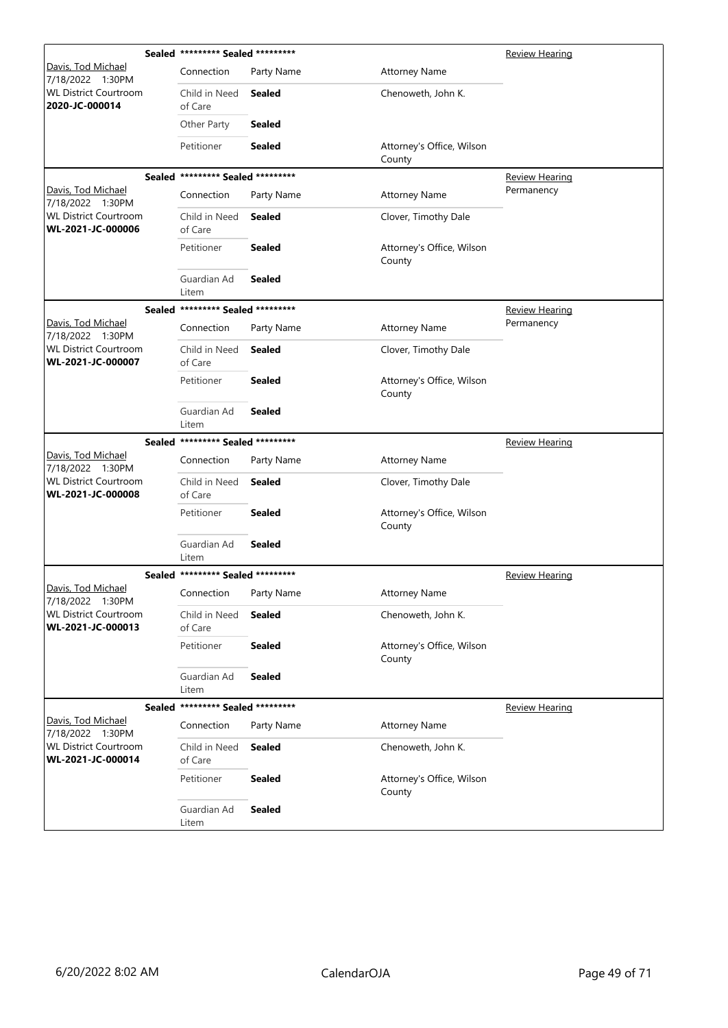| Davis, Tod Michael<br>Connection<br>Party Name<br><b>Attorney Name</b><br>7/18/2022 1:30PM<br><b>WL District Courtroom</b><br>Child in Need<br><b>Sealed</b><br>Chenoweth, John K.<br>2020-JC-000014<br>of Care<br>Other Party<br><b>Sealed</b><br>Petitioner<br><b>Sealed</b><br>Attorney's Office, Wilson<br>County<br>Sealed ********* Sealed *********<br><b>Review Hearing</b><br>Davis, Tod Michael<br>Permanency<br><b>Attorney Name</b><br>Connection<br>Party Name<br>7/18/2022 1:30PM<br><b>WL District Courtroom</b><br>Child in Need<br>Sealed<br>Clover, Timothy Dale<br>WL-2021-JC-000006<br>of Care<br><b>Sealed</b><br>Petitioner<br>Attorney's Office, Wilson<br>County<br>Guardian Ad<br><b>Sealed</b><br>Litem<br>Sealed ********* Sealed *********<br>Review Hearing<br>Davis, Tod Michael<br>Permanency<br><b>Attorney Name</b><br>Connection<br>Party Name<br>7/18/2022 1:30PM<br><b>WL District Courtroom</b><br>Child in Need<br><b>Sealed</b><br>Clover, Timothy Dale<br>WL-2021-JC-000007<br>of Care<br>Petitioner<br><b>Sealed</b><br>Attorney's Office, Wilson<br>County<br>Guardian Ad<br><b>Sealed</b><br>Litem<br>Sealed ********* Sealed *********<br><b>Review Hearing</b><br>Davis, Tod Michael<br>Connection<br>Party Name<br><b>Attorney Name</b><br>7/18/2022 1:30PM<br><b>WL District Courtroom</b><br>Child in Need<br><b>Sealed</b><br>Clover, Timothy Dale<br>WL-2021-JC-000008<br>of Care<br>Petitioner<br><b>Sealed</b><br>Attorney's Office, Wilson<br>County<br>Guardian Ad<br><b>Sealed</b><br>Litem<br>Sealed ********* Sealed *********<br>Review Hearing<br>Davis. Tod Michael<br>Connection<br>Party Name<br><b>Attorney Name</b><br>7/18/2022 1:30PM<br><b>WL District Courtroom</b><br><b>Sealed</b><br>Chenoweth, John K.<br>Child in Need<br>WL-2021-JC-000013<br>of Care<br>Petitioner<br><b>Sealed</b><br>Attorney's Office, Wilson<br>County<br>Guardian Ad<br><b>Sealed</b><br>Litem<br>Sealed ********* Sealed *********<br>Review Hearing<br>Davis, Tod Michael<br>Connection<br><b>Attorney Name</b><br>Party Name<br>7/18/2022 1:30PM<br><b>WL District Courtroom</b><br>Child in Need<br><b>Sealed</b><br>Chenoweth, John K.<br>WL-2021-JC-000014<br>of Care<br>Petitioner<br><b>Sealed</b><br>Attorney's Office, Wilson<br>County<br>Guardian Ad<br><b>Sealed</b><br>Litem | Sealed ********* Sealed ********* |  | <b>Review Hearing</b> |
|--------------------------------------------------------------------------------------------------------------------------------------------------------------------------------------------------------------------------------------------------------------------------------------------------------------------------------------------------------------------------------------------------------------------------------------------------------------------------------------------------------------------------------------------------------------------------------------------------------------------------------------------------------------------------------------------------------------------------------------------------------------------------------------------------------------------------------------------------------------------------------------------------------------------------------------------------------------------------------------------------------------------------------------------------------------------------------------------------------------------------------------------------------------------------------------------------------------------------------------------------------------------------------------------------------------------------------------------------------------------------------------------------------------------------------------------------------------------------------------------------------------------------------------------------------------------------------------------------------------------------------------------------------------------------------------------------------------------------------------------------------------------------------------------------------------------------------------------------------------------------------------------------------------------------------------------------------------------------------------------------------------------------------------------------------------------------------------------------------------------------------------------------------------------------------------------------------------------------------------------------------------------------------------------------------------------------------------------|-----------------------------------|--|-----------------------|
|                                                                                                                                                                                                                                                                                                                                                                                                                                                                                                                                                                                                                                                                                                                                                                                                                                                                                                                                                                                                                                                                                                                                                                                                                                                                                                                                                                                                                                                                                                                                                                                                                                                                                                                                                                                                                                                                                                                                                                                                                                                                                                                                                                                                                                                                                                                                            |                                   |  |                       |
|                                                                                                                                                                                                                                                                                                                                                                                                                                                                                                                                                                                                                                                                                                                                                                                                                                                                                                                                                                                                                                                                                                                                                                                                                                                                                                                                                                                                                                                                                                                                                                                                                                                                                                                                                                                                                                                                                                                                                                                                                                                                                                                                                                                                                                                                                                                                            |                                   |  |                       |
|                                                                                                                                                                                                                                                                                                                                                                                                                                                                                                                                                                                                                                                                                                                                                                                                                                                                                                                                                                                                                                                                                                                                                                                                                                                                                                                                                                                                                                                                                                                                                                                                                                                                                                                                                                                                                                                                                                                                                                                                                                                                                                                                                                                                                                                                                                                                            |                                   |  |                       |
|                                                                                                                                                                                                                                                                                                                                                                                                                                                                                                                                                                                                                                                                                                                                                                                                                                                                                                                                                                                                                                                                                                                                                                                                                                                                                                                                                                                                                                                                                                                                                                                                                                                                                                                                                                                                                                                                                                                                                                                                                                                                                                                                                                                                                                                                                                                                            |                                   |  |                       |
|                                                                                                                                                                                                                                                                                                                                                                                                                                                                                                                                                                                                                                                                                                                                                                                                                                                                                                                                                                                                                                                                                                                                                                                                                                                                                                                                                                                                                                                                                                                                                                                                                                                                                                                                                                                                                                                                                                                                                                                                                                                                                                                                                                                                                                                                                                                                            |                                   |  |                       |
|                                                                                                                                                                                                                                                                                                                                                                                                                                                                                                                                                                                                                                                                                                                                                                                                                                                                                                                                                                                                                                                                                                                                                                                                                                                                                                                                                                                                                                                                                                                                                                                                                                                                                                                                                                                                                                                                                                                                                                                                                                                                                                                                                                                                                                                                                                                                            |                                   |  |                       |
|                                                                                                                                                                                                                                                                                                                                                                                                                                                                                                                                                                                                                                                                                                                                                                                                                                                                                                                                                                                                                                                                                                                                                                                                                                                                                                                                                                                                                                                                                                                                                                                                                                                                                                                                                                                                                                                                                                                                                                                                                                                                                                                                                                                                                                                                                                                                            |                                   |  |                       |
|                                                                                                                                                                                                                                                                                                                                                                                                                                                                                                                                                                                                                                                                                                                                                                                                                                                                                                                                                                                                                                                                                                                                                                                                                                                                                                                                                                                                                                                                                                                                                                                                                                                                                                                                                                                                                                                                                                                                                                                                                                                                                                                                                                                                                                                                                                                                            |                                   |  |                       |
|                                                                                                                                                                                                                                                                                                                                                                                                                                                                                                                                                                                                                                                                                                                                                                                                                                                                                                                                                                                                                                                                                                                                                                                                                                                                                                                                                                                                                                                                                                                                                                                                                                                                                                                                                                                                                                                                                                                                                                                                                                                                                                                                                                                                                                                                                                                                            |                                   |  |                       |
|                                                                                                                                                                                                                                                                                                                                                                                                                                                                                                                                                                                                                                                                                                                                                                                                                                                                                                                                                                                                                                                                                                                                                                                                                                                                                                                                                                                                                                                                                                                                                                                                                                                                                                                                                                                                                                                                                                                                                                                                                                                                                                                                                                                                                                                                                                                                            |                                   |  |                       |
|                                                                                                                                                                                                                                                                                                                                                                                                                                                                                                                                                                                                                                                                                                                                                                                                                                                                                                                                                                                                                                                                                                                                                                                                                                                                                                                                                                                                                                                                                                                                                                                                                                                                                                                                                                                                                                                                                                                                                                                                                                                                                                                                                                                                                                                                                                                                            |                                   |  |                       |
|                                                                                                                                                                                                                                                                                                                                                                                                                                                                                                                                                                                                                                                                                                                                                                                                                                                                                                                                                                                                                                                                                                                                                                                                                                                                                                                                                                                                                                                                                                                                                                                                                                                                                                                                                                                                                                                                                                                                                                                                                                                                                                                                                                                                                                                                                                                                            |                                   |  |                       |
|                                                                                                                                                                                                                                                                                                                                                                                                                                                                                                                                                                                                                                                                                                                                                                                                                                                                                                                                                                                                                                                                                                                                                                                                                                                                                                                                                                                                                                                                                                                                                                                                                                                                                                                                                                                                                                                                                                                                                                                                                                                                                                                                                                                                                                                                                                                                            |                                   |  |                       |
|                                                                                                                                                                                                                                                                                                                                                                                                                                                                                                                                                                                                                                                                                                                                                                                                                                                                                                                                                                                                                                                                                                                                                                                                                                                                                                                                                                                                                                                                                                                                                                                                                                                                                                                                                                                                                                                                                                                                                                                                                                                                                                                                                                                                                                                                                                                                            |                                   |  |                       |
|                                                                                                                                                                                                                                                                                                                                                                                                                                                                                                                                                                                                                                                                                                                                                                                                                                                                                                                                                                                                                                                                                                                                                                                                                                                                                                                                                                                                                                                                                                                                                                                                                                                                                                                                                                                                                                                                                                                                                                                                                                                                                                                                                                                                                                                                                                                                            |                                   |  |                       |
|                                                                                                                                                                                                                                                                                                                                                                                                                                                                                                                                                                                                                                                                                                                                                                                                                                                                                                                                                                                                                                                                                                                                                                                                                                                                                                                                                                                                                                                                                                                                                                                                                                                                                                                                                                                                                                                                                                                                                                                                                                                                                                                                                                                                                                                                                                                                            |                                   |  |                       |
|                                                                                                                                                                                                                                                                                                                                                                                                                                                                                                                                                                                                                                                                                                                                                                                                                                                                                                                                                                                                                                                                                                                                                                                                                                                                                                                                                                                                                                                                                                                                                                                                                                                                                                                                                                                                                                                                                                                                                                                                                                                                                                                                                                                                                                                                                                                                            |                                   |  |                       |
|                                                                                                                                                                                                                                                                                                                                                                                                                                                                                                                                                                                                                                                                                                                                                                                                                                                                                                                                                                                                                                                                                                                                                                                                                                                                                                                                                                                                                                                                                                                                                                                                                                                                                                                                                                                                                                                                                                                                                                                                                                                                                                                                                                                                                                                                                                                                            |                                   |  |                       |
|                                                                                                                                                                                                                                                                                                                                                                                                                                                                                                                                                                                                                                                                                                                                                                                                                                                                                                                                                                                                                                                                                                                                                                                                                                                                                                                                                                                                                                                                                                                                                                                                                                                                                                                                                                                                                                                                                                                                                                                                                                                                                                                                                                                                                                                                                                                                            |                                   |  |                       |
|                                                                                                                                                                                                                                                                                                                                                                                                                                                                                                                                                                                                                                                                                                                                                                                                                                                                                                                                                                                                                                                                                                                                                                                                                                                                                                                                                                                                                                                                                                                                                                                                                                                                                                                                                                                                                                                                                                                                                                                                                                                                                                                                                                                                                                                                                                                                            |                                   |  |                       |
|                                                                                                                                                                                                                                                                                                                                                                                                                                                                                                                                                                                                                                                                                                                                                                                                                                                                                                                                                                                                                                                                                                                                                                                                                                                                                                                                                                                                                                                                                                                                                                                                                                                                                                                                                                                                                                                                                                                                                                                                                                                                                                                                                                                                                                                                                                                                            |                                   |  |                       |
|                                                                                                                                                                                                                                                                                                                                                                                                                                                                                                                                                                                                                                                                                                                                                                                                                                                                                                                                                                                                                                                                                                                                                                                                                                                                                                                                                                                                                                                                                                                                                                                                                                                                                                                                                                                                                                                                                                                                                                                                                                                                                                                                                                                                                                                                                                                                            |                                   |  |                       |
|                                                                                                                                                                                                                                                                                                                                                                                                                                                                                                                                                                                                                                                                                                                                                                                                                                                                                                                                                                                                                                                                                                                                                                                                                                                                                                                                                                                                                                                                                                                                                                                                                                                                                                                                                                                                                                                                                                                                                                                                                                                                                                                                                                                                                                                                                                                                            |                                   |  |                       |
|                                                                                                                                                                                                                                                                                                                                                                                                                                                                                                                                                                                                                                                                                                                                                                                                                                                                                                                                                                                                                                                                                                                                                                                                                                                                                                                                                                                                                                                                                                                                                                                                                                                                                                                                                                                                                                                                                                                                                                                                                                                                                                                                                                                                                                                                                                                                            |                                   |  |                       |
|                                                                                                                                                                                                                                                                                                                                                                                                                                                                                                                                                                                                                                                                                                                                                                                                                                                                                                                                                                                                                                                                                                                                                                                                                                                                                                                                                                                                                                                                                                                                                                                                                                                                                                                                                                                                                                                                                                                                                                                                                                                                                                                                                                                                                                                                                                                                            |                                   |  |                       |
|                                                                                                                                                                                                                                                                                                                                                                                                                                                                                                                                                                                                                                                                                                                                                                                                                                                                                                                                                                                                                                                                                                                                                                                                                                                                                                                                                                                                                                                                                                                                                                                                                                                                                                                                                                                                                                                                                                                                                                                                                                                                                                                                                                                                                                                                                                                                            |                                   |  |                       |
|                                                                                                                                                                                                                                                                                                                                                                                                                                                                                                                                                                                                                                                                                                                                                                                                                                                                                                                                                                                                                                                                                                                                                                                                                                                                                                                                                                                                                                                                                                                                                                                                                                                                                                                                                                                                                                                                                                                                                                                                                                                                                                                                                                                                                                                                                                                                            |                                   |  |                       |
|                                                                                                                                                                                                                                                                                                                                                                                                                                                                                                                                                                                                                                                                                                                                                                                                                                                                                                                                                                                                                                                                                                                                                                                                                                                                                                                                                                                                                                                                                                                                                                                                                                                                                                                                                                                                                                                                                                                                                                                                                                                                                                                                                                                                                                                                                                                                            |                                   |  |                       |
|                                                                                                                                                                                                                                                                                                                                                                                                                                                                                                                                                                                                                                                                                                                                                                                                                                                                                                                                                                                                                                                                                                                                                                                                                                                                                                                                                                                                                                                                                                                                                                                                                                                                                                                                                                                                                                                                                                                                                                                                                                                                                                                                                                                                                                                                                                                                            |                                   |  |                       |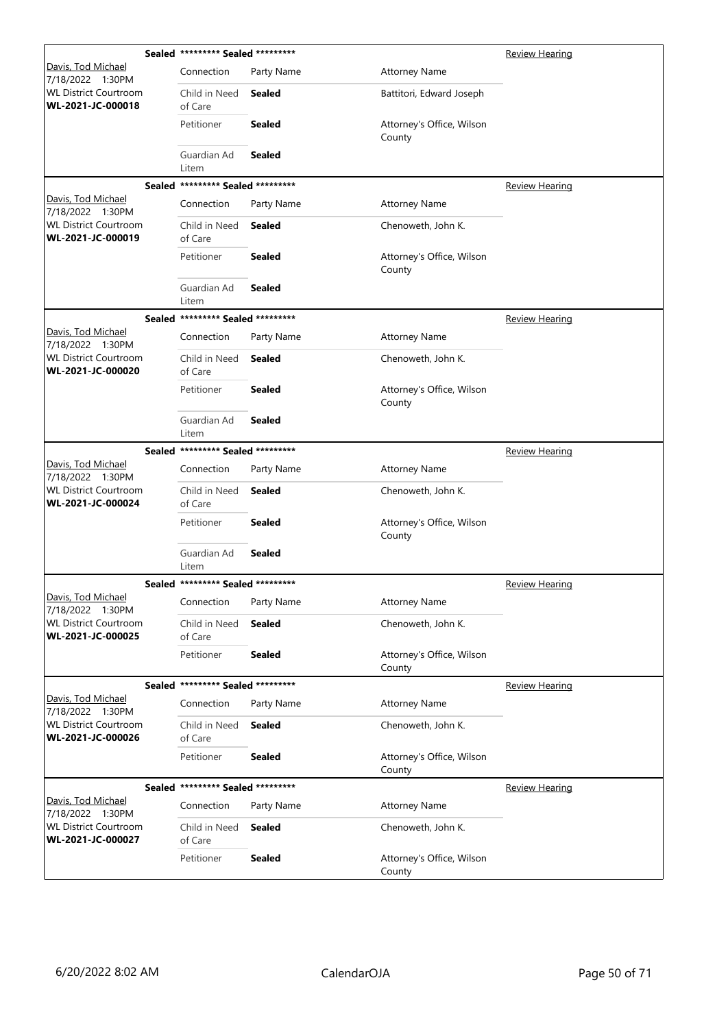|                                                   |                      | Sealed ********* Sealed ********* |               |                                     | <b>Review Hearing</b> |
|---------------------------------------------------|----------------------|-----------------------------------|---------------|-------------------------------------|-----------------------|
| Davis, Tod Michael<br>7/18/2022 1:30PM            |                      | Connection                        | Party Name    | <b>Attorney Name</b>                |                       |
| <b>WL District Courtroom</b><br>WL-2021-JC-000018 |                      | Child in Need<br>of Care          | <b>Sealed</b> | Battitori, Edward Joseph            |                       |
|                                                   |                      | Petitioner                        | <b>Sealed</b> | Attorney's Office, Wilson<br>County |                       |
|                                                   |                      | Guardian Ad<br>Litem              | <b>Sealed</b> |                                     |                       |
|                                                   | Sealed               | ********* Sealed *********        |               |                                     | <b>Review Hearing</b> |
| Davis, Tod Michael<br>7/18/2022 1:30PM            |                      | Connection                        | Party Name    | <b>Attorney Name</b>                |                       |
| <b>WL District Courtroom</b><br>WL-2021-JC-000019 |                      | Child in Need<br>of Care          | <b>Sealed</b> | Chenoweth, John K.                  |                       |
|                                                   |                      | Petitioner                        | <b>Sealed</b> | Attorney's Office, Wilson<br>County |                       |
|                                                   |                      | Guardian Ad<br>Litem              | <b>Sealed</b> |                                     |                       |
|                                                   | <b>Sealed</b>        | ********* Sealed *********        |               |                                     | <b>Review Hearing</b> |
| Davis, Tod Michael<br>7/18/2022 1:30PM            |                      | Connection                        | Party Name    | <b>Attorney Name</b>                |                       |
| <b>WL District Courtroom</b><br>WL-2021-JC-000020 |                      | Child in Need<br>of Care          | <b>Sealed</b> | Chenoweth, John K.                  |                       |
|                                                   |                      | Petitioner                        | <b>Sealed</b> | Attorney's Office, Wilson<br>County |                       |
|                                                   | Guardian Ad<br>Litem | Sealed                            |               |                                     |                       |
|                                                   | <b>Sealed</b>        | ********* Sealed *********        |               |                                     | <u>Review Hearing</u> |
| Davis, Tod Michael<br>7/18/2022 1:30PM            |                      | Connection                        | Party Name    | <b>Attorney Name</b>                |                       |
| <b>WL District Courtroom</b><br>WL-2021-JC-000024 |                      | Child in Need<br>of Care          | <b>Sealed</b> | Chenoweth, John K.                  |                       |
|                                                   |                      | Petitioner                        | Sealed        | Attorney's Office, Wilson<br>County |                       |
|                                                   |                      | Guardian Ad<br>Litem              | Sealed        |                                     |                       |
|                                                   |                      | Sealed ********* Sealed ********* |               |                                     | Review Hearing        |
| Davis, Tod Michael<br>7/18/2022 1:30PM            |                      | Connection                        | Party Name    | <b>Attorney Name</b>                |                       |
| <b>WL District Courtroom</b><br>WL-2021-JC-000025 |                      | Child in Need<br>of Care          | <b>Sealed</b> | Chenoweth, John K.                  |                       |
|                                                   |                      | Petitioner                        | <b>Sealed</b> | Attorney's Office, Wilson<br>County |                       |
|                                                   |                      | Sealed ********* Sealed ********* |               |                                     | <b>Review Hearing</b> |
| Davis, Tod Michael<br>7/18/2022 1:30PM            |                      | Connection                        | Party Name    | <b>Attorney Name</b>                |                       |
| <b>WL District Courtroom</b><br>WL-2021-JC-000026 |                      | Child in Need<br>of Care          | <b>Sealed</b> | Chenoweth, John K.                  |                       |
|                                                   |                      | Petitioner                        | <b>Sealed</b> | Attorney's Office, Wilson<br>County |                       |
|                                                   |                      | Sealed ********* Sealed ********* |               |                                     | <b>Review Hearing</b> |
| Davis, Tod Michael<br>7/18/2022 1:30PM            |                      | Connection                        | Party Name    | <b>Attorney Name</b>                |                       |
| <b>WL District Courtroom</b><br>WL-2021-JC-000027 |                      | Child in Need<br>of Care          | <b>Sealed</b> | Chenoweth, John K.                  |                       |
|                                                   |                      | Petitioner                        | <b>Sealed</b> | Attorney's Office, Wilson<br>County |                       |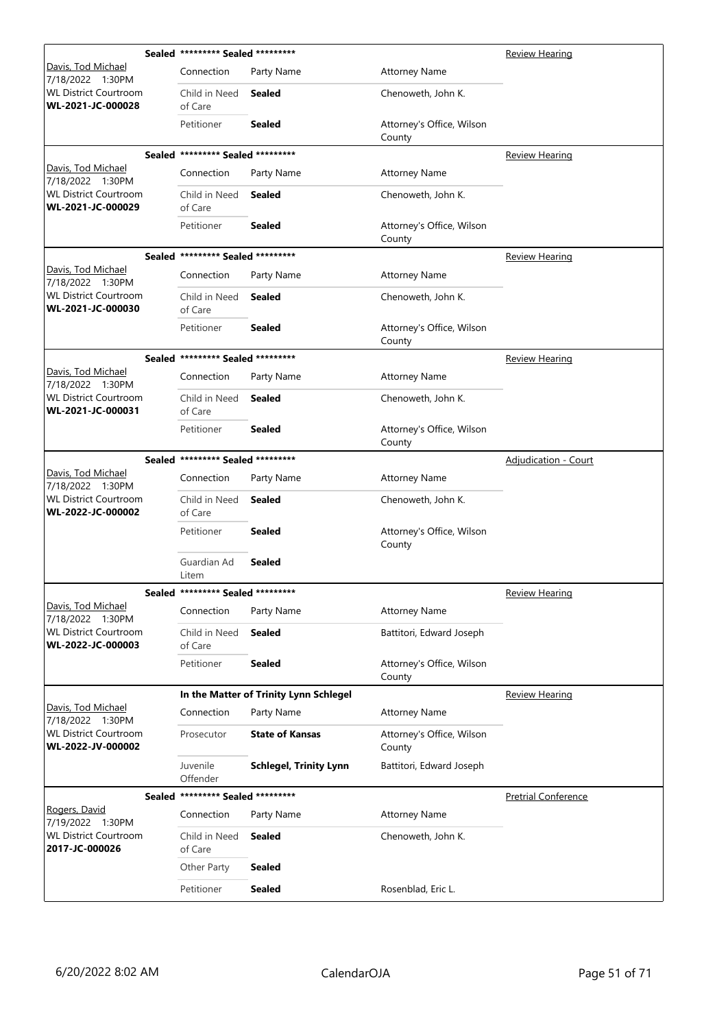|                                                   |        | Sealed ********* Sealed ********* |                                        |                                     | <b>Review Hearing</b>       |
|---------------------------------------------------|--------|-----------------------------------|----------------------------------------|-------------------------------------|-----------------------------|
| <u> Davis, Tod Michael</u><br>7/18/2022 1:30PM    |        | Connection                        | Party Name                             | <b>Attorney Name</b>                |                             |
| <b>WL District Courtroom</b><br>WL-2021-JC-000028 |        | Child in Need<br>of Care          | <b>Sealed</b>                          | Chenoweth, John K.                  |                             |
|                                                   |        | Petitioner                        | <b>Sealed</b>                          | Attorney's Office, Wilson<br>County |                             |
|                                                   |        | Sealed ********* Sealed ********* |                                        |                                     | <b>Review Hearing</b>       |
| Davis, Tod Michael<br>7/18/2022 1:30PM            |        | Connection                        | Party Name                             | <b>Attorney Name</b>                |                             |
| <b>WL District Courtroom</b><br>WL-2021-JC-000029 |        | Child in Need<br>of Care          | <b>Sealed</b>                          | Chenoweth, John K.                  |                             |
|                                                   |        | Petitioner                        | <b>Sealed</b>                          | Attorney's Office, Wilson<br>County |                             |
|                                                   |        | Sealed ********* Sealed ********* |                                        |                                     | <b>Review Hearing</b>       |
| Davis, Tod Michael<br>7/18/2022 1:30PM            |        | Connection                        | Party Name                             | <b>Attorney Name</b>                |                             |
| <b>WL District Courtroom</b><br>WL-2021-JC-000030 |        | Child in Need<br>of Care          | <b>Sealed</b>                          | Chenoweth, John K.                  |                             |
|                                                   |        | Petitioner                        | <b>Sealed</b>                          | Attorney's Office, Wilson<br>County |                             |
|                                                   |        | Sealed ********* Sealed ********* |                                        |                                     | <b>Review Hearing</b>       |
| Davis, Tod Michael<br>7/18/2022 1:30PM            |        | Connection                        | Party Name                             | <b>Attorney Name</b>                |                             |
| <b>WL District Courtroom</b><br>WL-2021-JC-000031 |        | Child in Need<br>of Care          | <b>Sealed</b>                          | Chenoweth, John K.                  |                             |
|                                                   |        | Petitioner                        | <b>Sealed</b>                          | Attorney's Office, Wilson<br>County |                             |
|                                                   |        | Sealed ********* Sealed ********* |                                        |                                     | <b>Adjudication - Court</b> |
| Davis, Tod Michael<br>7/18/2022 1:30PM            |        | Connection                        | Party Name                             | <b>Attorney Name</b>                |                             |
| <b>WL District Courtroom</b><br>WL-2022-JC-000002 |        | Child in Need<br>of Care          | <b>Sealed</b>                          | Chenoweth, John K.                  |                             |
|                                                   |        | Petitioner                        | <b>Sealed</b>                          | Attorney's Office, Wilson<br>County |                             |
|                                                   |        | Guardian Ad<br>Litem              | <b>Sealed</b>                          |                                     |                             |
|                                                   | Sealed |                                   |                                        |                                     | <b>Review Hearing</b>       |
| Davis, Tod Michael<br>7/18/2022 1:30PM            |        | Connection                        | Party Name                             | <b>Attorney Name</b>                |                             |
| <b>WL District Courtroom</b><br>WL-2022-JC-000003 |        | Child in Need<br>of Care          | <b>Sealed</b>                          | Battitori, Edward Joseph            |                             |
|                                                   |        | Petitioner                        | <b>Sealed</b>                          | Attorney's Office, Wilson<br>County |                             |
|                                                   |        |                                   | In the Matter of Trinity Lynn Schlegel |                                     | <b>Review Hearing</b>       |
| Davis, Tod Michael<br>7/18/2022 1:30PM            |        | Connection                        | Party Name                             | <b>Attorney Name</b>                |                             |
| <b>WL District Courtroom</b><br>WL-2022-JV-000002 |        | Prosecutor                        | <b>State of Kansas</b>                 | Attorney's Office, Wilson<br>County |                             |
|                                                   |        | Juvenile<br>Offender              | <b>Schlegel, Trinity Lynn</b>          | Battitori, Edward Joseph            |                             |
|                                                   |        | Sealed ********* Sealed ********* |                                        |                                     | <b>Pretrial Conference</b>  |
| Rogers, David<br>7/19/2022 1:30PM                 |        | Connection                        | Party Name                             | <b>Attorney Name</b>                |                             |
| <b>WL District Courtroom</b><br>2017-JC-000026    |        | Child in Need<br>of Care          | <b>Sealed</b>                          | Chenoweth, John K.                  |                             |
|                                                   |        | Other Party                       | <b>Sealed</b>                          |                                     |                             |
|                                                   |        | Petitioner                        | <b>Sealed</b>                          | Rosenblad, Eric L.                  |                             |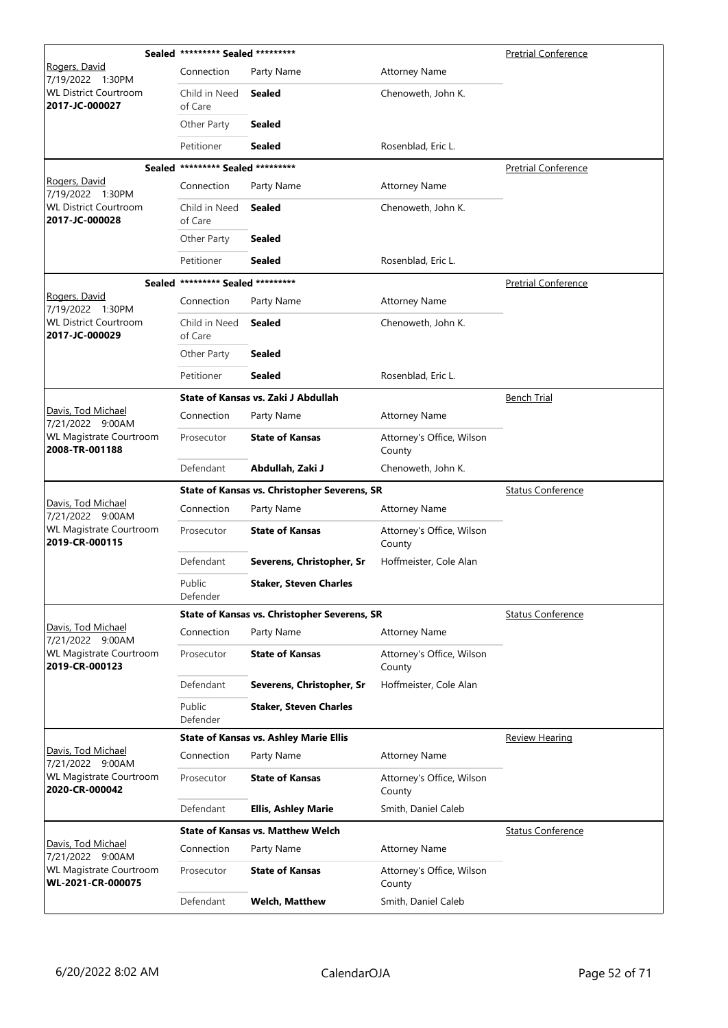|                                                                      | Sealed ********* Sealed ********* |                                               |                                     | <b>Pretrial Conference</b> |
|----------------------------------------------------------------------|-----------------------------------|-----------------------------------------------|-------------------------------------|----------------------------|
| Rogers, David<br>7/19/2022 1:30PM                                    | Connection                        | Party Name                                    | <b>Attorney Name</b>                |                            |
| <b>WL District Courtroom</b><br>2017-JC-000027                       | Child in Need<br>of Care          | Sealed                                        | Chenoweth, John K.                  |                            |
|                                                                      | Other Party                       | <b>Sealed</b>                                 |                                     |                            |
|                                                                      | Petitioner                        | Sealed                                        | Rosenblad, Eric L.                  |                            |
|                                                                      | Sealed ********* Sealed ********* |                                               |                                     | <b>Pretrial Conference</b> |
| Rogers, David<br>7/19/2022 1:30PM                                    | Connection                        | Party Name                                    | <b>Attorney Name</b>                |                            |
| <b>WL District Courtroom</b><br>2017-JC-000028                       | Child in Need<br>of Care          | Sealed                                        | Chenoweth, John K.                  |                            |
|                                                                      | Other Party                       | <b>Sealed</b>                                 |                                     |                            |
|                                                                      | Petitioner                        | <b>Sealed</b>                                 | Rosenblad, Eric L.                  |                            |
|                                                                      | Sealed ********* Sealed ********* |                                               |                                     | <b>Pretrial Conference</b> |
| Rogers, David<br>7/19/2022 1:30PM                                    | Connection                        | Party Name                                    | <b>Attorney Name</b>                |                            |
| <b>WL District Courtroom</b><br>2017-JC-000029                       | Child in Need<br>of Care          | <b>Sealed</b>                                 | Chenoweth, John K.                  |                            |
|                                                                      | Other Party                       | <b>Sealed</b>                                 |                                     |                            |
|                                                                      | Petitioner                        | <b>Sealed</b>                                 | Rosenblad, Eric L.                  |                            |
|                                                                      |                                   | State of Kansas vs. Zaki J Abdullah           |                                     | <b>Bench Trial</b>         |
| Davis, Tod Michael<br>7/21/2022 9:00AM                               | Connection                        | Party Name                                    | <b>Attorney Name</b>                |                            |
| <b>WL Magistrate Courtroom</b><br>2008-TR-001188                     | Prosecutor                        | <b>State of Kansas</b>                        | Attorney's Office, Wilson<br>County |                            |
|                                                                      | Defendant                         | Abdullah, Zaki J                              | Chenoweth, John K.                  |                            |
|                                                                      |                                   |                                               |                                     |                            |
|                                                                      |                                   | State of Kansas vs. Christopher Severens, SR  |                                     | <b>Status Conference</b>   |
| Davis, Tod Michael                                                   | Connection                        | Party Name                                    | <b>Attorney Name</b>                |                            |
| 7/21/2022 9:00AM<br><b>WL Magistrate Courtroom</b><br>2019-CR-000115 | Prosecutor                        | <b>State of Kansas</b>                        | Attorney's Office, Wilson<br>County |                            |
|                                                                      | Defendant                         | Severens, Christopher, Sr                     | Hoffmeister, Cole Alan              |                            |
|                                                                      | Public<br>Defender                | <b>Staker, Steven Charles</b>                 |                                     |                            |
|                                                                      |                                   | State of Kansas vs. Christopher Severens, SR  |                                     | <b>Status Conference</b>   |
| Davis, Tod Michael<br>7/21/2022 9:00AM                               | Connection                        | Party Name                                    | <b>Attorney Name</b>                |                            |
| WL Magistrate Courtroom<br>2019-CR-000123                            | Prosecutor                        | <b>State of Kansas</b>                        | Attorney's Office, Wilson<br>County |                            |
|                                                                      | Defendant                         | Severens, Christopher, Sr                     | Hoffmeister, Cole Alan              |                            |
|                                                                      | Public<br>Defender                | <b>Staker, Steven Charles</b>                 |                                     |                            |
|                                                                      |                                   | <b>State of Kansas vs. Ashley Marie Ellis</b> |                                     | <b>Review Hearing</b>      |
| Davis, Tod Michael                                                   | Connection                        | Party Name                                    | <b>Attorney Name</b>                |                            |
| 7/21/2022 9:00AM<br>WL Magistrate Courtroom<br>2020-CR-000042        | Prosecutor                        | <b>State of Kansas</b>                        | Attorney's Office, Wilson<br>County |                            |
|                                                                      | Defendant                         | <b>Ellis, Ashley Marie</b>                    | Smith, Daniel Caleb                 |                            |
|                                                                      |                                   | <b>State of Kansas vs. Matthew Welch</b>      |                                     | <b>Status Conference</b>   |
| Davis, Tod Michael                                                   | Connection                        | Party Name                                    | <b>Attorney Name</b>                |                            |
| 7/21/2022 9:00AM<br>WL Magistrate Courtroom<br>WL-2021-CR-000075     | Prosecutor                        | <b>State of Kansas</b>                        | Attorney's Office, Wilson<br>County |                            |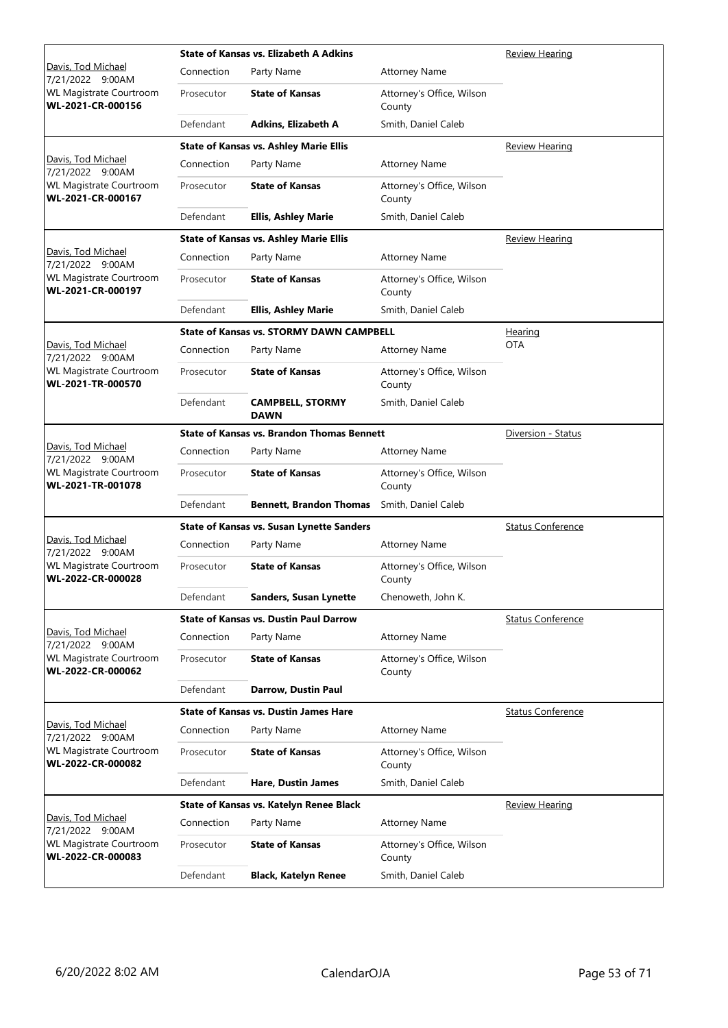|                                                     |            | <b>State of Kansas vs. Elizabeth A Adkins</b>     | Review Hearing                      |                          |
|-----------------------------------------------------|------------|---------------------------------------------------|-------------------------------------|--------------------------|
| Davis, Tod Michael<br>7/21/2022 9:00AM              | Connection | Party Name                                        | <b>Attorney Name</b>                |                          |
| <b>WL Magistrate Courtroom</b><br>WL-2021-CR-000156 | Prosecutor | <b>State of Kansas</b>                            | Attorney's Office, Wilson<br>County |                          |
|                                                     | Defendant  | Adkins, Elizabeth A                               | Smith, Daniel Caleb                 |                          |
|                                                     |            | <b>State of Kansas vs. Ashley Marie Ellis</b>     |                                     | <b>Review Hearing</b>    |
| Davis, Tod Michael<br>7/21/2022 9:00AM              | Connection | Party Name                                        | <b>Attorney Name</b>                |                          |
| <b>WL Magistrate Courtroom</b><br>WL-2021-CR-000167 | Prosecutor | <b>State of Kansas</b>                            | Attorney's Office, Wilson<br>County |                          |
|                                                     | Defendant  | <b>Ellis, Ashley Marie</b>                        | Smith, Daniel Caleb                 |                          |
|                                                     |            | <b>State of Kansas vs. Ashley Marie Ellis</b>     |                                     | <b>Review Hearing</b>    |
| Davis, Tod Michael<br>7/21/2022 9:00AM              | Connection | Party Name                                        | <b>Attorney Name</b>                |                          |
| <b>WL Magistrate Courtroom</b><br>WL-2021-CR-000197 | Prosecutor | <b>State of Kansas</b>                            | Attorney's Office, Wilson<br>County |                          |
|                                                     | Defendant  | <b>Ellis, Ashley Marie</b>                        | Smith, Daniel Caleb                 |                          |
|                                                     |            | <b>State of Kansas vs. STORMY DAWN CAMPBELL</b>   |                                     | <u>Hearing</u>           |
| Davis, Tod Michael<br>7/21/2022 9:00AM              | Connection | Party Name                                        | <b>Attorney Name</b>                | <b>OTA</b>               |
| <b>WL Magistrate Courtroom</b><br>WL-2021-TR-000570 | Prosecutor | <b>State of Kansas</b>                            | Attorney's Office, Wilson<br>County |                          |
|                                                     | Defendant  | <b>CAMPBELL, STORMY</b><br><b>DAWN</b>            | Smith, Daniel Caleb                 |                          |
|                                                     |            | <b>State of Kansas vs. Brandon Thomas Bennett</b> |                                     | Diversion - Status       |
| Davis, Tod Michael<br>7/21/2022 9:00AM              | Connection | Party Name                                        | <b>Attorney Name</b>                |                          |
| <b>WL Magistrate Courtroom</b><br>WL-2021-TR-001078 | Prosecutor | <b>State of Kansas</b>                            | Attorney's Office, Wilson<br>County |                          |
|                                                     | Defendant  | <b>Bennett, Brandon Thomas</b>                    | Smith, Daniel Caleb                 |                          |
|                                                     |            | <b>State of Kansas vs. Susan Lynette Sanders</b>  |                                     | <b>Status Conference</b> |
| Davis, Tod Michael<br>7/21/2022 9:00AM              | Connection | Party Name                                        | <b>Attorney Name</b>                |                          |
| <b>WL Magistrate Courtroom</b><br>WL-2022-CR-000028 | Prosecutor | <b>State of Kansas</b>                            | Attorney's Office, Wilson<br>County |                          |
|                                                     | Defendant  | <b>Sanders, Susan Lynette</b>                     | Chenoweth, John K.                  |                          |
|                                                     |            | <b>State of Kansas vs. Dustin Paul Darrow</b>     |                                     | <b>Status Conference</b> |
| Davis, Tod Michael<br>7/21/2022 9:00AM              | Connection | Party Name                                        | <b>Attorney Name</b>                |                          |
| WL Magistrate Courtroom<br>WL-2022-CR-000062        | Prosecutor | <b>State of Kansas</b>                            | Attorney's Office, Wilson<br>County |                          |
|                                                     | Defendant  | Darrow, Dustin Paul                               |                                     |                          |
|                                                     |            | <b>State of Kansas vs. Dustin James Hare</b>      |                                     | <b>Status Conference</b> |
| Davis, Tod Michael<br>7/21/2022 9:00AM              | Connection | Party Name                                        | <b>Attorney Name</b>                |                          |
| <b>WL Magistrate Courtroom</b><br>WL-2022-CR-000082 | Prosecutor | <b>State of Kansas</b>                            | Attorney's Office, Wilson<br>County |                          |
|                                                     | Defendant  | Hare, Dustin James                                | Smith, Daniel Caleb                 |                          |
|                                                     |            | State of Kansas vs. Katelyn Renee Black           |                                     | <b>Review Hearing</b>    |
| Davis, Tod Michael<br>7/21/2022 9:00AM              | Connection | Party Name                                        | <b>Attorney Name</b>                |                          |
| WL Magistrate Courtroom<br>WL-2022-CR-000083        | Prosecutor | <b>State of Kansas</b>                            | Attorney's Office, Wilson<br>County |                          |
|                                                     | Defendant  | <b>Black, Katelyn Renee</b>                       | Smith, Daniel Caleb                 |                          |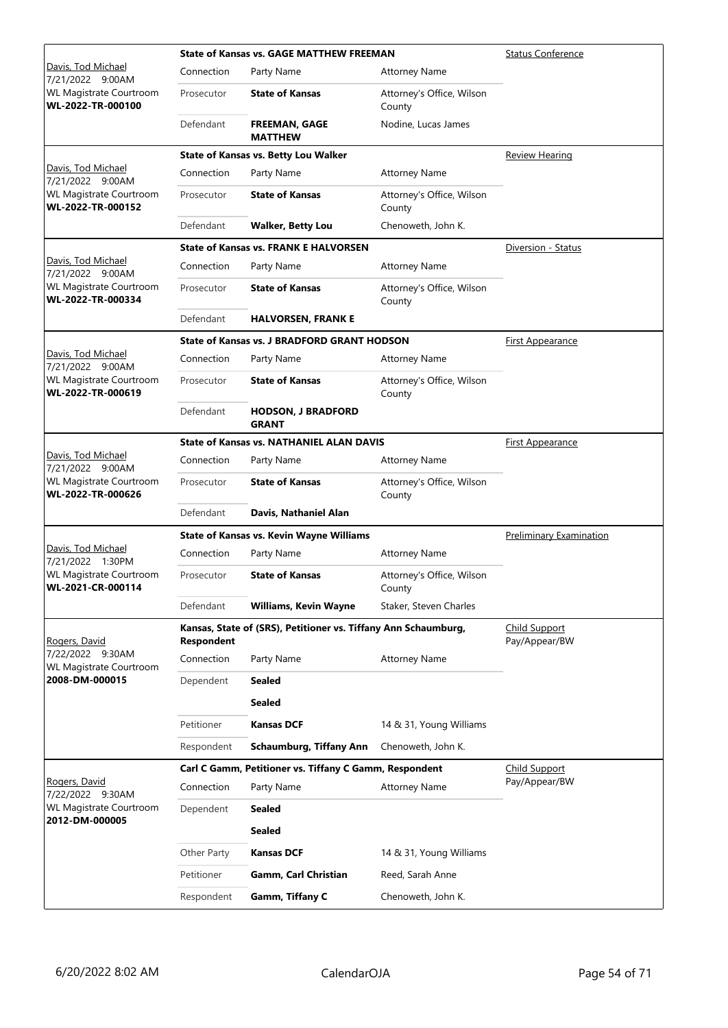|                                                     |                   | <b>State of Kansas vs. GAGE MATTHEW FREEMAN</b>                | <b>Status Conference</b>              |                         |
|-----------------------------------------------------|-------------------|----------------------------------------------------------------|---------------------------------------|-------------------------|
| Davis, Tod Michael<br>7/21/2022 9:00AM              | Connection        | Party Name                                                     | <b>Attorney Name</b>                  |                         |
| WL Magistrate Courtroom<br>WL-2022-TR-000100        | Prosecutor        | <b>State of Kansas</b>                                         | Attorney's Office, Wilson<br>County   |                         |
|                                                     | Defendant         | <b>FREEMAN, GAGE</b><br><b>MATTHEW</b>                         | Nodine, Lucas James                   |                         |
|                                                     |                   | <b>State of Kansas vs. Betty Lou Walker</b>                    |                                       | <b>Review Hearing</b>   |
| Davis, Tod Michael<br>7/21/2022 9:00AM              | Connection        | Party Name                                                     | <b>Attorney Name</b>                  |                         |
| <b>WL Magistrate Courtroom</b><br>WL-2022-TR-000152 | Prosecutor        | <b>State of Kansas</b>                                         | Attorney's Office, Wilson<br>County   |                         |
|                                                     | Defendant         | <b>Walker, Betty Lou</b>                                       | Chenoweth, John K.                    |                         |
|                                                     |                   | <b>State of Kansas vs. FRANK E HALVORSEN</b>                   |                                       | Diversion - Status      |
| Davis, Tod Michael<br>7/21/2022 9:00AM              | Connection        | Party Name                                                     | <b>Attorney Name</b>                  |                         |
| <b>WL Magistrate Courtroom</b><br>WL-2022-TR-000334 | Prosecutor        | <b>State of Kansas</b>                                         | Attorney's Office, Wilson<br>County   |                         |
|                                                     | Defendant         | <b>HALVORSEN, FRANK E</b>                                      |                                       |                         |
|                                                     |                   | <b>State of Kansas vs. J BRADFORD GRANT HODSON</b>             |                                       | <b>First Appearance</b> |
| Davis, Tod Michael<br>7/21/2022 9:00AM              | Connection        | Party Name                                                     | <b>Attorney Name</b>                  |                         |
| <b>WL Magistrate Courtroom</b><br>WL-2022-TR-000619 | Prosecutor        | <b>State of Kansas</b>                                         | Attorney's Office, Wilson<br>County   |                         |
|                                                     | Defendant         | <b>HODSON, J BRADFORD</b><br><b>GRANT</b>                      |                                       |                         |
|                                                     |                   | <b>State of Kansas vs. NATHANIEL ALAN DAVIS</b>                |                                       | <b>First Appearance</b> |
| Davis, Tod Michael<br>7/21/2022 9:00AM              | Connection        | Party Name                                                     | <b>Attorney Name</b>                  |                         |
| <b>WL Magistrate Courtroom</b><br>WL-2022-TR-000626 | Prosecutor        | <b>State of Kansas</b>                                         | Attorney's Office, Wilson<br>County   |                         |
|                                                     | Defendant         | Davis, Nathaniel Alan                                          |                                       |                         |
|                                                     |                   | <b>State of Kansas vs. Kevin Wayne Williams</b>                | <b>Preliminary Examination</b>        |                         |
| Davis, Tod Michael<br>7/21/2022 1:30PM              | Connection        | Party Name                                                     | <b>Attorney Name</b>                  |                         |
| <b>WL Magistrate Courtroom</b><br>WL-2021-CR-000114 | Prosecutor        | <b>State of Kansas</b>                                         | Attorney's Office, Wilson<br>County   |                         |
|                                                     | Defendant         | Williams, Kevin Wayne                                          | Staker, Steven Charles                |                         |
| Rogers, David                                       | <b>Respondent</b> | Kansas, State of (SRS), Petitioner vs. Tiffany Ann Schaumburg, | <b>Child Support</b><br>Pay/Appear/BW |                         |
| 7/22/2022 9:30AM<br>WL Magistrate Courtroom         | Connection        | Party Name                                                     | <b>Attorney Name</b>                  |                         |
| 2008-DM-000015                                      | Dependent         | <b>Sealed</b>                                                  |                                       |                         |
|                                                     |                   | <b>Sealed</b>                                                  |                                       |                         |
|                                                     | Petitioner        | <b>Kansas DCF</b>                                              | 14 & 31, Young Williams               |                         |
|                                                     | Respondent        | <b>Schaumburg, Tiffany Ann</b>                                 | Chenoweth, John K.                    |                         |
|                                                     |                   | Carl C Gamm, Petitioner vs. Tiffany C Gamm, Respondent         |                                       | <b>Child Support</b>    |
| Rogers, David<br>7/22/2022 9:30AM                   | Connection        | Party Name                                                     | <b>Attorney Name</b>                  | Pay/Appear/BW           |
| WL Magistrate Courtroom<br>2012-DM-000005           | Dependent         | <b>Sealed</b>                                                  |                                       |                         |
|                                                     |                   | <b>Sealed</b>                                                  |                                       |                         |
|                                                     | Other Party       | <b>Kansas DCF</b>                                              | 14 & 31, Young Williams               |                         |
|                                                     | Petitioner        | Gamm, Carl Christian                                           | Reed, Sarah Anne                      |                         |
|                                                     | Respondent        | Gamm, Tiffany C                                                | Chenoweth, John K.                    |                         |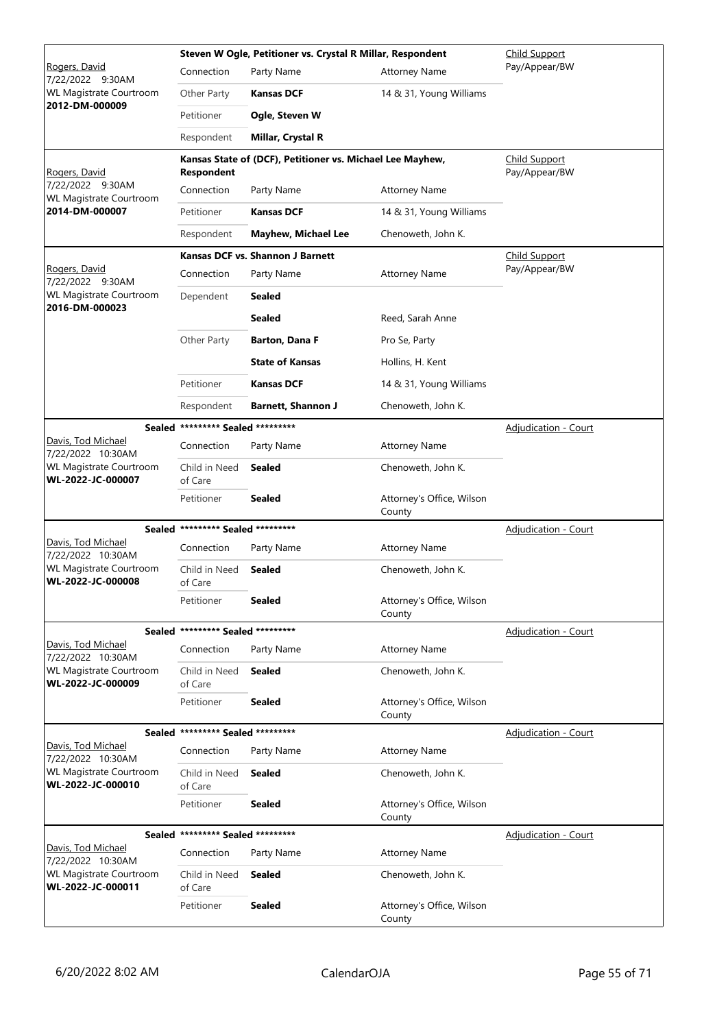|                                                     |                                   | Steven W Ogle, Petitioner vs. Crystal R Millar, Respondent | <b>Child Support</b>                |                                       |
|-----------------------------------------------------|-----------------------------------|------------------------------------------------------------|-------------------------------------|---------------------------------------|
| Rogers, David<br>7/22/2022 9:30AM                   | Connection                        | Party Name                                                 | <b>Attorney Name</b>                | Pay/Appear/BW                         |
| WL Magistrate Courtroom                             | Other Party                       | <b>Kansas DCF</b>                                          | 14 & 31, Young Williams             |                                       |
| 2012-DM-000009                                      | Petitioner                        | Ogle, Steven W                                             |                                     |                                       |
|                                                     | Respondent                        | <b>Millar, Crystal R</b>                                   |                                     |                                       |
| Rogers, David                                       | <b>Respondent</b>                 | Kansas State of (DCF), Petitioner vs. Michael Lee Mayhew,  |                                     | <b>Child Support</b><br>Pay/Appear/BW |
| 7/22/2022 9:30AM<br><b>WL Magistrate Courtroom</b>  | Connection                        | Party Name                                                 | <b>Attorney Name</b>                |                                       |
| 2014-DM-000007                                      | Petitioner                        | <b>Kansas DCF</b>                                          | 14 & 31, Young Williams             |                                       |
|                                                     | Respondent                        | <b>Mayhew, Michael Lee</b>                                 | Chenoweth, John K.                  |                                       |
|                                                     |                                   | <b>Kansas DCF vs. Shannon J Barnett</b>                    |                                     | Child Support                         |
| Rogers, David<br>7/22/2022 9:30AM                   | Connection                        | Party Name                                                 | <b>Attorney Name</b>                | Pay/Appear/BW                         |
| WL Magistrate Courtroom<br>2016-DM-000023           | Dependent                         | Sealed                                                     |                                     |                                       |
|                                                     |                                   | Sealed                                                     | Reed, Sarah Anne                    |                                       |
|                                                     | Other Party                       | <b>Barton, Dana F</b>                                      | Pro Se, Party                       |                                       |
|                                                     |                                   | <b>State of Kansas</b>                                     | Hollins, H. Kent                    |                                       |
|                                                     | Petitioner                        | <b>Kansas DCF</b>                                          | 14 & 31, Young Williams             |                                       |
|                                                     | Respondent                        | <b>Barnett, Shannon J</b>                                  | Chenoweth, John K.                  |                                       |
|                                                     | Sealed ********* Sealed ********* |                                                            |                                     | Adjudication - Court                  |
| Davis, Tod Michael<br>7/22/2022 10:30AM             | Connection                        | Party Name                                                 | <b>Attorney Name</b>                |                                       |
| <b>WL Magistrate Courtroom</b><br>WL-2022-JC-000007 | Child in Need<br>of Care          | <b>Sealed</b>                                              | Chenoweth, John K.                  |                                       |
|                                                     | Petitioner                        | <b>Sealed</b>                                              | Attorney's Office, Wilson<br>County |                                       |
|                                                     | Sealed ********* Sealed ********* |                                                            |                                     | <b>Adjudication - Court</b>           |
| Davis, Tod Michael<br>7/22/2022 10:30AM             | Connection                        | Party Name                                                 | <b>Attorney Name</b>                |                                       |
| <b>WL Magistrate Courtroom</b><br>WL-2022-JC-000008 | Child in Need<br>of Care          | Sealed                                                     | Chenoweth, John K.                  |                                       |
|                                                     | Petitioner                        | <b>Sealed</b>                                              | Attorney's Office, Wilson<br>County |                                       |
|                                                     | Sealed ********* Sealed ********* |                                                            |                                     | <b>Adjudication - Court</b>           |
| Davis, Tod Michael<br>7/22/2022 10:30AM             | Connection                        | Party Name                                                 | <b>Attorney Name</b>                |                                       |
| <b>WL Magistrate Courtroom</b><br>WL-2022-JC-000009 | Child in Need<br>of Care          | Sealed                                                     | Chenoweth, John K.                  |                                       |
|                                                     | Petitioner                        | <b>Sealed</b>                                              | Attorney's Office, Wilson<br>County |                                       |
|                                                     | Sealed ********* Sealed ********* |                                                            |                                     | <b>Adjudication - Court</b>           |
| Davis, Tod Michael<br>7/22/2022 10:30AM             | Connection                        | Party Name                                                 | <b>Attorney Name</b>                |                                       |
| <b>WL Magistrate Courtroom</b><br>WL-2022-JC-000010 | Child in Need<br>of Care          | Sealed                                                     | Chenoweth, John K.                  |                                       |
|                                                     | Petitioner                        | <b>Sealed</b>                                              | Attorney's Office, Wilson<br>County |                                       |
|                                                     | Sealed ********* Sealed ********* |                                                            |                                     | <b>Adjudication - Court</b>           |
| Davis, Tod Michael<br>7/22/2022 10:30AM             | Connection                        | Party Name                                                 | <b>Attorney Name</b>                |                                       |
| WL Magistrate Courtroom<br>WL-2022-JC-000011        | Child in Need<br>of Care          | Sealed                                                     | Chenoweth, John K.                  |                                       |
|                                                     | Petitioner                        | <b>Sealed</b>                                              | Attorney's Office, Wilson<br>County |                                       |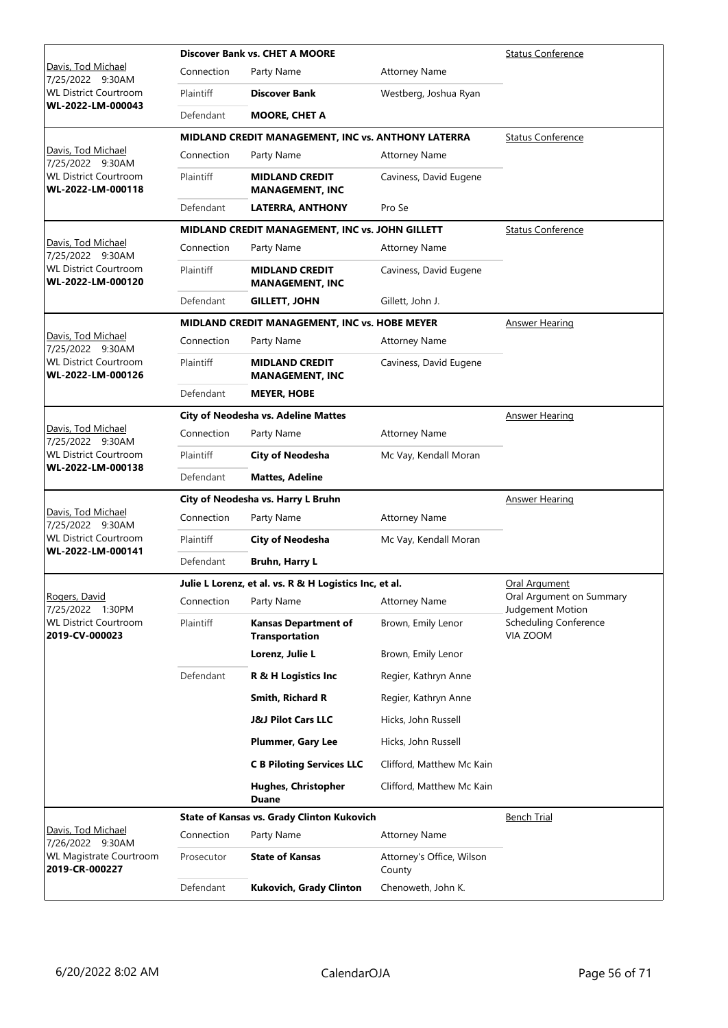|                                                   |            | Discover Bank vs. CHET A MOORE                         | <b>Status Conference</b>            |                                              |
|---------------------------------------------------|------------|--------------------------------------------------------|-------------------------------------|----------------------------------------------|
| Davis, Tod Michael<br>7/25/2022 9:30AM            | Connection | Party Name                                             | <b>Attorney Name</b>                |                                              |
| <b>WL District Courtroom</b>                      | Plaintiff  | Discover Bank                                          | Westberg, Joshua Ryan               |                                              |
| WL-2022-LM-000043                                 | Defendant  | <b>MOORE, CHET A</b>                                   |                                     |                                              |
|                                                   |            | MIDLAND CREDIT MANAGEMENT, INC vs. ANTHONY LATERRA     |                                     | <b>Status Conference</b>                     |
| Davis, Tod Michael<br>7/25/2022 9:30AM            | Connection | Party Name                                             | <b>Attorney Name</b>                |                                              |
| <b>WL District Courtroom</b><br>WL-2022-LM-000118 | Plaintiff  | <b>MIDLAND CREDIT</b><br><b>MANAGEMENT, INC</b>        | Caviness, David Eugene              |                                              |
|                                                   | Defendant  | <b>LATERRA, ANTHONY</b>                                | Pro Se                              |                                              |
|                                                   |            | MIDLAND CREDIT MANAGEMENT, INC vs. JOHN GILLETT        |                                     | <b>Status Conference</b>                     |
| Davis, Tod Michael<br>7/25/2022 9:30AM            | Connection | Party Name                                             | <b>Attorney Name</b>                |                                              |
| <b>WL District Courtroom</b><br>WL-2022-LM-000120 | Plaintiff  | <b>MIDLAND CREDIT</b><br><b>MANAGEMENT, INC</b>        | Caviness, David Eugene              |                                              |
|                                                   | Defendant  | <b>GILLETT, JOHN</b>                                   | Gillett, John J.                    |                                              |
|                                                   |            | MIDLAND CREDIT MANAGEMENT, INC vs. HOBE MEYER          |                                     | <b>Answer Hearing</b>                        |
| Davis, Tod Michael<br>7/25/2022 9:30AM            | Connection | Party Name                                             | <b>Attorney Name</b>                |                                              |
| <b>WL District Courtroom</b><br>WL-2022-LM-000126 | Plaintiff  | <b>MIDLAND CREDIT</b><br><b>MANAGEMENT, INC</b>        | Caviness, David Eugene              |                                              |
|                                                   | Defendant  | <b>MEYER, HOBE</b>                                     |                                     |                                              |
|                                                   |            | <b>City of Neodesha vs. Adeline Mattes</b>             |                                     | <b>Answer Hearing</b>                        |
| Davis, Tod Michael<br>7/25/2022 9:30AM            | Connection | Party Name                                             | <b>Attorney Name</b>                |                                              |
| <b>WL District Courtroom</b><br>WL-2022-LM-000138 | Plaintiff  | <b>City of Neodesha</b>                                | Mc Vay, Kendall Moran               |                                              |
|                                                   | Defendant  | <b>Mattes, Adeline</b>                                 |                                     |                                              |
|                                                   |            | City of Neodesha vs. Harry L Bruhn                     |                                     | <b>Answer Hearing</b>                        |
| Davis, Tod Michael<br>7/25/2022 9:30AM            | Connection | Party Name                                             | <b>Attorney Name</b>                |                                              |
| <b>WL District Courtroom</b><br>WL-2022-LM-000141 | Plaintiff  | <b>City of Neodesha</b>                                | Mc Vay, Kendall Moran               |                                              |
|                                                   | Defendant  | <b>Bruhn, Harry L</b>                                  |                                     |                                              |
|                                                   |            | Julie L Lorenz, et al. vs. R & H Logistics Inc, et al. | <b>Oral Argument</b>                |                                              |
| Rogers, David<br>7/25/2022 1:30PM                 | Connection | Party Name                                             | <b>Attorney Name</b>                | Oral Argument on Summary<br>Judgement Motion |
| <b>WL District Courtroom</b><br>2019-CV-000023    | Plaintiff  | <b>Kansas Department of</b><br><b>Transportation</b>   | Brown, Emily Lenor                  | <b>Scheduling Conference</b><br>VIA ZOOM     |
|                                                   |            | Lorenz, Julie L                                        | Brown, Emily Lenor                  |                                              |
|                                                   | Defendant  | R & H Logistics Inc                                    | Regier, Kathryn Anne                |                                              |
|                                                   |            | Smith, Richard R                                       | Regier, Kathryn Anne                |                                              |
|                                                   |            | <b>J&amp;J Pilot Cars LLC</b>                          | Hicks, John Russell                 |                                              |
|                                                   |            | Plummer, Gary Lee                                      | Hicks, John Russell                 |                                              |
|                                                   |            | <b>C B Piloting Services LLC</b>                       | Clifford, Matthew Mc Kain           |                                              |
|                                                   |            | <b>Hughes, Christopher</b><br>Duane                    | Clifford, Matthew Mc Kain           |                                              |
|                                                   |            | <b>State of Kansas vs. Grady Clinton Kukovich</b>      |                                     | <b>Bench Trial</b>                           |
| Davis, Tod Michael<br>7/26/2022 9:30AM            | Connection | Party Name                                             | <b>Attorney Name</b>                |                                              |
| WL Magistrate Courtroom<br>2019-CR-000227         | Prosecutor | <b>State of Kansas</b>                                 | Attorney's Office, Wilson<br>County |                                              |
|                                                   |            |                                                        |                                     |                                              |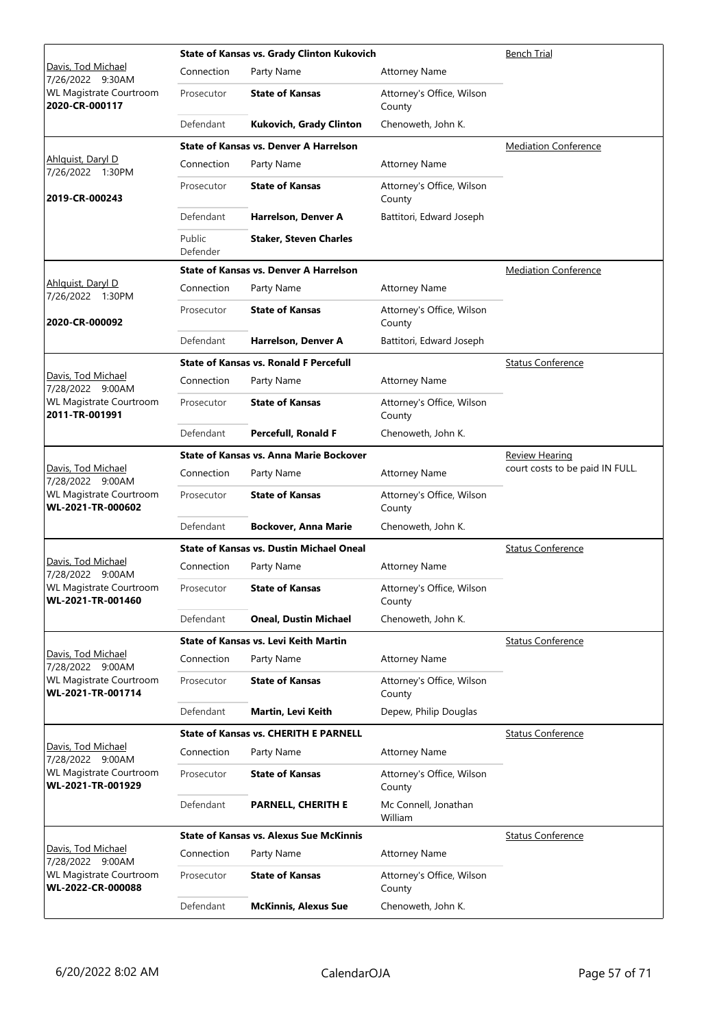|                                                     |                    | <b>State of Kansas vs. Grady Clinton Kukovich</b> | <b>Bench Trial</b>                  |                                 |
|-----------------------------------------------------|--------------------|---------------------------------------------------|-------------------------------------|---------------------------------|
| Davis, Tod Michael<br>7/26/2022 9:30AM              | Connection         | Party Name                                        | <b>Attorney Name</b>                |                                 |
| <b>WL Magistrate Courtroom</b><br>2020-CR-000117    | Prosecutor         | <b>State of Kansas</b>                            | Attorney's Office, Wilson<br>County |                                 |
|                                                     | Defendant          | <b>Kukovich, Grady Clinton</b>                    | Chenoweth, John K.                  |                                 |
|                                                     |                    | <b>State of Kansas vs. Denver A Harrelson</b>     |                                     | <b>Mediation Conference</b>     |
| Ahlquist, Daryl D<br>7/26/2022 1:30PM               | Connection         | Party Name                                        | <b>Attorney Name</b>                |                                 |
| 2019-CR-000243                                      | Prosecutor         | <b>State of Kansas</b>                            | Attorney's Office, Wilson<br>County |                                 |
|                                                     | Defendant          | Harrelson, Denver A                               | Battitori, Edward Joseph            |                                 |
|                                                     | Public<br>Defender | <b>Staker, Steven Charles</b>                     |                                     |                                 |
|                                                     |                    | <b>State of Kansas vs. Denver A Harrelson</b>     |                                     | <b>Mediation Conference</b>     |
| Ahlguist, Daryl D<br>7/26/2022 1:30PM               | Connection         | Party Name                                        | <b>Attorney Name</b>                |                                 |
| 2020-CR-000092                                      | Prosecutor         | <b>State of Kansas</b>                            | Attorney's Office, Wilson<br>County |                                 |
|                                                     | Defendant          | Harrelson, Denver A                               | Battitori, Edward Joseph            |                                 |
|                                                     |                    | <b>State of Kansas vs. Ronald F Percefull</b>     |                                     | <b>Status Conference</b>        |
| Davis, Tod Michael<br>7/28/2022 9:00AM              | Connection         | Party Name                                        | <b>Attorney Name</b>                |                                 |
| <b>WL Magistrate Courtroom</b><br>2011-TR-001991    | Prosecutor         | <b>State of Kansas</b>                            | Attorney's Office, Wilson<br>County |                                 |
|                                                     | Defendant          | <b>Percefull, Ronald F</b>                        | Chenoweth, John K.                  |                                 |
|                                                     |                    | <b>State of Kansas vs. Anna Marie Bockover</b>    |                                     | <b>Review Hearing</b>           |
| Davis, Tod Michael<br>7/28/2022 9:00AM              | Connection         | Party Name                                        | <b>Attorney Name</b>                | court costs to be paid IN FULL. |
| <b>WL Magistrate Courtroom</b><br>WL-2021-TR-000602 | Prosecutor         | <b>State of Kansas</b>                            | Attorney's Office, Wilson<br>County |                                 |
|                                                     | Defendant          | <b>Bockover, Anna Marie</b>                       | Chenoweth, John K.                  |                                 |
|                                                     |                    | <b>State of Kansas vs. Dustin Michael Oneal</b>   |                                     | <b>Status Conference</b>        |
| Davis, Tod Michael<br>7/28/2022 9:00AM              | Connection         | Party Name                                        | Attorney Name                       |                                 |
| <b>WL Magistrate Courtroom</b><br>WL-2021-TR-001460 | Prosecutor         | <b>State of Kansas</b>                            | Attorney's Office, Wilson<br>County |                                 |
|                                                     | Defendant          | <b>Oneal, Dustin Michael</b>                      | Chenoweth, John K.                  |                                 |
|                                                     |                    | State of Kansas vs. Levi Keith Martin             |                                     | <b>Status Conference</b>        |
| Davis, Tod Michael<br>7/28/2022 9:00AM              | Connection         | Party Name                                        | <b>Attorney Name</b>                |                                 |
| <b>WL Magistrate Courtroom</b><br>WL-2021-TR-001714 | Prosecutor         | <b>State of Kansas</b>                            | Attorney's Office, Wilson<br>County |                                 |
|                                                     | Defendant          | Martin, Levi Keith                                | Depew, Philip Douglas               |                                 |
|                                                     |                    | <b>State of Kansas vs. CHERITH E PARNELL</b>      |                                     | <b>Status Conference</b>        |
| Davis, Tod Michael<br>7/28/2022 9:00AM              | Connection         | Party Name                                        | <b>Attorney Name</b>                |                                 |
| WL Magistrate Courtroom<br>WL-2021-TR-001929        | Prosecutor         | <b>State of Kansas</b>                            | Attorney's Office, Wilson<br>County |                                 |
|                                                     | Defendant          | <b>PARNELL, CHERITH E</b>                         | Mc Connell, Jonathan<br>William     |                                 |
|                                                     |                    | <b>State of Kansas vs. Alexus Sue McKinnis</b>    |                                     | <b>Status Conference</b>        |
| Davis, Tod Michael<br>7/28/2022 9:00AM              | Connection         | Party Name                                        | <b>Attorney Name</b>                |                                 |
| WL Magistrate Courtroom<br>WL-2022-CR-000088        | Prosecutor         | <b>State of Kansas</b>                            | Attorney's Office, Wilson<br>County |                                 |
|                                                     | Defendant          | <b>McKinnis, Alexus Sue</b>                       | Chenoweth, John K.                  |                                 |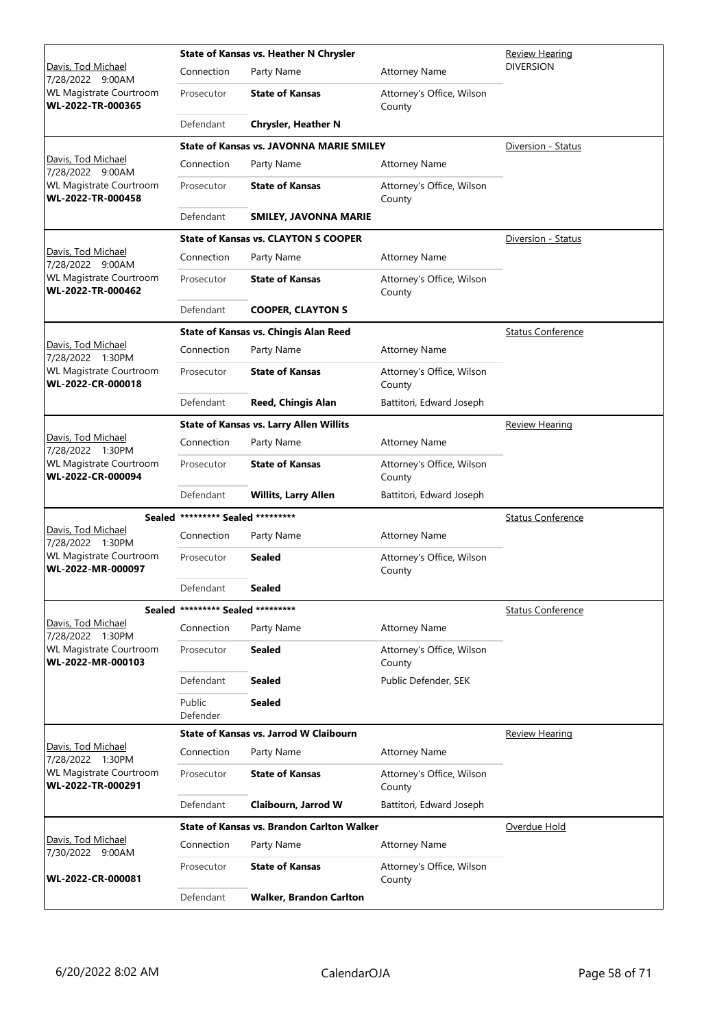|                                                     |                                   | State of Kansas vs. Heather N Chrysler            | Review Hearing                      |                          |
|-----------------------------------------------------|-----------------------------------|---------------------------------------------------|-------------------------------------|--------------------------|
| Davis, Tod Michael<br>7/28/2022 9:00AM              | Connection                        | Party Name                                        | <b>Attorney Name</b>                | <b>DIVERSION</b>         |
| WL Magistrate Courtroom<br>WL-2022-TR-000365        | Prosecutor                        | <b>State of Kansas</b>                            | Attorney's Office, Wilson<br>County |                          |
|                                                     | Defendant                         | <b>Chrysler, Heather N</b>                        |                                     |                          |
|                                                     |                                   | <b>State of Kansas vs. JAVONNA MARIE SMILEY</b>   |                                     | Diversion - Status       |
| Davis, Tod Michael<br>7/28/2022 9:00AM              | Connection                        | Party Name                                        | <b>Attorney Name</b>                |                          |
| <b>WL Magistrate Courtroom</b><br>WL-2022-TR-000458 | Prosecutor                        | <b>State of Kansas</b>                            | Attorney's Office, Wilson<br>County |                          |
|                                                     | Defendant                         | <b>SMILEY, JAVONNA MARIE</b>                      |                                     |                          |
|                                                     |                                   | <b>State of Kansas vs. CLAYTON S COOPER</b>       |                                     | Diversion - Status       |
| Davis, Tod Michael<br>7/28/2022 9:00AM              | Connection                        | Party Name                                        | <b>Attorney Name</b>                |                          |
| <b>WL Magistrate Courtroom</b><br>WL-2022-TR-000462 | Prosecutor                        | <b>State of Kansas</b>                            | Attorney's Office, Wilson<br>County |                          |
|                                                     | Defendant                         | <b>COOPER, CLAYTON S</b>                          |                                     |                          |
|                                                     |                                   | <b>State of Kansas vs. Chingis Alan Reed</b>      |                                     | <b>Status Conference</b> |
| Davis, Tod Michael<br>7/28/2022 1:30PM              | Connection                        | Party Name                                        | <b>Attorney Name</b>                |                          |
| <b>WL Magistrate Courtroom</b><br>WL-2022-CR-000018 | Prosecutor                        | <b>State of Kansas</b>                            | Attorney's Office, Wilson<br>County |                          |
|                                                     | Defendant                         | <b>Reed, Chingis Alan</b>                         | Battitori, Edward Joseph            |                          |
|                                                     |                                   | <b>State of Kansas vs. Larry Allen Willits</b>    |                                     | <b>Review Hearing</b>    |
| Davis, Tod Michael<br>7/28/2022 1:30PM              | Connection                        | Party Name                                        | <b>Attorney Name</b>                |                          |
| <b>WL Magistrate Courtroom</b><br>WL-2022-CR-000094 | Prosecutor                        | <b>State of Kansas</b>                            | Attorney's Office, Wilson<br>County |                          |
|                                                     | Defendant                         | <b>Willits, Larry Allen</b>                       | Battitori, Edward Joseph            |                          |
| Sealed                                              | ********* Sealed *********        |                                                   |                                     | <b>Status Conference</b> |
| Davis, Tod Michael<br>7/28/2022 1:30PM              | Connection                        | Party Name                                        | <b>Attorney Name</b>                |                          |
| WL Magistrate Courtroom<br>WL-2022-MR-000097        | Prosecutor                        | Sealed                                            | Attorney's Office, Wilson<br>County |                          |
|                                                     | Defendant                         | Sealed                                            |                                     |                          |
|                                                     | Sealed ********* Sealed ********* |                                                   |                                     | <b>Status Conference</b> |
| Davis, Tod Michael<br>7/28/2022 1:30PM              | Connection                        | Party Name                                        | <b>Attorney Name</b>                |                          |
| WL Magistrate Courtroom<br>WL-2022-MR-000103        | Prosecutor                        | <b>Sealed</b>                                     | Attorney's Office, Wilson<br>County |                          |
|                                                     | Defendant                         | <b>Sealed</b>                                     | Public Defender, SEK                |                          |
|                                                     | Public<br>Defender                | <b>Sealed</b>                                     |                                     |                          |
|                                                     |                                   | State of Kansas vs. Jarrod W Claibourn            |                                     | <b>Review Hearing</b>    |
| Davis, Tod Michael<br>7/28/2022 1:30PM              | Connection                        | Party Name                                        | <b>Attorney Name</b>                |                          |
| WL Magistrate Courtroom<br>WL-2022-TR-000291        | Prosecutor                        | <b>State of Kansas</b>                            | Attorney's Office, Wilson<br>County |                          |
|                                                     | Defendant                         | Claibourn, Jarrod W                               | Battitori, Edward Joseph            |                          |
|                                                     |                                   | <b>State of Kansas vs. Brandon Carlton Walker</b> |                                     | Overdue Hold             |
| Davis, Tod Michael<br>7/30/2022 9:00AM              | Connection                        | Party Name                                        | <b>Attorney Name</b>                |                          |
| WL-2022-CR-000081                                   | Prosecutor                        | <b>State of Kansas</b>                            | Attorney's Office, Wilson<br>County |                          |
|                                                     | Defendant                         | <b>Walker, Brandon Carlton</b>                    |                                     |                          |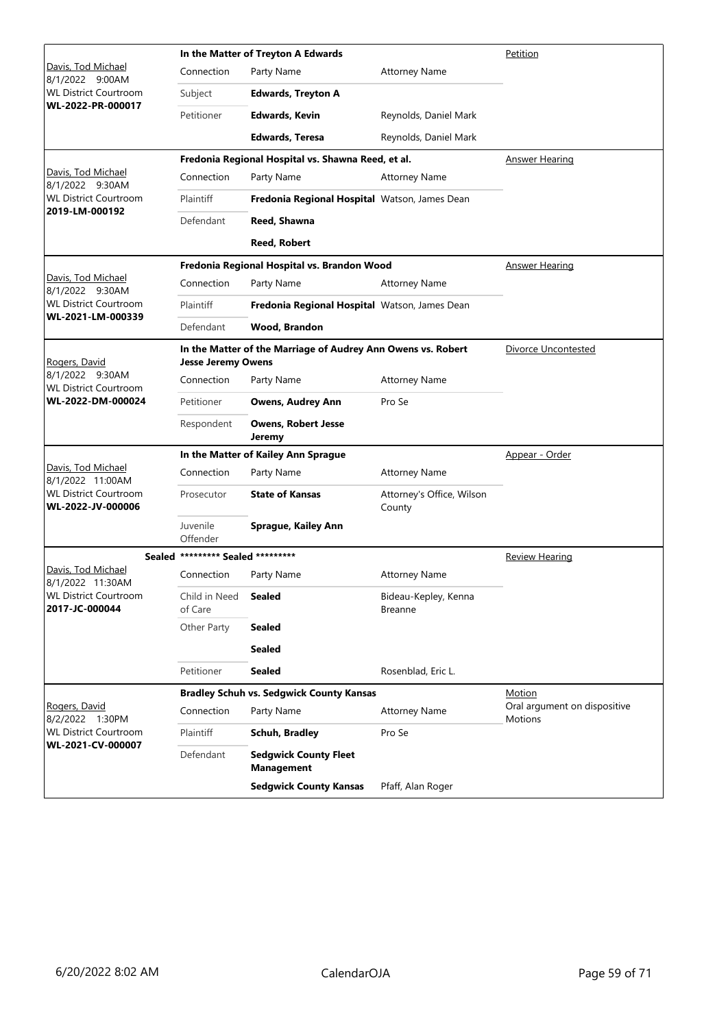|                                                   |                                   | In the Matter of Treyton A Edwards                           | Petition                               |                                                |
|---------------------------------------------------|-----------------------------------|--------------------------------------------------------------|----------------------------------------|------------------------------------------------|
| Davis, Tod Michael<br>8/1/2022 9:00AM             | Connection                        | Party Name                                                   | <b>Attorney Name</b>                   |                                                |
| <b>WL District Courtroom</b>                      | Subject                           | <b>Edwards, Treyton A</b>                                    |                                        |                                                |
| WL-2022-PR-000017                                 | Petitioner                        | <b>Edwards, Kevin</b>                                        | Reynolds, Daniel Mark                  |                                                |
|                                                   |                                   | <b>Edwards, Teresa</b>                                       | Reynolds, Daniel Mark                  |                                                |
|                                                   |                                   | Fredonia Regional Hospital vs. Shawna Reed, et al.           |                                        | Answer Hearing                                 |
| Davis, Tod Michael<br>8/1/2022 9:30AM             | Connection                        | Party Name                                                   | <b>Attorney Name</b>                   |                                                |
| <b>WL District Courtroom</b><br>2019-LM-000192    | Plaintiff                         | Fredonia Regional Hospital Watson, James Dean                |                                        |                                                |
|                                                   | Defendant                         | Reed, Shawna                                                 |                                        |                                                |
|                                                   |                                   | <b>Reed, Robert</b>                                          |                                        |                                                |
|                                                   |                                   | Fredonia Regional Hospital vs. Brandon Wood                  |                                        | <b>Answer Hearing</b>                          |
| Davis, Tod Michael<br>8/1/2022 9:30AM             | Connection                        | Party Name                                                   | <b>Attorney Name</b>                   |                                                |
| <b>WL District Courtroom</b>                      | Plaintiff                         | Fredonia Regional Hospital Watson, James Dean                |                                        |                                                |
| WL-2021-LM-000339                                 | Defendant                         | Wood, Brandon                                                |                                        |                                                |
| Rogers, David                                     | <b>Jesse Jeremy Owens</b>         | In the Matter of the Marriage of Audrey Ann Owens vs. Robert | <b>Divorce Uncontested</b>             |                                                |
| 8/1/2022 9:30AM<br><b>WL District Courtroom</b>   | Connection                        | Party Name                                                   | <b>Attorney Name</b>                   |                                                |
| WL-2022-DM-000024                                 | Petitioner                        | <b>Owens, Audrey Ann</b>                                     | Pro Se                                 |                                                |
|                                                   | Respondent                        | <b>Owens, Robert Jesse</b><br>Jeremy                         |                                        |                                                |
|                                                   |                                   | In the Matter of Kailey Ann Sprague                          |                                        | Appear - Order                                 |
| Davis, Tod Michael<br>8/1/2022 11:00AM            | Connection                        | Party Name                                                   | <b>Attorney Name</b>                   |                                                |
| <b>WL District Courtroom</b><br>WL-2022-JV-000006 | Prosecutor                        | <b>State of Kansas</b>                                       | Attorney's Office, Wilson<br>County    |                                                |
|                                                   | Juvenile<br>Offender              | Sprague, Kailey Ann                                          |                                        |                                                |
|                                                   | Sealed ********* Sealed ********* |                                                              |                                        | <b>Review Hearing</b>                          |
| Davis, Tod Michael<br>8/1/2022 11:30AM            | Connection                        | Party Name                                                   | <b>Attorney Name</b>                   |                                                |
| <b>WL District Courtroom</b><br>2017-JC-000044    | Child in Need<br>of Care          | Sealed                                                       | Bideau-Kepley, Kenna<br><b>Breanne</b> |                                                |
|                                                   | Other Party                       | <b>Sealed</b>                                                |                                        |                                                |
|                                                   |                                   | <b>Sealed</b>                                                |                                        |                                                |
|                                                   | Petitioner                        | <b>Sealed</b>                                                | Rosenblad, Eric L.                     |                                                |
|                                                   |                                   | <b>Bradley Schuh vs. Sedgwick County Kansas</b>              |                                        | <b>Motion</b>                                  |
| Rogers, David<br>8/2/2022 1:30PM                  | Connection                        | Party Name                                                   | <b>Attorney Name</b>                   | Oral argument on dispositive<br><b>Motions</b> |
| <b>WL District Courtroom</b><br>WL-2021-CV-000007 | Plaintiff                         | Schuh, Bradley                                               | Pro Se                                 |                                                |
|                                                   | Defendant                         | <b>Sedgwick County Fleet</b><br><b>Management</b>            |                                        |                                                |
|                                                   |                                   | <b>Sedgwick County Kansas</b>                                | Pfaff, Alan Roger                      |                                                |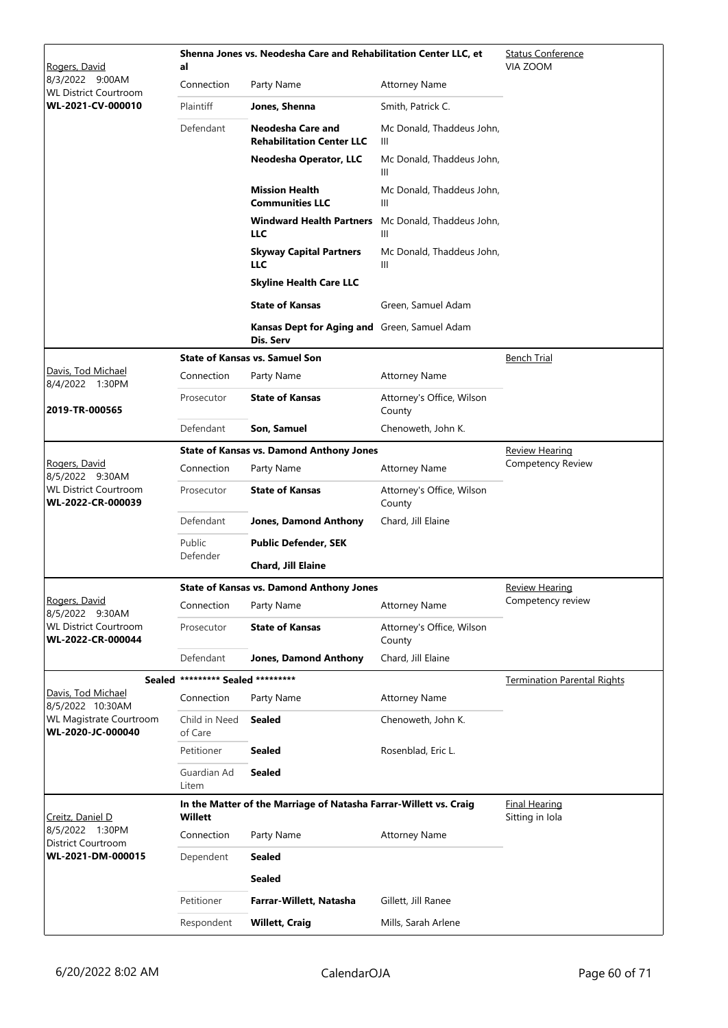| Rogers, David                                       | al                         | Shenna Jones vs. Neodesha Care and Rehabilitation Center LLC, et  |                                     | <b>Status Conference</b><br>VIA ZOOM    |
|-----------------------------------------------------|----------------------------|-------------------------------------------------------------------|-------------------------------------|-----------------------------------------|
| 8/3/2022 9:00AM<br><b>WL District Courtroom</b>     | Connection                 | Party Name                                                        | <b>Attorney Name</b>                |                                         |
| WL-2021-CV-000010                                   | Plaintiff                  | Jones, Shenna                                                     | Smith, Patrick C.                   |                                         |
|                                                     | Defendant                  | Neodesha Care and<br><b>Rehabilitation Center LLC</b>             | Mc Donald, Thaddeus John,<br>Ш      |                                         |
|                                                     |                            | Neodesha Operator, LLC                                            | Mc Donald, Thaddeus John,<br>Ш      |                                         |
|                                                     |                            | <b>Mission Health</b><br><b>Communities LLC</b>                   | Mc Donald, Thaddeus John,<br>Ш      |                                         |
|                                                     |                            | <b>Windward Health Partners</b><br><b>LLC</b>                     | Mc Donald, Thaddeus John,<br>Ш      |                                         |
|                                                     |                            | <b>Skyway Capital Partners</b><br><b>LLC</b>                      | Mc Donald, Thaddeus John,<br>Ш      |                                         |
|                                                     |                            | <b>Skyline Health Care LLC</b>                                    |                                     |                                         |
|                                                     |                            | <b>State of Kansas</b>                                            | Green, Samuel Adam                  |                                         |
|                                                     |                            | Kansas Dept for Aging and Green, Samuel Adam<br>Dis. Serv         |                                     |                                         |
|                                                     |                            | <b>State of Kansas vs. Samuel Son</b>                             |                                     | <b>Bench Trial</b>                      |
| Davis, Tod Michael<br>8/4/2022 1:30PM               | Connection                 | Party Name                                                        | Attorney Name                       |                                         |
| 2019-TR-000565                                      | Prosecutor                 | <b>State of Kansas</b>                                            | Attorney's Office, Wilson<br>County |                                         |
|                                                     | Defendant                  | Son, Samuel                                                       | Chenoweth, John K.                  |                                         |
|                                                     |                            | <b>State of Kansas vs. Damond Anthony Jones</b>                   |                                     | <b>Review Hearing</b>                   |
| Rogers, David<br>8/5/2022 9:30AM                    | Connection                 | Party Name                                                        | <b>Attorney Name</b>                | Competency Review                       |
| <b>WL District Courtroom</b><br>WL-2022-CR-000039   | Prosecutor                 | <b>State of Kansas</b>                                            | Attorney's Office, Wilson<br>County |                                         |
|                                                     | Defendant                  | <b>Jones, Damond Anthony</b>                                      | Chard, Jill Elaine                  |                                         |
|                                                     | Public                     | <b>Public Defender, SEK</b>                                       |                                     |                                         |
|                                                     | Defender                   | Chard, Jill Elaine                                                |                                     |                                         |
|                                                     |                            | <b>State of Kansas vs. Damond Anthony Jones</b>                   |                                     | <u>Review Hearing</u>                   |
| Rogers, David<br>8/5/2022 9:30AM                    | Connection                 | Party Name                                                        | <b>Attorney Name</b>                | Competency review                       |
| <b>WL District Courtroom</b><br>WL-2022-CR-000044   | Prosecutor                 | <b>State of Kansas</b>                                            | Attorney's Office, Wilson<br>County |                                         |
|                                                     | Defendant                  | <b>Jones, Damond Anthony</b>                                      | Chard, Jill Elaine                  |                                         |
| <b>Sealed</b>                                       | ********* Sealed ********* |                                                                   |                                     | <b>Termination Parental Rights</b>      |
| Davis, Tod Michael<br>8/5/2022 10:30AM              | Connection                 | Party Name                                                        | <b>Attorney Name</b>                |                                         |
| <b>WL Magistrate Courtroom</b><br>WL-2020-JC-000040 | Child in Need<br>of Care   | <b>Sealed</b>                                                     | Chenoweth, John K.                  |                                         |
|                                                     | Petitioner                 | <b>Sealed</b>                                                     | Rosenblad, Eric L.                  |                                         |
|                                                     | Guardian Ad<br>Litem       | <b>Sealed</b>                                                     |                                     |                                         |
| Creitz, Daniel D                                    | <b>Willett</b>             | In the Matter of the Marriage of Natasha Farrar-Willett vs. Craig |                                     | <b>Final Hearing</b><br>Sitting in Iola |
| 8/5/2022 1:30PM<br>District Courtroom               | Connection                 | Party Name                                                        | <b>Attorney Name</b>                |                                         |
| WL-2021-DM-000015                                   | Dependent                  | <b>Sealed</b>                                                     |                                     |                                         |
|                                                     |                            | <b>Sealed</b>                                                     |                                     |                                         |
|                                                     | Petitioner                 | Farrar-Willett, Natasha                                           | Gillett, Jill Ranee                 |                                         |
|                                                     | Respondent                 | <b>Willett, Craig</b>                                             | Mills, Sarah Arlene                 |                                         |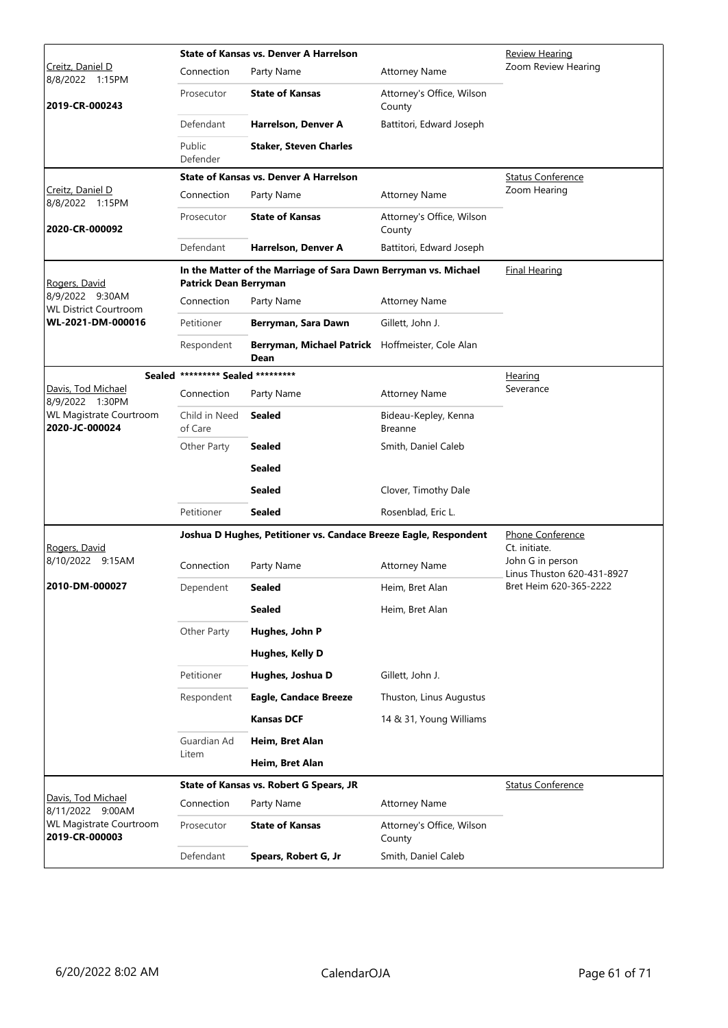|                                                  |                                   | <b>State of Kansas vs. Denver A Harrelson</b>                    | <b>Review Hearing</b>                  |                                                |
|--------------------------------------------------|-----------------------------------|------------------------------------------------------------------|----------------------------------------|------------------------------------------------|
| Creitz, Daniel D<br>8/8/2022 1:15PM              | Connection                        | Party Name                                                       | <b>Attorney Name</b>                   | Zoom Review Hearing                            |
| 2019-CR-000243                                   | Prosecutor                        | <b>State of Kansas</b>                                           | Attorney's Office, Wilson<br>County    |                                                |
|                                                  | Defendant                         | Harrelson, Denver A                                              | Battitori, Edward Joseph               |                                                |
|                                                  | Public<br>Defender                | <b>Staker, Steven Charles</b>                                    |                                        |                                                |
|                                                  |                                   | State of Kansas vs. Denver A Harrelson                           |                                        | <b>Status Conference</b>                       |
| Creitz, Daniel D<br>8/8/2022 1:15PM              | Connection                        | Party Name                                                       | <b>Attorney Name</b>                   | Zoom Hearing                                   |
| 2020-CR-000092                                   | Prosecutor                        | <b>State of Kansas</b>                                           | Attorney's Office, Wilson<br>County    |                                                |
|                                                  | Defendant                         | Harrelson, Denver A                                              | Battitori, Edward Joseph               |                                                |
| Rogers, David                                    | Patrick Dean Berryman             | In the Matter of the Marriage of Sara Dawn Berryman vs. Michael  |                                        | Final Hearing                                  |
| 8/9/2022 9:30AM<br><b>WL District Courtroom</b>  | Connection                        | Party Name                                                       | <b>Attorney Name</b>                   |                                                |
| WL-2021-DM-000016                                | Petitioner                        | Berryman, Sara Dawn                                              | Gillett, John J.                       |                                                |
|                                                  | Respondent                        | Berryman, Michael Patrick Hoffmeister, Cole Alan<br>Dean         |                                        |                                                |
|                                                  | Sealed ********* Sealed ********* |                                                                  |                                        | Hearing                                        |
| Davis, Tod Michael<br>8/9/2022 1:30PM            | Connection                        | Party Name                                                       | <b>Attorney Name</b>                   | Severance                                      |
| <b>WL Magistrate Courtroom</b><br>2020-JC-000024 | Child in Need<br>of Care          | <b>Sealed</b>                                                    | Bideau-Kepley, Kenna<br><b>Breanne</b> |                                                |
|                                                  | Other Party                       | <b>Sealed</b>                                                    | Smith, Daniel Caleb                    |                                                |
|                                                  |                                   | <b>Sealed</b>                                                    |                                        |                                                |
|                                                  |                                   | <b>Sealed</b>                                                    | Clover, Timothy Dale                   |                                                |
|                                                  | Petitioner                        | <b>Sealed</b>                                                    | Rosenblad, Eric L.                     |                                                |
| Rogers, David                                    |                                   | Joshua D Hughes, Petitioner vs. Candace Breeze Eagle, Respondent |                                        | Phone Conference<br>Ct. initiate.              |
| 8/10/2022 9:15AM                                 | Connection                        | Party Name                                                       | <b>Attorney Name</b>                   | John G in person<br>Linus Thuston 620-431-8927 |
| 2010-DM-000027                                   | Dependent                         | Sealed                                                           | Heim, Bret Alan                        | Bret Heim 620-365-2222                         |
|                                                  |                                   | <b>Sealed</b>                                                    | Heim, Bret Alan                        |                                                |
|                                                  | Other Party                       | Hughes, John P                                                   |                                        |                                                |
|                                                  |                                   | Hughes, Kelly D                                                  |                                        |                                                |
|                                                  | Petitioner                        | Hughes, Joshua D                                                 | Gillett, John J.                       |                                                |
|                                                  | Respondent                        | <b>Eagle, Candace Breeze</b>                                     | Thuston, Linus Augustus                |                                                |
|                                                  |                                   | <b>Kansas DCF</b>                                                | 14 & 31, Young Williams                |                                                |
|                                                  | Guardian Ad                       | Heim, Bret Alan                                                  |                                        |                                                |
|                                                  | Litem                             | Heim, Bret Alan                                                  |                                        |                                                |
|                                                  |                                   | State of Kansas vs. Robert G Spears, JR                          |                                        | <b>Status Conference</b>                       |
| Davis, Tod Michael<br>8/11/2022 9:00AM           | Connection                        | Party Name                                                       | <b>Attorney Name</b>                   |                                                |
| WL Magistrate Courtroom<br>2019-CR-000003        | Prosecutor                        | <b>State of Kansas</b>                                           | Attorney's Office, Wilson<br>County    |                                                |
|                                                  | Defendant                         | Spears, Robert G, Jr                                             | Smith, Daniel Caleb                    |                                                |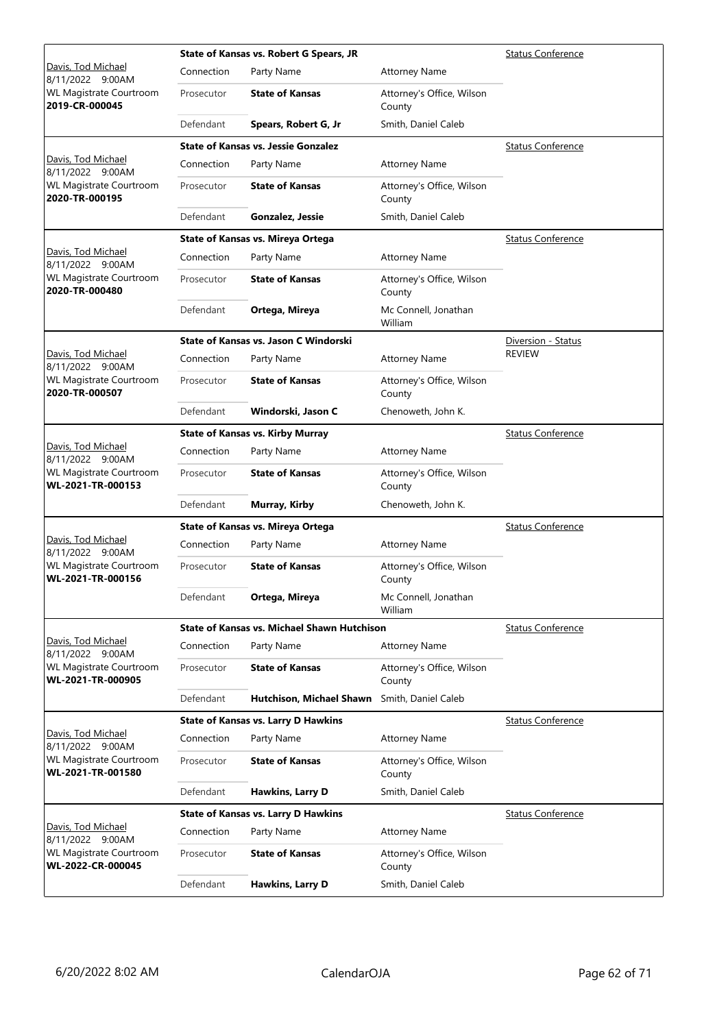|                                                     |            | State of Kansas vs. Robert G Spears, JR     | <b>Status Conference</b>            |                          |
|-----------------------------------------------------|------------|---------------------------------------------|-------------------------------------|--------------------------|
| Davis, Tod Michael<br>8/11/2022 9:00AM              | Connection | Party Name                                  | <b>Attorney Name</b>                |                          |
| <b>WL Magistrate Courtroom</b><br>2019-CR-000045    | Prosecutor | <b>State of Kansas</b>                      | Attorney's Office, Wilson<br>County |                          |
|                                                     | Defendant  | Spears, Robert G, Jr                        | Smith, Daniel Caleb                 |                          |
|                                                     |            | <b>State of Kansas vs. Jessie Gonzalez</b>  |                                     | <b>Status Conference</b> |
| Davis, Tod Michael<br>8/11/2022 9:00AM              | Connection | Party Name                                  | <b>Attorney Name</b>                |                          |
| <b>WL Magistrate Courtroom</b><br>2020-TR-000195    | Prosecutor | <b>State of Kansas</b>                      | Attorney's Office, Wilson<br>County |                          |
|                                                     | Defendant  | Gonzalez, Jessie                            | Smith, Daniel Caleb                 |                          |
|                                                     |            | <b>State of Kansas vs. Mireya Ortega</b>    |                                     | <b>Status Conference</b> |
| Davis, Tod Michael<br>8/11/2022 9:00AM              | Connection | Party Name                                  | <b>Attorney Name</b>                |                          |
| <b>WL Magistrate Courtroom</b><br>2020-TR-000480    | Prosecutor | <b>State of Kansas</b>                      | Attorney's Office, Wilson<br>County |                          |
|                                                     | Defendant  | Ortega, Mireya                              | Mc Connell, Jonathan<br>William     |                          |
|                                                     |            | State of Kansas vs. Jason C Windorski       |                                     | Diversion - Status       |
| Davis, Tod Michael<br>8/11/2022 9:00AM              | Connection | Party Name                                  | <b>Attorney Name</b>                | <b>REVIEW</b>            |
| <b>WL Magistrate Courtroom</b><br>2020-TR-000507    | Prosecutor | <b>State of Kansas</b>                      | Attorney's Office, Wilson<br>County |                          |
|                                                     | Defendant  | Windorski, Jason C                          | Chenoweth, John K.                  |                          |
|                                                     |            | <b>State of Kansas vs. Kirby Murray</b>     |                                     | <b>Status Conference</b> |
| Davis, Tod Michael<br>8/11/2022 9:00AM              | Connection | Party Name                                  | <b>Attorney Name</b>                |                          |
| <b>WL Magistrate Courtroom</b><br>WL-2021-TR-000153 | Prosecutor | <b>State of Kansas</b>                      | Attorney's Office, Wilson<br>County |                          |
|                                                     | Defendant  | Murray, Kirby                               | Chenoweth, John K.                  |                          |
|                                                     |            | State of Kansas vs. Mireya Ortega           | <b>Status Conference</b>            |                          |
| Davis, Tod Michael<br>8/11/2022 9:00AM              | Connection | Party Name                                  | <b>Attorney Name</b>                |                          |
| <b>WL Magistrate Courtroom</b><br>WL-2021-TR-000156 | Prosecutor | <b>State of Kansas</b>                      | Attorney's Office, Wilson<br>County |                          |
|                                                     | Defendant  | Ortega, Mireya                              | Mc Connell, Jonathan<br>William     |                          |
|                                                     |            | State of Kansas vs. Michael Shawn Hutchison |                                     | <b>Status Conference</b> |
| Davis, Tod Michael<br>8/11/2022 9:00AM              | Connection | Party Name                                  | <b>Attorney Name</b>                |                          |
| <b>WL Magistrate Courtroom</b><br>WL-2021-TR-000905 | Prosecutor | <b>State of Kansas</b>                      | Attorney's Office, Wilson<br>County |                          |
|                                                     | Defendant  | Hutchison, Michael Shawn                    | Smith, Daniel Caleb                 |                          |
|                                                     |            | <b>State of Kansas vs. Larry D Hawkins</b>  |                                     | <b>Status Conference</b> |
| Davis, Tod Michael<br>8/11/2022 9:00AM              | Connection | Party Name                                  | <b>Attorney Name</b>                |                          |
| WL Magistrate Courtroom<br>WL-2021-TR-001580        | Prosecutor | <b>State of Kansas</b>                      | Attorney's Office, Wilson<br>County |                          |
|                                                     | Defendant  | Hawkins, Larry D                            | Smith, Daniel Caleb                 |                          |
|                                                     |            | <b>State of Kansas vs. Larry D Hawkins</b>  |                                     | <b>Status Conference</b> |
| Davis, Tod Michael<br>8/11/2022 9:00AM              | Connection | Party Name                                  | <b>Attorney Name</b>                |                          |
| WL Magistrate Courtroom<br>WL-2022-CR-000045        | Prosecutor | <b>State of Kansas</b>                      | Attorney's Office, Wilson<br>County |                          |
|                                                     | Defendant  | Hawkins, Larry D                            | Smith, Daniel Caleb                 |                          |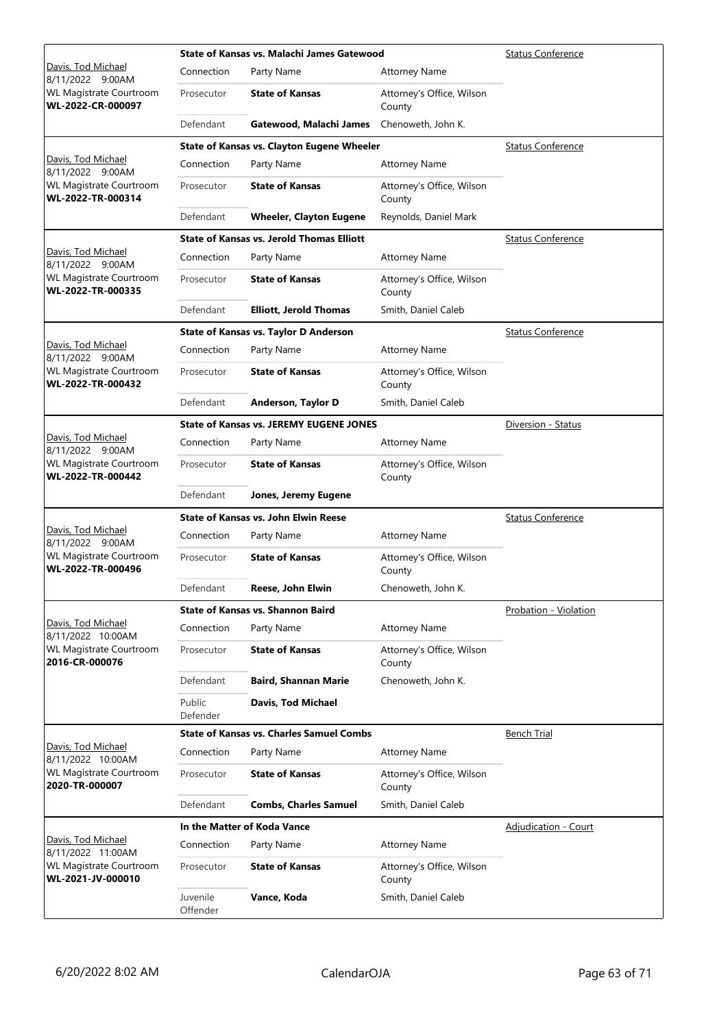|                                                     |                      | State of Kansas vs. Malachi James Gatewood       | <b>Status Conference</b>            |                             |
|-----------------------------------------------------|----------------------|--------------------------------------------------|-------------------------------------|-----------------------------|
| Davis, Tod Michael<br>8/11/2022 9:00AM              | Connection           | Party Name                                       | <b>Attorney Name</b>                |                             |
| <b>WL Magistrate Courtroom</b><br>WL-2022-CR-000097 | Prosecutor           | <b>State of Kansas</b>                           | Attorney's Office, Wilson<br>County |                             |
|                                                     | Defendant            | Gatewood, Malachi James                          | Chenoweth, John K.                  |                             |
|                                                     |                      | State of Kansas vs. Clayton Eugene Wheeler       |                                     | <b>Status Conference</b>    |
| Davis, Tod Michael<br>8/11/2022 9:00AM              | Connection           | Party Name                                       | <b>Attorney Name</b>                |                             |
| <b>WL Magistrate Courtroom</b><br>WL-2022-TR-000314 | Prosecutor           | <b>State of Kansas</b>                           | Attorney's Office, Wilson<br>County |                             |
|                                                     | Defendant            | <b>Wheeler, Clayton Eugene</b>                   | Reynolds, Daniel Mark               |                             |
|                                                     |                      | <b>State of Kansas vs. Jerold Thomas Elliott</b> |                                     | <b>Status Conference</b>    |
| Davis, Tod Michael<br>8/11/2022 9:00AM              | Connection           | Party Name                                       | <b>Attorney Name</b>                |                             |
| <b>WL Magistrate Courtroom</b><br>WL-2022-TR-000335 | Prosecutor           | <b>State of Kansas</b>                           | Attorney's Office, Wilson<br>County |                             |
|                                                     | Defendant            | <b>Elliott, Jerold Thomas</b>                    | Smith, Daniel Caleb                 |                             |
|                                                     |                      | State of Kansas vs. Taylor D Anderson            |                                     | <b>Status Conference</b>    |
| Davis, Tod Michael<br>8/11/2022 9:00AM              | Connection           | Party Name                                       | <b>Attorney Name</b>                |                             |
| <b>WL Magistrate Courtroom</b><br>WL-2022-TR-000432 | Prosecutor           | <b>State of Kansas</b>                           | Attorney's Office, Wilson<br>County |                             |
|                                                     | Defendant            | Anderson, Taylor D                               | Smith, Daniel Caleb                 |                             |
|                                                     |                      | <b>State of Kansas vs. JEREMY EUGENE JONES</b>   |                                     | Diversion - Status          |
| Davis, Tod Michael<br>8/11/2022 9:00AM              | Connection           | Party Name                                       | <b>Attorney Name</b>                |                             |
| <b>WL Magistrate Courtroom</b><br>WL-2022-TR-000442 | Prosecutor           | <b>State of Kansas</b>                           | Attorney's Office, Wilson<br>County |                             |
|                                                     | Defendant            | Jones, Jeremy Eugene                             |                                     |                             |
|                                                     |                      | <b>State of Kansas vs. John Elwin Reese</b>      |                                     | <b>Status Conference</b>    |
| Davis, Tod Michael<br>8/11/2022 9:00AM              | Connection           | Party Name                                       | <b>Attorney Name</b>                |                             |
| <b>WL Magistrate Courtroom</b><br>WL-2022-TR-000496 | Prosecutor           | <b>State of Kansas</b>                           | Attorney's Office, Wilson<br>County |                             |
|                                                     | Defendant            | Reese, John Elwin                                | Chenoweth, John K.                  |                             |
|                                                     |                      | <b>State of Kansas vs. Shannon Baird</b>         |                                     | Probation - Violation       |
| Davis, Tod Michael<br>8/11/2022 10:00AM             | Connection           | Party Name                                       | <b>Attorney Name</b>                |                             |
| WL Magistrate Courtroom<br>2016-CR-000076           | Prosecutor           | <b>State of Kansas</b>                           | Attorney's Office, Wilson<br>County |                             |
|                                                     | Defendant            | <b>Baird, Shannan Marie</b>                      | Chenoweth, John K.                  |                             |
|                                                     | Public<br>Defender   | Davis, Tod Michael                               |                                     |                             |
|                                                     |                      | <b>State of Kansas vs. Charles Samuel Combs</b>  |                                     | <b>Bench Trial</b>          |
| Davis, Tod Michael<br>8/11/2022 10:00AM             | Connection           | Party Name                                       | <b>Attorney Name</b>                |                             |
| WL Magistrate Courtroom<br>2020-TR-000007           | Prosecutor           | <b>State of Kansas</b>                           | Attorney's Office, Wilson<br>County |                             |
|                                                     | Defendant            | <b>Combs, Charles Samuel</b>                     | Smith, Daniel Caleb                 |                             |
|                                                     |                      | In the Matter of Koda Vance                      |                                     | <b>Adjudication - Court</b> |
| Davis, Tod Michael<br>8/11/2022 11:00AM             | Connection           | Party Name                                       | <b>Attorney Name</b>                |                             |
| WL Magistrate Courtroom<br>WL-2021-JV-000010        | Prosecutor           | <b>State of Kansas</b>                           | Attorney's Office, Wilson<br>County |                             |
|                                                     | Juvenile<br>Offender | Vance, Koda                                      | Smith, Daniel Caleb                 |                             |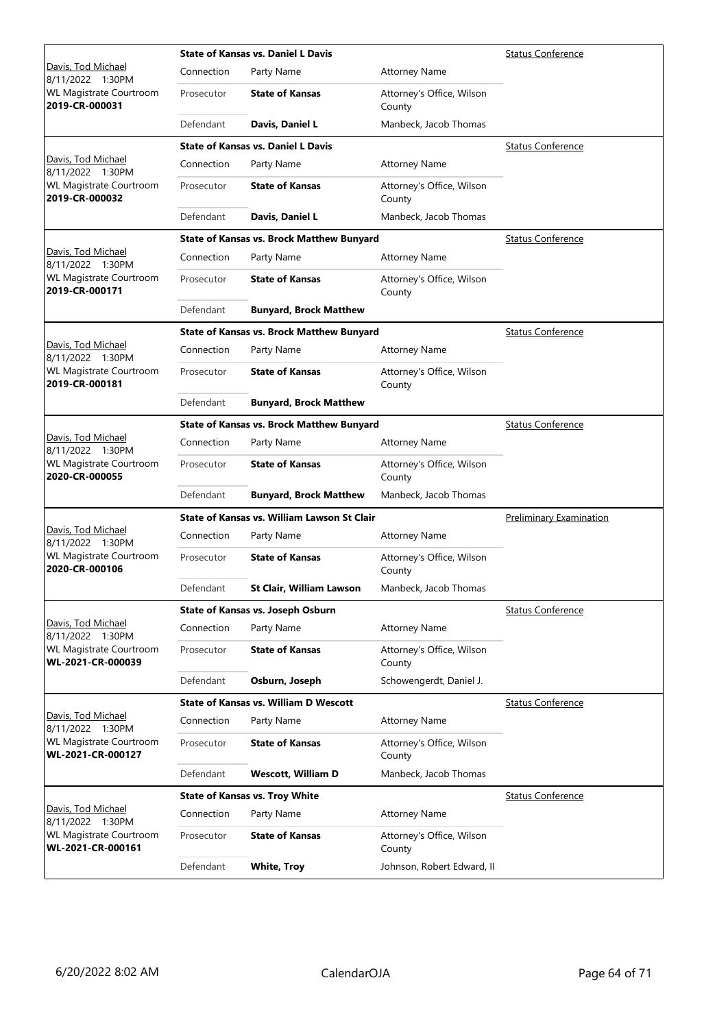|                                                     |            | <b>State of Kansas vs. Daniel L Davis</b>        | <b>Status Conference</b>            |                                |
|-----------------------------------------------------|------------|--------------------------------------------------|-------------------------------------|--------------------------------|
| Davis, Tod Michael<br>8/11/2022 1:30PM              | Connection | Party Name                                       | <b>Attorney Name</b>                |                                |
| <b>WL Magistrate Courtroom</b><br>2019-CR-000031    | Prosecutor | <b>State of Kansas</b>                           | Attorney's Office, Wilson<br>County |                                |
|                                                     | Defendant  | Davis, Daniel L                                  | Manbeck, Jacob Thomas               |                                |
|                                                     |            | <b>State of Kansas vs. Daniel L Davis</b>        |                                     | <b>Status Conference</b>       |
| Davis, Tod Michael<br>8/11/2022 1:30PM              | Connection | Party Name                                       | <b>Attorney Name</b>                |                                |
| <b>WL Magistrate Courtroom</b><br>2019-CR-000032    | Prosecutor | <b>State of Kansas</b>                           | Attorney's Office, Wilson<br>County |                                |
|                                                     | Defendant  | Davis, Daniel L                                  | Manbeck, Jacob Thomas               |                                |
|                                                     |            | <b>State of Kansas vs. Brock Matthew Bunyard</b> |                                     | <b>Status Conference</b>       |
| Davis, Tod Michael<br>8/11/2022 1:30PM              | Connection | Party Name                                       | <b>Attorney Name</b>                |                                |
| <b>WL Magistrate Courtroom</b><br>2019-CR-000171    | Prosecutor | <b>State of Kansas</b>                           | Attorney's Office, Wilson<br>County |                                |
|                                                     | Defendant  | <b>Bunyard, Brock Matthew</b>                    |                                     |                                |
|                                                     |            | <b>State of Kansas vs. Brock Matthew Bunyard</b> |                                     | <b>Status Conference</b>       |
| Davis, Tod Michael<br>8/11/2022 1:30PM              | Connection | Party Name                                       | <b>Attorney Name</b>                |                                |
| <b>WL Magistrate Courtroom</b><br>2019-CR-000181    | Prosecutor | <b>State of Kansas</b>                           | Attorney's Office, Wilson<br>County |                                |
|                                                     | Defendant  | <b>Bunyard, Brock Matthew</b>                    |                                     |                                |
|                                                     |            | <b>State of Kansas vs. Brock Matthew Bunyard</b> |                                     | <b>Status Conference</b>       |
| Davis, Tod Michael<br>8/11/2022 1:30PM              | Connection | Party Name                                       | <b>Attorney Name</b>                |                                |
| <b>WL Magistrate Courtroom</b><br>2020-CR-000055    | Prosecutor | <b>State of Kansas</b>                           | Attorney's Office, Wilson<br>County |                                |
|                                                     | Defendant  | <b>Bunyard, Brock Matthew</b>                    | Manbeck, Jacob Thomas               |                                |
|                                                     |            | State of Kansas vs. William Lawson St Clair      |                                     | <b>Preliminary Examination</b> |
| Davis, Tod Michael<br>8/11/2022 1:30PM              | Connection | Party Name                                       | <b>Attorney Name</b>                |                                |
| <b>WL Magistrate Courtroom</b><br>2020-CR-000106    | Prosecutor | <b>State of Kansas</b>                           | Attorney's Office, Wilson<br>County |                                |
|                                                     | Defendant  | <b>St Clair, William Lawson</b>                  | Manbeck, Jacob Thomas               |                                |
|                                                     |            | State of Kansas vs. Joseph Osburn                |                                     | <b>Status Conference</b>       |
| Davis, Tod Michael<br>8/11/2022 1:30PM              | Connection | Party Name                                       | <b>Attorney Name</b>                |                                |
| <b>WL Magistrate Courtroom</b><br>WL-2021-CR-000039 | Prosecutor | <b>State of Kansas</b>                           | Attorney's Office, Wilson<br>County |                                |
|                                                     | Defendant  | Osburn, Joseph                                   | Schowengerdt, Daniel J.             |                                |
|                                                     |            | <b>State of Kansas vs. William D Wescott</b>     |                                     | <b>Status Conference</b>       |
| Davis, Tod Michael<br>8/11/2022 1:30PM              | Connection | Party Name                                       | <b>Attorney Name</b>                |                                |
| <b>WL Magistrate Courtroom</b><br>WL-2021-CR-000127 | Prosecutor | <b>State of Kansas</b>                           | Attorney's Office, Wilson<br>County |                                |
|                                                     | Defendant  | <b>Wescott, William D</b>                        | Manbeck, Jacob Thomas               |                                |
|                                                     |            | <b>State of Kansas vs. Troy White</b>            |                                     | <b>Status Conference</b>       |
| Davis, Tod Michael<br>8/11/2022 1:30PM              | Connection | Party Name                                       | <b>Attorney Name</b>                |                                |
| <b>WL Magistrate Courtroom</b><br>WL-2021-CR-000161 | Prosecutor | <b>State of Kansas</b>                           | Attorney's Office, Wilson<br>County |                                |
|                                                     | Defendant  | <b>White, Troy</b>                               | Johnson, Robert Edward, II          |                                |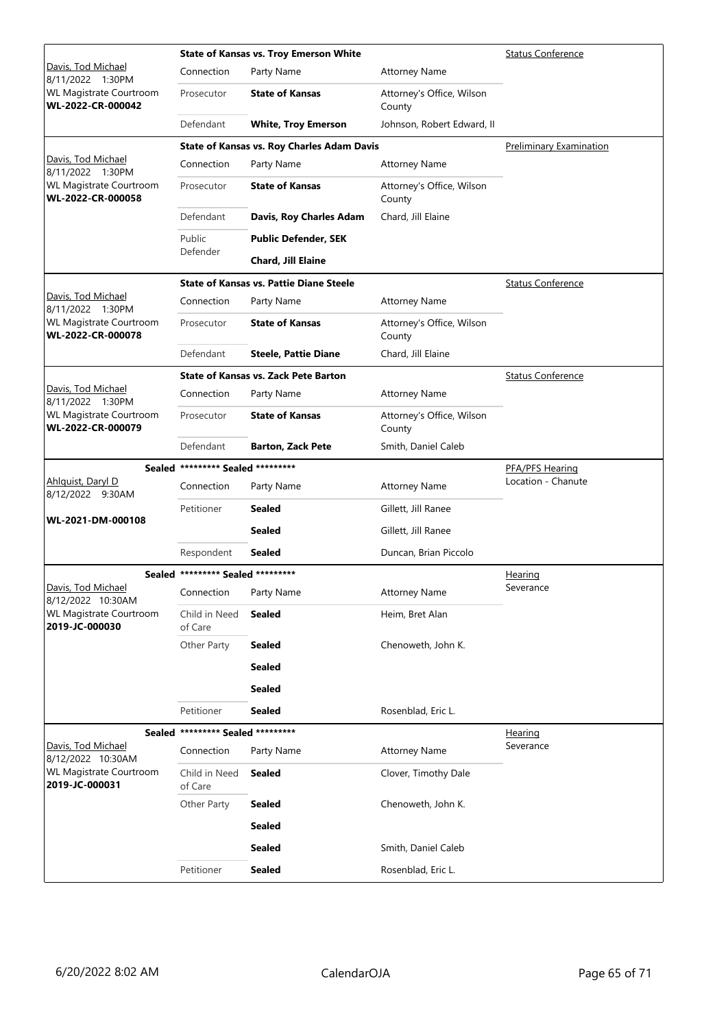|                                                     |                                   | <b>State of Kansas vs. Troy Emerson White</b>  | <b>Status Conference</b>            |                          |
|-----------------------------------------------------|-----------------------------------|------------------------------------------------|-------------------------------------|--------------------------|
| Davis, Tod Michael<br>8/11/2022 1:30PM              | Connection                        | Party Name                                     | <b>Attorney Name</b>                |                          |
| WL Magistrate Courtroom<br>WL-2022-CR-000042        | Prosecutor                        | <b>State of Kansas</b>                         | Attorney's Office, Wilson<br>County |                          |
|                                                     | Defendant                         | <b>White, Troy Emerson</b>                     | Johnson, Robert Edward, II          |                          |
|                                                     |                                   | State of Kansas vs. Roy Charles Adam Davis     |                                     | Preliminary Examination  |
| Davis, Tod Michael<br>8/11/2022 1:30PM              | Connection                        | Party Name                                     | <b>Attorney Name</b>                |                          |
| WL Magistrate Courtroom<br>WL-2022-CR-000058        | Prosecutor                        | <b>State of Kansas</b>                         | Attorney's Office, Wilson<br>County |                          |
|                                                     | Defendant                         | Davis, Roy Charles Adam                        | Chard, Jill Elaine                  |                          |
|                                                     | Public                            | <b>Public Defender, SEK</b>                    |                                     |                          |
|                                                     | Defender                          | Chard, Jill Elaine                             |                                     |                          |
|                                                     |                                   | <b>State of Kansas vs. Pattie Diane Steele</b> |                                     | <b>Status Conference</b> |
| Davis, Tod Michael<br>8/11/2022 1:30PM              | Connection                        | Party Name                                     | <b>Attorney Name</b>                |                          |
| WL Magistrate Courtroom<br>WL-2022-CR-000078        | Prosecutor                        | <b>State of Kansas</b>                         | Attorney's Office, Wilson<br>County |                          |
|                                                     | Defendant                         | <b>Steele, Pattie Diane</b>                    | Chard, Jill Elaine                  |                          |
|                                                     |                                   | <b>State of Kansas vs. Zack Pete Barton</b>    |                                     | <b>Status Conference</b> |
| Davis, Tod Michael<br>8/11/2022 1:30PM              | Connection                        | Party Name                                     | <b>Attorney Name</b>                |                          |
| <b>WL Magistrate Courtroom</b><br>WL-2022-CR-000079 | Prosecutor                        | <b>State of Kansas</b>                         | Attorney's Office, Wilson<br>County |                          |
|                                                     | Defendant                         | <b>Barton, Zack Pete</b>                       | Smith, Daniel Caleb                 |                          |
|                                                     | Sealed ********* Sealed ********* |                                                |                                     | <b>PFA/PFS Hearing</b>   |
| Ahlquist, Daryl D<br>8/12/2022 9:30AM               | Connection                        | Party Name                                     | <b>Attorney Name</b>                | Location - Chanute       |
|                                                     | Petitioner                        | <b>Sealed</b>                                  | Gillett, Jill Ranee                 |                          |
| WL-2021-DM-000108                                   |                                   | <b>Sealed</b>                                  | Gillett, Jill Ranee                 |                          |
|                                                     | Respondent                        | Sealed                                         | Duncan, Brian Piccolo               |                          |
|                                                     | Sealed ********* Sealed ********* |                                                |                                     | <b>Hearing</b>           |
| Davis, Tod Michael<br>8/12/2022 10:30AM             | Connection Party Name             |                                                | <b>Attorney Name</b>                | Severance                |
| WL Magistrate Courtroom<br>2019-JC-000030           | Child in Need<br>of Care          | <b>Sealed</b>                                  | Heim, Bret Alan                     |                          |
|                                                     | Other Party                       | <b>Sealed</b>                                  | Chenoweth, John K.                  |                          |
|                                                     |                                   | <b>Sealed</b>                                  |                                     |                          |
|                                                     |                                   | <b>Sealed</b>                                  |                                     |                          |
|                                                     | Petitioner                        | <b>Sealed</b>                                  | Rosenblad, Eric L.                  |                          |
|                                                     | Sealed ********* Sealed ********* |                                                |                                     | Hearing                  |
| Davis, Tod Michael<br>8/12/2022 10:30AM             | Connection                        | Party Name                                     | <b>Attorney Name</b>                | Severance                |
| WL Magistrate Courtroom<br>2019-JC-000031           | Child in Need<br>of Care          | <b>Sealed</b>                                  | Clover, Timothy Dale                |                          |
|                                                     | Other Party                       | Sealed                                         | Chenoweth, John K.                  |                          |
|                                                     |                                   | <b>Sealed</b>                                  |                                     |                          |
|                                                     |                                   |                                                |                                     |                          |
|                                                     |                                   | <b>Sealed</b>                                  | Smith, Daniel Caleb                 |                          |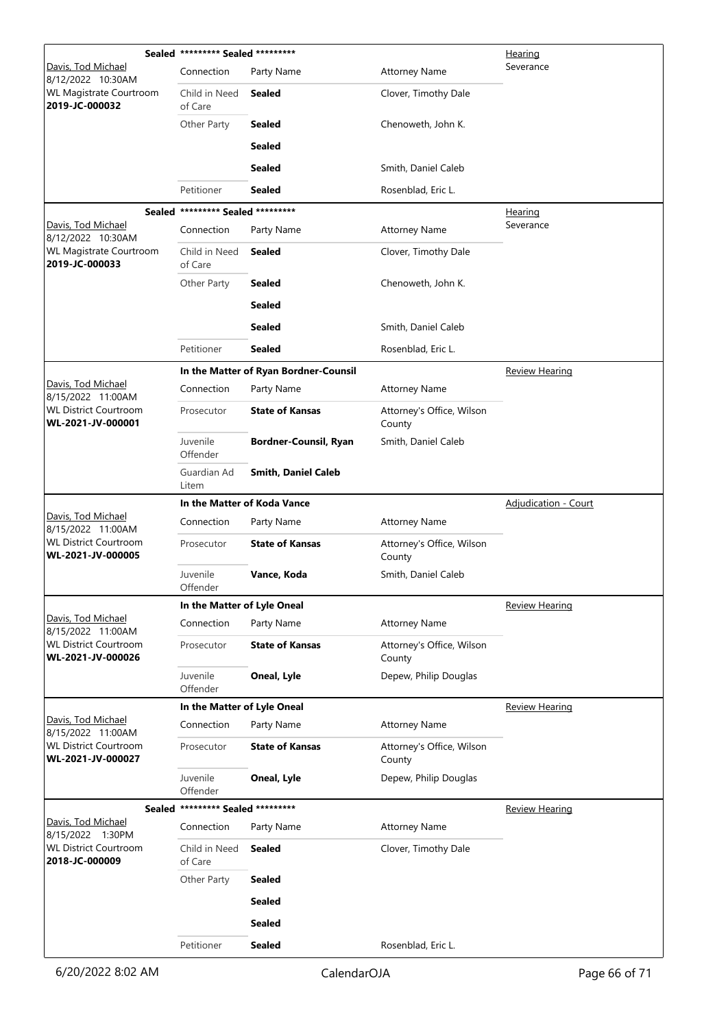|                                                   | Sealed ********* Sealed ********* |                                       | <u>Hearing</u>                      |                       |
|---------------------------------------------------|-----------------------------------|---------------------------------------|-------------------------------------|-----------------------|
| Davis, Tod Michael<br>8/12/2022 10:30AM           | Connection                        | Party Name                            | <b>Attorney Name</b>                | Severance             |
| WL Magistrate Courtroom<br>2019-JC-000032         | Child in Need<br>of Care          | <b>Sealed</b>                         | Clover, Timothy Dale                |                       |
|                                                   | Other Party                       | <b>Sealed</b>                         | Chenoweth, John K.                  |                       |
|                                                   |                                   | <b>Sealed</b>                         |                                     |                       |
|                                                   |                                   | <b>Sealed</b>                         | Smith, Daniel Caleb                 |                       |
|                                                   | Petitioner                        | <b>Sealed</b>                         | Rosenblad, Eric L.                  |                       |
|                                                   | Sealed ********* Sealed ********* |                                       |                                     | <b>Hearing</b>        |
| Davis, Tod Michael<br>8/12/2022 10:30AM           | Connection                        | Party Name                            | <b>Attorney Name</b>                | Severance             |
| WL Magistrate Courtroom<br>2019-JC-000033         | Child in Need<br>of Care          | <b>Sealed</b>                         | Clover, Timothy Dale                |                       |
|                                                   | Other Party                       | <b>Sealed</b>                         | Chenoweth, John K.                  |                       |
|                                                   |                                   | <b>Sealed</b>                         |                                     |                       |
|                                                   |                                   | <b>Sealed</b>                         | Smith, Daniel Caleb                 |                       |
|                                                   | Petitioner                        | <b>Sealed</b>                         | Rosenblad, Eric L.                  |                       |
|                                                   |                                   | In the Matter of Ryan Bordner-Counsil |                                     | <b>Review Hearing</b> |
| Davis, Tod Michael<br>8/15/2022 11:00AM           | Connection                        | Party Name                            | <b>Attorney Name</b>                |                       |
| <b>WL District Courtroom</b><br>WL-2021-JV-000001 | Prosecutor                        | <b>State of Kansas</b>                | Attorney's Office, Wilson<br>County |                       |
|                                                   | Juvenile<br>Offender              | <b>Bordner-Counsil, Ryan</b>          | Smith, Daniel Caleb                 |                       |
|                                                   | Guardian Ad<br>Litem              | <b>Smith, Daniel Caleb</b>            |                                     |                       |
|                                                   |                                   | In the Matter of Koda Vance           | <b>Adjudication - Court</b>         |                       |
| Davis, Tod Michael<br>8/15/2022 11:00AM           | Connection                        | Party Name                            | <b>Attorney Name</b>                |                       |
| <b>WL District Courtroom</b><br>WL-2021-JV-000005 | Prosecutor                        | <b>State of Kansas</b>                | Attorney's Office, Wilson<br>County |                       |
|                                                   | Juvenile<br>Offender              | Vance, Koda                           | Smith, Daniel Caleb                 |                       |
|                                                   | In the Matter of Lyle Oneal       |                                       |                                     | <b>Review Hearing</b> |
| Davis, Tod Michael<br>8/15/2022 11:00AM           | Connection                        | Party Name                            | <b>Attorney Name</b>                |                       |
| <b>WL District Courtroom</b><br>WL-2021-JV-000026 | Prosecutor                        | <b>State of Kansas</b>                | Attorney's Office, Wilson<br>County |                       |
|                                                   | Juvenile<br>Offender              | Oneal, Lyle                           | Depew, Philip Douglas               |                       |
|                                                   | In the Matter of Lyle Oneal       |                                       |                                     | <b>Review Hearing</b> |
| Davis, Tod Michael<br>8/15/2022 11:00AM           | Connection                        | Party Name                            | <b>Attorney Name</b>                |                       |
| <b>WL District Courtroom</b><br>WL-2021-JV-000027 | Prosecutor                        | <b>State of Kansas</b>                | Attorney's Office, Wilson<br>County |                       |
|                                                   | Juvenile<br>Offender              | Oneal, Lyle                           | Depew, Philip Douglas               |                       |
| <b>Sealed</b>                                     | ********* Sealed *********        |                                       |                                     | <b>Review Hearing</b> |
| Davis, Tod Michael<br>8/15/2022 1:30PM            | Connection                        | Party Name                            | <b>Attorney Name</b>                |                       |
| <b>WL District Courtroom</b><br>2018-JC-000009    | Child in Need<br>of Care          | <b>Sealed</b>                         | Clover, Timothy Dale                |                       |
|                                                   | Other Party                       | <b>Sealed</b>                         |                                     |                       |
|                                                   |                                   | <b>Sealed</b>                         |                                     |                       |
|                                                   |                                   | <b>Sealed</b>                         |                                     |                       |
|                                                   | Petitioner                        | <b>Sealed</b>                         | Rosenblad, Eric L.                  |                       |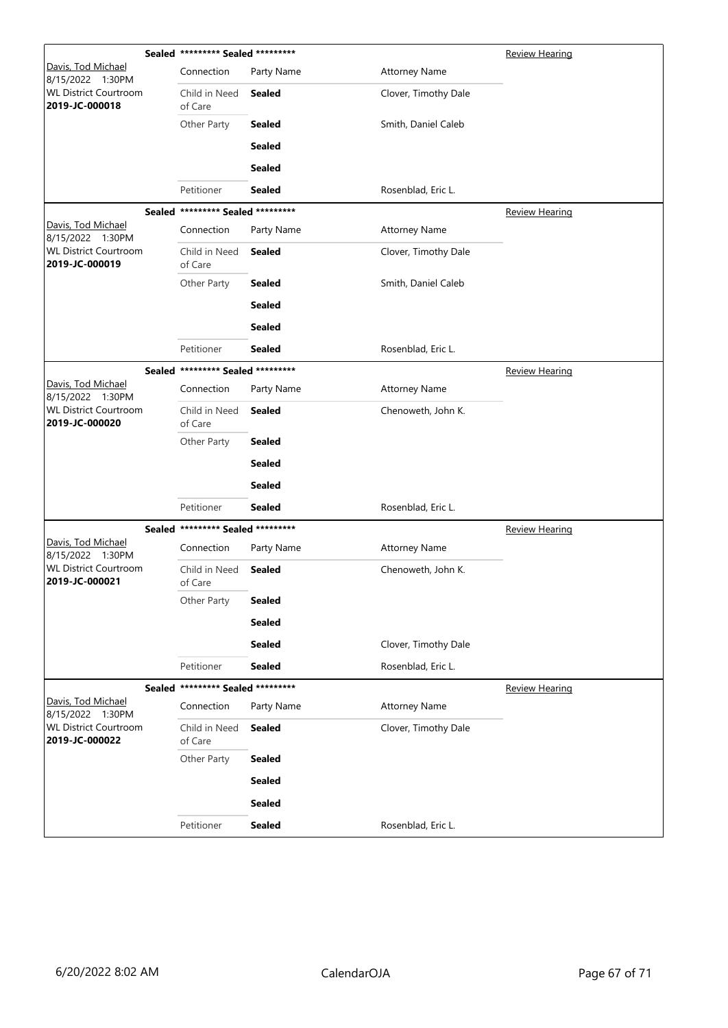|                                                | Sealed ********* Sealed ********* |               |                      | <b>Review Hearing</b> |
|------------------------------------------------|-----------------------------------|---------------|----------------------|-----------------------|
| Davis, Tod Michael<br>8/15/2022 1:30PM         | Connection                        | Party Name    | <b>Attorney Name</b> |                       |
| <b>WL District Courtroom</b><br>2019-JC-000018 | Child in Need<br>of Care          | Sealed        | Clover, Timothy Dale |                       |
|                                                | Other Party                       | <b>Sealed</b> | Smith, Daniel Caleb  |                       |
|                                                |                                   | <b>Sealed</b> |                      |                       |
|                                                |                                   | <b>Sealed</b> |                      |                       |
|                                                | Petitioner                        | <b>Sealed</b> | Rosenblad, Eric L.   |                       |
|                                                | Sealed ********* Sealed ********* |               |                      | <b>Review Hearing</b> |
| Davis, Tod Michael<br>8/15/2022 1:30PM         | Connection                        | Party Name    | <b>Attorney Name</b> |                       |
| <b>WL District Courtroom</b><br>2019-JC-000019 | Child in Need<br>of Care          | <b>Sealed</b> | Clover, Timothy Dale |                       |
|                                                | Other Party                       | <b>Sealed</b> | Smith, Daniel Caleb  |                       |
|                                                |                                   | <b>Sealed</b> |                      |                       |
|                                                |                                   | Sealed        |                      |                       |
|                                                | Petitioner                        | <b>Sealed</b> | Rosenblad, Eric L.   |                       |
|                                                | Sealed ********* Sealed ********* |               |                      | <b>Review Hearing</b> |
| Davis, Tod Michael<br>8/15/2022 1:30PM         | Connection                        | Party Name    | <b>Attorney Name</b> |                       |
| <b>WL District Courtroom</b><br>2019-JC-000020 | Child in Need<br>of Care          | <b>Sealed</b> | Chenoweth, John K.   |                       |
|                                                | Other Party                       | <b>Sealed</b> |                      |                       |
|                                                |                                   | <b>Sealed</b> |                      |                       |
|                                                |                                   | <b>Sealed</b> |                      |                       |
|                                                | Petitioner                        | <b>Sealed</b> | Rosenblad, Eric L.   |                       |
|                                                | Sealed ********* Sealed ********* |               |                      | Review Hearing        |
| Davis, Tod Michael<br>8/15/2022 1:30PM         | Connection                        | Party Name    | <b>Attorney Name</b> |                       |
| <b>WL District Courtroom</b><br>2019-JC-000021 | Child in Need<br>of Care          | <b>Sealed</b> | Chenoweth, John K.   |                       |
|                                                | Other Party                       | <b>Sealed</b> |                      |                       |
|                                                |                                   | <b>Sealed</b> |                      |                       |
|                                                |                                   | <b>Sealed</b> | Clover, Timothy Dale |                       |
|                                                | Petitioner                        | <b>Sealed</b> | Rosenblad, Eric L.   |                       |
|                                                | Sealed ********* Sealed ********* |               |                      | <b>Review Hearing</b> |
| Davis, Tod Michael<br>8/15/2022 1:30PM         | Connection                        | Party Name    | <b>Attorney Name</b> |                       |
| <b>WL District Courtroom</b><br>2019-JC-000022 | Child in Need<br>of Care          | <b>Sealed</b> | Clover, Timothy Dale |                       |
|                                                | Other Party                       | <b>Sealed</b> |                      |                       |
|                                                |                                   | <b>Sealed</b> |                      |                       |
|                                                |                                   | <b>Sealed</b> |                      |                       |
|                                                | Petitioner                        | <b>Sealed</b> | Rosenblad, Eric L.   |                       |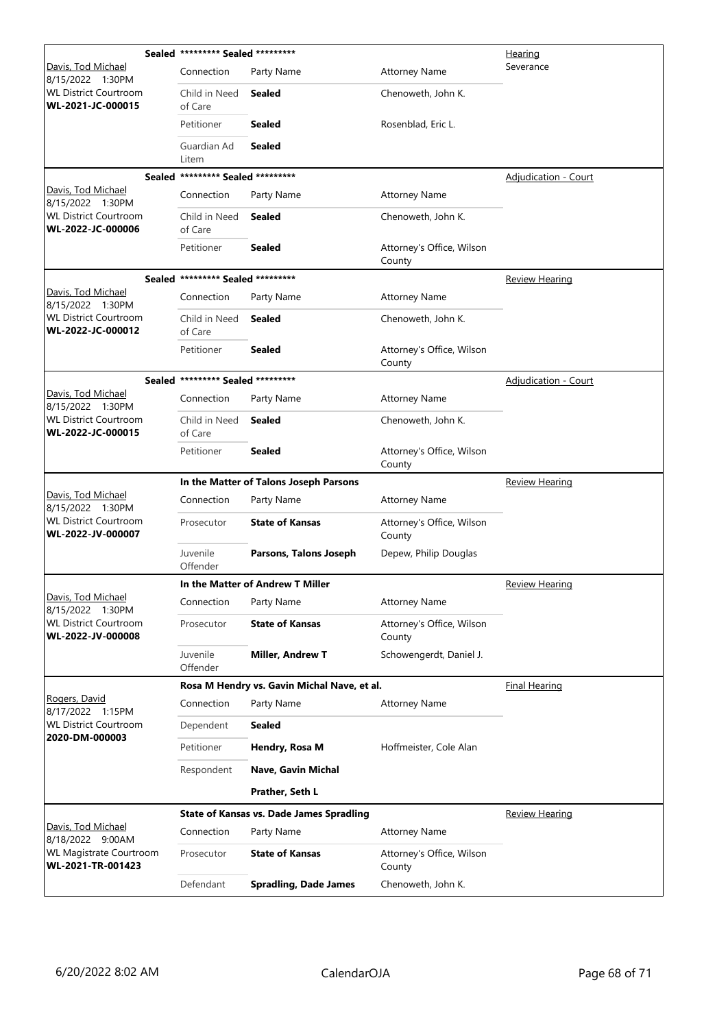|                                                   |                          | Sealed ********* Sealed ********* |                                                 |                                     | <u>Hearing</u>              |
|---------------------------------------------------|--------------------------|-----------------------------------|-------------------------------------------------|-------------------------------------|-----------------------------|
| Davis, Tod Michael<br>8/15/2022 1:30PM            |                          | Connection                        | Party Name                                      | <b>Attorney Name</b>                | Severance                   |
| <b>WL District Courtroom</b><br>WL-2021-JC-000015 |                          | Child in Need<br>of Care          | <b>Sealed</b>                                   | Chenoweth, John K.                  |                             |
|                                                   |                          | Petitioner                        | <b>Sealed</b>                                   | Rosenblad, Eric L.                  |                             |
|                                                   |                          | Guardian Ad<br>Litem              | <b>Sealed</b>                                   |                                     |                             |
|                                                   |                          | Sealed ********* Sealed ********* |                                                 |                                     | Adjudication - Court        |
| Davis, Tod Michael<br>8/15/2022 1:30PM            |                          | Connection                        | Party Name                                      | <b>Attorney Name</b>                |                             |
| <b>WL District Courtroom</b><br>WL-2022-JC-000006 |                          | Child in Need<br>of Care          | <b>Sealed</b>                                   | Chenoweth, John K.                  |                             |
|                                                   |                          | Petitioner                        | <b>Sealed</b>                                   | Attorney's Office, Wilson<br>County |                             |
|                                                   |                          | Sealed ********* Sealed ********* |                                                 |                                     | <b>Review Hearing</b>       |
| Davis, Tod Michael<br>8/15/2022 1:30PM            |                          | Connection                        | Party Name                                      | <b>Attorney Name</b>                |                             |
| <b>WL District Courtroom</b><br>WL-2022-JC-000012 |                          | Child in Need<br>of Care          | <b>Sealed</b>                                   | Chenoweth, John K.                  |                             |
|                                                   |                          | Petitioner                        | <b>Sealed</b>                                   | Attorney's Office, Wilson<br>County |                             |
|                                                   |                          | Sealed ********* Sealed ********* |                                                 |                                     | <b>Adjudication - Court</b> |
| Davis, Tod Michael<br>8/15/2022 1:30PM            |                          | Connection                        | Party Name                                      | <b>Attorney Name</b>                |                             |
| <b>WL District Courtroom</b><br>WL-2022-JC-000015 | Child in Need<br>of Care | <b>Sealed</b>                     | Chenoweth, John K.                              |                                     |                             |
|                                                   |                          | Petitioner                        | <b>Sealed</b>                                   | Attorney's Office, Wilson<br>County |                             |
|                                                   |                          |                                   | In the Matter of Talons Joseph Parsons          |                                     | <b>Review Hearing</b>       |
| Davis, Tod Michael<br>8/15/2022 1:30PM            |                          | Connection                        | Party Name                                      | <b>Attorney Name</b>                |                             |
| <b>WL District Courtroom</b><br>WL-2022-JV-000007 |                          | Prosecutor                        | <b>State of Kansas</b>                          | Attorney's Office, Wilson<br>County |                             |
|                                                   |                          | Juvenile<br>Offender              | Parsons, Talons Joseph                          | Depew, Philip Douglas               |                             |
|                                                   |                          |                                   | In the Matter of Andrew T Miller                |                                     | Review Hearing              |
| Davis, Tod Michael<br>8/15/2022 1:30PM            |                          | Connection                        | Party Name                                      | <b>Attorney Name</b>                |                             |
| <b>WL District Courtroom</b><br>WL-2022-JV-000008 |                          | Prosecutor                        | <b>State of Kansas</b>                          | Attorney's Office, Wilson<br>County |                             |
|                                                   |                          | Juvenile<br>Offender              | <b>Miller, Andrew T</b>                         | Schowengerdt, Daniel J.             |                             |
|                                                   |                          |                                   | Rosa M Hendry vs. Gavin Michal Nave, et al.     |                                     | <b>Final Hearing</b>        |
| Rogers, David<br>8/17/2022 1:15PM                 |                          | Connection                        | Party Name                                      | <b>Attorney Name</b>                |                             |
| <b>WL District Courtroom</b>                      |                          | Dependent                         | <b>Sealed</b>                                   |                                     |                             |
| 2020-DM-000003                                    |                          | Petitioner                        | Hendry, Rosa M                                  | Hoffmeister, Cole Alan              |                             |
|                                                   |                          | Respondent                        | Nave, Gavin Michal                              |                                     |                             |
|                                                   |                          |                                   | Prather, Seth L                                 |                                     |                             |
|                                                   |                          |                                   | <b>State of Kansas vs. Dade James Spradling</b> |                                     | Review Hearing              |
| Davis, Tod Michael<br>8/18/2022 9:00AM            |                          | Connection                        | Party Name                                      | <b>Attorney Name</b>                |                             |
| WL Magistrate Courtroom<br>WL-2021-TR-001423      |                          | Prosecutor                        | <b>State of Kansas</b>                          | Attorney's Office, Wilson<br>County |                             |
|                                                   |                          | Defendant                         | <b>Spradling, Dade James</b>                    | Chenoweth, John K.                  |                             |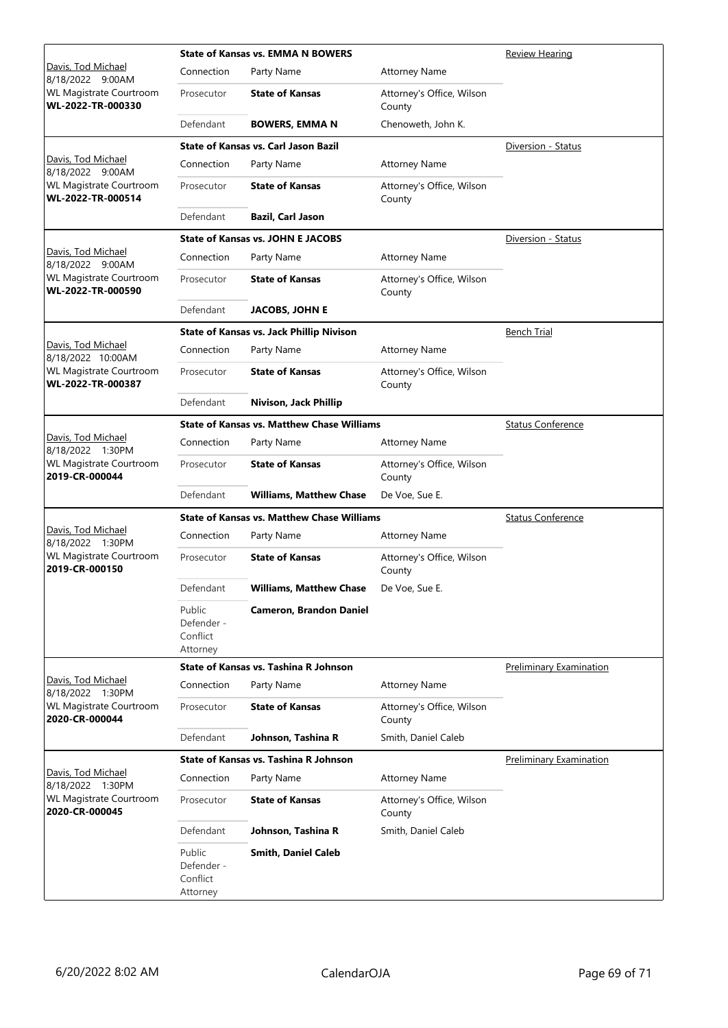|                                                     |                                              | <b>State of Kansas vs. EMMA N BOWERS</b>          | Review Hearing                      |                                |
|-----------------------------------------------------|----------------------------------------------|---------------------------------------------------|-------------------------------------|--------------------------------|
| Davis, Tod Michael<br>8/18/2022 9:00AM              | Connection                                   | Party Name                                        | <b>Attorney Name</b>                |                                |
| <b>WL Magistrate Courtroom</b><br>WL-2022-TR-000330 | Prosecutor                                   | <b>State of Kansas</b>                            | Attorney's Office, Wilson<br>County |                                |
|                                                     | Defendant                                    | <b>BOWERS, EMMA N</b>                             | Chenoweth, John K.                  |                                |
|                                                     |                                              | <b>State of Kansas vs. Carl Jason Bazil</b>       |                                     | Diversion - Status             |
| Davis, Tod Michael<br>8/18/2022 9:00AM              | Connection                                   | Party Name                                        | <b>Attorney Name</b>                |                                |
| <b>WL Magistrate Courtroom</b><br>WL-2022-TR-000514 | Prosecutor                                   | <b>State of Kansas</b>                            | Attorney's Office, Wilson<br>County |                                |
|                                                     | Defendant                                    | <b>Bazil, Carl Jason</b>                          |                                     |                                |
|                                                     |                                              | <b>State of Kansas vs. JOHN E JACOBS</b>          |                                     | Diversion - Status             |
| Davis, Tod Michael<br>8/18/2022 9:00AM              | Connection                                   | Party Name                                        | <b>Attorney Name</b>                |                                |
| <b>WL Magistrate Courtroom</b><br>WL-2022-TR-000590 | Prosecutor                                   | <b>State of Kansas</b>                            | Attorney's Office, Wilson<br>County |                                |
|                                                     | Defendant                                    | <b>JACOBS, JOHN E</b>                             |                                     |                                |
|                                                     |                                              | <b>State of Kansas vs. Jack Phillip Nivison</b>   |                                     | <b>Bench Trial</b>             |
| Davis, Tod Michael<br>8/18/2022 10:00AM             | Connection                                   | Party Name                                        | <b>Attorney Name</b>                |                                |
| <b>WL Magistrate Courtroom</b><br>WL-2022-TR-000387 | Prosecutor                                   | <b>State of Kansas</b>                            | Attorney's Office, Wilson<br>County |                                |
|                                                     | Defendant                                    | Nivison, Jack Phillip                             |                                     |                                |
|                                                     |                                              | <b>State of Kansas vs. Matthew Chase Williams</b> | <b>Status Conference</b>            |                                |
| Davis, Tod Michael<br>8/18/2022 1:30PM              | Connection                                   | Party Name                                        | <b>Attorney Name</b>                |                                |
| <b>WL Magistrate Courtroom</b><br>2019-CR-000044    | Prosecutor                                   | <b>State of Kansas</b>                            | Attorney's Office, Wilson<br>County |                                |
|                                                     | Defendant                                    | <b>Williams, Matthew Chase</b>                    | De Voe, Sue E.                      |                                |
|                                                     |                                              | <b>State of Kansas vs. Matthew Chase Williams</b> |                                     | <b>Status Conference</b>       |
| Davis, Tod Michael<br>8/18/2022 1:30PM              | Connection                                   | Party Name                                        | <b>Attorney Name</b>                |                                |
| <b>WL Magistrate Courtroom</b><br>2019-CR-000150    | Prosecutor                                   | <b>State of Kansas</b>                            | Attorney's Office, Wilson<br>County |                                |
|                                                     | Defendant                                    | <b>Williams, Matthew Chase</b>                    | De Voe, Sue E.                      |                                |
|                                                     | Public<br>Defender -<br>Conflict<br>Attorney | <b>Cameron, Brandon Daniel</b>                    |                                     |                                |
|                                                     |                                              | State of Kansas vs. Tashina R Johnson             |                                     | <b>Preliminary Examination</b> |
| Davis, Tod Michael<br>8/18/2022 1:30PM              | Connection                                   | Party Name                                        | <b>Attorney Name</b>                |                                |
| <b>WL Magistrate Courtroom</b><br>2020-CR-000044    | Prosecutor                                   | <b>State of Kansas</b>                            | Attorney's Office, Wilson<br>County |                                |
|                                                     | Defendant                                    | Johnson, Tashina R                                | Smith, Daniel Caleb                 |                                |
|                                                     |                                              | State of Kansas vs. Tashina R Johnson             |                                     | Preliminary Examination        |
| Davis, Tod Michael<br>8/18/2022 1:30PM              | Connection                                   | Party Name                                        | <b>Attorney Name</b>                |                                |
| <b>WL Magistrate Courtroom</b><br>2020-CR-000045    | Prosecutor                                   | <b>State of Kansas</b>                            | Attorney's Office, Wilson<br>County |                                |
|                                                     | Defendant                                    | Johnson, Tashina R                                | Smith, Daniel Caleb                 |                                |
|                                                     | Public<br>Defender -<br>Conflict<br>Attorney | <b>Smith, Daniel Caleb</b>                        |                                     |                                |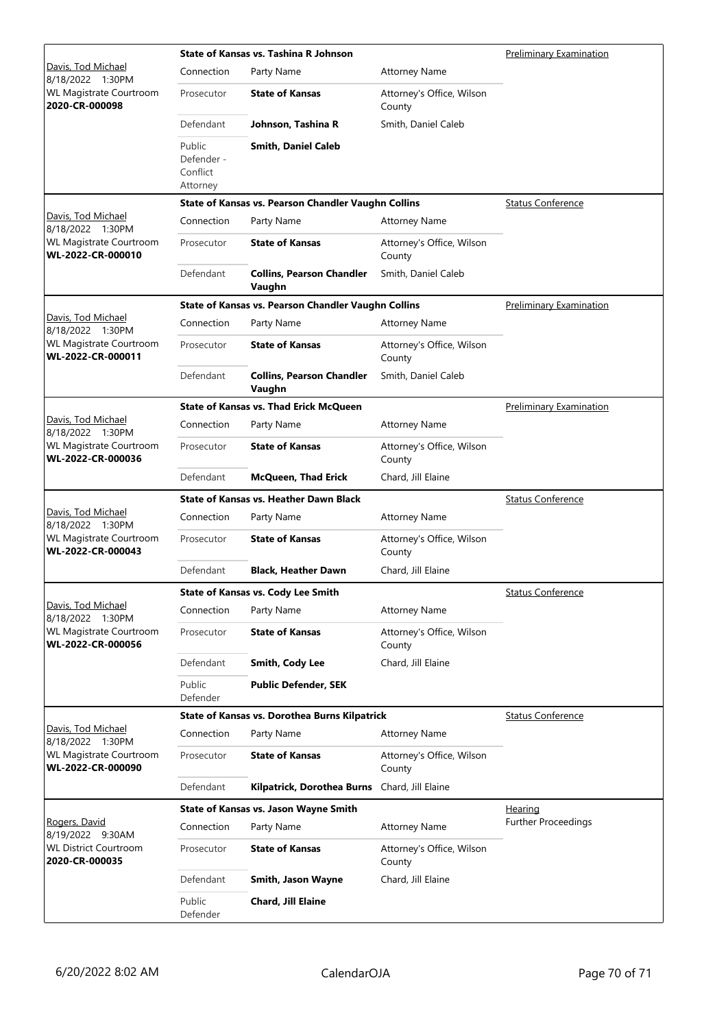|                                                     |                                              | State of Kansas vs. Tashina R Johnson               |                                     | <b>Preliminary Examination</b> |
|-----------------------------------------------------|----------------------------------------------|-----------------------------------------------------|-------------------------------------|--------------------------------|
| Davis, Tod Michael<br>8/18/2022 1:30PM              | Connection                                   | Party Name                                          | <b>Attorney Name</b>                |                                |
| <b>WL Magistrate Courtroom</b><br>2020-CR-000098    | Prosecutor                                   | <b>State of Kansas</b>                              | Attorney's Office, Wilson<br>County |                                |
|                                                     | Defendant                                    | Johnson, Tashina R                                  | Smith, Daniel Caleb                 |                                |
|                                                     | Public<br>Defender -<br>Conflict<br>Attorney | <b>Smith, Daniel Caleb</b>                          |                                     |                                |
|                                                     |                                              | State of Kansas vs. Pearson Chandler Vaughn Collins |                                     | <b>Status Conference</b>       |
| Davis, Tod Michael<br>8/18/2022 1:30PM              | Connection                                   | Party Name                                          | Attorney Name                       |                                |
| <b>WL Magistrate Courtroom</b><br>WL-2022-CR-000010 | Prosecutor                                   | <b>State of Kansas</b>                              | Attorney's Office, Wilson<br>County |                                |
|                                                     | Defendant                                    | <b>Collins, Pearson Chandler</b><br>Vaughn          | Smith, Daniel Caleb                 |                                |
|                                                     |                                              | State of Kansas vs. Pearson Chandler Vaughn Collins |                                     | <b>Preliminary Examination</b> |
| Davis, Tod Michael<br>8/18/2022 1:30PM              | Connection                                   | Party Name                                          | <b>Attorney Name</b>                |                                |
| <b>WL Magistrate Courtroom</b><br>WL-2022-CR-000011 | Prosecutor                                   | <b>State of Kansas</b>                              | Attorney's Office, Wilson<br>County |                                |
|                                                     | Defendant                                    | <b>Collins, Pearson Chandler</b><br>Vaughn          | Smith, Daniel Caleb                 |                                |
|                                                     |                                              | <b>State of Kansas vs. Thad Erick McQueen</b>       |                                     | <b>Preliminary Examination</b> |
| Davis, Tod Michael<br>8/18/2022 1:30PM              | Connection                                   | Party Name                                          | <b>Attorney Name</b>                |                                |
| <b>WL Magistrate Courtroom</b><br>WL-2022-CR-000036 | Prosecutor                                   | <b>State of Kansas</b>                              | Attorney's Office, Wilson<br>County |                                |
|                                                     | Defendant                                    | <b>McQueen, Thad Erick</b>                          | Chard, Jill Elaine                  |                                |
|                                                     |                                              | <b>State of Kansas vs. Heather Dawn Black</b>       |                                     | <b>Status Conference</b>       |
| Davis, Tod Michael<br>8/18/2022 1:30PM              | Connection                                   | Party Name                                          | <b>Attorney Name</b>                |                                |
| <b>WL Magistrate Courtroom</b><br>WL-2022-CR-000043 | Prosecutor                                   | <b>State of Kansas</b>                              | Attorney's Office, Wilson<br>County |                                |
|                                                     | Defendant                                    | <b>Black, Heather Dawn</b>                          | Chard, Jill Elaine                  |                                |
|                                                     |                                              | State of Kansas vs. Cody Lee Smith                  |                                     | <b>Status Conference</b>       |
| Davis, Tod Michael<br>8/18/2022 1:30PM              | Connection                                   | Party Name                                          | <b>Attorney Name</b>                |                                |
| <b>WL Magistrate Courtroom</b><br>WL-2022-CR-000056 | Prosecutor                                   | <b>State of Kansas</b>                              | Attorney's Office, Wilson<br>County |                                |
|                                                     | Defendant                                    | Smith, Cody Lee                                     | Chard, Jill Elaine                  |                                |
|                                                     | Public<br>Defender                           | <b>Public Defender, SEK</b>                         |                                     |                                |
|                                                     |                                              | State of Kansas vs. Dorothea Burns Kilpatrick       |                                     | <b>Status Conference</b>       |
| Davis, Tod Michael<br>8/18/2022 1:30PM              | Connection                                   | Party Name                                          | <b>Attorney Name</b>                |                                |
| <b>WL Magistrate Courtroom</b><br>WL-2022-CR-000090 | Prosecutor                                   | <b>State of Kansas</b>                              | Attorney's Office, Wilson<br>County |                                |
|                                                     | Defendant                                    | Kilpatrick, Dorothea Burns                          | Chard, Jill Elaine                  |                                |
|                                                     |                                              | State of Kansas vs. Jason Wayne Smith               |                                     | <u>Hearing</u>                 |
| Rogers, David<br>8/19/2022 9:30AM                   | Connection                                   | Party Name                                          | <b>Attorney Name</b>                | Further Proceedings            |
| <b>WL District Courtroom</b><br>2020-CR-000035      | Prosecutor                                   | <b>State of Kansas</b>                              | Attorney's Office, Wilson<br>County |                                |
|                                                     | Defendant                                    | Smith, Jason Wayne                                  | Chard, Jill Elaine                  |                                |
|                                                     | Public<br>Defender                           | Chard, Jill Elaine                                  |                                     |                                |